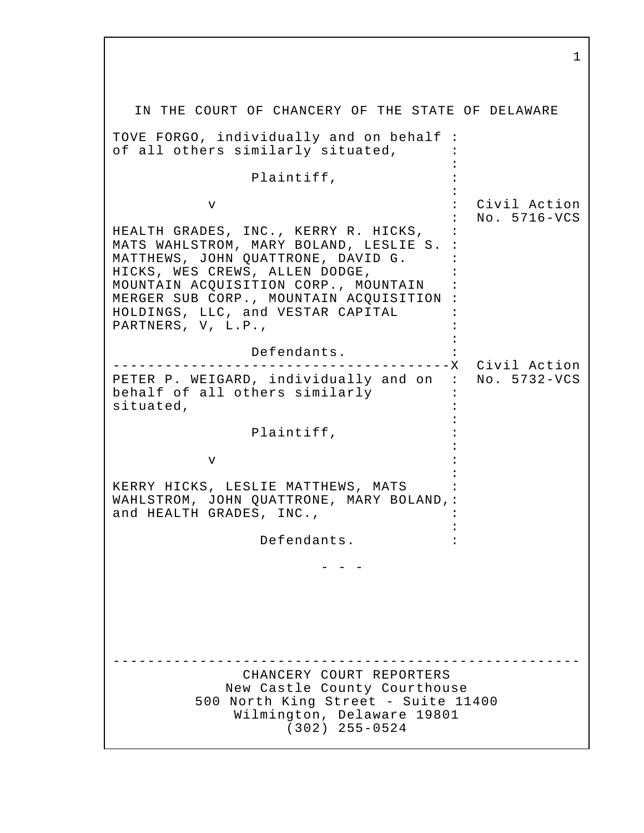IN THE COURT OF CHANCERY OF THE STATE OF DELAWARE TOVE FORGO, individually and on behalf : of all others similarly situated,  $\cdot$ : 10 PM Plaintiff, the contract of the contract of the contract of the contract of the contract of the contract of the contract of v : Civil Action : No. 5716-VCS HEALTH GRADES, INC., KERRY R. HICKS, : MATS WAHLSTROM, MARY BOLAND, LESLIE S. : MATTHEWS, JOHN QUATTRONE, DAVID G. : HICKS, WES CREWS, ALLEN DODGE, MOUNTAIN ACQUISITION CORP., MOUNTAIN : MERGER SUB CORP., MOUNTAIN ACQUISITION : HOLDINGS, LLC, and VESTAR CAPITAL : PARTNERS, V, L.P.,  $\vdots$  : Defendants. : ---------------------------------------X Civil Action PETER P. WEIGARD, individually and on : No. 5732-VCS behalf of all others similarly : situated, the situated,  $\mathbf{r}$ : 10 PM Plaintiff, : : 10 PM  $\mathbf v$  : : 1990 KERRY HICKS, LESLIE MATTHEWS, MATS : WAHLSTROM, JOHN QUATTRONE, MARY BOLAND,: and HEALTH GRADES, INC., : 1990 Defendants. : - - - ------------------------------------------------------ CHANCERY COURT REPORTERS New Castle County Courthouse 500 North King Street - Suite 11400 Wilmington, Delaware 19801 (302) 255-0524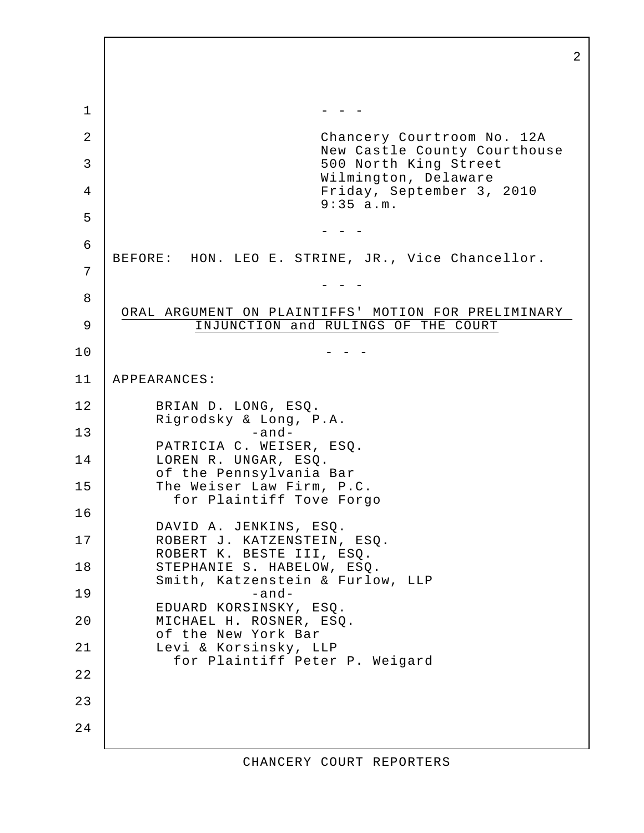2 1 - - - 2 | Chancery Courtroom No. 12A New Castle County Courthouse 3 500 North King Street Wilmington, Delaware 4 Friday, September 3, 2010 9:35 a.m. 5 - - - 6 BEFORE: HON. LEO E. STRINE, JR., Vice Chancellor. 7 - - - 8 ORAL ARGUMENT ON PLAINTIFFS' MOTION FOR PRELIMINARY 9 INJUNCTION and RULINGS OF THE COURT  $10$  - - -11 APPEARANCES: 12 BRIAN D. LONG, ESQ. Rigrodsky & Long, P.A. 13 -and-PATRICIA C. WEISER, ESQ. 14 LOREN R. UNGAR, ESQ. of the Pennsylvania Bar 15 The Weiser Law Firm, P.C. for Plaintiff Tove Forgo 16 DAVID A. JENKINS, ESQ. 17 | ROBERT J. KATZENSTEIN, ESQ. ROBERT K. BESTE III, ESQ. 18 STEPHANIE S. HABELOW, ESQ. Smith, Katzenstein & Furlow, LLP 19 -and-EDUARD KORSINSKY, ESQ. 20 MICHAEL H. ROSNER, ESQ. of the New York Bar 21 | Levi & Korsinsky, LLP for Plaintiff Peter P. Weigard 22 23 24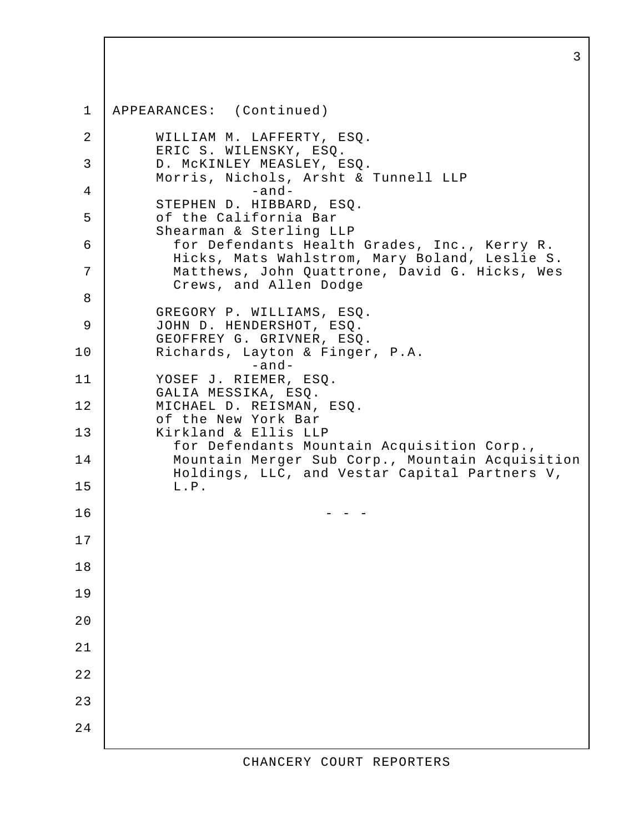1 APPEARANCES: (Continued) 2 WILLIAM M. LAFFERTY, ESQ. ERIC S. WILENSKY, ESQ. 3 D. McKINLEY MEASLEY, ESQ. Morris, Nichols, Arsht & Tunnell LLP  $4$  -and-STEPHEN D. HIBBARD, ESQ. 5 | of the California Bar Shearman & Sterling LLP 6 for Defendants Health Grades, Inc., Kerry R. Hicks, Mats Wahlstrom, Mary Boland, Leslie S. 7 Matthews, John Quattrone, David G. Hicks, Wes Crews, and Allen Dodge 8 GREGORY P. WILLIAMS, ESQ. 9 JOHN D. HENDERSHOT, ESQ. GEOFFREY G. GRIVNER, ESQ. 10 Richards, Layton & Finger, P.A. -and-11 YOSEF J. RIEMER, ESQ. GALIA MESSIKA, ESQ. 12 MICHAEL D. REISMAN, ESQ. of the New York Bar 13 | Kirkland & Ellis LLP for Defendants Mountain Acquisition Corp., 14 Mountain Merger Sub Corp., Mountain Acquisition Holdings, LLC, and Vestar Capital Partners V, 15 L.P.  $16$  - - -17 18 19 20 21 22 23 24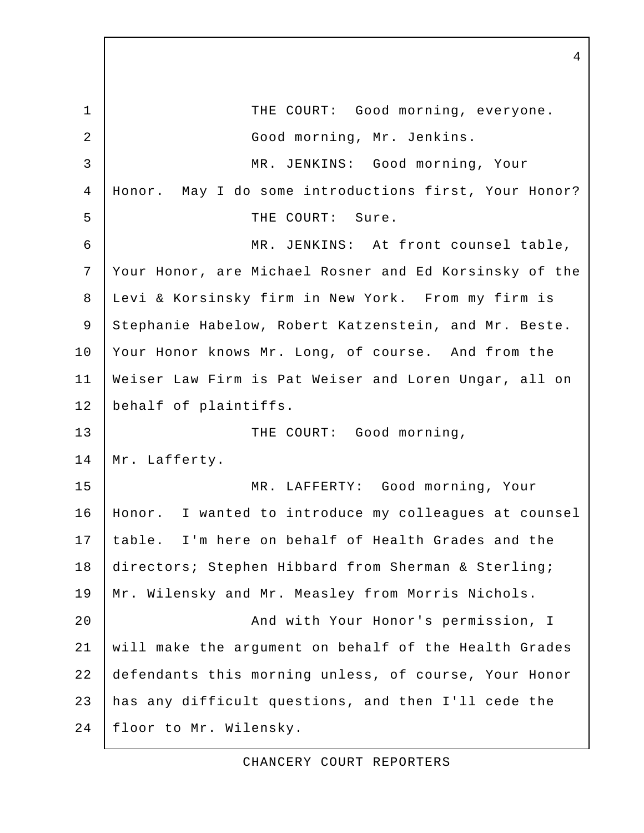1 THE COURT: Good morning, everyone. 2 | Good morning, Mr. Jenkins. 3 MR. JENKINS: Good morning, Your 4 Honor. May I do some introductions first, Your Honor? 5 THE COURT: Sure. 6 MR. JENKINS: At front counsel table, 7 Your Honor, are Michael Rosner and Ed Korsinsky of the 8 Levi & Korsinsky firm in New York. From my firm is 9 Stephanie Habelow, Robert Katzenstein, and Mr. Beste. 10 Your Honor knows Mr. Long, of course. And from the 11 Weiser Law Firm is Pat Weiser and Loren Ungar, all on 12 behalf of plaintiffs. 13 THE COURT: Good morning, 14 | Mr. Lafferty. 15 MR. LAFFERTY: Good morning, Your 16 Honor. I wanted to introduce my colleagues at counsel 17 table. I'm here on behalf of Health Grades and the 18 directors; Stephen Hibbard from Sherman & Sterling; 19 Mr. Wilensky and Mr. Measley from Morris Nichols. 20 | Rich With Your Honor's permission, I 21 will make the argument on behalf of the Health Grades 22 defendants this morning unless, of course, Your Honor 23 has any difficult questions, and then I'll cede the 24 floor to Mr. Wilensky.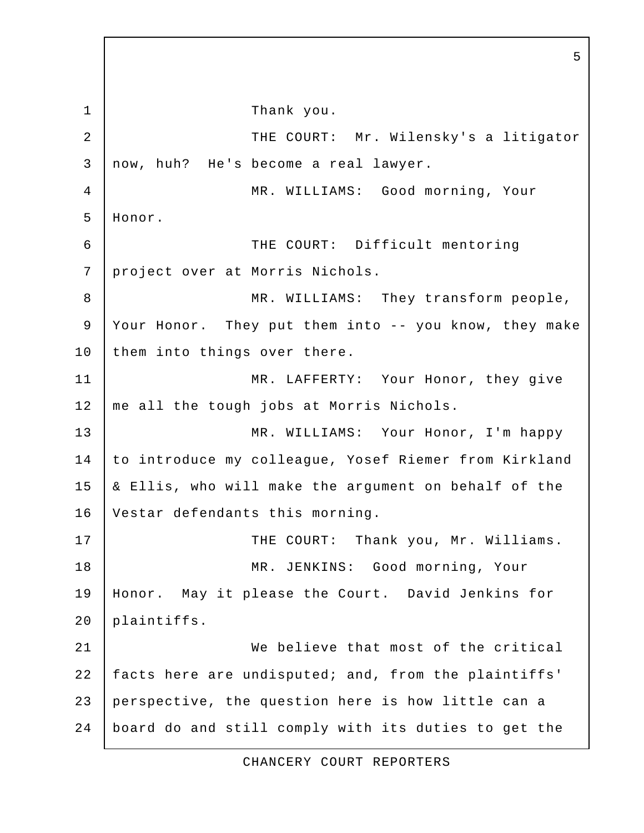1 Thank you. 2 | THE COURT: Mr. Wilensky's a litigator 3 now, huh? He's become a real lawyer. 4 | MR. WILLIAMS: Good morning, Your 5 Honor. 6 THE COURT: Difficult mentoring 7 project over at Morris Nichols. 8 | MR. WILLIAMS: They transform people, 9 Your Honor. They put them into -- you know, they make 10 | them into things over there. 11 MR. LAFFERTY: Your Honor, they give 12 | me all the tough jobs at Morris Nichols. 13 MR. WILLIAMS: Your Honor, I'm happy 14 to introduce my colleague, Yosef Riemer from Kirkland 15 & Ellis, who will make the argument on behalf of the 16 Vestar defendants this morning. 17 | THE COURT: Thank you, Mr. Williams. 18 | MR. JENKINS: Good morning, Your 19 Honor. May it please the Court. David Jenkins for 20 plaintiffs. 21 We believe that most of the critical 22 facts here are undisputed; and, from the plaintiffs' 23 perspective, the question here is how little can a 24 board do and still comply with its duties to get the

5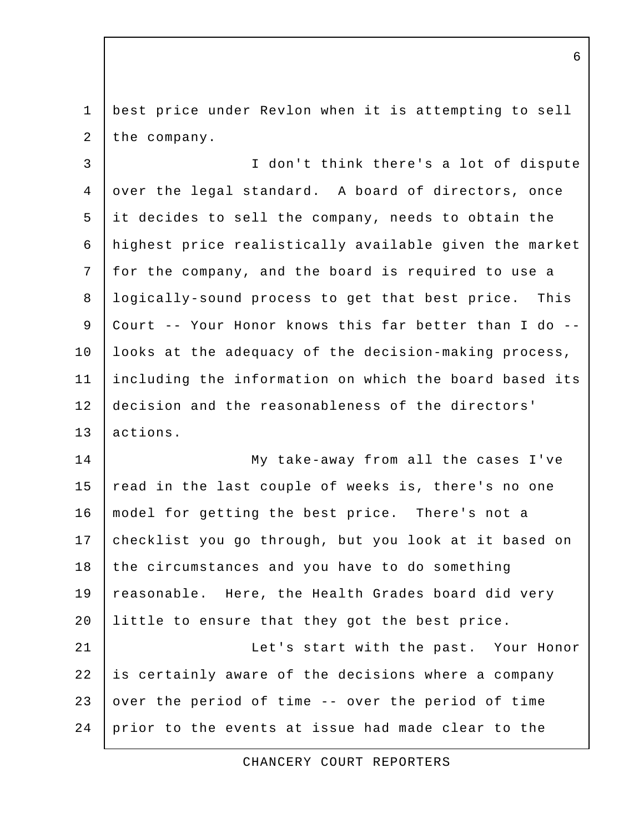1 best price under Revlon when it is attempting to sell 2 the company.

 3 I don't think there's a lot of dispute 4 over the legal standard. A board of directors, once 5 it decides to sell the company, needs to obtain the 6 highest price realistically available given the market 7 for the company, and the board is required to use a 8 logically-sound process to get that best price. This 9 Court -- Your Honor knows this far better than I do -- 10 | looks at the adequacy of the decision-making process, 11 including the information on which the board based its 12 decision and the reasonableness of the directors' 13 actions.

14 My take-away from all the cases I've 15 read in the last couple of weeks is, there's no one 16 model for getting the best price. There's not a 17 checklist you go through, but you look at it based on 18 the circumstances and you have to do something 19 reasonable. Here, the Health Grades board did very 20 Iittle to ensure that they got the best price. 21 Let's start with the past. Your Honor 22 is certainly aware of the decisions where a company 23 over the period of time  $-$ - over the period of time

CHANCERY COURT REPORTERS

24 prior to the events at issue had made clear to the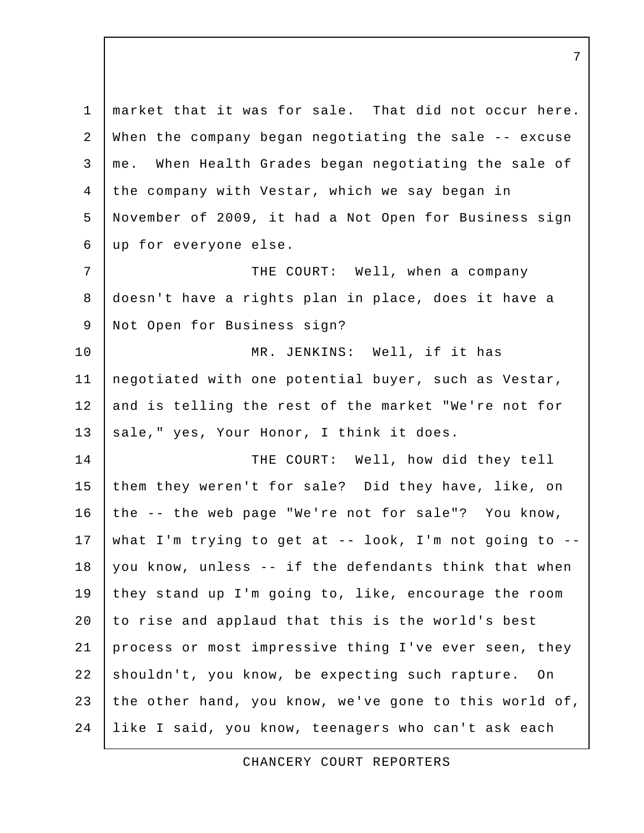1 market that it was for sale. That did not occur here. 2 When the company began negotiating the sale -- excuse 3 me. When Health Grades began negotiating the sale of 4 the company with Vestar, which we say began in 5 November of 2009, it had a Not Open for Business sign 6 up for everyone else. 7 | THE COURT: Well, when a company 8 doesn't have a rights plan in place, does it have a 9 | Not Open for Business sign? 10 MR. JENKINS: Well, if it has 11 negotiated with one potential buyer, such as Vestar, 12 and is telling the rest of the market "We're not for 13 sale," yes, Your Honor, I think it does. 14 THE COURT: Well, how did they tell 15 them they weren't for sale? Did they have, like, on 16 the -- the web page "We're not for sale"? You know, 17 what I'm trying to get at -- look, I'm not going to -- 18 you know, unless -- if the defendants think that when 19 they stand up I'm going to, like, encourage the room 20 to rise and applaud that this is the world's best 21 process or most impressive thing I've ever seen, they 22 shouldn't, you know, be expecting such rapture. On 23 the other hand, you know, we've gone to this world of, 24 like I said, you know, teenagers who can't ask each

CHANCERY COURT REPORTERS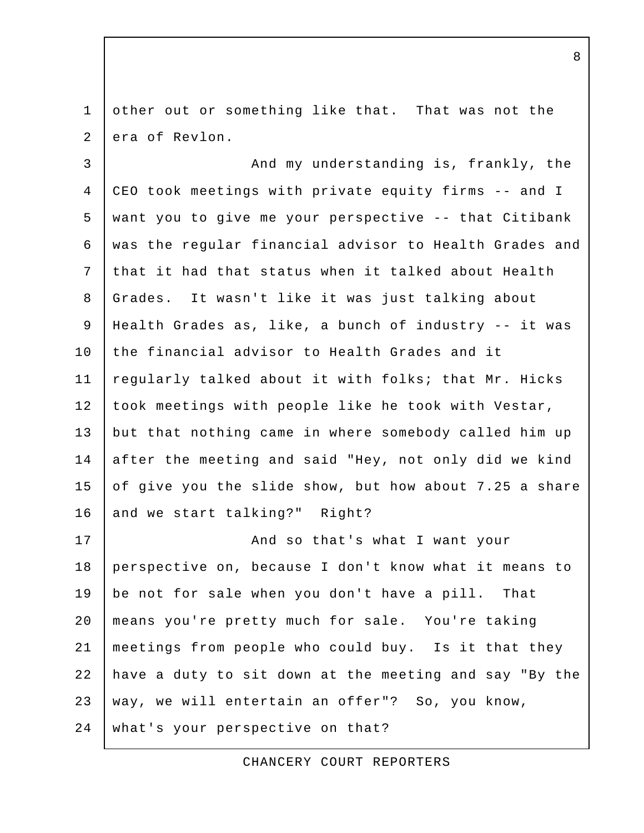1 other out or something like that. That was not the 2 era of Revlon.

3 And my understanding is, frankly, the 4 CEO took meetings with private equity firms -- and I 5 want you to give me your perspective -- that Citibank 6 was the regular financial advisor to Health Grades and 7 that it had that status when it talked about Health 8 Grades. It wasn't like it was just talking about 9 Health Grades as, like, a bunch of industry -- it was 10 the financial advisor to Health Grades and it 11 regularly talked about it with folks; that Mr. Hicks 12 took meetings with people like he took with Vestar, 13 but that nothing came in where somebody called him up 14 after the meeting and said "Hey, not only did we kind 15 of give you the slide show, but how about 7.25 a share 16 and we start talking?" Right?

17 | And so that's what I want your 18 perspective on, because I don't know what it means to 19 be not for sale when you don't have a pill. That 20 means you're pretty much for sale. You're taking 21 meetings from people who could buy. Is it that they 22 have a duty to sit down at the meeting and say "By the 23 way, we will entertain an offer"? So, you know, 24 what's your perspective on that?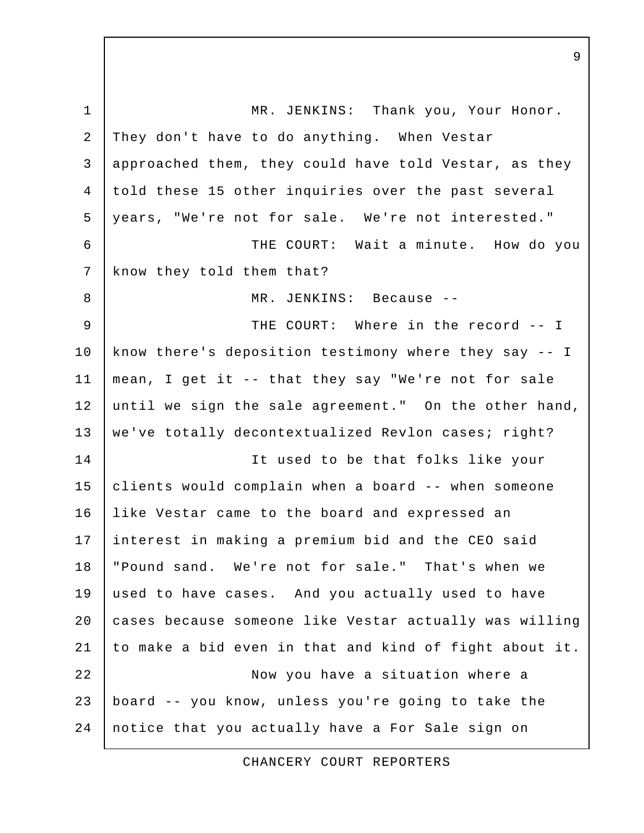1 MR. JENKINS: Thank you, Your Honor. 2 They don't have to do anything. When Vestar 3 approached them, they could have told Vestar, as they 4 told these 15 other inquiries over the past several 5 years, "We're not for sale. We're not interested." 6 THE COURT: Wait a minute. How do you 7 | know they told them that? 8 MR. JENKINS: Because -- 9 THE COURT: Where in the record -- I 10 | know there's deposition testimony where they say -- I 11 mean, I get it -- that they say "We're not for sale 12 until we sign the sale agreement." On the other hand, 13 | we've totally decontextualized Revlon cases; right? 14 It used to be that folks like your 15 clients would complain when a board -- when someone 16 like Vestar came to the board and expressed an 17 interest in making a premium bid and the CEO said 18 "Pound sand. We're not for sale." That's when we 19 used to have cases. And you actually used to have 20 cases because someone like Vestar actually was willing 21 to make a bid even in that and kind of fight about it. 22 | Now you have a situation where a 23 board -- you know, unless you're going to take the 24 notice that you actually have a For Sale sign on

CHANCERY COURT REPORTERS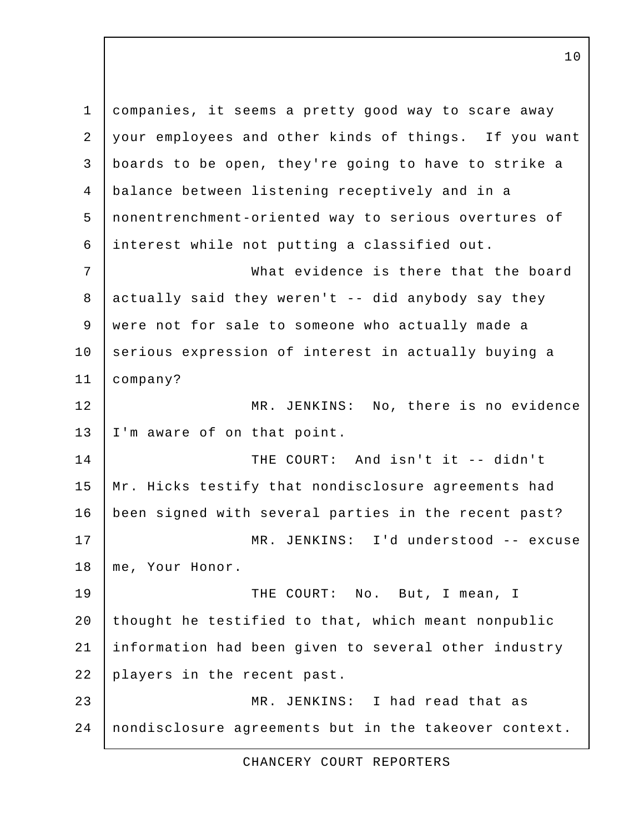1 companies, it seems a pretty good way to scare away 2 your employees and other kinds of things. If you want 3 boards to be open, they're going to have to strike a 4 balance between listening receptively and in a 5 nonentrenchment-oriented way to serious overtures of 6 interest while not putting a classified out. 7 What evidence is there that the board 8 actually said they weren't -- did anybody say they 9 were not for sale to someone who actually made a 10 serious expression of interest in actually buying a 11 company? 12 MR. JENKINS: No, there is no evidence 13 | I'm aware of on that point. 14 THE COURT: And isn't it -- didn't 15 | Mr. Hicks testify that nondisclosure agreements had 16 been signed with several parties in the recent past? 17 MR. JENKINS: I'd understood -- excuse 18 me, Your Honor. 19 | THE COURT: No. But, I mean, I 20 thought he testified to that, which meant nonpublic 21 information had been given to several other industry 22 players in the recent past. 23 MR. JENKINS: I had read that as 24 nondisclosure agreements but in the takeover context.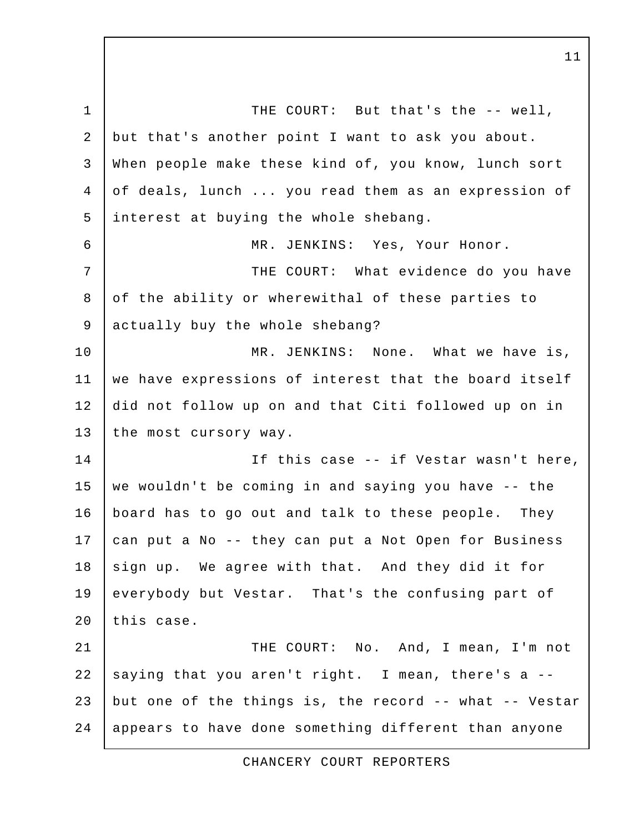1 THE COURT: But that's the -- well, 2 but that's another point I want to ask you about. 3 When people make these kind of, you know, lunch sort 4 of deals, lunch ... you read them as an expression of 5 interest at buying the whole shebang. 6 MR. JENKINS: Yes, Your Honor. 7 | THE COURT: What evidence do you have 8 of the ability or wherewithal of these parties to 9 actually buy the whole shebang? 10 | MR. JENKINS: None. What we have is, 11 we have expressions of interest that the board itself 12 did not follow up on and that Citi followed up on in 13 the most cursory way. 14 | Tf this case -- if Vestar wasn't here, 15 | we wouldn't be coming in and saying you have  $-$ - the 16 board has to go out and talk to these people. They 17 can put a No -- they can put a Not Open for Business 18 sign up. We agree with that. And they did it for 19 everybody but Vestar. That's the confusing part of 20 this case. 21 | THE COURT: No. And, I mean, I'm not 22 saying that you aren't right. I mean, there's a  $-$ -23 but one of the things is, the record -- what -- Vestar 24 appears to have done something different than anyone

CHANCERY COURT REPORTERS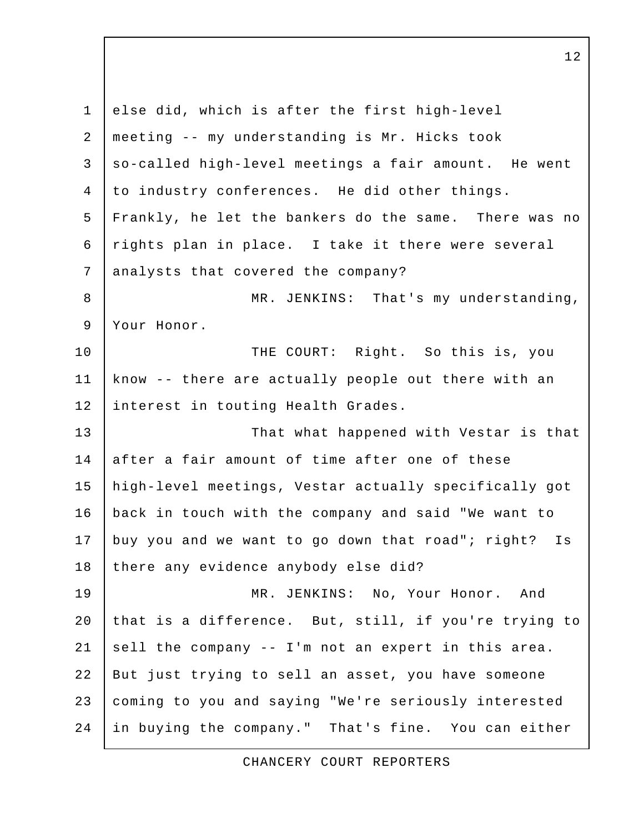1 else did, which is after the first high-level 2 meeting -- my understanding is Mr. Hicks took  $3$  so-called high-level meetings a fair amount. He went 4 to industry conferences. He did other things. 5 Frankly, he let the bankers do the same. There was no 6 rights plan in place. I take it there were several 7 analysts that covered the company? 8 | MR. JENKINS: That's my understanding, 9 Your Honor. 10 | THE COURT: Right. So this is, you 11 know -- there are actually people out there with an 12 interest in touting Health Grades. 13 That what happened with Vestar is that 14 after a fair amount of time after one of these 15 high-level meetings, Vestar actually specifically got 16 back in touch with the company and said "We want to 17 buy you and we want to go down that road"; right? Is 18 there any evidence anybody else did? 19 MR. JENKINS: No, Your Honor. And 20 that is a difference. But, still, if you're trying to 21 sell the company  $-$  I'm not an expert in this area. 22 But just trying to sell an asset, you have someone 23 coming to you and saying "We're seriously interested 24 in buying the company." That's fine. You can either

CHANCERY COURT REPORTERS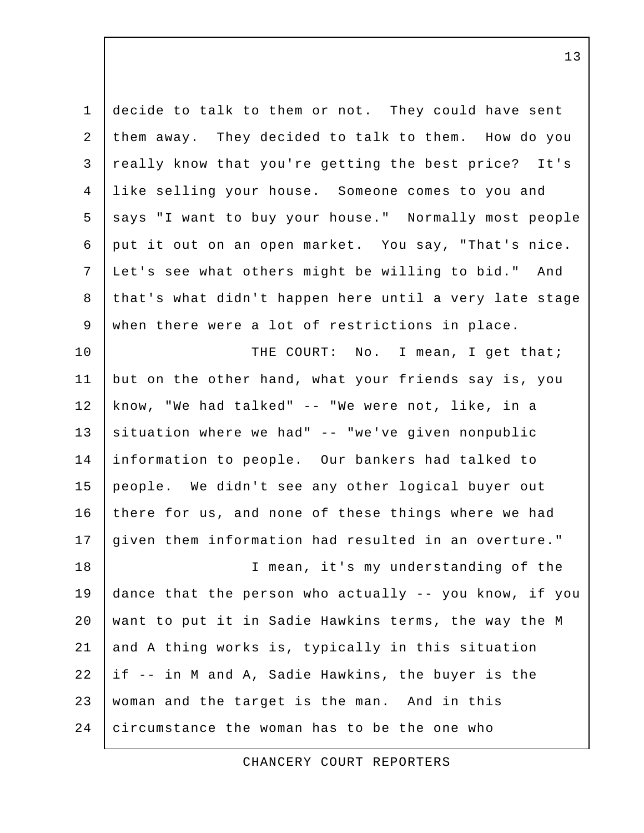1 decide to talk to them or not. They could have sent 2 them away. They decided to talk to them. How do you 3 really know that you're getting the best price? It's 4 like selling your house. Someone comes to you and 5 says "I want to buy your house." Normally most people 6 put it out on an open market. You say, "That's nice. 7 Let's see what others might be willing to bid." And 8 that's what didn't happen here until a very late stage 9 when there were a lot of restrictions in place. 10 | THE COURT: No. I mean, I get that; 11 but on the other hand, what your friends say is, you 12 know, "We had talked" -- "We were not, like, in a 13 situation where we had" -- "we've given nonpublic 14 information to people. Our bankers had talked to 15 people. We didn't see any other logical buyer out 16 there for us, and none of these things where we had 17 given them information had resulted in an overture." 18 I mean, it's my understanding of the 19 dance that the person who actually -- you know, if you 20 want to put it in Sadie Hawkins terms, the way the M 21 and A thing works is, typically in this situation 22 if -- in M and A, Sadie Hawkins, the buyer is the 23 woman and the target is the man. And in this 24 circumstance the woman has to be the one who

CHANCERY COURT REPORTERS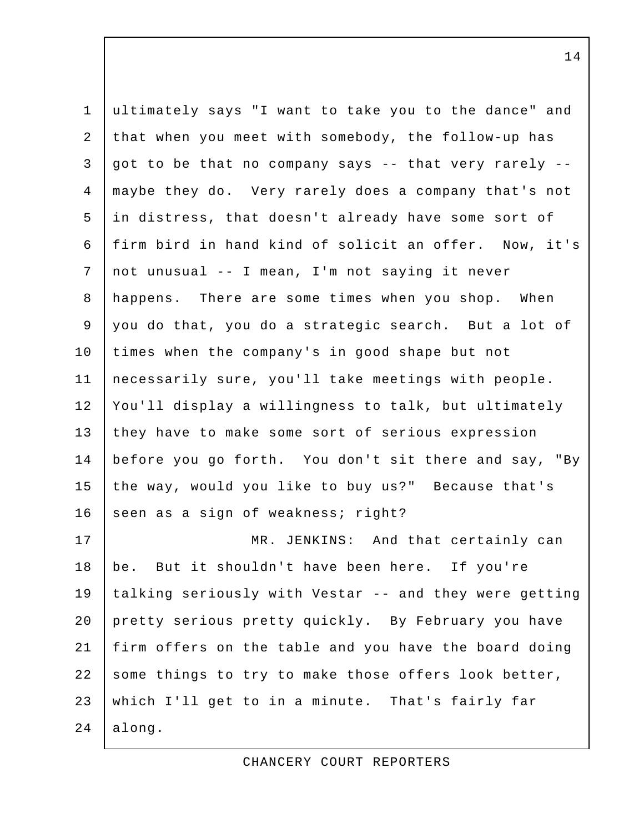| $\mathbf{1}$   | ultimately says "I want to take you to the dance" and  |
|----------------|--------------------------------------------------------|
| $\overline{2}$ | that when you meet with somebody, the follow-up has    |
| $\mathfrak{Z}$ | got to be that no company says -- that very rarely --  |
| $\overline{4}$ | maybe they do. Very rarely does a company that's not   |
| 5              | in distress, that doesn't already have some sort of    |
| 6              | firm bird in hand kind of solicit an offer. Now, it's  |
| 7              | not unusual -- I mean, I'm not saying it never         |
| 8              | happens. There are some times when you shop. When      |
| 9              | you do that, you do a strategic search. But a lot of   |
| 10             | times when the company's in good shape but not         |
| 11             | necessarily sure, you'll take meetings with people.    |
| 12             | You'll display a willingness to talk, but ultimately   |
| 13             | they have to make some sort of serious expression      |
| 14             | before you go forth. You don't sit there and say, "By  |
| 15             | the way, would you like to buy us?" Because that's     |
| 16             | seen as a sign of weakness; right?                     |
| 17             | MR. JENKINS: And that certainly can                    |
| 18             | be. But it shouldn't have been here. If you're         |
| 19             | talking seriously with Vestar -- and they were getting |
| 20             | pretty serious pretty quickly. By February you have    |
| 21             | firm offers on the table and you have the board doing  |
| 22             | some things to try to make those offers look better,   |
| 23             | which I'll get to in a minute. That's fairly far       |
| 24             | along.                                                 |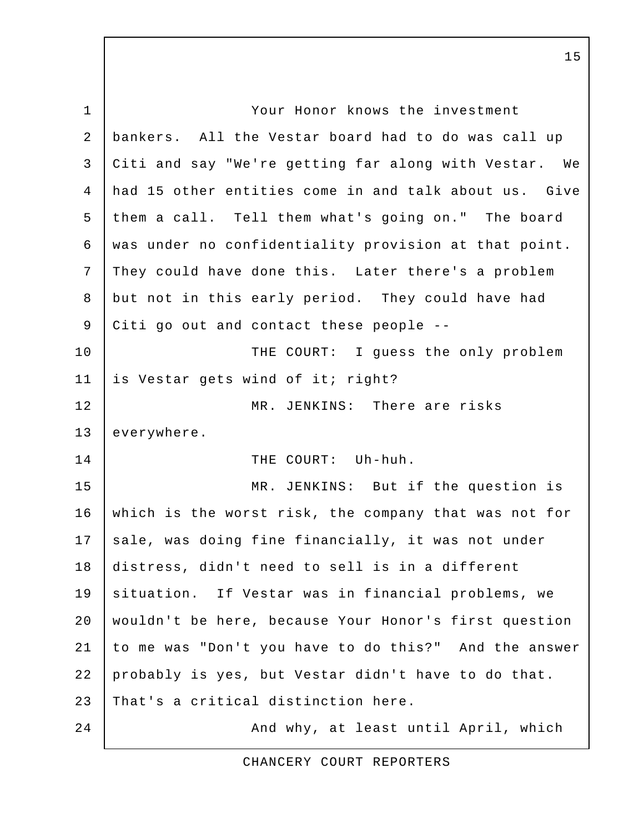1 | Your Honor knows the investment 2 bankers. All the Vestar board had to do was call up 3 Citi and say "We're getting far along with Vestar. We 4 had 15 other entities come in and talk about us. Give 5 them a call. Tell them what's going on." The board 6 was under no confidentiality provision at that point. 7 They could have done this. Later there's a problem 8 but not in this early period. They could have had 9 Citi go out and contact these people --10 | THE COURT: I guess the only problem 11 is Vestar gets wind of it; right? 12 MR. JENKINS: There are risks 13 everywhere. 14 | THE COURT: Uh-huh. 15 MR. JENKINS: But if the question is 16 which is the worst risk, the company that was not for 17 | sale, was doing fine financially, it was not under 18 distress, didn't need to sell is in a different 19 situation. If Vestar was in financial problems, we 20 wouldn't be here, because Your Honor's first question 21 to me was "Don't you have to do this?" And the answer 22 probably is yes, but Vestar didn't have to do that. 23 That's a critical distinction here. 24 | And why, at least until April, which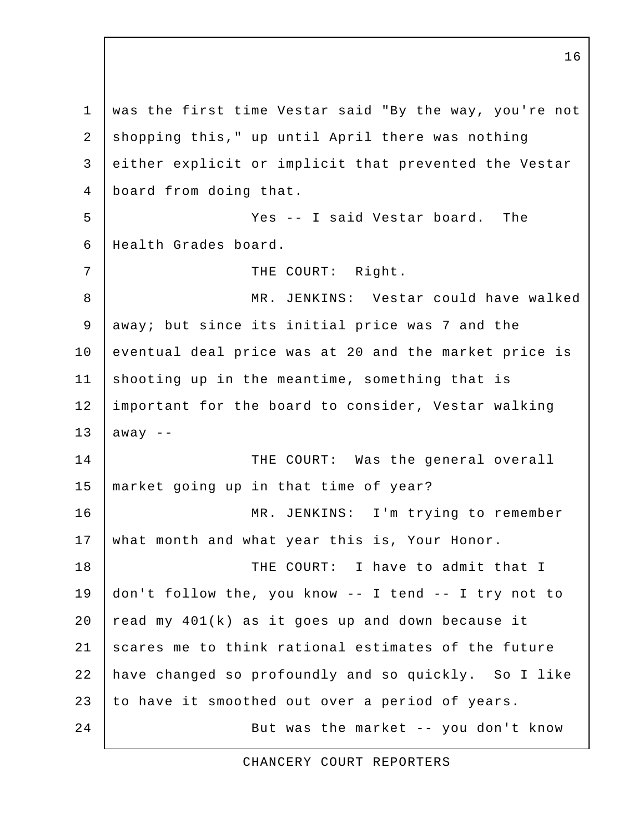1 was the first time Vestar said "By the way, you're not 2 shopping this," up until April there was nothing 3 either explicit or implicit that prevented the Vestar 4 board from doing that. 5 Yes -- I said Vestar board. The 6 Health Grades board. 7 | THE COURT: Right. 8 | MR. JENKINS: Vestar could have walked 9 | away; but since its initial price was 7 and the 10 | eventual deal price was at 20 and the market price is 11 shooting up in the meantime, something that is 12 important for the board to consider, Vestar walking 13 away  $-$ 14 THE COURT: Was the general overall 15 market going up in that time of year? 16 MR. JENKINS: I'm trying to remember 17 what month and what year this is, Your Honor. 18 | THE COURT: I have to admit that I 19 don't follow the, you know -- I tend -- I try not to 20  $\vert$  read my 401(k) as it goes up and down because it 21 scares me to think rational estimates of the future 22 have changed so profoundly and so quickly. So I like 23 to have it smoothed out over a period of years. 24 | But was the market -- you don't know

CHANCERY COURT REPORTERS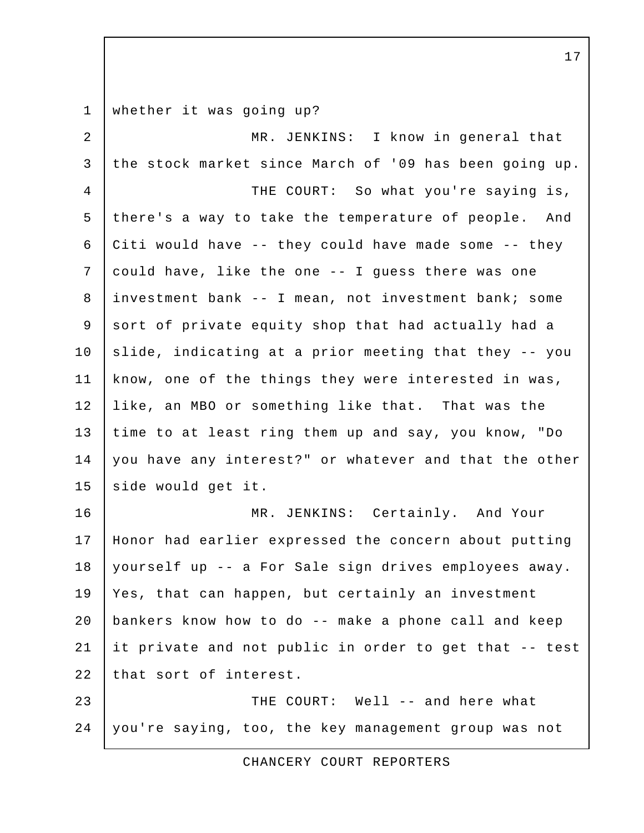1 whether it was going up? 2 | MR. JENKINS: I know in general that 3 the stock market since March of '09 has been going up. 4 THE COURT: So what you're saying is, 5 there's a way to take the temperature of people. And 6 Citi would have  $-$ - they could have made some  $-$ - they 7 could have, like the one -- I guess there was one 8 investment bank -- I mean, not investment bank; some 9 sort of private equity shop that had actually had a  $10$  slide, indicating at a prior meeting that they  $-$  you 11 know, one of the things they were interested in was, 12 like, an MBO or something like that. That was the 13 time to at least ring them up and say, you know, "Do 14 you have any interest?" or whatever and that the other 15 side would get it. 16 MR. JENKINS: Certainly. And Your 17 Honor had earlier expressed the concern about putting 18 yourself up -- a For Sale sign drives employees away. 19 Yes, that can happen, but certainly an investment 20 bankers know how to do -- make a phone call and keep 21 it private and not public in order to get that -- test 22 that sort of interest. 23 | THE COURT: Well -- and here what 24 you're saying, too, the key management group was not

17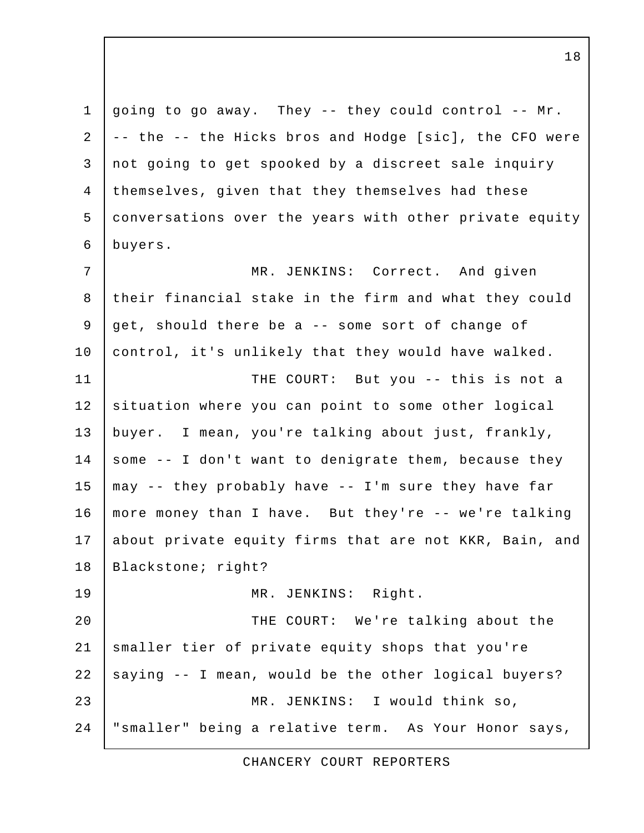1 going to go away. They  $-$  they could control  $-$ - Mr. 2 | -- the -- the Hicks bros and Hodge [sic], the CFO were 3 not going to get spooked by a discreet sale inquiry 4 themselves, given that they themselves had these 5 conversations over the years with other private equity 6 buyers. 7 | MR. JENKINS: Correct. And given 8 their financial stake in the firm and what they could 9 get, should there be a -- some sort of change of 10 | control, it's unlikely that they would have walked. 11 | THE COURT: But you -- this is not a 12 situation where you can point to some other logical 13 buyer. I mean, you're talking about just, frankly, 14 | some  $-$  I don't want to denigrate them, because they 15  $\vert$  may -- they probably have -- I'm sure they have far 16 more money than I have. But they're -- we're talking 17 about private equity firms that are not KKR, Bain, and 18 | Blackstone; right? 19 | MR. JENKINS: Right. 20 | THE COURT: We're talking about the 21 smaller tier of private equity shops that you're 22  $\vert$  saying  $\vert$  - I mean, would be the other logical buyers? 23 MR. JENKINS: I would think so, 24 "smaller" being a relative term. As Your Honor says,

CHANCERY COURT REPORTERS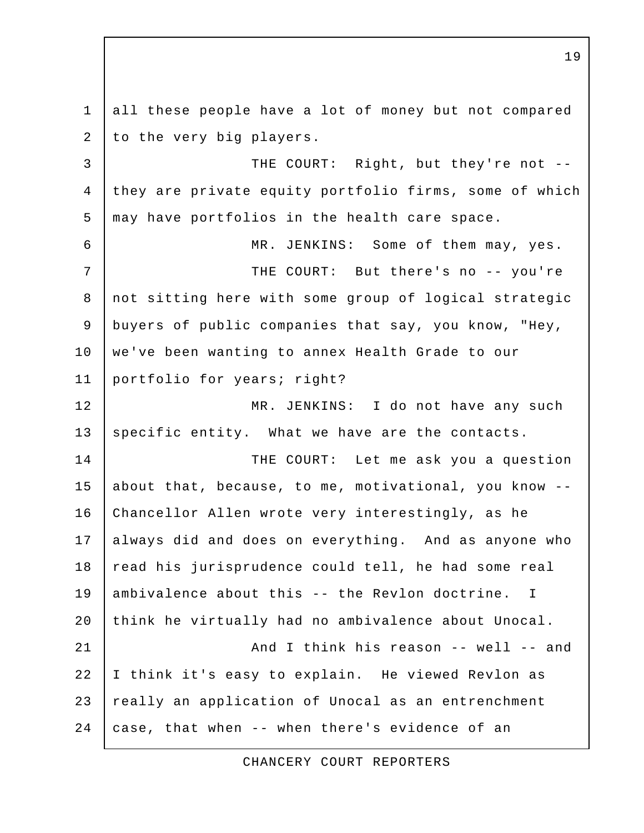1 all these people have a lot of money but not compared 2 to the very big players. 3 | THE COURT: Right, but they're not --4 they are private equity portfolio firms, some of which 5 may have portfolios in the health care space. 6 MR. JENKINS: Some of them may, yes. 7 | THE COURT: But there's no -- you're 8 not sitting here with some group of logical strategic 9 buyers of public companies that say, you know, "Hey, 10 | we've been wanting to annex Health Grade to our 11 portfolio for years; right? 12 MR. JENKINS: I do not have any such 13 specific entity. What we have are the contacts. 14 THE COURT: Let me ask you a question 15 about that, because, to me, motivational, you know -- 16 Chancellor Allen wrote very interestingly, as he 17 always did and does on everything. And as anyone who 18 read his jurisprudence could tell, he had some real 19 ambivalence about this -- the Revlon doctrine. I 20 think he virtually had no ambivalence about Unocal. 21 And I think his reason -- well -- and 22 I think it's easy to explain. He viewed Revlon as 23 really an application of Unocal as an entrenchment 24  $\vert$  case, that when -- when there's evidence of an

CHANCERY COURT REPORTERS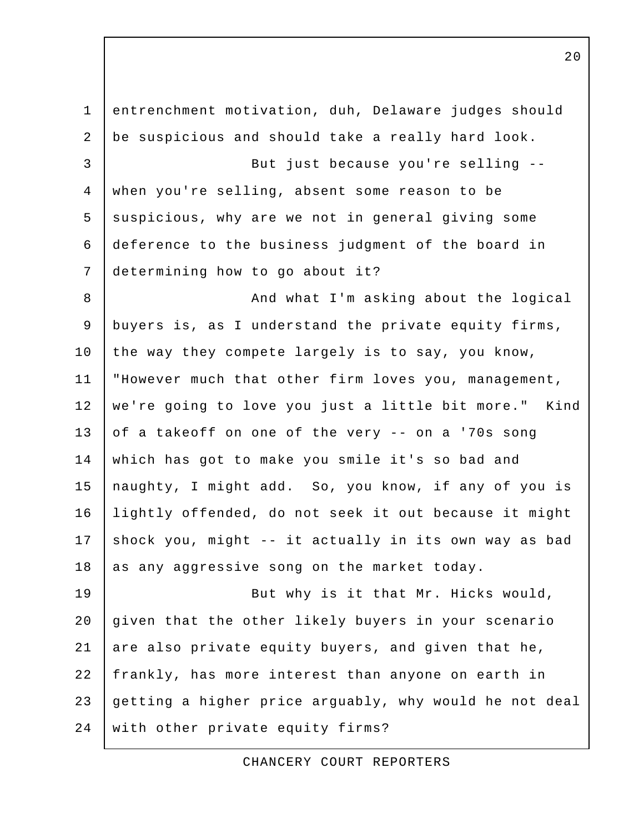1 entrenchment motivation, duh, Delaware judges should 2 be suspicious and should take a really hard look. 3 But just because you're selling -- 4 when you're selling, absent some reason to be 5 suspicious, why are we not in general giving some 6 deference to the business judgment of the board in 7 determining how to go about it? 8 | And what I'm asking about the logical 9 buyers is, as I understand the private equity firms, 10 | the way they compete largely is to say, you know, 11 "However much that other firm loves you, management, 12 we're going to love you just a little bit more." Kind 13 of a takeoff on one of the very -- on a '70s song 14 which has got to make you smile it's so bad and 15 naughty, I might add. So, you know, if any of you is 16 lightly offended, do not seek it out because it might 17 shock you, might  $-$  it actually in its own way as bad  $18$  as any aggressive song on the market today. 19 | Rut why is it that Mr. Hicks would, 20 given that the other likely buyers in your scenario 21 are also private equity buyers, and given that he, 22 frankly, has more interest than anyone on earth in 23 getting a higher price arguably, why would he not deal 24 with other private equity firms?

CHANCERY COURT REPORTERS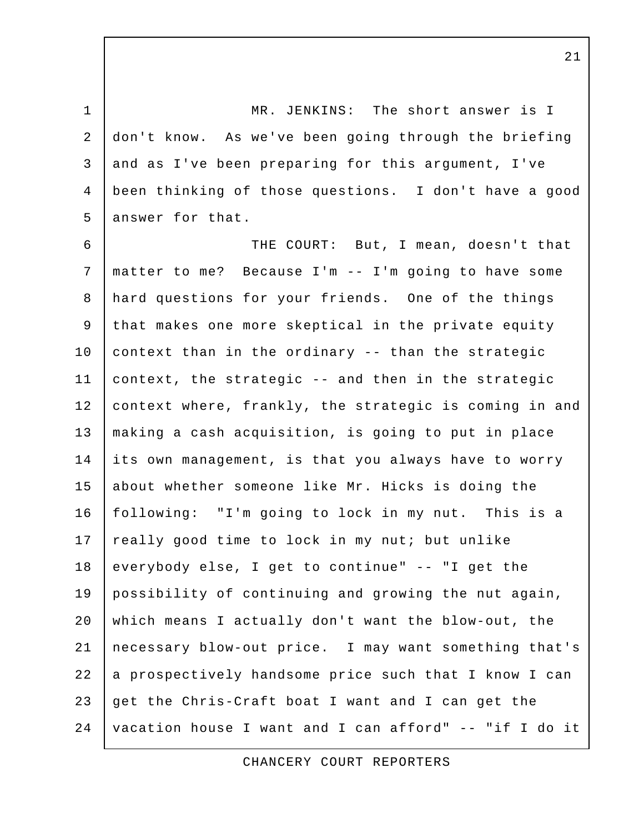1 MR. JENKINS: The short answer is I 2 don't know. As we've been going through the briefing 3 and as I've been preparing for this argument, I've 4 been thinking of those questions. I don't have a good 5 answer for that.

 6 THE COURT: But, I mean, doesn't that 7 matter to me? Because I'm -- I'm going to have some 8 hard questions for your friends. One of the things 9 that makes one more skeptical in the private equity 10 context than in the ordinary -- than the strategic 11 context, the strategic -- and then in the strategic 12 | context where, frankly, the strategic is coming in and 13 | making a cash acquisition, is going to put in place 14 its own management, is that you always have to worry 15 about whether someone like Mr. Hicks is doing the 16 following: "I'm going to lock in my nut. This is a 17 really good time to lock in my nut; but unlike 18 everybody else, I get to continue" -- "I get the 19 possibility of continuing and growing the nut again, 20 which means I actually don't want the blow-out, the 21 necessary blow-out price. I may want something that's 22 a prospectively handsome price such that I know I can 23  $q$  qet the Chris-Craft boat I want and I can get the 24 vacation house I want and I can afford" -- "if I do it

CHANCERY COURT REPORTERS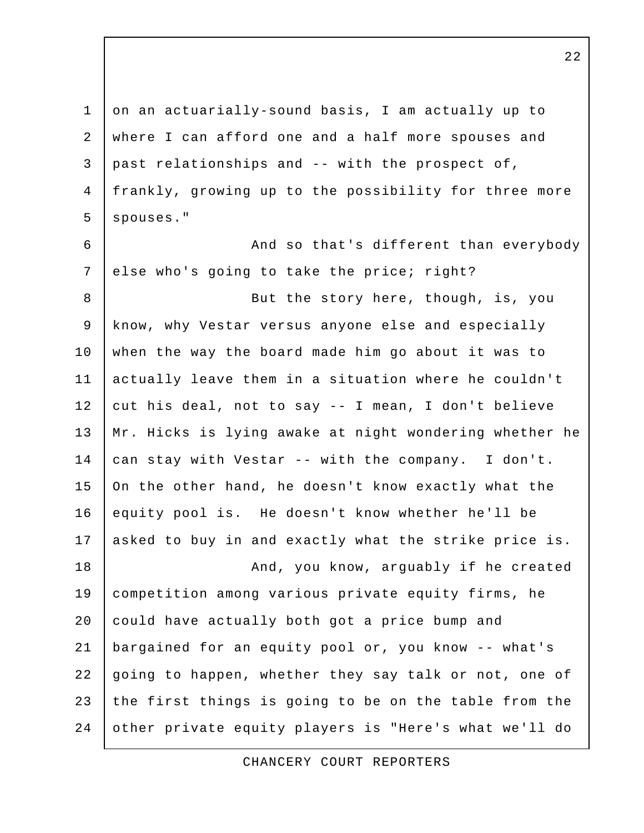1 on an actuarially-sound basis, I am actually up to 2 where I can afford one and a half more spouses and  $3$  past relationships and -- with the prospect of, 4 frankly, growing up to the possibility for three more 5 spouses." 6 | And so that's different than everybody 7 else who's going to take the price; right? 8 | Sut the story here, though, is, you 9 know, why Vestar versus anyone else and especially 10 when the way the board made him go about it was to 11 actually leave them in a situation where he couldn't 12 cut his deal, not to say  $-$  I mean, I don't believe 13 Mr. Hicks is lying awake at night wondering whether he 14 can stay with Vestar -- with the company. I don't. 15 On the other hand, he doesn't know exactly what the 16 equity pool is. He doesn't know whether he'll be 17 asked to buy in and exactly what the strike price is. 18 | Mand, you know, arguably if he created 19 competition among various private equity firms, he 20 could have actually both got a price bump and 21 bargained for an equity pool or, you know -- what's 22 going to happen, whether they say talk or not, one of 23 the first things is going to be on the table from the 24 other private equity players is "Here's what we'll do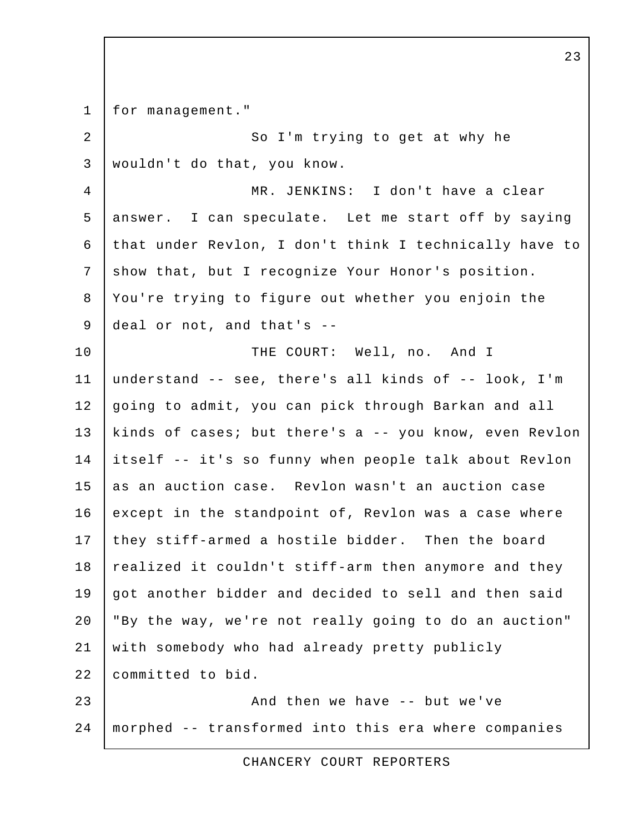1 | for management." 2 So I'm trying to get at why he 3 wouldn't do that, you know. 4 MR. JENKINS: I don't have a clear 5 answer. I can speculate. Let me start off by saying 6 that under Revlon, I don't think I technically have to 7 | show that, but I recognize Your Honor's position. 8 You're trying to figure out whether you enjoin the 9 deal or not, and that's -- 10 THE COURT: Well, no. And I 11 understand -- see, there's all kinds of -- look, I'm 12 going to admit, you can pick through Barkan and all 13 kinds of cases; but there's a -- you know, even Revlon 14 itself -- it's so funny when people talk about Revlon 15 as an auction case. Revlon wasn't an auction case 16 except in the standpoint of, Revlon was a case where 17 they stiff-armed a hostile bidder. Then the board 18 realized it couldn't stiff-arm then anymore and they 19 got another bidder and decided to sell and then said 20 "By the way, we're not really going to do an auction" 21 with somebody who had already pretty publicly 22 committed to bid. 23 | And then we have -- but we've 24 morphed -- transformed into this era where companies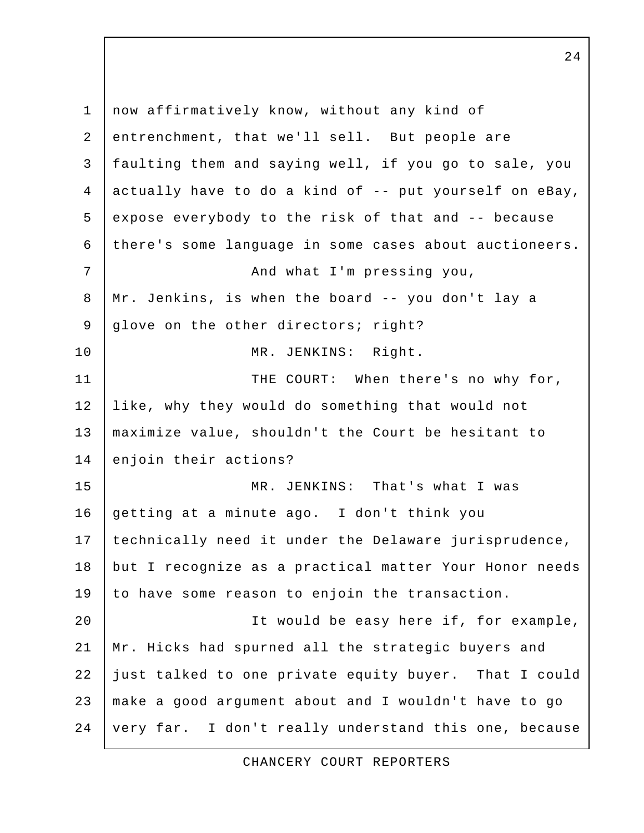1 now affirmatively know, without any kind of 2 entrenchment, that we'll sell. But people are 3 faulting them and saying well, if you go to sale, you 4 actually have to do a kind of  $-$ - put yourself on eBay, 5 expose everybody to the risk of that and -- because 6 there's some language in some cases about auctioneers. 7 | And what I'm pressing you, 8 Mr. Jenkins, is when the board -- you don't lay a 9 glove on the other directors; right? 10 MR. JENKINS: Right. 11 | THE COURT: When there's no why for, 12 like, why they would do something that would not 13 maximize value, shouldn't the Court be hesitant to 14 enjoin their actions? 15 MR. JENKINS: That's what I was 16 getting at a minute ago. I don't think you 17 | technically need it under the Delaware jurisprudence, 18 but I recognize as a practical matter Your Honor needs 19 to have some reason to enjoin the transaction. 20 | The would be easy here if, for example, 21 Mr. Hicks had spurned all the strategic buyers and 22 just talked to one private equity buyer. That I could 23 make a good argument about and I wouldn't have to go 24 very far. I don't really understand this one, because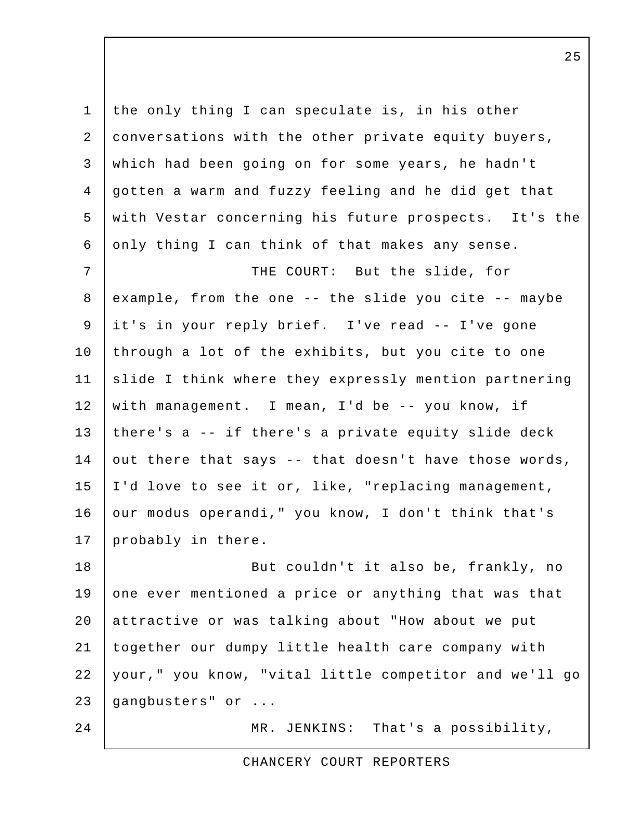1 the only thing I can speculate is, in his other 2 conversations with the other private equity buyers, 3 which had been going on for some years, he hadn't 4 gotten a warm and fuzzy feeling and he did get that 5 with Vestar concerning his future prospects. It's the 6 only thing I can think of that makes any sense. 7 | THE COURT: But the slide, for 8 example, from the one -- the slide you cite -- maybe 9 it's in your reply brief. I've read -- I've gone 10 through a lot of the exhibits, but you cite to one 11 slide I think where they expressly mention partnering 12 with management. I mean, I'd be -- you know, if 13 | there's  $a - -$  if there's a private equity slide deck 14 out there that says -- that doesn't have those words, 15 I'd love to see it or, like, "replacing management, 16 | our modus operandi, " you know, I don't think that's 17 probably in there. 18 | Rut couldn't it also be, frankly, no 19 one ever mentioned a price or anything that was that 20 attractive or was talking about "How about we put 21 together our dumpy little health care company with 22 your," you know, "vital little competitor and we'll go 23 gangbusters" or ... 24 | MR. JENKINS: That's a possibility,

CHANCERY COURT REPORTERS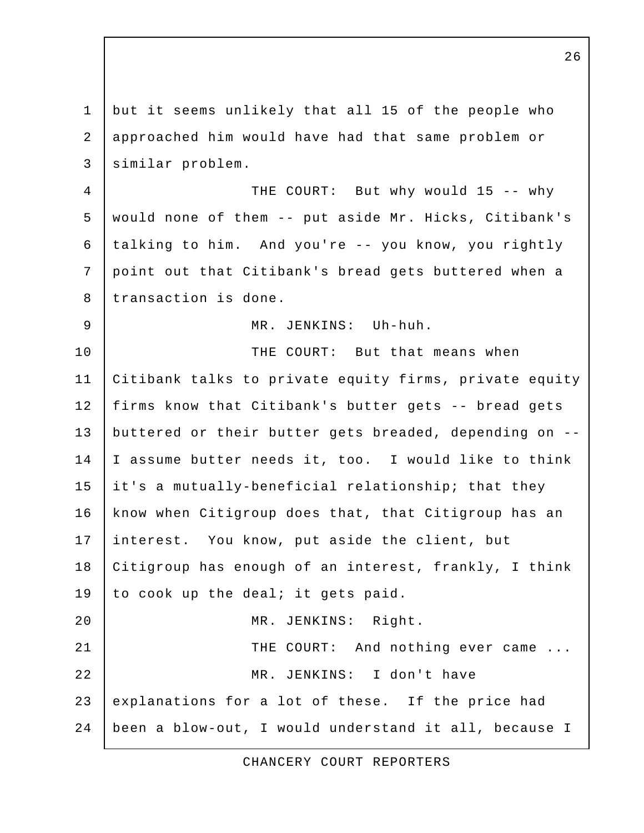1 but it seems unlikely that all 15 of the people who 2 approached him would have had that same problem or 3 similar problem. 4 THE COURT: But why would 15 -- why 5 would none of them -- put aside Mr. Hicks, Citibank's 6 talking to him. And you're -- you know, you rightly 7 point out that Citibank's bread gets buttered when a 8 transaction is done. 9 MR. JENKINS: Uh-huh. 10 **THE COURT:** But that means when 11 Citibank talks to private equity firms, private equity 12 firms know that Citibank's butter gets -- bread gets 13 buttered or their butter gets breaded, depending on -- 14 I assume butter needs it, too. I would like to think 15 it's a mutually-beneficial relationship; that they 16 know when Citigroup does that, that Citigroup has an 17 interest. You know, put aside the client, but 18 Citigroup has enough of an interest, frankly, I think 19 to cook up the deal; it gets paid. 20 MR. JENKINS: Right. 21 | THE COURT: And nothing ever came ... 22 MR. JENKINS: I don't have 23 explanations for a lot of these. If the price had 24 been a blow-out, I would understand it all, because I

CHANCERY COURT REPORTERS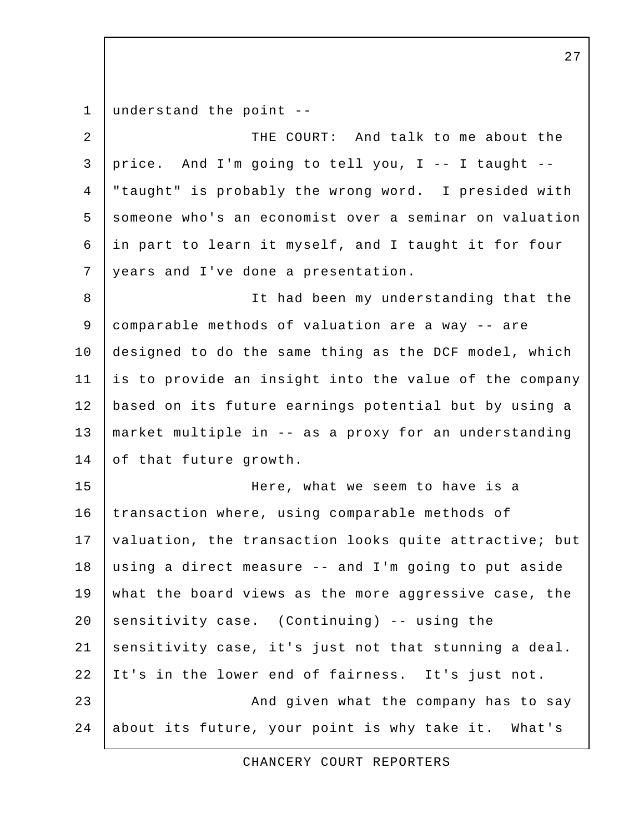1 understand the point --

2 THE COURT: And talk to me about the 3 price. And I'm going to tell you, I -- I taught -- 4 "taught" is probably the wrong word. I presided with 5 someone who's an economist over a seminar on valuation 6 in part to learn it myself, and I taught it for four 7 years and I've done a presentation. 8 It had been my understanding that the 9 comparable methods of valuation are a way -- are 10 designed to do the same thing as the DCF model, which 11 is to provide an insight into the value of the company 12 based on its future earnings potential but by using a 13 market multiple in -- as a proxy for an understanding 14 of that future growth. 15 Here, what we seem to have is a 16 transaction where, using comparable methods of 17 | valuation, the transaction looks quite attractive; but 18 using a direct measure -- and I'm going to put aside 19 what the board views as the more aggressive case, the 20 sensitivity case. (Continuing)  $-$  using the 21 sensitivity case, it's just not that stunning a deal. 22 It's in the lower end of fairness. It's just not. 23 | And given what the company has to say 24 about its future, your point is why take it. What's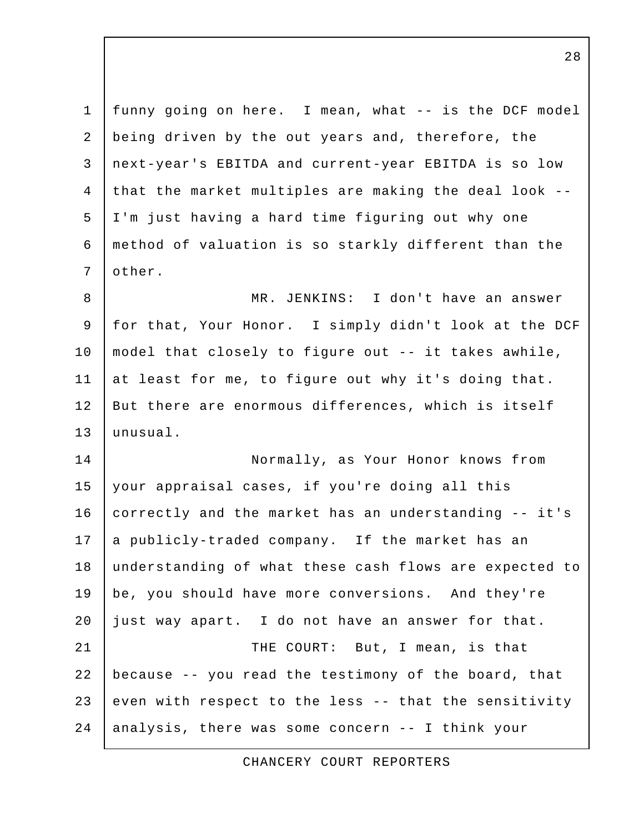1 funny going on here. I mean, what -- is the DCF model 2 being driven by the out years and, therefore, the 3 next-year's EBITDA and current-year EBITDA is so low 4 that the market multiples are making the deal look -- 5 I'm just having a hard time figuring out why one 6 method of valuation is so starkly different than the 7 other. 8 MR. JENKINS: I don't have an answer 9 for that, Your Honor. I simply didn't look at the DCF 10 model that closely to figure out -- it takes awhile, 11 at least for me, to figure out why it's doing that. 12 But there are enormous differences, which is itself 13 unusual. 14 Normally, as Your Honor knows from 15 your appraisal cases, if you're doing all this 16 correctly and the market has an understanding -- it's 17 a publicly-traded company. If the market has an 18 understanding of what these cash flows are expected to 19 be, you should have more conversions. And they're 20 just way apart. I do not have an answer for that. 21 | THE COURT: But, I mean, is that

23 even with respect to the less -- that the sensitivity  $24$  analysis, there was some concern -- I think your

22 because -- you read the testimony of the board, that

CHANCERY COURT REPORTERS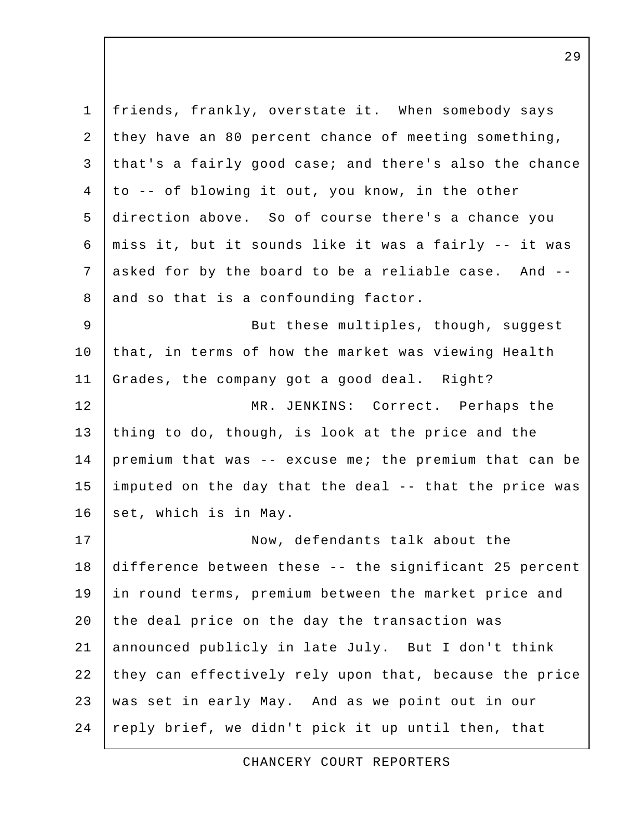| $\mathbf{1}$   | friends, frankly, overstate it. When somebody says     |
|----------------|--------------------------------------------------------|
| 2              | they have an 80 percent chance of meeting something,   |
| 3              | that's a fairly good case; and there's also the chance |
| 4              | to -- of blowing it out, you know, in the other        |
| 5              | direction above. So of course there's a chance you     |
| 6              | miss it, but it sounds like it was a fairly -- it was  |
| 7              | asked for by the board to be a reliable case. And --   |
| 8              | and so that is a confounding factor.                   |
| $\overline{9}$ | But these multiples, though, suggest                   |
| 10             | that, in terms of how the market was viewing Health    |
| 11             | Grades, the company got a good deal. Right?            |
| 12             | MR. JENKINS: Correct. Perhaps the                      |
| 13             | thing to do, though, is look at the price and the      |
| 14             | premium that was -- excuse me; the premium that can be |
| 15             | imputed on the day that the deal -- that the price was |
| 16             | set, which is in May.                                  |
| 17             | Now, defendants talk about the                         |
| 18             | difference between these -- the significant 25 percent |
| 19             | in round terms, premium between the market price and   |
| 20             | the deal price on the day the transaction was          |
| 21             | announced publicly in late July. But I don't think     |
| 22             | they can effectively rely upon that, because the price |
| 23             | was set in early May. And as we point out in our       |
| 24             | reply brief, we didn't pick it up until then, that     |

CHANCERY COURT REPORTERS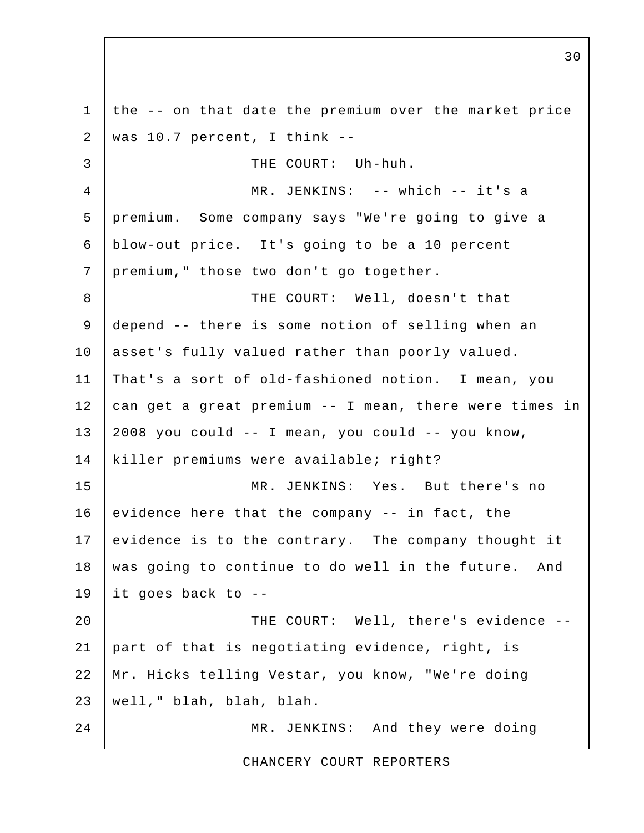1 the -- on that date the premium over the market price 2 | was  $10.7$  percent, I think -- 3 THE COURT: Uh-huh. 4 MR. JENKINS: -- which -- it's a 5 premium. Some company says "We're going to give a 6 blow-out price. It's going to be a 10 percent 7 | premium, " those two don't go together. 8 | THE COURT: Well, doesn't that 9 depend -- there is some notion of selling when an 10 asset's fully valued rather than poorly valued. 11 That's a sort of old-fashioned notion. I mean, you 12 can get a great premium -- I mean, there were times in  $13$  | 2008 you could  $-$  I mean, you could  $-$  you know, 14 killer premiums were available; right? 15 MR. JENKINS: Yes. But there's no 16 | evidence here that the company  $-$  in fact, the 17 evidence is to the contrary. The company thought it 18 | was going to continue to do well in the future. And 19 it goes back to -- 20 THE COURT: Well, there's evidence -- 21 part of that is negotiating evidence, right, is 22 Mr. Hicks telling Vestar, you know, "We're doing 23 well," blah, blah, blah. 24 MR. JENKINS: And they were doing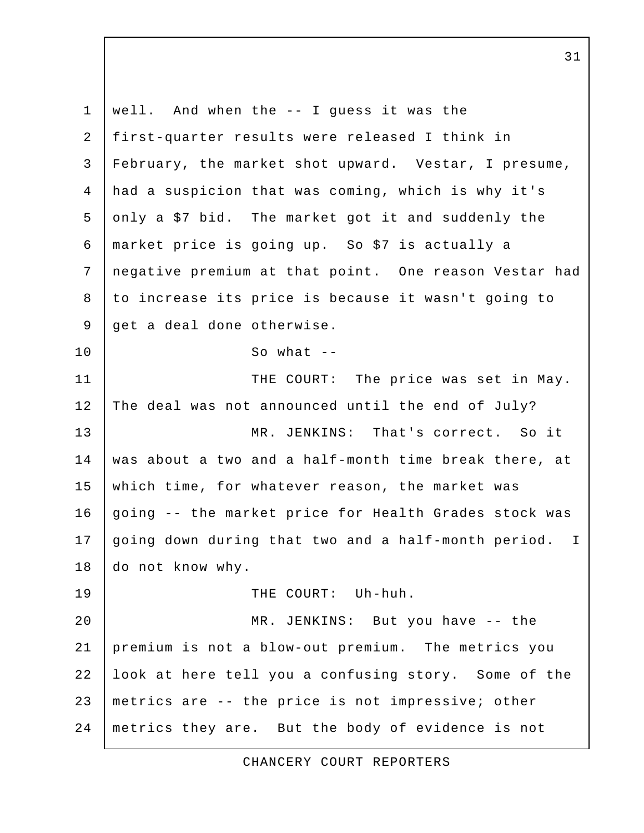1 well. And when the -- I guess it was the 2 first-quarter results were released I think in 3 February, the market shot upward. Vestar, I presume, 4 had a suspicion that was coming, which is why it's 5 only a \$7 bid. The market got it and suddenly the 6 market price is going up. So \$7 is actually a 7 negative premium at that point. One reason Vestar had 8 to increase its price is because it wasn't going to 9 | get a deal done otherwise. 10 So what --11 | THE COURT: The price was set in May. 12 The deal was not announced until the end of July? 13 MR. JENKINS: That's correct. So it 14 was about a two and a half-month time break there, at 15 which time, for whatever reason, the market was 16 going -- the market price for Health Grades stock was 17 going down during that two and a half-month period. I 18 do not know why. 19 THE COURT: Uh-huh. 20 | MR. JENKINS: But you have -- the 21 premium is not a blow-out premium. The metrics you 22 look at here tell you a confusing story. Some of the 23 metrics are -- the price is not impressive; other 24 metrics they are. But the body of evidence is not

CHANCERY COURT REPORTERS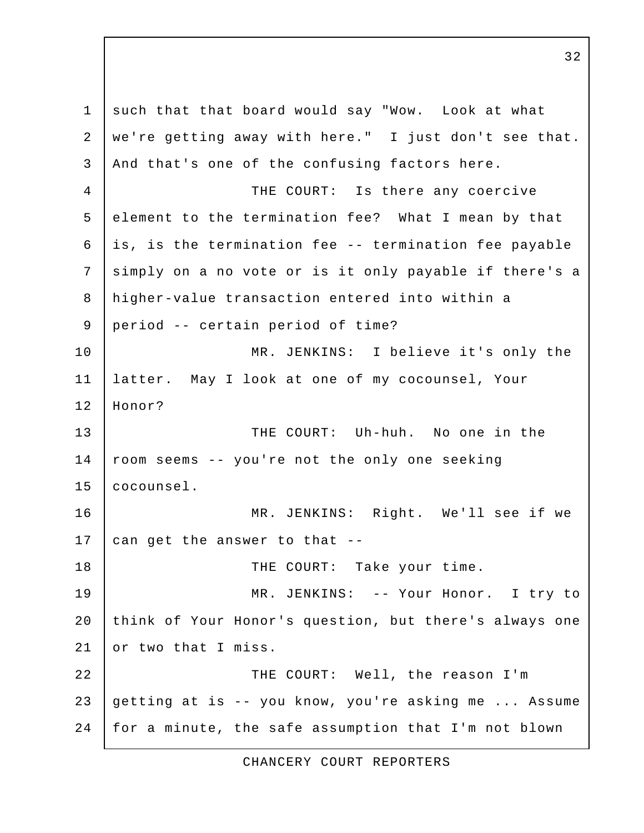1 such that that board would say "Wow. Look at what 2 we're getting away with here." I just don't see that. 3 And that's one of the confusing factors here. 4 THE COURT: Is there any coercive 5 element to the termination fee? What I mean by that  $6$  is, is the termination fee -- termination fee payable 7 | simply on a no vote or is it only payable if there's a 8 higher-value transaction entered into within a 9 period -- certain period of time? 10 MR. JENKINS: I believe it's only the 11 latter. May I look at one of my cocounsel, Your 12 Honor? 13 THE COURT: Uh-huh. No one in the 14 room seems -- you're not the only one seeking 15 cocounsel. 16 MR. JENKINS: Right. We'll see if we 17  $\vert$  can get the answer to that --18 THE COURT: Take your time. 19 | MR. JENKINS: -- Your Honor. I try to 20 think of Your Honor's question, but there's always one 21 or two that I miss. 22 | THE COURT: Well, the reason I'm 23 getting at is -- you know, you're asking me ... Assume 24 | for a minute, the safe assumption that I'm not blown

CHANCERY COURT REPORTERS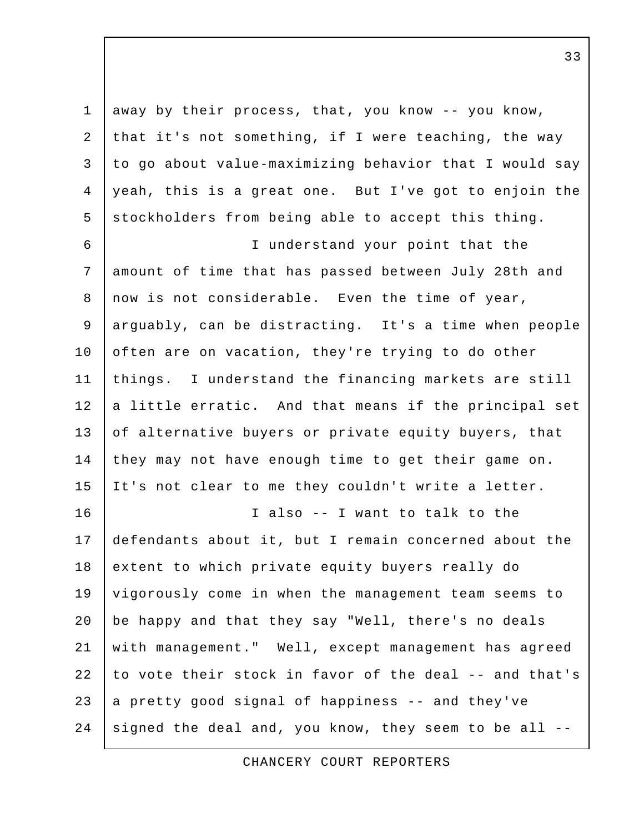1 away by their process, that, you know -- you know, 2 that it's not something, if I were teaching, the way 3 to go about value-maximizing behavior that I would say 4 yeah, this is a great one. But I've got to enjoin the 5 stockholders from being able to accept this thing. 6 I understand your point that the 7 amount of time that has passed between July 28th and 8 now is not considerable. Even the time of year, 9 arguably, can be distracting. It's a time when people 10 often are on vacation, they're trying to do other 11 things. I understand the financing markets are still  $12$  a little erratic. And that means if the principal set 13 of alternative buyers or private equity buyers, that 14 they may not have enough time to get their game on. 15 It's not clear to me they couldn't write a letter. 16 I also -- I want to talk to the 17 defendants about it, but I remain concerned about the 18 extent to which private equity buyers really do 19 vigorously come in when the management team seems to 20 be happy and that they say "Well, there's no deals 21 with management." Well, except management has agreed 22 to vote their stock in favor of the deal -- and that's  $23$  a pretty good signal of happiness -- and they've 24 signed the deal and, you know, they seem to be all  $-$ -

CHANCERY COURT REPORTERS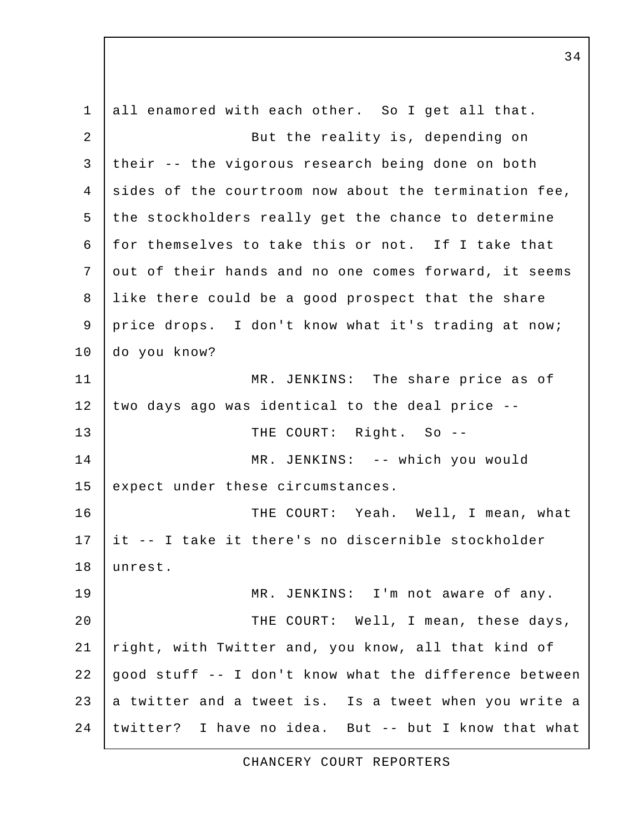1 all enamored with each other. So I get all that. 2 But the reality is, depending on 3 their -- the vigorous research being done on both  $4$  sides of the courtroom now about the termination fee, 5 the stockholders really get the chance to determine 6 for themselves to take this or not. If I take that 7 out of their hands and no one comes forward, it seems 8 like there could be a good prospect that the share 9 price drops. I don't know what it's trading at now; 10 do you know? 11 MR. JENKINS: The share price as of 12 two days ago was identical to the deal price -- 13 THE COURT: Right. So --14 | MR. JENKINS: -- which you would 15 expect under these circumstances. 16 | THE COURT: Yeah. Well, I mean, what 17 it -- I take it there's no discernible stockholder 18 unrest. 19 MR. JENKINS: I'm not aware of any. 20 THE COURT: Well, I mean, these days, 21 right, with Twitter and, you know, all that kind of 22  $\vert$  good stuff  $\vert$ - I don't know what the difference between 23 a twitter and a tweet is. Is a tweet when you write a 24 twitter? I have no idea. But -- but I know that what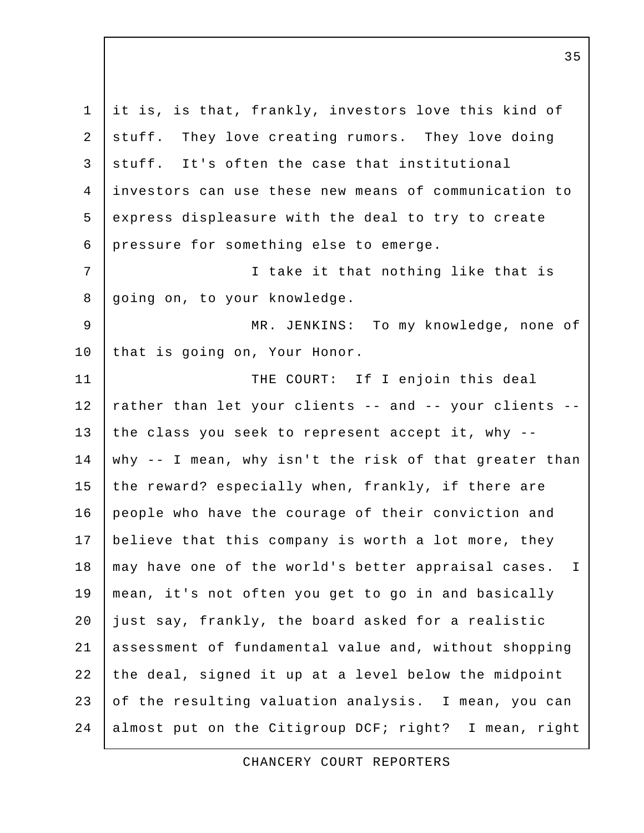1 it is, is that, frankly, investors love this kind of 2 stuff. They love creating rumors. They love doing 3 stuff. It's often the case that institutional 4 investors can use these new means of communication to 5 express displeasure with the deal to try to create 6 pressure for something else to emerge. 7 | Thake it that nothing like that is 8 going on, to your knowledge. 9 MR. JENKINS: To my knowledge, none of 10 that is going on, Your Honor. 11 | THE COURT: If I enjoin this deal 12 | rather than let your clients -- and -- your clients --13 the class you seek to represent accept it, why  $-$ -14 why -- I mean, why isn't the risk of that greater than 15 the reward? especially when, frankly, if there are 16 people who have the courage of their conviction and 17 believe that this company is worth a lot more, they 18 | may have one of the world's better appraisal cases. I 19 mean, it's not often you get to go in and basically 20 just say, frankly, the board asked for a realistic 21 assessment of fundamental value and, without shopping 22 the deal, signed it up at a level below the midpoint 23 of the resulting valuation analysis. I mean, you can 24 almost put on the Citigroup DCF; right? I mean, right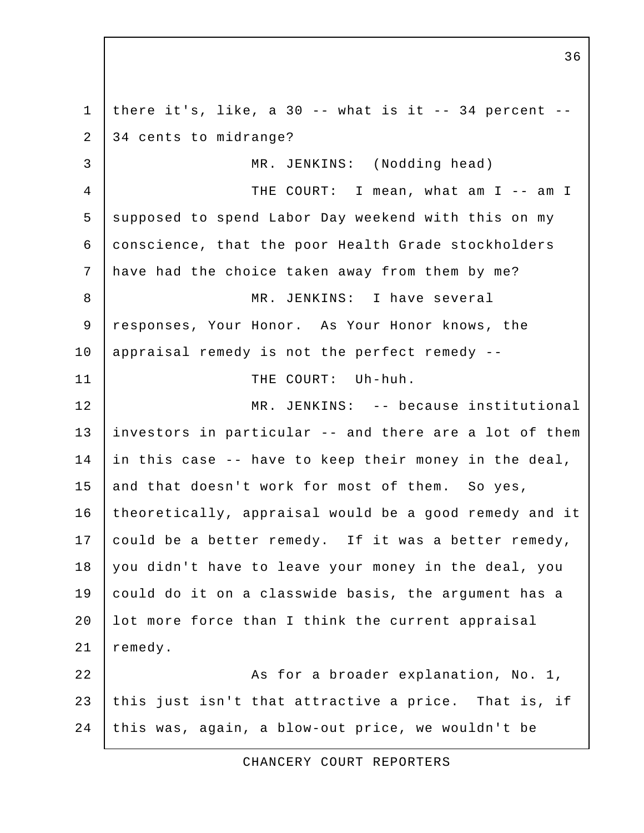1 | there it's, like, a 30 -- what is it  $-$  34 percent  $-$ 2 34 cents to midrange? 3 MR. JENKINS: (Nodding head) 4 THE COURT: I mean, what am I -- am I 5 supposed to spend Labor Day weekend with this on my 6 conscience, that the poor Health Grade stockholders 7 have had the choice taken away from them by me? 8 MR. JENKINS: I have several 9 responses, Your Honor. As Your Honor knows, the 10 | appraisal remedy is not the perfect remedy --11 | THE COURT: Uh-huh. 12 MR. JENKINS: -- because institutional 13 investors in particular -- and there are a lot of them 14 in this case -- have to keep their money in the deal, 15 and that doesn't work for most of them. So yes, 16 theoretically, appraisal would be a good remedy and it 17 could be a better remedy. If it was a better remedy, 18 you didn't have to leave your money in the deal, you 19 could do it on a classwide basis, the argument has a 20 | lot more force than I think the current appraisal 21 remedy. 22 | Reserve a broader explanation, No. 1, 23 this just isn't that attractive a price. That is, if 24 this was, again, a blow-out price, we wouldn't be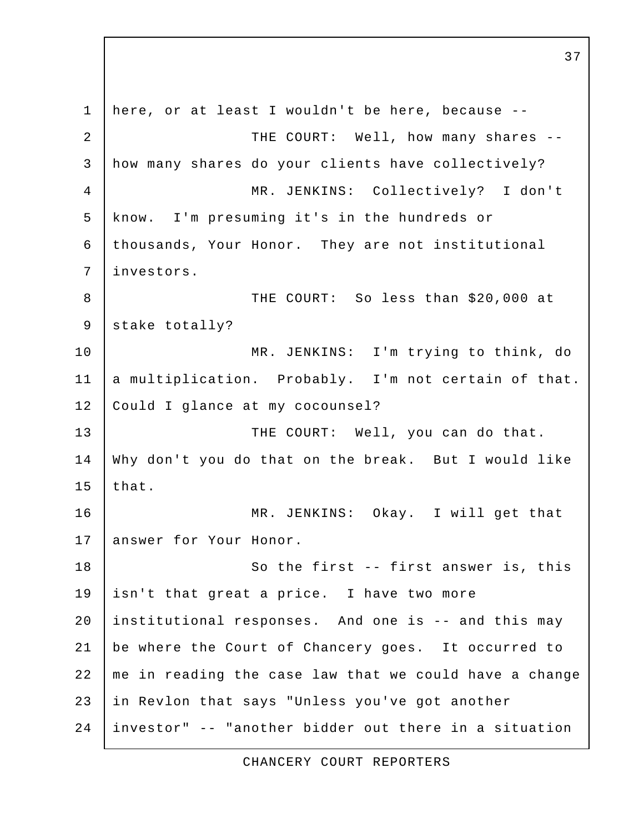1 here, or at least I wouldn't be here, because -- 2 | THE COURT: Well, how many shares -- 3 how many shares do your clients have collectively? 4 MR. JENKINS: Collectively? I don't 5 know. I'm presuming it's in the hundreds or 6 thousands, Your Honor. They are not institutional 7 investors. 8 THE COURT: So less than \$20,000 at 9 stake totally? 10 MR. JENKINS: I'm trying to think, do 11 a multiplication. Probably. I'm not certain of that. 12 | Could I glance at my cocounsel? 13 THE COURT: Well, you can do that. 14 Why don't you do that on the break. But I would like  $15$  that. 16 MR. JENKINS: Okay. I will get that 17 answer for Your Honor. 18 So the first -- first answer is, this 19 | isn't that great a price. I have two more 20 institutional responses. And one is -- and this may 21 be where the Court of Chancery goes. It occurred to 22 me in reading the case law that we could have a change 23 in Revlon that says "Unless you've got another 24 investor" -- "another bidder out there in a situation

37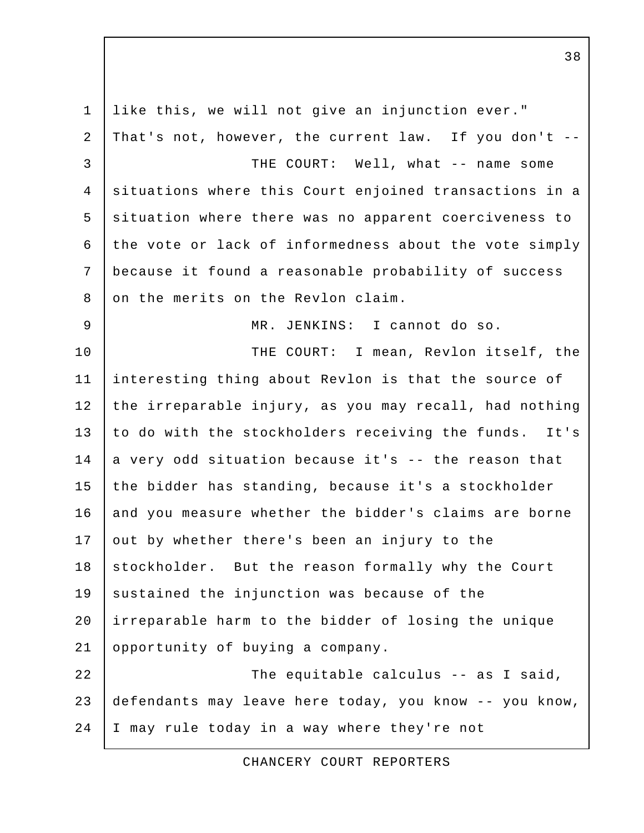1 like this, we will not give an injunction ever." 2 That's not, however, the current law. If you don't -- 3 THE COURT: Well, what -- name some 4 situations where this Court enjoined transactions in a 5 situation where there was no apparent coerciveness to 6 the vote or lack of informedness about the vote simply 7 because it found a reasonable probability of success 8 on the merits on the Revlon claim. 9 MR. JENKINS: I cannot do so. 10 | THE COURT: I mean, Revlon itself, the 11 interesting thing about Revlon is that the source of 12 the irreparable injury, as you may recall, had nothing 13 to do with the stockholders receiving the funds. It's  $14$  a very odd situation because it's  $-$  the reason that 15 the bidder has standing, because it's a stockholder 16 and you measure whether the bidder's claims are borne 17 out by whether there's been an injury to the 18 stockholder. But the reason formally why the Court 19 sustained the injunction was because of the 20 irreparable harm to the bidder of losing the unique 21 opportunity of buying a company. 22 The equitable calculus -- as I said, 23 defendants may leave here today, you know -- you know, 24 I may rule today in a way where they're not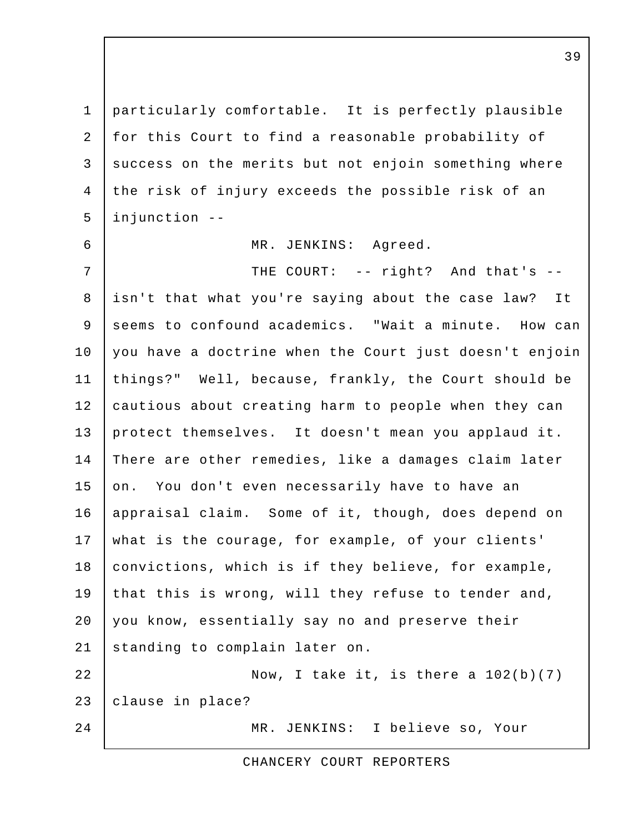1 particularly comfortable. It is perfectly plausible 2 for this Court to find a reasonable probability of 3 success on the merits but not enjoin something where 4 the risk of injury exceeds the possible risk of an 5 injunction --

## 6 MR. JENKINS: Agreed.

7 | THE COURT: -- right? And that's -- 8 isn't that what you're saying about the case law? It 9 seems to confound academics. "Wait a minute. How can 10 you have a doctrine when the Court just doesn't enjoin 11 things?" Well, because, frankly, the Court should be 12 cautious about creating harm to people when they can 13 protect themselves. It doesn't mean you applaud it. 14 There are other remedies, like a damages claim later 15 on. You don't even necessarily have to have an 16 appraisal claim. Some of it, though, does depend on 17 what is the courage, for example, of your clients' 18 | convictions, which is if they believe, for example, 19 that this is wrong, will they refuse to tender and, 20 you know, essentially say no and preserve their 21 standing to complain later on. 22  $\vert$  Now, I take it, is there a  $102(b)(7)$ 23 clause in place?

24 MR. JENKINS: I believe so, Your

CHANCERY COURT REPORTERS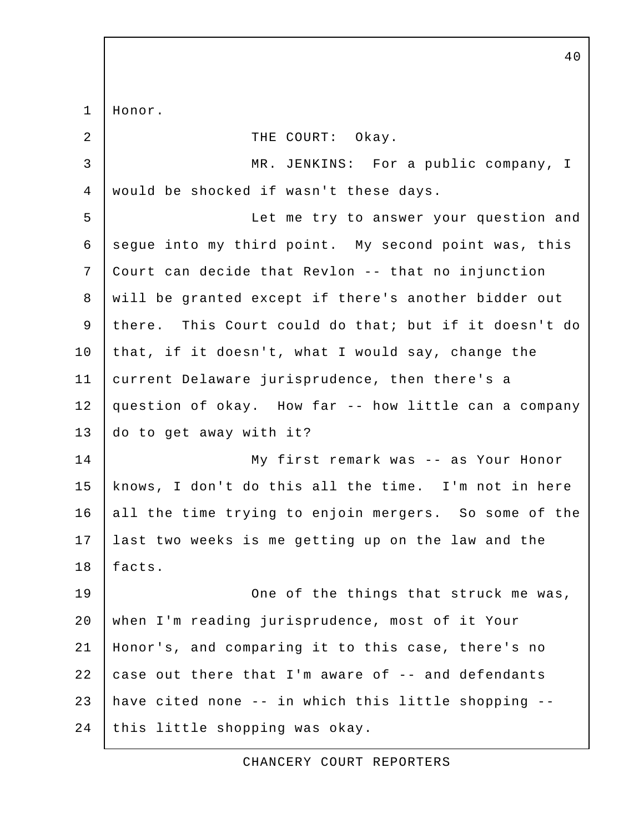1 Honor. 2 | THE COURT: Okay. 3 MR. JENKINS: For a public company, I 4 would be shocked if wasn't these days. 5 Let me try to answer your question and 6 segue into my third point. My second point was, this 7 Court can decide that Revlon -- that no injunction 8 | will be granted except if there's another bidder out 9 there. This Court could do that; but if it doesn't do 10 that, if it doesn't, what I would say, change the 11 current Delaware jurisprudence, then there's a 12 question of okay. How far -- how little can a company 13 do to get away with it? 14 My first remark was -- as Your Honor 15 knows, I don't do this all the time. I'm not in here 16 all the time trying to enjoin mergers. So some of the 17 last two weeks is me getting up on the law and the 18 facts. 19 | Cone of the things that struck me was, 20 when I'm reading jurisprudence, most of it Your 21 Honor's, and comparing it to this case, there's no 22  $\vert$  case out there that I'm aware of  $\vert$ - and defendants 23 have cited none -- in which this little shopping -- 24 this little shopping was okay.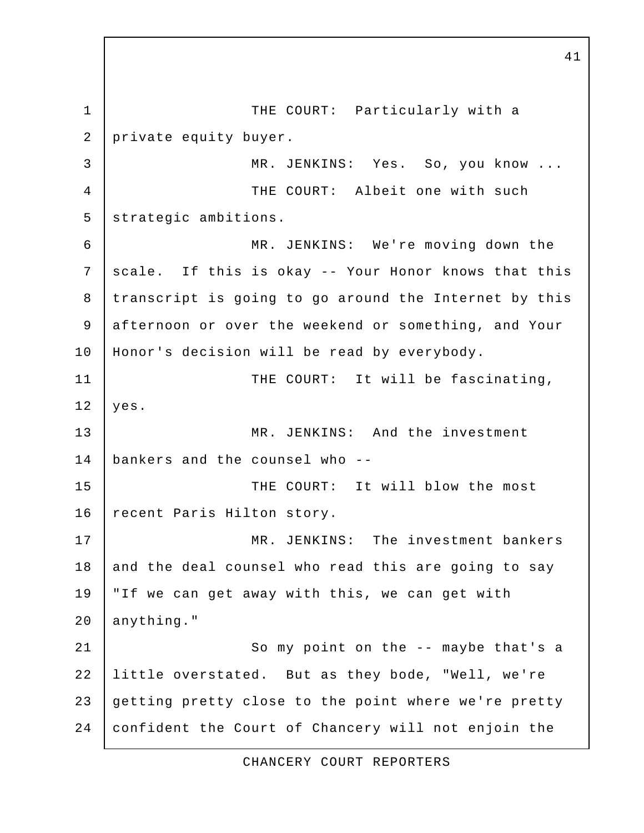1 THE COURT: Particularly with a 2 private equity buyer. 3 MR. JENKINS: Yes. So, you know ... 4 THE COURT: Albeit one with such 5 | strategic ambitions. 6 MR. JENKINS: We're moving down the 7 scale. If this is okay -- Your Honor knows that this 8 transcript is going to go around the Internet by this 9 afternoon or over the weekend or something, and Your 10 Honor's decision will be read by everybody. 11 | THE COURT: It will be fascinating,  $12$  yes. 13 MR. JENKINS: And the investment 14 bankers and the counsel who -- 15 | THE COURT: It will blow the most 16 | recent Paris Hilton story. 17 MR. JENKINS: The investment bankers 18 and the deal counsel who read this are going to say 19 "If we can get away with this, we can get with 20 anything." 21 | So my point on the -- maybe that's a 22 little overstated. But as they bode, "Well, we're 23 getting pretty close to the point where we're pretty 24 confident the Court of Chancery will not enjoin the

41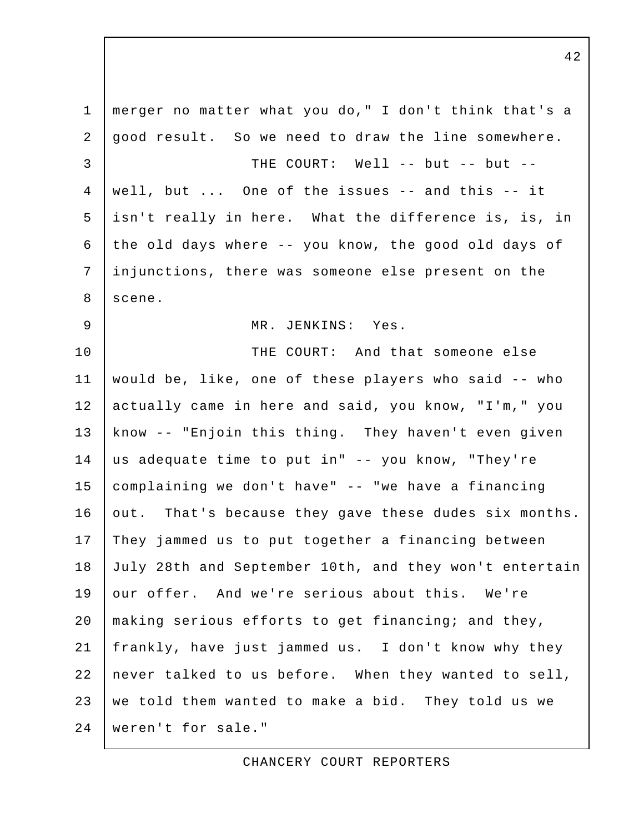1 merger no matter what you do," I don't think that's a 2 good result. So we need to draw the line somewhere.  $3$   $7$  THE COURT: Well  $-$  but  $-$  but  $-$  4 well, but ... One of the issues -- and this -- it 5 isn't really in here. What the difference is, is, in 6 the old days where  $-$ - you know, the good old days of 7 injunctions, there was someone else present on the 8 scene. 9 | MR. JENKINS: Yes. 10 THE COURT: And that someone else 11 would be, like, one of these players who said -- who 12 actually came in here and said, you know, "I'm," you 13 know -- "Enjoin this thing. They haven't even given 14 us adequate time to put in" -- you know, "They're 15 complaining we don't have" -- "we have a financing 16 out. That's because they gave these dudes six months. 17 They jammed us to put together a financing between 18 July 28th and September 10th, and they won't entertain 19 our offer. And we're serious about this. We're 20 | making serious efforts to get financing; and they, 21 frankly, have just jammed us. I don't know why they 22 never talked to us before. When they wanted to sell, 23 we told them wanted to make a bid. They told us we 24 weren't for sale."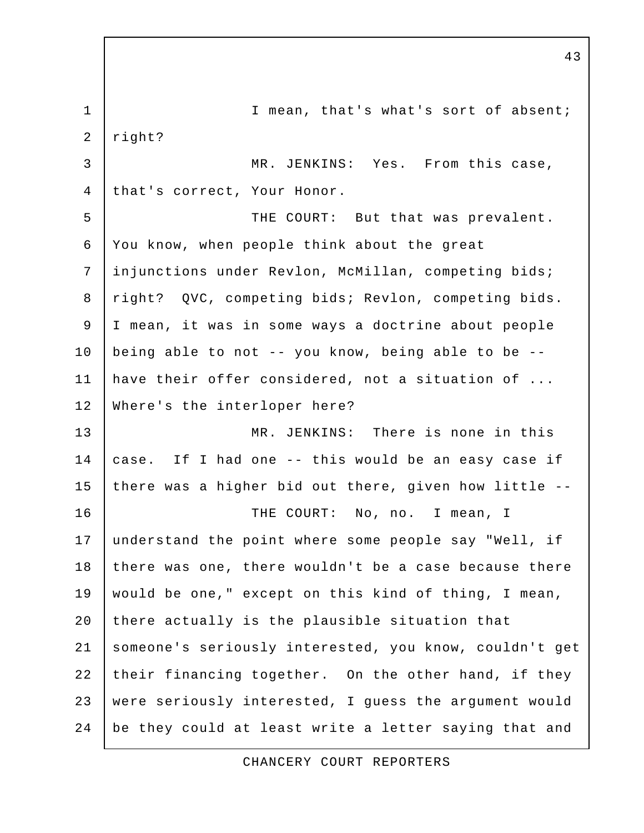1 I mean, that's what's sort of absent; 2 right? 3 MR. JENKINS: Yes. From this case, 4 that's correct, Your Honor. 5 | THE COURT: But that was prevalent. 6 You know, when people think about the great 7 injunctions under Revlon, McMillan, competing bids; 8 | right? QVC, competing bids; Revlon, competing bids. 9 I mean, it was in some ways a doctrine about people 10 being able to not -- you know, being able to be -- 11 have their offer considered, not a situation of ... 12 Where's the interloper here? 13 MR. JENKINS: There is none in this 14 case. If I had one -- this would be an easy case if 15 there was a higher bid out there, given how little --16 THE COURT: No, no. I mean, I 17 understand the point where some people say "Well, if 18 there was one, there wouldn't be a case because there 19 would be one," except on this kind of thing, I mean, 20 there actually is the plausible situation that 21 someone's seriously interested, you know, couldn't get 22 their financing together. On the other hand, if they 23 were seriously interested, I guess the argument would 24 be they could at least write a letter saying that and

CHANCERY COURT REPORTERS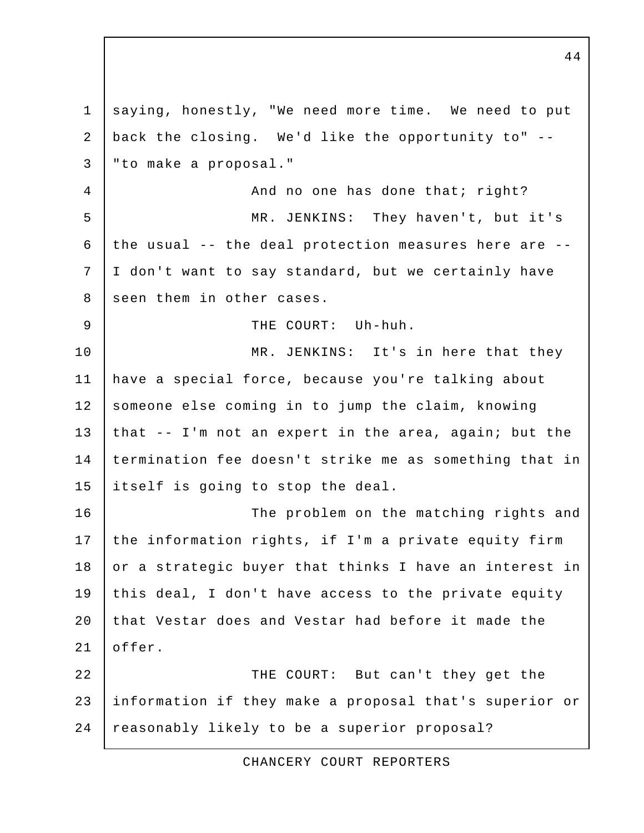1 saying, honestly, "We need more time. We need to put 2 back the closing. We'd like the opportunity to" -- 3 "to make a proposal." 4 | And no one has done that; right? 5 MR. JENKINS: They haven't, but it's 6 the usual -- the deal protection measures here are -- 7 I don't want to say standard, but we certainly have 8 seen them in other cases. 9 | THE COURT: Uh-huh. 10 | MR. JENKINS: It's in here that they 11 have a special force, because you're talking about 12 someone else coming in to jump the claim, knowing 13 that  $-$  I'm not an expert in the area, again; but the 14 termination fee doesn't strike me as something that in 15 itself is going to stop the deal. 16 | The problem on the matching rights and 17 the information rights, if I'm a private equity firm 18 or a strategic buyer that thinks I have an interest in 19 this deal, I don't have access to the private equity 20 that Vestar does and Vestar had before it made the 21 offer. 22 THE COURT: But can't they get the 23 information if they make a proposal that's superior or 24 reasonably likely to be a superior proposal?

CHANCERY COURT REPORTERS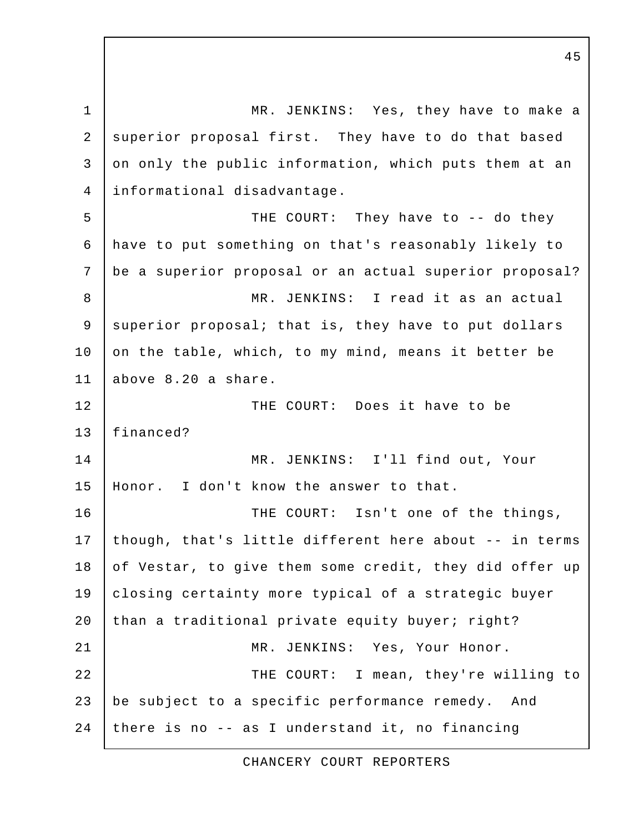1 MR. JENKINS: Yes, they have to make a 2 superior proposal first. They have to do that based 3 on only the public information, which puts them at an 4 informational disadvantage. 5 | THE COURT: They have to -- do they 6 have to put something on that's reasonably likely to 7 be a superior proposal or an actual superior proposal? 8 | MR. JENKINS: I read it as an actual 9 superior proposal; that is, they have to put dollars 10 on the table, which, to my mind, means it better be 11 above 8.20 a share. 12 | THE COURT: Does it have to be 13 financed? 14 MR. JENKINS: I'll find out, Your 15 Honor. I don't know the answer to that. 16 THE COURT: Isn't one of the things, 17 | though, that's little different here about -- in terms 18 of Vestar, to give them some credit, they did offer up 19 closing certainty more typical of a strategic buyer 20 than a traditional private equity buyer; right? 21 | MR. JENKINS: Yes, Your Honor. 22 THE COURT: I mean, they're willing to 23 be subject to a specific performance remedy. And 24 there is no  $-$  as I understand it, no financing

CHANCERY COURT REPORTERS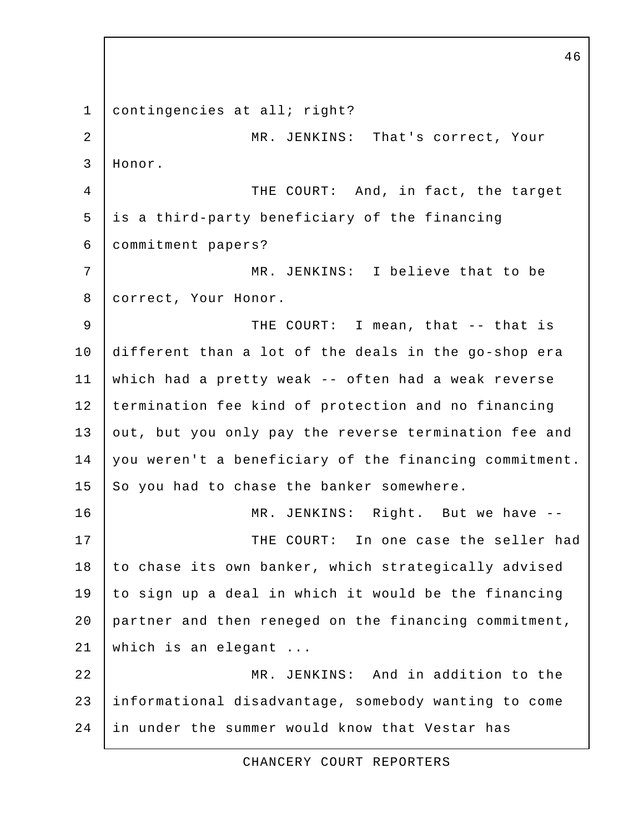1 contingencies at all; right? 2 MR. JENKINS: That's correct, Your 3 Honor. 4 THE COURT: And, in fact, the target 5 is a third-party beneficiary of the financing 6 commitment papers? 7 MR. JENKINS: I believe that to be 8 | correct, Your Honor. 9 THE COURT: I mean, that -- that is 10 different than a lot of the deals in the go-shop era 11 which had a pretty weak -- often had a weak reverse 12 | termination fee kind of protection and no financing 13 out, but you only pay the reverse termination fee and 14 you weren't a beneficiary of the financing commitment.  $15$  So you had to chase the banker somewhere. 16 MR. JENKINS: Right. But we have -- 17 THE COURT: In one case the seller had 18 to chase its own banker, which strategically advised 19 to sign up a deal in which it would be the financing 20 partner and then reneged on the financing commitment, 21 which is an elegant ... 22 MR. JENKINS: And in addition to the 23 informational disadvantage, somebody wanting to come 24 in under the summer would know that Vestar has

CHANCERY COURT REPORTERS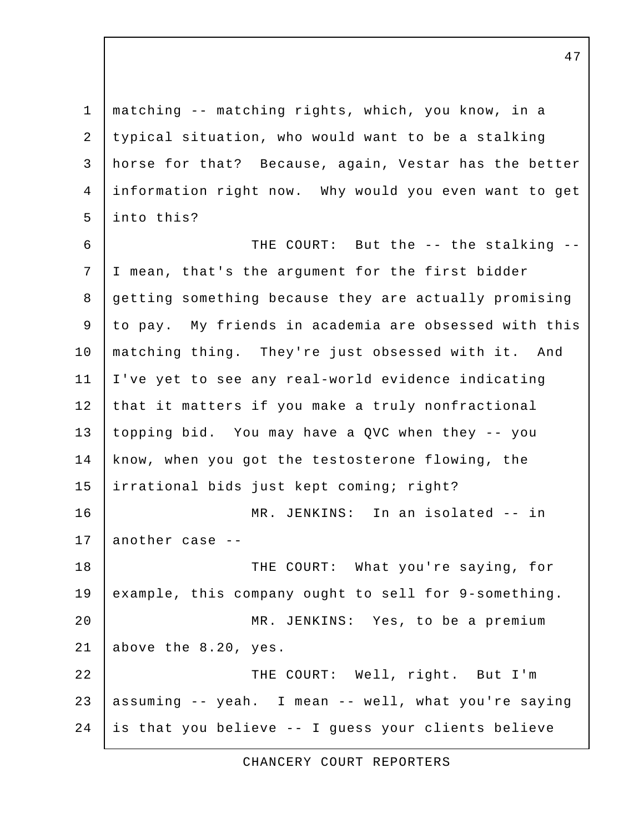1 matching -- matching rights, which, you know, in a 2 typical situation, who would want to be a stalking 3 horse for that? Because, again, Vestar has the better 4 information right now. Why would you even want to get 5 into this?

6 | THE COURT: But the -- the stalking -- 7 I mean, that's the argument for the first bidder 8 getting something because they are actually promising 9 to pay. My friends in academia are obsessed with this 10 matching thing. They're just obsessed with it. And 11 I've yet to see any real-world evidence indicating 12 that it matters if you make a truly nonfractional 13 topping bid. You may have a QVC when they -- you 14 know, when you got the testosterone flowing, the 15 irrational bids just kept coming; right? 16 MR. JENKINS: In an isolated -- in 17 another case --18 | THE COURT: What you're saying, for 19 example, this company ought to sell for 9-something. 20 | MR. JENKINS: Yes, to be a premium 21 above the 8.20, yes. 22 | THE COURT: Well, right. But I'm 23 assuming -- yeah. I mean -- well, what you're saying 24 is that you believe -- I guess your clients believe

CHANCERY COURT REPORTERS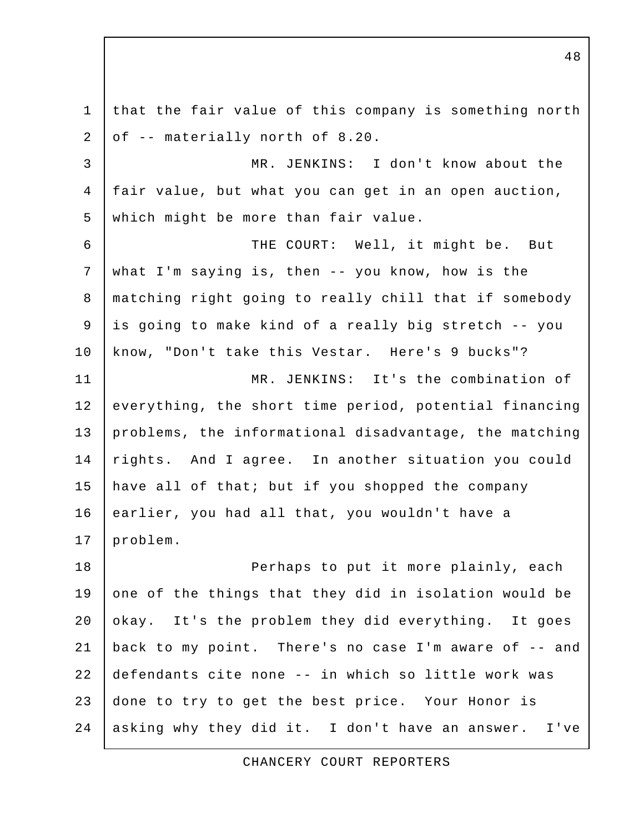1 that the fair value of this company is something north 2 of -- materially north of 8.20. 3 MR. JENKINS: I don't know about the 4 fair value, but what you can get in an open auction, 5 which might be more than fair value. 6 THE COURT: Well, it might be. But 7 what I'm saying is, then -- you know, how is the 8 matching right going to really chill that if somebody 9 is going to make kind of a really big stretch -- you 10 know, "Don't take this Vestar. Here's 9 bucks"? 11 | MR. JENKINS: It's the combination of 12 everything, the short time period, potential financing 13 | problems, the informational disadvantage, the matching 14 rights. And I agree. In another situation you could 15 have all of that; but if you shopped the company 16 earlier, you had all that, you wouldn't have a 17 | problem. 18 | Perhaps to put it more plainly, each 19 one of the things that they did in isolation would be 20 okay. It's the problem they did everything. It goes 21 back to my point. There's no case I'm aware of -- and 22 defendants cite none -- in which so little work was 23 done to try to get the best price. Your Honor is 24 asking why they did it. I don't have an answer. I've

CHANCERY COURT REPORTERS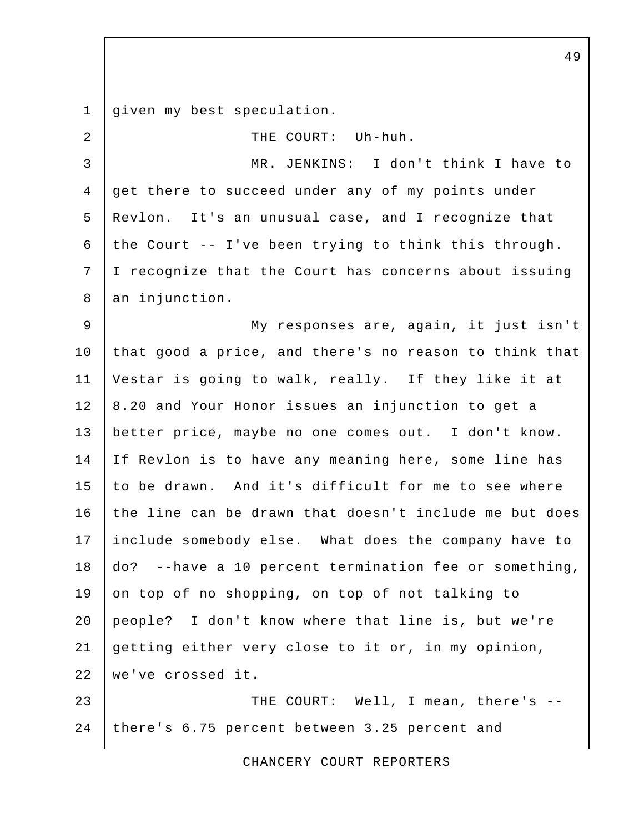1 qiven my best speculation. 2 | THE COURT: Uh-huh. 3 MR. JENKINS: I don't think I have to 4 get there to succeed under any of my points under 5 Revlon. It's an unusual case, and I recognize that 6 the Court  $-$ - I've been trying to think this through. 7 I recognize that the Court has concerns about issuing 8 an injunction. 9 My responses are, again, it just isn't 10 that good a price, and there's no reason to think that 11 Vestar is going to walk, really. If they like it at 12 | 8.20 and Your Honor issues an injunction to get a 13 better price, maybe no one comes out. I don't know. 14 | If Revlon is to have any meaning here, some line has 15 to be drawn. And it's difficult for me to see where 16 the line can be drawn that doesn't include me but does 17 include somebody else. What does the company have to 18 do? --have a 10 percent termination fee or something, 19 on top of no shopping, on top of not talking to 20 people? I don't know where that line is, but we're 21 getting either very close to it or, in my opinion, 22 we've crossed it. 23 THE COURT: Well, I mean, there's --24 there's 6.75 percent between 3.25 percent and

CHANCERY COURT REPORTERS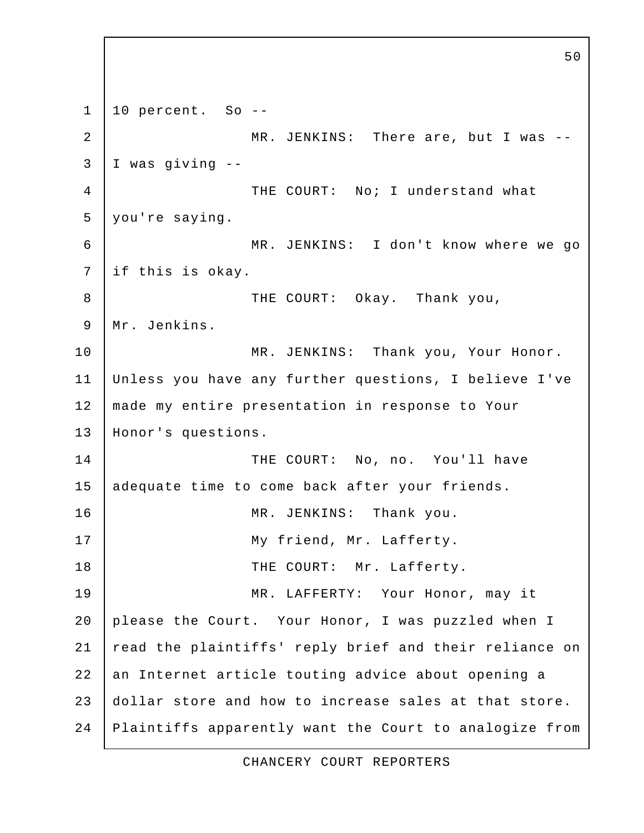50  $1 \mid 10$  percent. So --2 | MR. JENKINS: There are, but I was -- 3 I was giving -- 4 THE COURT: No; I understand what 5 you're saying. 6 MR. JENKINS: I don't know where we go 7 if this is okay. 8 THE COURT: Okay. Thank you, 9 | Mr. Jenkins. 10 | MR. JENKINS: Thank you, Your Honor. 11 Unless you have any further questions, I believe I've 12 | made my entire presentation in response to Your 13 Honor's questions. 14 THE COURT: No, no. You'll have 15 adequate time to come back after your friends. 16 | MR. JENKINS: Thank you. 17 | My friend, Mr. Lafferty. 18 THE COURT: Mr. Lafferty. 19 MR. LAFFERTY: Your Honor, may it 20 please the Court. Your Honor, I was puzzled when I 21 | read the plaintiffs' reply brief and their reliance on 22 an Internet article touting advice about opening a 23 dollar store and how to increase sales at that store. 24 Plaintiffs apparently want the Court to analogize from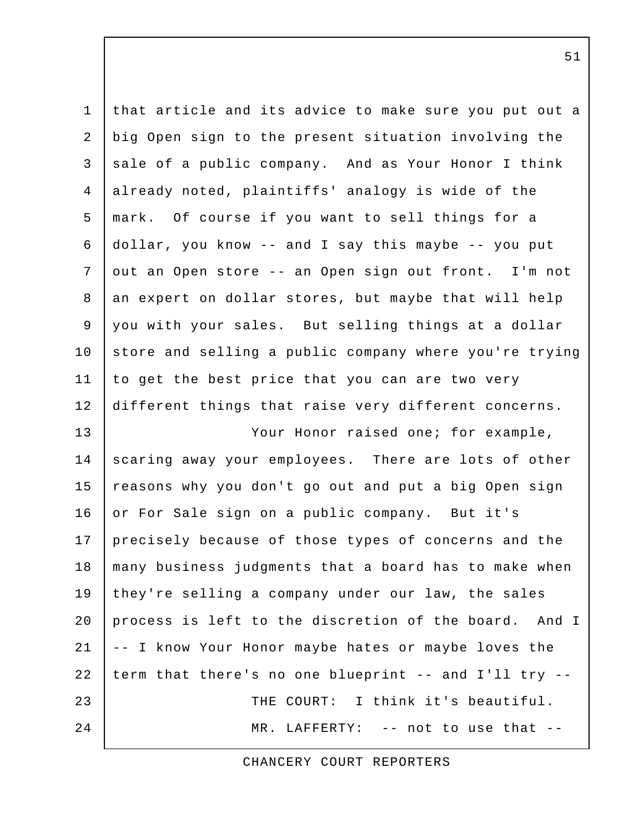| $\mathbf{1}$   | that article and its advice to make sure you put out a |
|----------------|--------------------------------------------------------|
| $\overline{2}$ | big Open sign to the present situation involving the   |
| $\mathfrak{Z}$ | sale of a public company. And as Your Honor I think    |
| $\overline{4}$ | already noted, plaintiffs' analogy is wide of the      |
| 5              | mark. Of course if you want to sell things for a       |
| 6              | dollar, you know -- and I say this maybe -- you put    |
| 7              | out an Open store -- an Open sign out front. I'm not   |
| $\,8\,$        | an expert on dollar stores, but maybe that will help   |
| 9              | you with your sales. But selling things at a dollar    |
| 10             | store and selling a public company where you're trying |
| 11             | to get the best price that you can are two very        |
| 12             | different things that raise very different concerns.   |
| 13             | Your Honor raised one; for example,                    |
| 14             | scaring away your employees. There are lots of other   |
| 15             | reasons why you don't go out and put a big Open sign   |
| 16             | or For Sale sign on a public company. But it's         |
| 17             | precisely because of those types of concerns and the   |
| 18             | many business judgments that a board has to make when  |
| 19             | they're selling a company under our law, the sales     |
| 20             | process is left to the discretion of the board. And I  |
| 21             | -- I know Your Honor maybe hates or maybe loves the    |
| 22             | term that there's no one blueprint -- and I'll try --  |
| 23             | THE COURT: I think it's beautiful.                     |
| 24             | MR. LAFFERTY: -- not to use that --                    |

CHANCERY COURT REPORTERS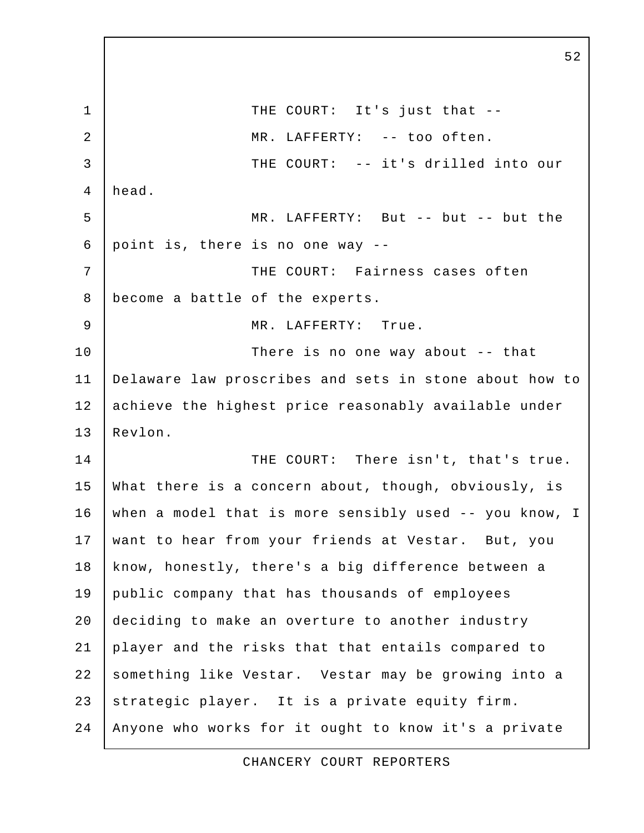1 I THE COURT: It's just that --2 | MR. LAFFERTY: -- too often. 3 THE COURT: -- it's drilled into our 4 head. 5 MR. LAFFERTY: But -- but -- but the 6 point is, there is no one way  $-$ 7 | THE COURT: Fairness cases often 8 become a battle of the experts. 9 | MR. LAFFERTY: True. 10 There is no one way about -- that 11 Delaware law proscribes and sets in stone about how to 12 achieve the highest price reasonably available under 13 Revlon. 14 THE COURT: There isn't, that's true. 15 What there is a concern about, though, obviously, is 16 when a model that is more sensibly used -- you know, I 17 | want to hear from your friends at Vestar. But, you 18 | know, honestly, there's a big difference between a 19 public company that has thousands of employees 20 deciding to make an overture to another industry 21 player and the risks that that entails compared to 22 something like Vestar. Vestar may be growing into a 23 strategic player. It is a private equity firm. 24 Anyone who works for it ought to know it's a private

52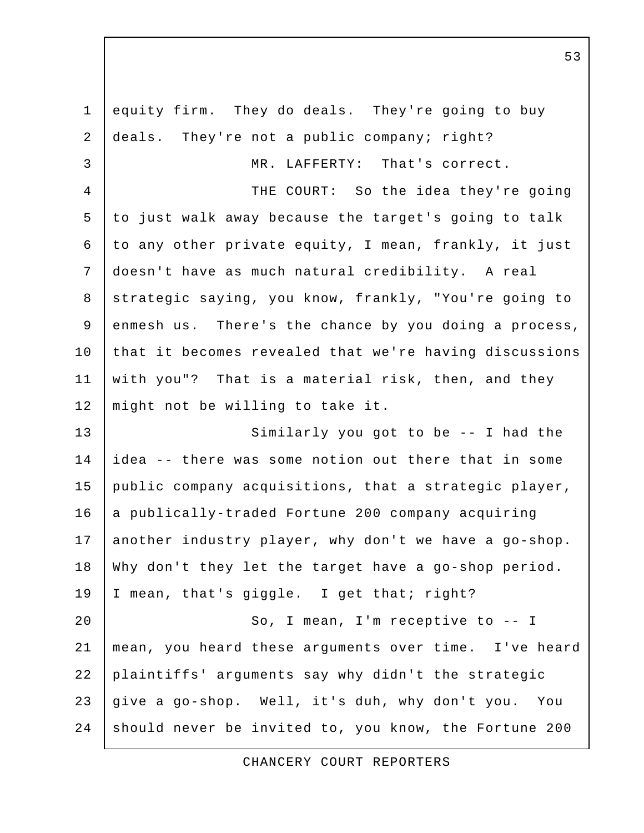1 equity firm. They do deals. They're going to buy 2 deals. They're not a public company; right? 3 MR. LAFFERTY: That's correct. 4 | THE COURT: So the idea they're going 5 to just walk away because the target's going to talk 6 to any other private equity, I mean, frankly, it just 7 doesn't have as much natural credibility. A real 8 strategic saying, you know, frankly, "You're going to 9 enmesh us. There's the chance by you doing a process, 10 that it becomes revealed that we're having discussions 11 with you"? That is a material risk, then, and they 12 | might not be willing to take it. 13 Similarly you got to be -- I had the 14 idea -- there was some notion out there that in some 15 public company acquisitions, that a strategic player, 16 a publically-traded Fortune 200 company acquiring 17 another industry player, why don't we have a go-shop. 18 Why don't they let the target have a go-shop period. 19 | I mean, that's giggle. I get that; right? 20 | So, I mean, I'm receptive to -- I 21 mean, you heard these arguments over time. I've heard 22 plaintiffs' arguments say why didn't the strategic 23 give a go-shop. Well, it's duh, why don't you. You 24 should never be invited to, you know, the Fortune 200

CHANCERY COURT REPORTERS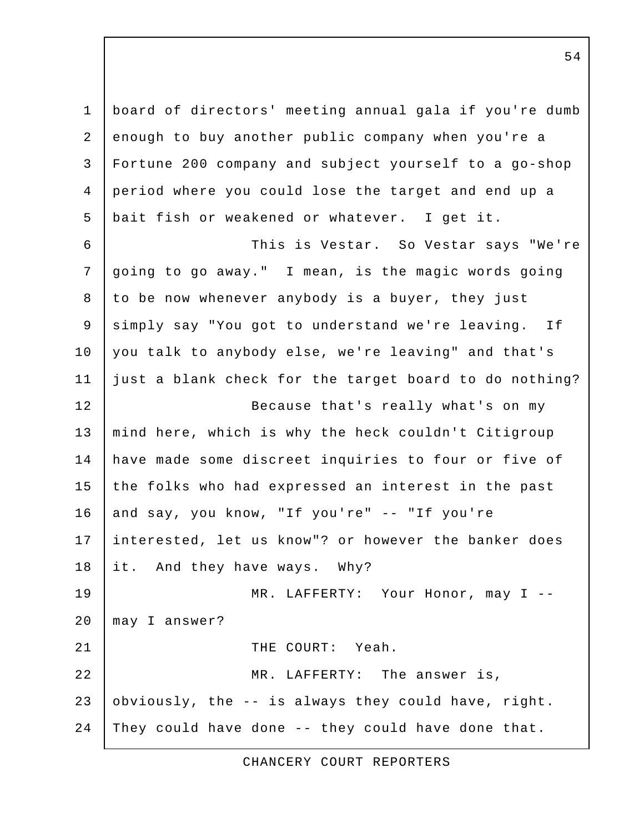1 board of directors' meeting annual gala if you're dumb 2 enough to buy another public company when you're a 3 Fortune 200 company and subject yourself to a go-shop 4 period where you could lose the target and end up a 5 bait fish or weakened or whatever. I get it. 6 This is Vestar. So Vestar says "We're 7 going to go away." I mean, is the magic words going 8 to be now whenever anybody is a buyer, they just 9 simply say "You got to understand we're leaving. If 10 you talk to anybody else, we're leaving" and that's 11 just a blank check for the target board to do nothing? 12 | Because that's really what's on my 13 | mind here, which is why the heck couldn't Citigroup 14 have made some discreet inquiries to four or five of 15 the folks who had expressed an interest in the past 16 and say, you know, "If you're" -- "If you're 17 interested, let us know"? or however the banker does 18 it. And they have ways. Why? 19 | MR. LAFFERTY: Your Honor, may I --20 may I answer? 21 | THE COURT: Yeah. 22 MR. LAFFERTY: The answer is, 23 obviously, the -- is always they could have, right. 24 They could have done -- they could have done that.

CHANCERY COURT REPORTERS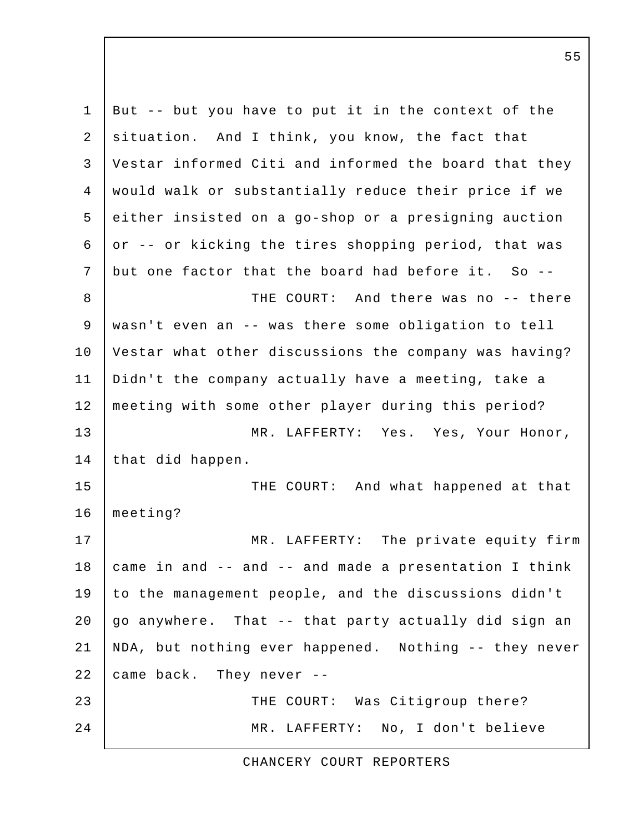1 But -- but you have to put it in the context of the 2 situation. And I think, you know, the fact that 3 Vestar informed Citi and informed the board that they 4 would walk or substantially reduce their price if we 5 either insisted on a go-shop or a presigning auction 6 or  $-$  or kicking the tires shopping period, that was 7 but one factor that the board had before it. So -- 8 **THE COURT:** And there was no -- there 9 wasn't even an -- was there some obligation to tell 10 Vestar what other discussions the company was having? 11 Didn't the company actually have a meeting, take a 12 meeting with some other player during this period? 13 MR. LAFFERTY: Yes. Yes, Your Honor, 14 that did happen. 15 THE COURT: And what happened at that 16 meeting? 17 | MR. LAFFERTY: The private equity firm 18  $\vert$  came in and -- and -- and made a presentation I think 19 to the management people, and the discussions didn't 20  $\vert$  go anywhere. That -- that party actually did sign an 21 NDA, but nothing ever happened. Nothing -- they never 22 came back. They never --23 THE COURT: Was Citigroup there? 24 MR. LAFFERTY: No, I don't believe

CHANCERY COURT REPORTERS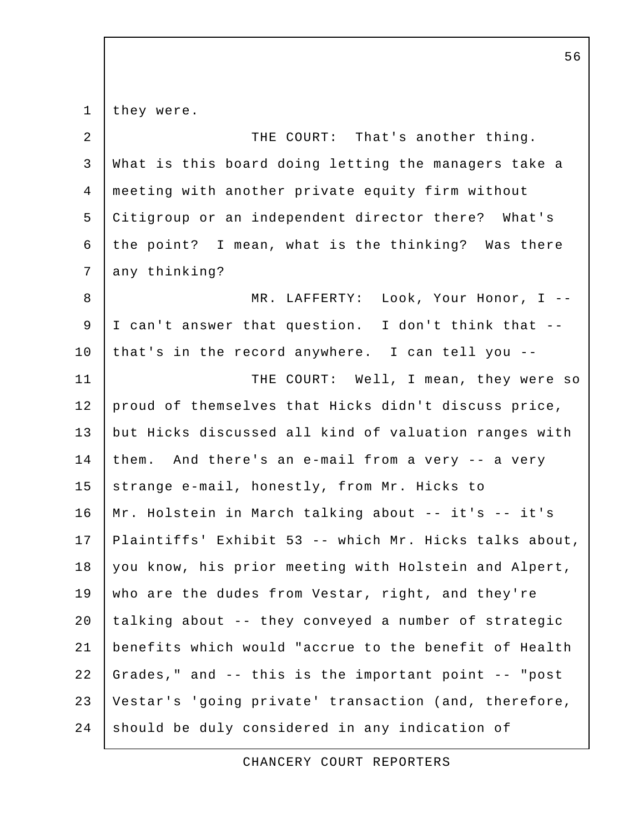1 they were. 2 | THE COURT: That's another thing. 3 What is this board doing letting the managers take a 4 meeting with another private equity firm without 5 Citigroup or an independent director there? What's 6 | the point? I mean, what is the thinking? Was there 7 any thinking? 8 MR. LAFFERTY: Look, Your Honor, I -- 9 I can't answer that question. I don't think that -- 10 that's in the record anywhere. I can tell you -- 11 | THE COURT: Well, I mean, they were so 12 proud of themselves that Hicks didn't discuss price, 13 but Hicks discussed all kind of valuation ranges with 14 them. And there's an e-mail from a very -- a very 15 strange e-mail, honestly, from Mr. Hicks to 16 Mr. Holstein in March talking about -- it's -- it's 17 Plaintiffs' Exhibit 53 -- which Mr. Hicks talks about, 18 you know, his prior meeting with Holstein and Alpert, 19 who are the dudes from Vestar, right, and they're  $20$  talking about -- they conveyed a number of strategic 21 benefits which would "accrue to the benefit of Health 22 Grades," and -- this is the important point -- "post 23 Vestar's 'going private' transaction (and, therefore, 24 should be duly considered in any indication of

CHANCERY COURT REPORTERS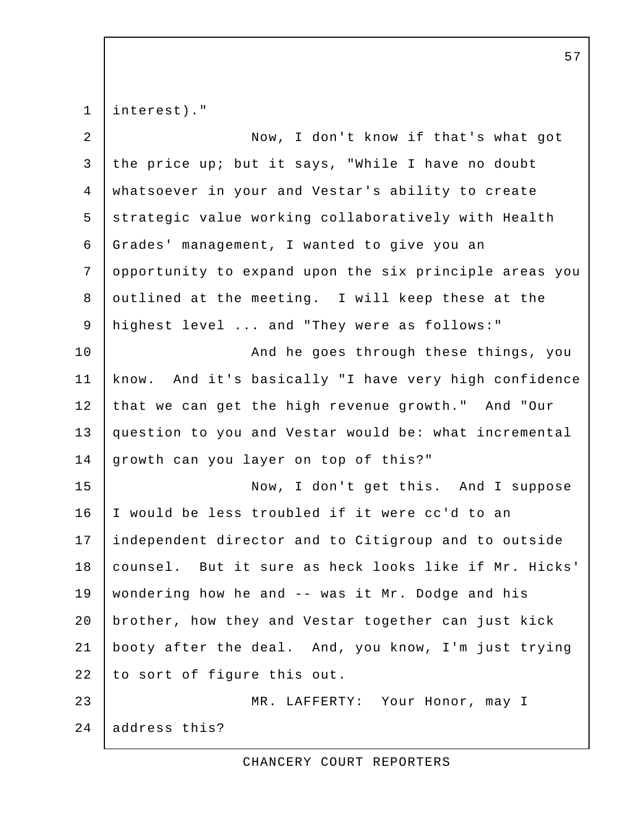1 | interest)."

| $\overline{a}$ | Now, I don't know if that's what got                   |
|----------------|--------------------------------------------------------|
| 3              | the price up; but it says, "While I have no doubt      |
| $\overline{4}$ | whatsoever in your and Vestar's ability to create      |
| 5              | strategic value working collaboratively with Health    |
| 6              | Grades' management, I wanted to give you an            |
| 7              | opportunity to expand upon the six principle areas you |
| 8              | outlined at the meeting. I will keep these at the      |
| 9              | highest level  and "They were as follows:"             |
| 10             | And he goes through these things, you                  |
| 11             | know. And it's basically "I have very high confidence  |
| 12             | that we can get the high revenue growth." And "Our     |
| 13             | question to you and Vestar would be: what incremental  |
| 14             | growth can you layer on top of this?"                  |
| 15             | Now, I don't get this. And I suppose                   |
| 16             | I would be less troubled if it were cc'd to an         |
| 17             | independent director and to Citigroup and to outside   |
| 18             | counsel. But it sure as heck looks like if Mr. Hicks'  |
| 19             | wondering how he and -- was it Mr. Dodge and his       |
| 20             | brother, how they and Vestar together can just kick    |
| 21             | booty after the deal. And, you know, I'm just trying   |
| 22             | to sort of figure this out.                            |
| 23             | MR. LAFFERTY: Your Honor, may I                        |
| 24             | address this?                                          |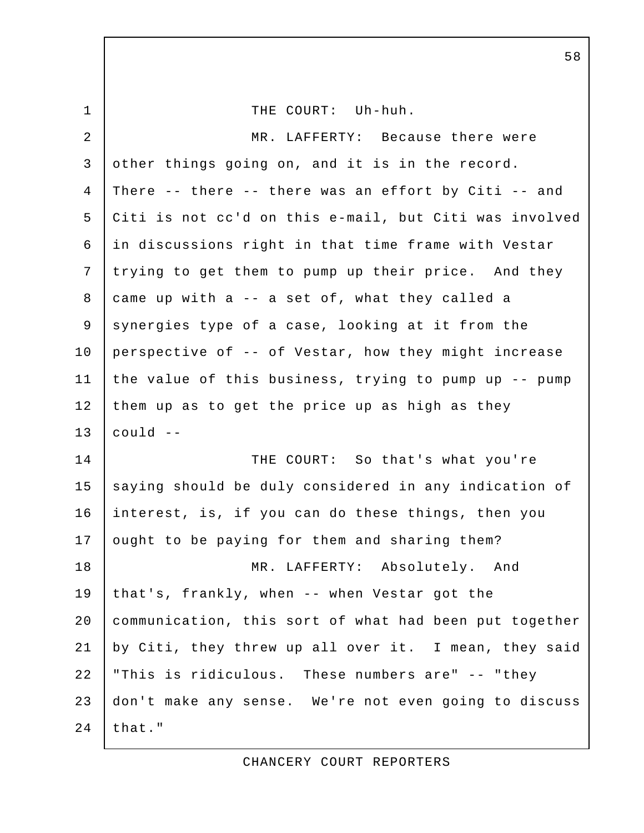1 1 THE COURT: Uh-huh. 2 | MR. LAFFERTY: Because there were 3 other things going on, and it is in the record. 4 There -- there -- there was an effort by Citi -- and 5 Citi is not cc'd on this e-mail, but Citi was involved 6 in discussions right in that time frame with Vestar 7 trying to get them to pump up their price. And they 8 came up with a -- a set of, what they called a 9 synergies type of a case, looking at it from the 10 perspective of -- of Vestar, how they might increase 11 the value of this business, trying to pump up -- pump 12 them up as to get the price up as high as they  $13$  could  $-$ 14 THE COURT: So that's what you're 15 saying should be duly considered in any indication of 16 interest, is, if you can do these things, then you 17 ought to be paying for them and sharing them? 18 MR. LAFFERTY: Absolutely. And 19 that's, frankly, when -- when Vestar got the 20 communication, this sort of what had been put together 21 by Citi, they threw up all over it. I mean, they said 22 "This is ridiculous. These numbers are" -- "they 23 don't make any sense. We're not even going to discuss 24  $that.$ "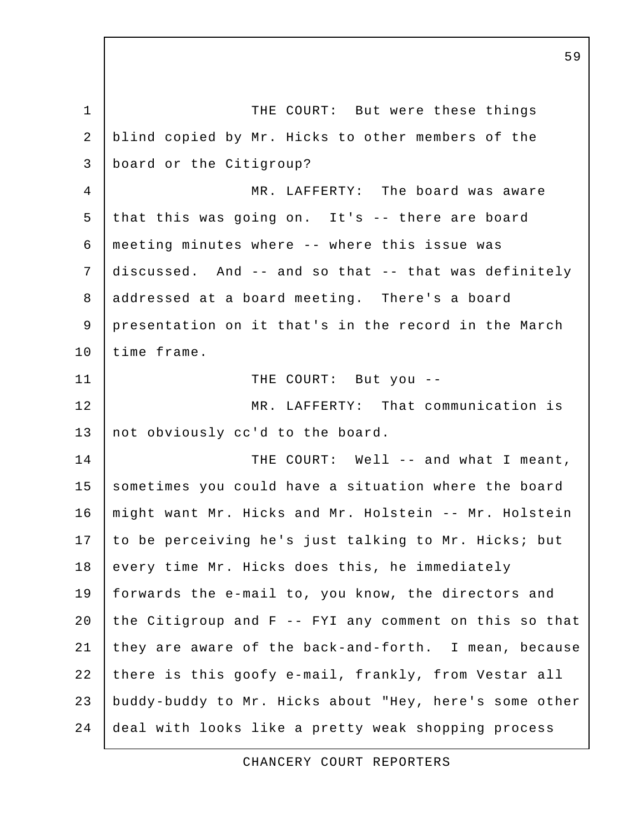1 THE COURT: But were these things 2 blind copied by Mr. Hicks to other members of the 3 board or the Citigroup? 4 MR. LAFFERTY: The board was aware 5 that this was going on. It's -- there are board 6 meeting minutes where -- where this issue was 7 discussed. And -- and so that -- that was definitely 8 addressed at a board meeting. There's a board 9 presentation on it that's in the record in the March 10 time frame. 11 THE COURT: But you --12 MR. LAFFERTY: That communication is 13 not obviously cc'd to the board. 14 THE COURT: Well -- and what I meant, 15 sometimes you could have a situation where the board 16 might want Mr. Hicks and Mr. Holstein -- Mr. Holstein 17 to be perceiving he's just talking to Mr. Hicks; but 18 every time Mr. Hicks does this, he immediately 19 forwards the e-mail to, you know, the directors and 20 the Citigroup and  $F$  -- FYI any comment on this so that 21 they are aware of the back-and-forth. I mean, because 22 there is this goofy e-mail, frankly, from Vestar all 23 buddy-buddy to Mr. Hicks about "Hey, here's some other 24 deal with looks like a pretty weak shopping process

CHANCERY COURT REPORTERS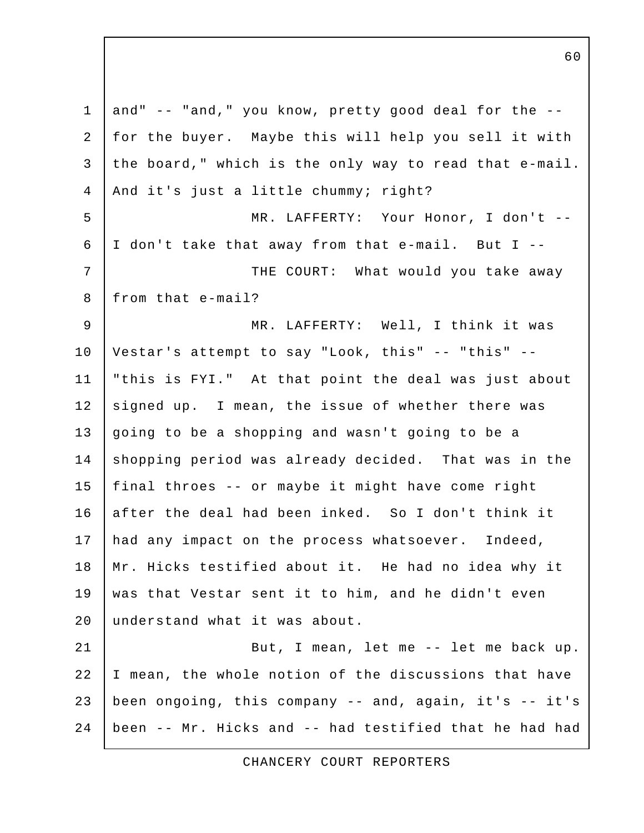1 and"  $-$  "and," you know, pretty good deal for the  $-$ - 2 for the buyer. Maybe this will help you sell it with 3 the board," which is the only way to read that e-mail. 4 | And it's just a little chummy; right? 5 | MR. LAFFERTY: Your Honor, I don't -- 6 I don't take that away from that e-mail. But I -- 7 | THE COURT: What would you take away 8 | from that e-mail? 9 MR. LAFFERTY: Well, I think it was 10 Vestar's attempt to say "Look, this" -- "this" -- 11 "this is FYI." At that point the deal was just about 12 signed up. I mean, the issue of whether there was 13 going to be a shopping and wasn't going to be a 14 shopping period was already decided. That was in the 15 final throes -- or maybe it might have come right 16 after the deal had been inked. So I don't think it 17 had any impact on the process whatsoever. Indeed, 18 Mr. Hicks testified about it. He had no idea why it 19 was that Vestar sent it to him, and he didn't even 20 understand what it was about. 21 | But, I mean, let me -- let me back up. 22 I mean, the whole notion of the discussions that have 23 been ongoing, this company -- and, again, it's -- it's 24 been -- Mr. Hicks and -- had testified that he had had

CHANCERY COURT REPORTERS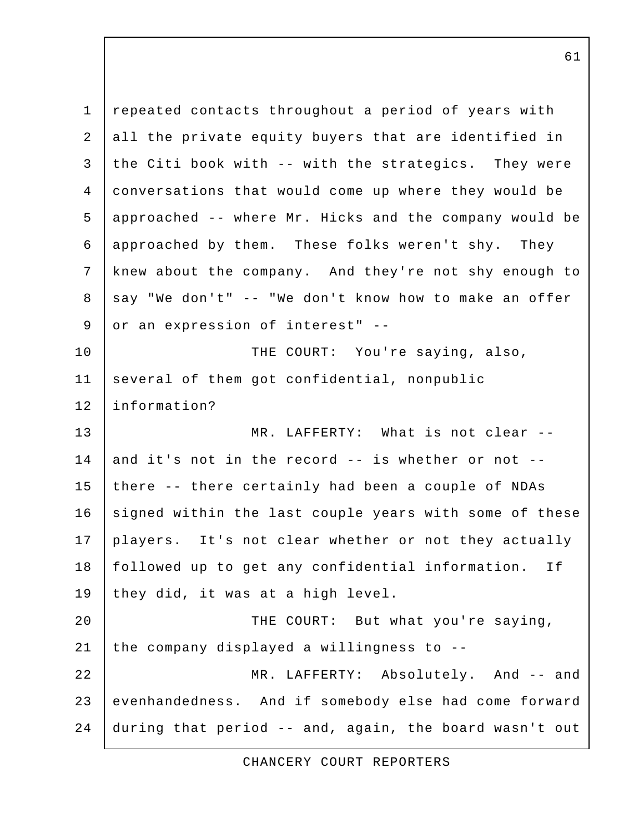1 repeated contacts throughout a period of years with 2 all the private equity buyers that are identified in 3 the Citi book with  $-$ - with the strategics. They were 4 conversations that would come up where they would be 5 approached -- where Mr. Hicks and the company would be 6 approached by them. These folks weren't shy. They 7 knew about the company. And they're not shy enough to  $8$  say "We don't" -- "We don't know how to make an offer 9 or an expression of interest" --10 THE COURT: You're saying, also, 11 several of them got confidential, nonpublic 12 information? 13 MR. LAFFERTY: What is not clear -- 14 and it's not in the record -- is whether or not --15 there -- there certainly had been a couple of NDAs 16 signed within the last couple years with some of these 17 players. It's not clear whether or not they actually 18 | followed up to get any confidential information. If 19 they did, it was at a high level. 20 THE COURT: But what you're saying, 21 the company displayed a willingness to  $-$ -22 MR. LAFFERTY: Absolutely. And -- and 23 evenhandedness. And if somebody else had come forward 24 during that period -- and, again, the board wasn't out

CHANCERY COURT REPORTERS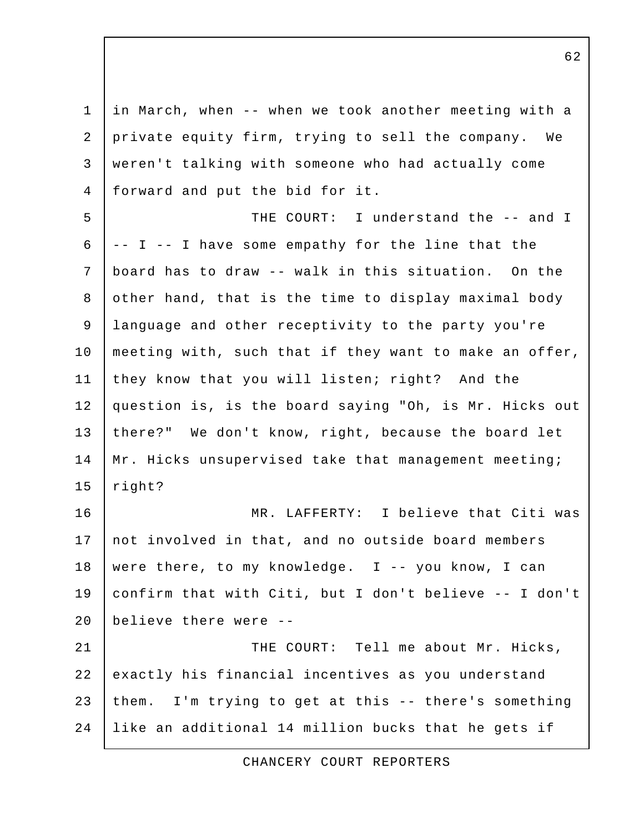1 in March, when -- when we took another meeting with a 2 private equity firm, trying to sell the company. We 3 weren't talking with someone who had actually come 4 forward and put the bid for it. 5 THE COURT: I understand the -- and I  $6$   $\vert$  -- I -- I have some empathy for the line that the 7 board has to draw -- walk in this situation. On the 8 other hand, that is the time to display maximal body 9 language and other receptivity to the party you're 10 | meeting with, such that if they want to make an offer, 11 they know that you will listen; right? And the 12 question is, is the board saying "Oh, is Mr. Hicks out 13 there?" We don't know, right, because the board let 14 | Mr. Hicks unsupervised take that management meeting;  $15$  right? 16 MR. LAFFERTY: I believe that Citi was 17 not involved in that, and no outside board members 18 were there, to my knowledge. I -- you know, I can 19 confirm that with Citi, but I don't believe -- I don't 20 believe there were -- 21 | THE COURT: Tell me about Mr. Hicks, 22 exactly his financial incentives as you understand 23 them. I'm trying to get at this -- there's something 24 like an additional 14 million bucks that he gets if

CHANCERY COURT REPORTERS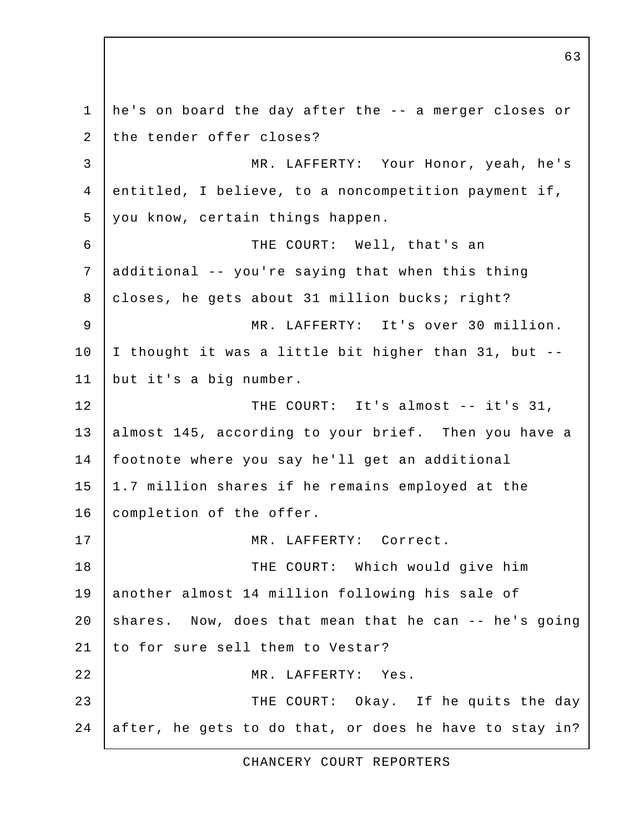1 he's on board the day after the -- a merger closes or 2 the tender offer closes? 3 MR. LAFFERTY: Your Honor, yeah, he's 4 entitled, I believe, to a noncompetition payment if, 5 you know, certain things happen. 6 THE COURT: Well, that's an 7 additional -- you're saying that when this thing 8 | closes, he gets about 31 million bucks; right? 9 MR. LAFFERTY: It's over 30 million. 10 I thought it was a little bit higher than 31, but -- 11 but it's a big number. 12 THE COURT: It's almost -- it's 31, 13 almost 145, according to your brief. Then you have a 14 footnote where you say he'll get an additional 15 1.7 million shares if he remains employed at the 16 | completion of the offer. 17 | MR. LAFFERTY: Correct. 18 THE COURT: Which would give him 19 another almost 14 million following his sale of 20  $\vert$  shares. Now, does that mean that he can -- he's going 21 to for sure sell them to Vestar? 22 MR. LAFFERTY: Yes. 23 THE COURT: Okay. If he quits the day 24 after, he gets to do that, or does he have to stay in?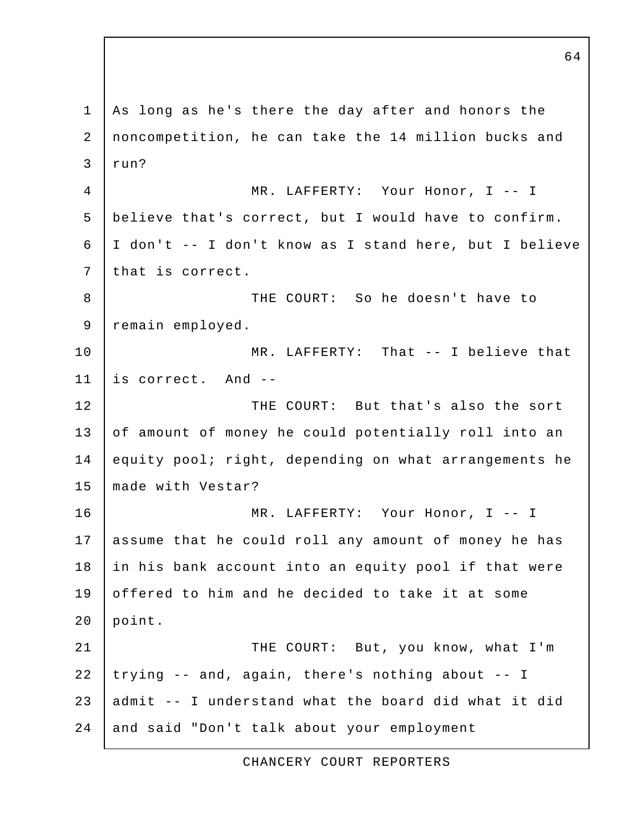1 As long as he's there the day after and honors the 2 noncompetition, he can take the 14 million bucks and  $3$  run? 4 MR. LAFFERTY: Your Honor, I -- I 5 believe that's correct, but I would have to confirm. 6 I don't -- I don't know as I stand here, but I believe 7 that is correct. 8 | THE COURT: So he doesn't have to 9 | remain employed. 10 | MR. LAFFERTY: That -- I believe that 11 is correct. And -- 12 **THE COURT:** But that's also the sort 13 of amount of money he could potentially roll into an 14 equity pool; right, depending on what arrangements he 15 made with Vestar? 16 MR. LAFFERTY: Your Honor, I -- I 17 assume that he could roll any amount of money he has 18 in his bank account into an equity pool if that were 19 offered to him and he decided to take it at some 20 point. 21 | THE COURT: But, you know, what I'm  $22$  trying  $-$  and, again, there's nothing about  $-$  I 23 admit -- I understand what the board did what it did 24 and said "Don't talk about your employment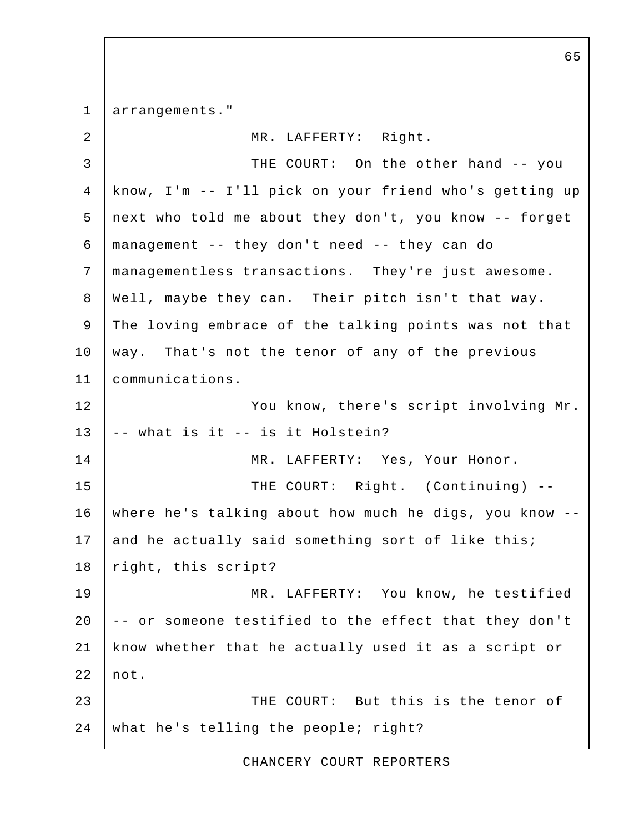1 arrangements."

| ᅩ               | <u>urrungementen.</u>                                  |
|-----------------|--------------------------------------------------------|
| $\overline{2}$  | MR. LAFFERTY: Right.                                   |
| $\mathfrak{Z}$  | THE COURT: On the other hand -- you                    |
| $\overline{4}$  | know, I'm -- I'll pick on your friend who's getting up |
| 5               | next who told me about they don't, you know -- forget  |
| 6               | management -- they don't need -- they can do           |
| $7\phantom{.0}$ | managementless transactions. They're just awesome.     |
| 8               | Well, maybe they can. Their pitch isn't that way.      |
| $\mathsf 9$     | The loving embrace of the talking points was not that  |
| 10              | way. That's not the tenor of any of the previous       |
| 11              | communications.                                        |
| 12              | You know, there's script involving Mr.                 |
| 13              | -- what is it -- is it Holstein?                       |
| 14              | MR. LAFFERTY: Yes, Your Honor.                         |
| 15              | THE COURT: Right. (Continuing) --                      |
| 16              | where he's talking about how much he digs, you know -- |
| 17              | and he actually said something sort of like this;      |
| 18              | right, this script?                                    |
| 19              | MR. LAFFERTY: You know, he testified                   |
| 20              | -- or someone testified to the effect that they don't  |
| 21              | know whether that he actually used it as a script or   |
| 22              | not.                                                   |
| 23              | THE COURT: But this is the tenor of                    |
| 24              | what he's telling the people; right?                   |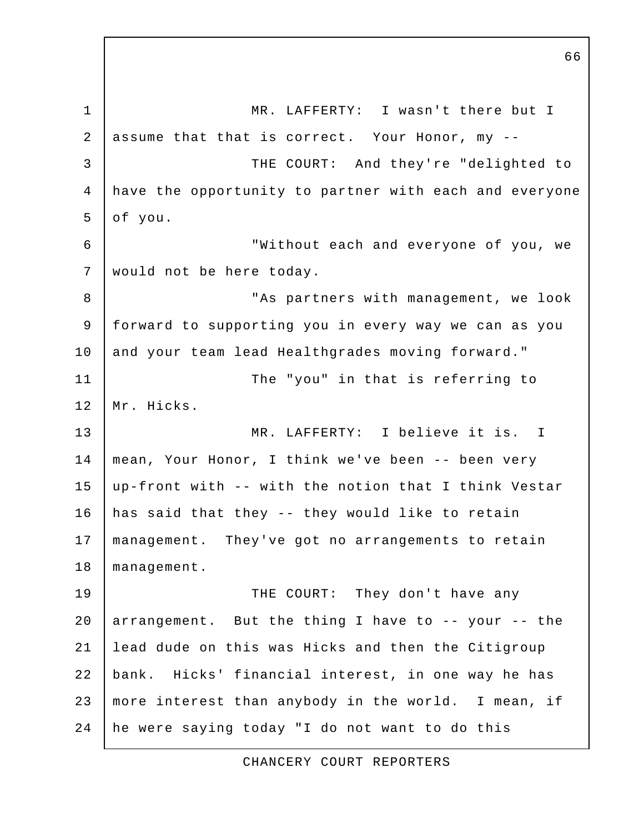1 MR. LAFFERTY: I wasn't there but I 2 assume that that is correct. Your Honor, my -- 3 THE COURT: And they're "delighted to 4 have the opportunity to partner with each and everyone 5 of you. 6 "Without each and everyone of you, we 7 would not be here today. 8 | "As partners with management, we look 9 forward to supporting you in every way we can as you 10 and your team lead Healthgrades moving forward." 11 | The "you" in that is referring to 12 Mr. Hicks. 13 MR. LAFFERTY: I believe it is. I 14 mean, Your Honor, I think we've been -- been very 15 up-front with -- with the notion that I think Vestar 16 has said that they -- they would like to retain 17 management. They've got no arrangements to retain 18 | management. 19 | THE COURT: They don't have any 20  $\alpha$  arrangement. But the thing I have to -- your -- the 21 lead dude on this was Hicks and then the Citigroup 22 bank. Hicks' financial interest, in one way he has 23 more interest than anybody in the world. I mean, if 24 he were saying today "I do not want to do this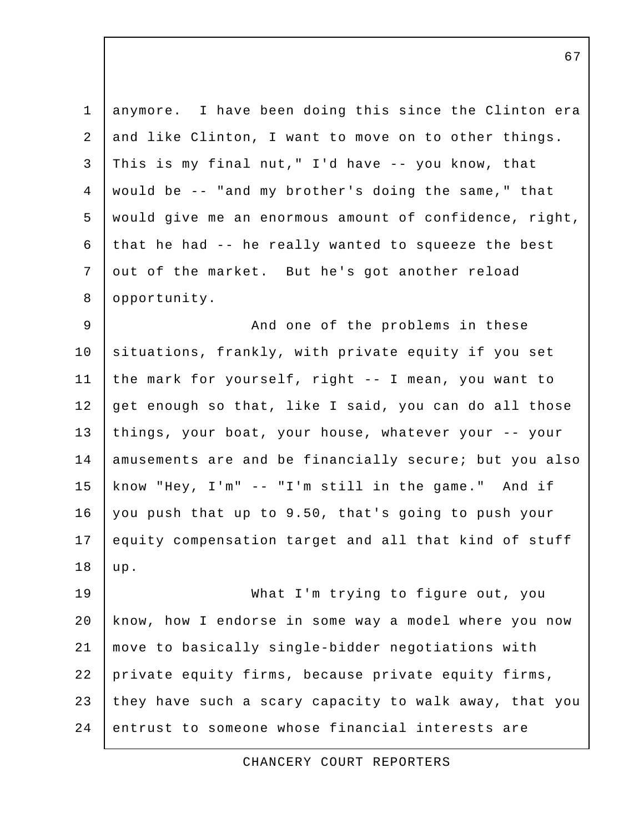| $\mathbf 1$    | anymore. I have been doing this since the Clinton era  |
|----------------|--------------------------------------------------------|
| 2              | and like Clinton, I want to move on to other things.   |
| 3              | This is my final nut," I'd have -- you know, that      |
| $\overline{4}$ | would be -- "and my brother's doing the same," that    |
| 5              | would give me an enormous amount of confidence, right, |
| 6              | that he had -- he really wanted to squeeze the best    |
| 7              | out of the market. But he's got another reload         |
| 8              | opportunity.                                           |
| 9              | And one of the problems in these                       |
| 10             | situations, frankly, with private equity if you set    |
| 11             | the mark for yourself, right -- I mean, you want to    |
| 12             | get enough so that, like I said, you can do all those  |
| 13             | things, your boat, your house, whatever your -- your   |
| 14             | amusements are and be financially secure; but you also |
| 15             | know "Hey, I'm" -- "I'm still in the game." And if     |
| 16             | you push that up to 9.50, that's going to push your    |
| 17             | equity compensation target and all that kind of stuff  |
| 18             | up.                                                    |
| 19             | What I'm trying to figure out, you                     |
| 20             | know, how I endorse in some way a model where you now  |
| 21             | move to basically single-bidder negotiations with      |
| 22             | private equity firms, because private equity firms,    |
| 23             | they have such a scary capacity to walk away, that you |
| 24             | entrust to someone whose financial interests are       |

CHANCERY COURT REPORTERS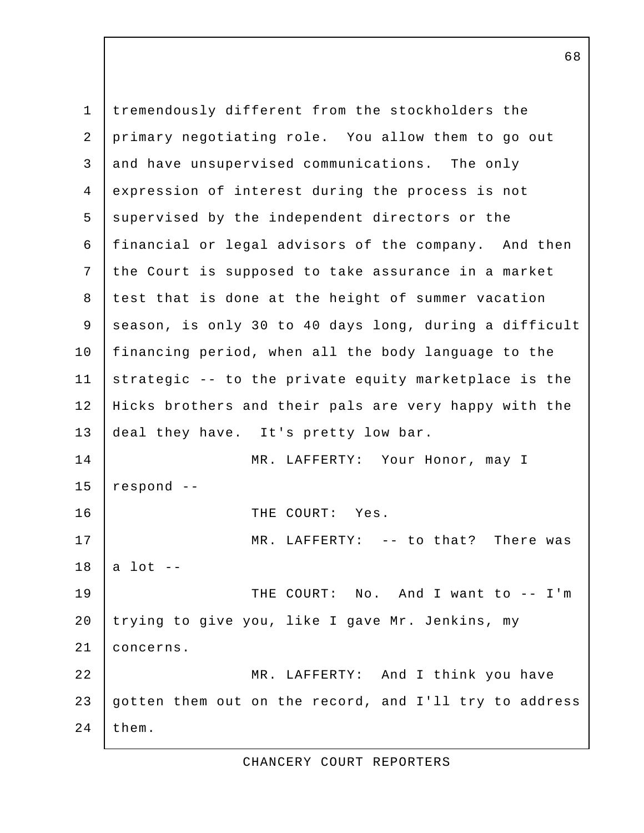1 tremendously different from the stockholders the 2 primary negotiating role. You allow them to go out 3 and have unsupervised communications. The only 4 expression of interest during the process is not 5 supervised by the independent directors or the 6 financial or legal advisors of the company. And then 7 the Court is supposed to take assurance in a market 8 test that is done at the height of summer vacation 9 season, is only 30 to 40 days long, during a difficult 10 financing period, when all the body language to the 11 strategic -- to the private equity marketplace is the 12 Hicks brothers and their pals are very happy with the 13 deal they have. It's pretty low bar. 14 MR. LAFFERTY: Your Honor, may I  $15$  respond  $-$ 16 I THE COURT: Yes. 17 MR. LAFFERTY: -- to that? There was  $18$  a lot  $-$ 19 | THE COURT: No. And I want to -- I'm 20 trying to give you, like I gave Mr. Jenkins, my 21 concerns. 22 MR. LAFFERTY: And I think you have 23 gotten them out on the record, and I'll try to address  $24$  them.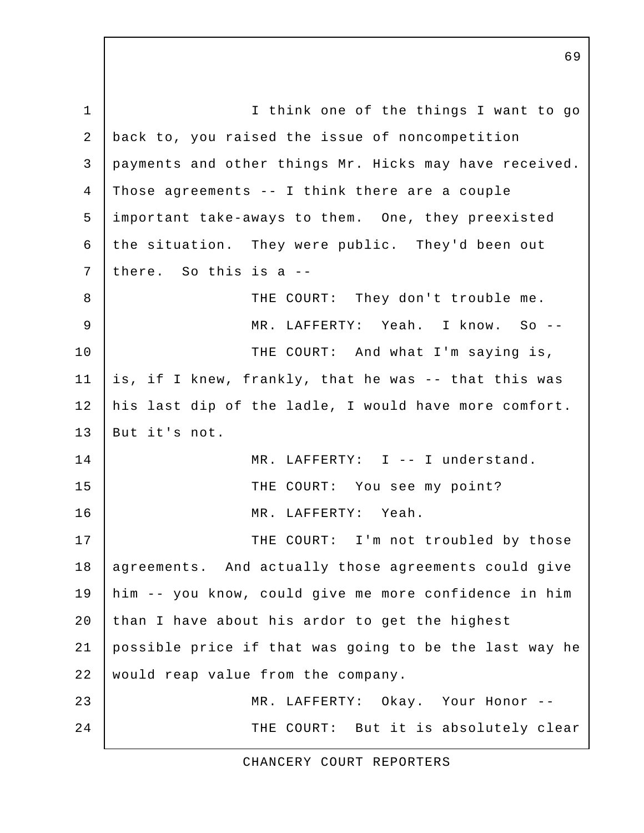1 | I think one of the things I want to go 2 back to, you raised the issue of noncompetition 3 payments and other things Mr. Hicks may have received. 4 Those agreements -- I think there are a couple 5 important take-aways to them. One, they preexisted 6 the situation. They were public. They'd been out 7 there. So this is a --8 | THE COURT: They don't trouble me. 9 MR. LAFFERTY: Yeah. I know. So -- 10 | THE COURT: And what I'm saying is, 11 is, if I knew, frankly, that he was -- that this was 12 his last dip of the ladle, I would have more comfort. 13 But it's not. 14 | MR. LAFFERTY: I -- I understand. 15 THE COURT: You see my point? 16 MR. LAFFERTY: Yeah. 17 | THE COURT: I'm not troubled by those 18 | agreements. And actually those agreements could give 19 him -- you know, could give me more confidence in him 20 than I have about his ardor to get the highest 21 possible price if that was going to be the last way he 22 | would reap value from the company. 23 MR. LAFFERTY: Okay. Your Honor -- 24 THE COURT: But it is absolutely clear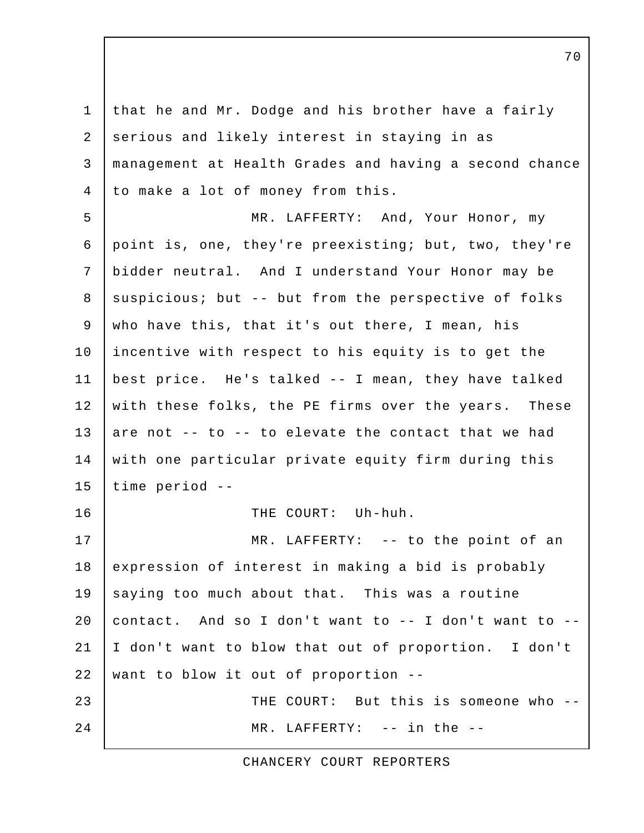1 that he and Mr. Dodge and his brother have a fairly 2 serious and likely interest in staying in as 3 management at Health Grades and having a second chance 4 to make a lot of money from this. 5 MR. LAFFERTY: And, Your Honor, my 6 point is, one, they're preexisting; but, two, they're 7 bidder neutral. And I understand Your Honor may be 8 | suspicious; but -- but from the perspective of folks 9 who have this, that it's out there, I mean, his 10 incentive with respect to his equity is to get the 11 best price. He's talked -- I mean, they have talked 12 with these folks, the PE firms over the years. These 13 are not  $-$ - to  $-$  to elevate the contact that we had 14 with one particular private equity firm during this 15 time period -- 16 THE COURT: Uh-huh. 17 | MR. LAFFERTY: -- to the point of an 18 expression of interest in making a bid is probably 19 saying too much about that. This was a routine 20 contact. And so I don't want to  $-$  I don't want to  $-$ 21 I don't want to blow that out of proportion. I don't 22 want to blow it out of proportion  $-$ 23 THE COURT: But this is someone who --24 MR. LAFFERTY: -- in the --

CHANCERY COURT REPORTERS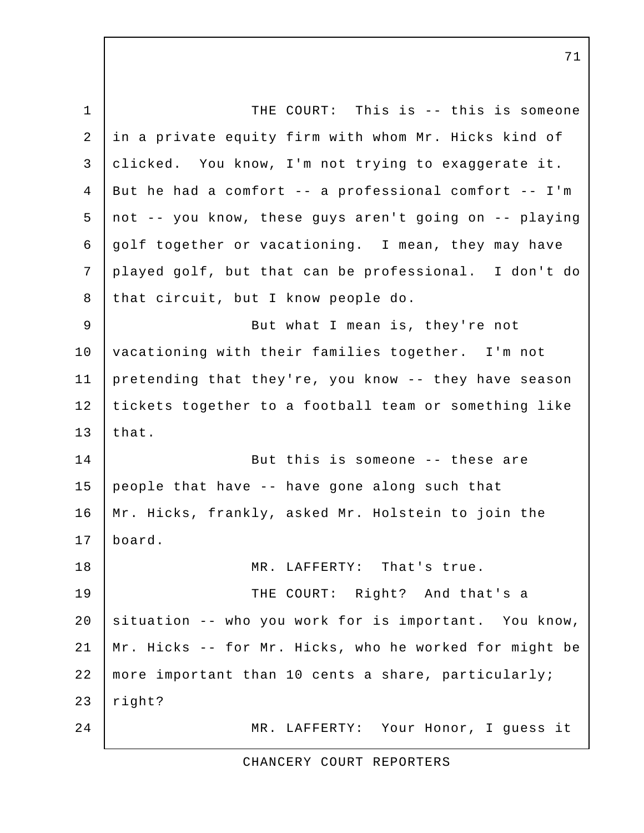1 THE COURT: This is -- this is someone 2 in a private equity firm with whom Mr. Hicks kind of 3 clicked. You know, I'm not trying to exaggerate it. 4 But he had a comfort -- a professional comfort -- I'm 5 not -- you know, these guys aren't going on -- playing 6 golf together or vacationing. I mean, they may have 7 played golf, but that can be professional. I don't do 8 that circuit, but I know people do. 9 | But what I mean is, they're not 10 | vacationing with their families together. I'm not 11 pretending that they're, you know -- they have season 12 tickets together to a football team or something like  $13$  that. 14 But this is someone -- these are 15 people that have  $-$ - have gone along such that 16 Mr. Hicks, frankly, asked Mr. Holstein to join the 17 board. 18 MR. LAFFERTY: That's true. 19 | THE COURT: Right? And that's a 20 situation -- who you work for is important. You know, 21 Mr. Hicks -- for Mr. Hicks, who he worked for might be 22 more important than 10 cents a share, particularly;  $23$  right? 24 MR. LAFFERTY: Your Honor, I guess it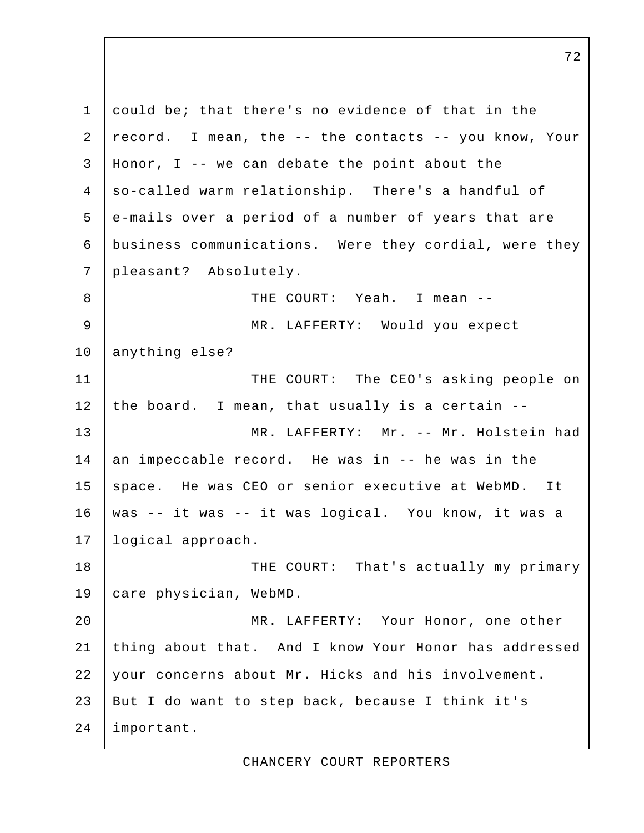1 could be; that there's no evidence of that in the 2 record. I mean, the -- the contacts -- you know, Your 3 Honor, I -- we can debate the point about the 4 so-called warm relationship. There's a handful of 5 e-mails over a period of a number of years that are 6 business communications. Were they cordial, were they 7 pleasant? Absolutely. 8 THE COURT: Yeah. I mean -- 9 MR. LAFFERTY: Would you expect 10 anything else? 11 | THE COURT: The CEO's asking people on 12 the board. I mean, that usually is a certain -- 13 MR. LAFFERTY: Mr. -- Mr. Holstein had 14 an impeccable record. He was in -- he was in the 15 space. He was CEO or senior executive at WebMD. It 16 was -- it was -- it was logical. You know, it was a 17 logical approach. 18 | THE COURT: That's actually my primary 19 care physician, WebMD. 20 MR. LAFFERTY: Your Honor, one other 21 thing about that. And I know Your Honor has addressed 22 your concerns about Mr. Hicks and his involvement. 23 But I do want to step back, because I think it's 24 important.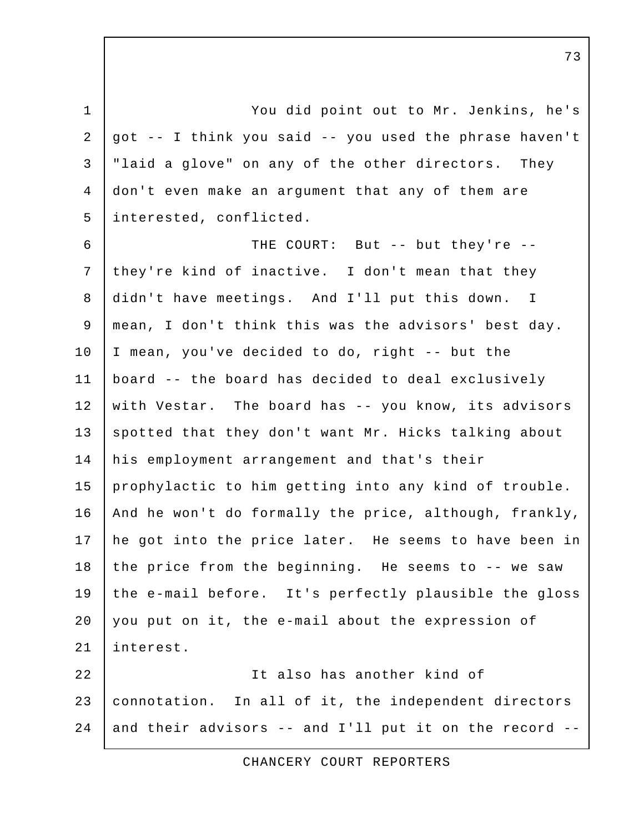1 You did point out to Mr. Jenkins, he's 2 got  $-$ - I think you said  $-$ - you used the phrase haven't 3 | "laid a glove" on any of the other directors. They 4 don't even make an argument that any of them are 5 interested, conflicted.

 6 THE COURT: But -- but they're -- 7 they're kind of inactive. I don't mean that they 8 didn't have meetings. And I'll put this down. I 9 mean, I don't think this was the advisors' best day. 10 I mean, you've decided to do, right -- but the 11 board -- the board has decided to deal exclusively 12 with Vestar. The board has -- you know, its advisors 13 spotted that they don't want Mr. Hicks talking about 14 his employment arrangement and that's their 15 prophylactic to him getting into any kind of trouble. 16 | And he won't do formally the price, although, frankly, 17 he got into the price later. He seems to have been in 18 the price from the beginning. He seems to  $-$ - we saw 19 the e-mail before. It's perfectly plausible the gloss 20 you put on it, the e-mail about the expression of 21 interest. 22 It also has another kind of 23 connotation. In all of it, the independent directors

24 and their advisors  $-$  and I'll put it on the record  $-$ 

CHANCERY COURT REPORTERS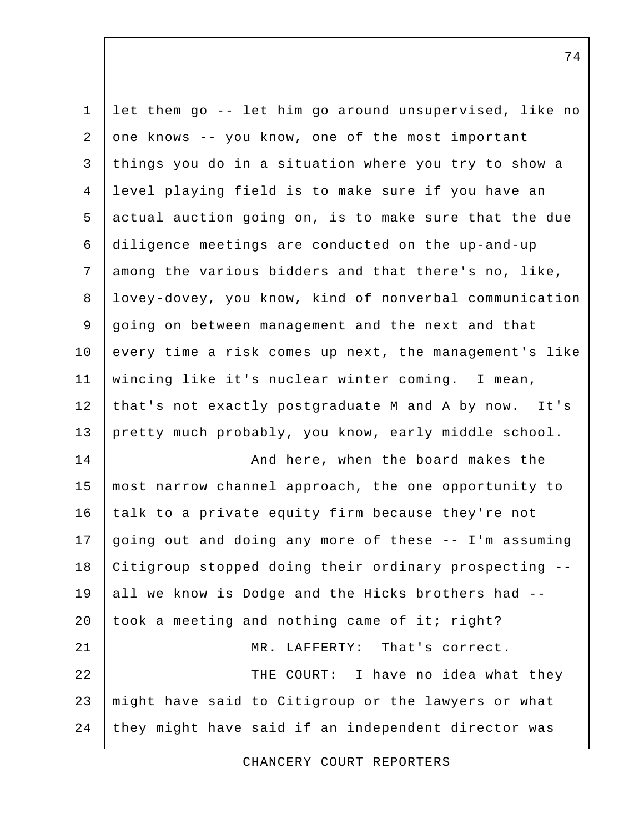| $\mathbf{1}$ | let them go -- let him go around unsupervised, like no |
|--------------|--------------------------------------------------------|
| 2            | one knows -- you know, one of the most important       |
| 3            | things you do in a situation where you try to show a   |
| 4            | level playing field is to make sure if you have an     |
| 5            | actual auction going on, is to make sure that the due  |
| 6            | diligence meetings are conducted on the up-and-up      |
| 7            | among the various bidders and that there's no, like,   |
| $\,8\,$      | lovey-dovey, you know, kind of nonverbal communication |
| 9            | going on between management and the next and that      |
| 10           | every time a risk comes up next, the management's like |
| 11           | wincing like it's nuclear winter coming. I mean,       |
| 12           | that's not exactly postgraduate M and A by now. It's   |
| 13           | pretty much probably, you know, early middle school.   |
| 14           | And here, when the board makes the                     |
| 15           | most narrow channel approach, the one opportunity to   |
| 16           | talk to a private equity firm because they're not      |
| 17           | going out and doing any more of these -- I'm assuming  |
| 18           | Citigroup stopped doing their ordinary prospecting --  |
| 19           | all we know is Dodge and the Hicks brothers had --     |
| 20           | took a meeting and nothing came of it; right?          |
| 21           | MR. LAFFERTY: That's correct.                          |
| 22           | THE COURT: I have no idea what they                    |
| 23           | might have said to Citigroup or the lawyers or what    |
| 24           | they might have said if an independent director was    |

CHANCERY COURT REPORTERS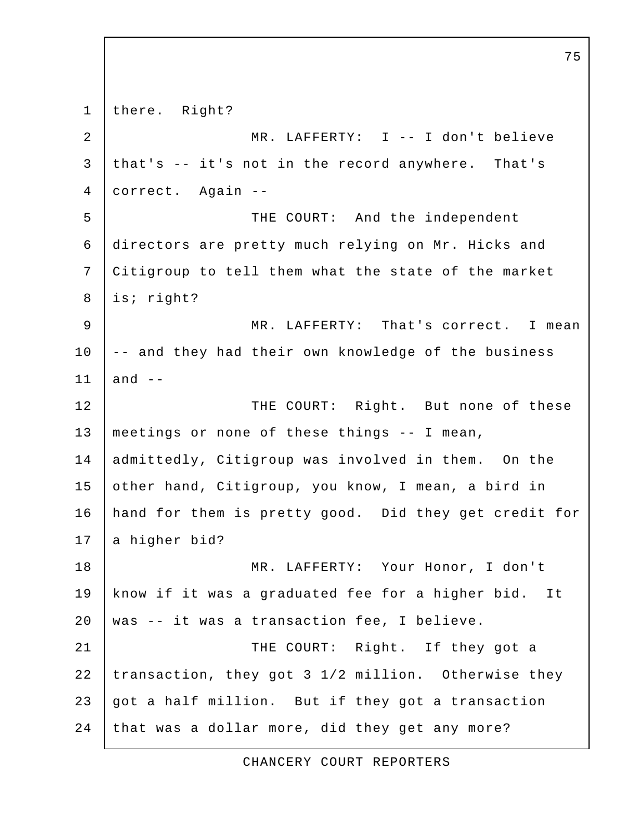1 there. Right? 2 MR. LAFFERTY: I -- I don't believe 3 that's -- it's not in the record anywhere. That's 4 correct. Again -- 5 THE COURT: And the independent 6 directors are pretty much relying on Mr. Hicks and 7 Citigroup to tell them what the state of the market 8 is; right? 9 MR. LAFFERTY: That's correct. I mean 10 | -- and they had their own knowledge of the business  $11$  and  $-$ 12 THE COURT: Right. But none of these 13 meetings or none of these things -- I mean, 14 admittedly, Citigroup was involved in them. On the 15 other hand, Citigroup, you know, I mean, a bird in 16 hand for them is pretty good. Did they get credit for  $17$  a higher bid? 18 MR. LAFFERTY: Your Honor, I don't 19 know if it was a graduated fee for a higher bid. It 20 | was  $-$  it was a transaction fee, I believe. 21 | THE COURT: Right. If they got a 22 transaction, they got 3 1/2 million. Otherwise they 23 got a half million. But if they got a transaction 24 that was a dollar more, did they get any more?

75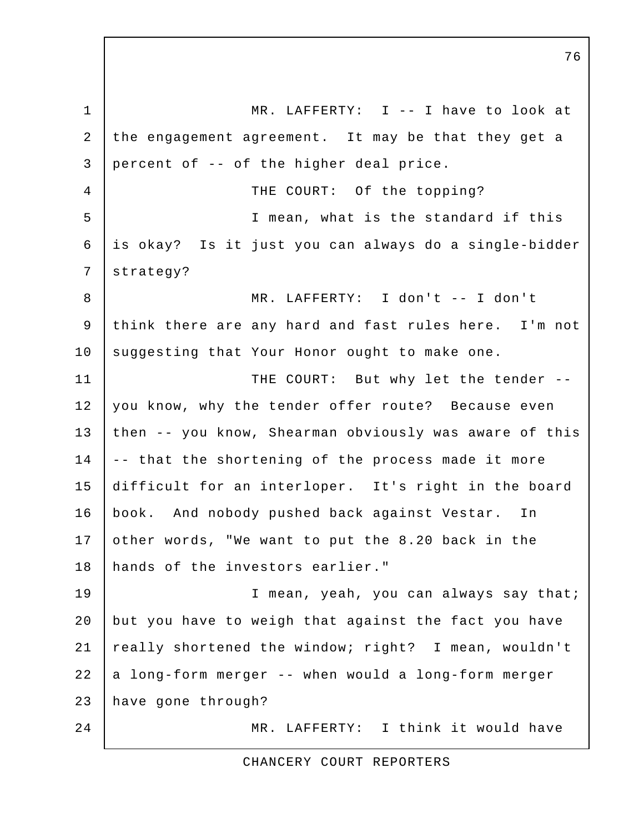1 MR. LAFFERTY: I -- I have to look at 2 the engagement agreement. It may be that they get a 3 percent of -- of the higher deal price. 4 THE COURT: Of the topping? 5 I mean, what is the standard if this 6 is okay? Is it just you can always do a single-bidder 7 strategy? 8 MR. LAFFERTY: I don't -- I don't 9 think there are any hard and fast rules here. I'm not 10 | suggesting that Your Honor ought to make one. 11 | THE COURT: But why let the tender --12 you know, why the tender offer route? Because even 13 then -- you know, Shearman obviously was aware of this 14 | -- that the shortening of the process made it more 15 difficult for an interloper. It's right in the board 16 book. And nobody pushed back against Vestar. In 17 other words, "We want to put the 8.20 back in the 18 hands of the investors earlier." 19 | Thean, yeah, you can always say that; 20 but you have to weigh that against the fact you have 21 really shortened the window; right? I mean, wouldn't  $22$  a long-form merger  $-$  when would a long-form merger 23 have gone through? 24 MR. LAFFERTY: I think it would have

CHANCERY COURT REPORTERS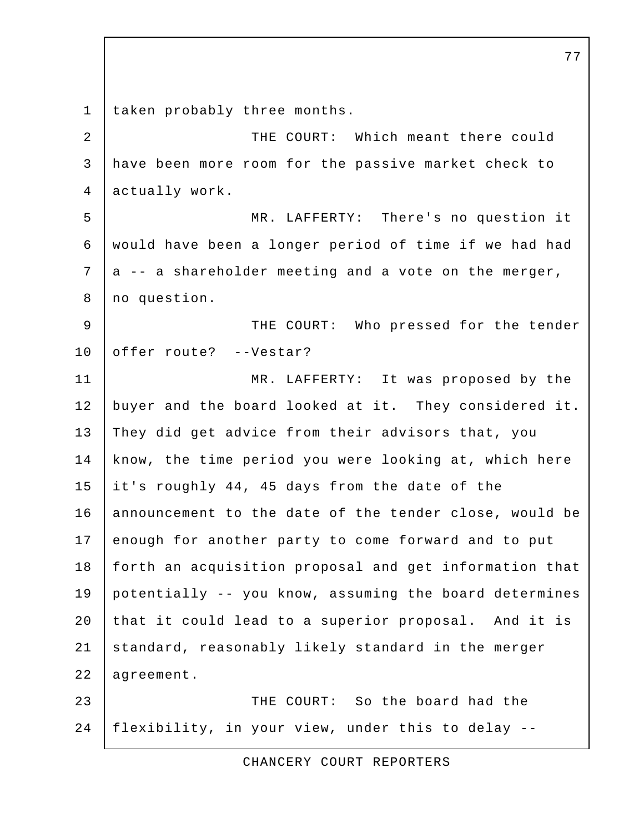1 taken probably three months. 2 THE COURT: Which meant there could 3 have been more room for the passive market check to 4 actually work. 5 MR. LAFFERTY: There's no question it 6 would have been a longer period of time if we had had  $7$  a -- a shareholder meeting and a vote on the merger, 8 | no question. 9 | THE COURT: Who pressed for the tender 10 offer route? --Vestar? 11 MR. LAFFERTY: It was proposed by the 12 buyer and the board looked at it. They considered it. 13 They did get advice from their advisors that, you 14 know, the time period you were looking at, which here 15 it's roughly 44, 45 days from the date of the 16 announcement to the date of the tender close, would be 17 enough for another party to come forward and to put 18 | forth an acquisition proposal and get information that 19 potentially -- you know, assuming the board determines 20 that it could lead to a superior proposal. And it is 21 standard, reasonably likely standard in the merger 22 agreement. 23 **THE COURT:** So the board had the 24 flexibility, in your view, under this to delay --

CHANCERY COURT REPORTERS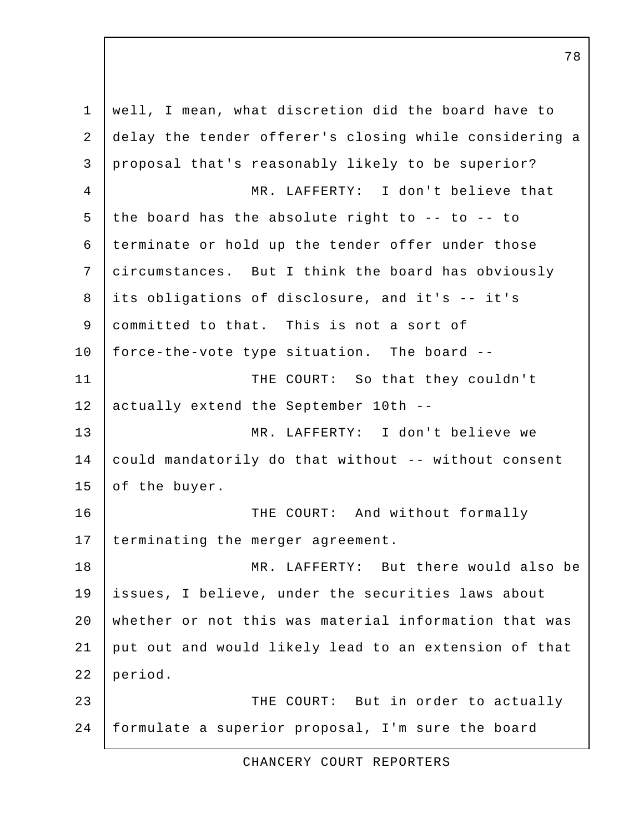1 well, I mean, what discretion did the board have to 2 delay the tender offerer's closing while considering a 3 proposal that's reasonably likely to be superior? 4 MR. LAFFERTY: I don't believe that 5 the board has the absolute right to -- to -- to 6 terminate or hold up the tender offer under those 7 circumstances. But I think the board has obviously 8 its obligations of disclosure, and it's -- it's 9 committed to that. This is not a sort of 10 force-the-vote type situation. The board -- 11 THE COURT: So that they couldn't 12 actually extend the September 10th --13 MR. LAFFERTY: I don't believe we 14 could mandatorily do that without -- without consent 15 of the buyer. 16 THE COURT: And without formally 17 | terminating the merger agreement. 18 MR. LAFFERTY: But there would also be 19 issues, I believe, under the securities laws about 20 whether or not this was material information that was 21 put out and would likely lead to an extension of that 22 period. 23 THE COURT: But in order to actually 24 formulate a superior proposal, I'm sure the board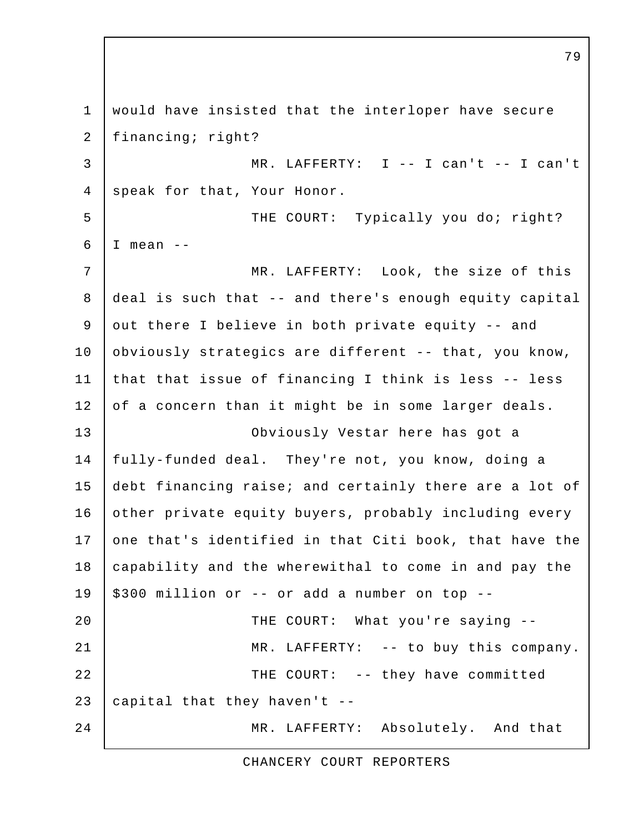1 would have insisted that the interloper have secure 2 | financing; right? 3 MR. LAFFERTY: I -- I can't -- I can't 4 speak for that, Your Honor. 5 THE COURT: Typically you do; right?  $6$  | I mean  $-$ 7 | MR. LAFFERTY: Look, the size of this 8 deal is such that -- and there's enough equity capital 9 out there I believe in both private equity -- and 10 | obviously strategics are different -- that, you know, 11 that that issue of financing I think is less -- less 12 of a concern than it might be in some larger deals. 13 Obviously Vestar here has got a 14 fully-funded deal. They're not, you know, doing a 15 debt financing raise; and certainly there are a lot of 16 other private equity buyers, probably including every 17 one that's identified in that Citi book, that have the 18 capability and the wherewithal to come in and pay the  $19$  | \$300 million or -- or add a number on top --20 THE COURT: What you're saying --21 | MR. LAFFERTY: -- to buy this company. 22 THE COURT: -- they have committed 23  $\vert$  capital that they haven't --24 MR. LAFFERTY: Absolutely. And that

CHANCERY COURT REPORTERS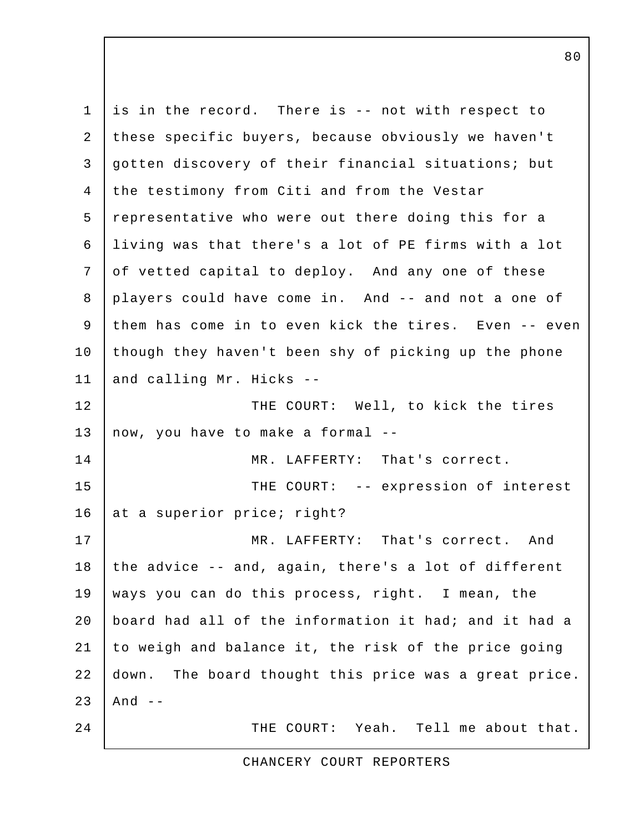1 is in the record. There is -- not with respect to 2 these specific buyers, because obviously we haven't 3 gotten discovery of their financial situations; but 4 the testimony from Citi and from the Vestar 5 representative who were out there doing this for a 6 living was that there's a lot of PE firms with a lot 7 of vetted capital to deploy. And any one of these 8 players could have come in. And -- and not a one of 9 them has come in to even kick the tires. Even -- even 10 though they haven't been shy of picking up the phone 11 and calling Mr. Hicks --12 THE COURT: Well, to kick the tires 13 now, you have to make a formal --14 MR. LAFFERTY: That's correct. 15 THE COURT: -- expression of interest 16 at a superior price; right? 17 MR. LAFFERTY: That's correct. And 18 the advice  $-$ - and, again, there's a lot of different 19 ways you can do this process, right. I mean, the 20 board had all of the information it had; and it had a 21 to weigh and balance it, the risk of the price going 22 down. The board thought this price was a great price.  $23$  And  $-$ 24 THE COURT: Yeah. Tell me about that.

CHANCERY COURT REPORTERS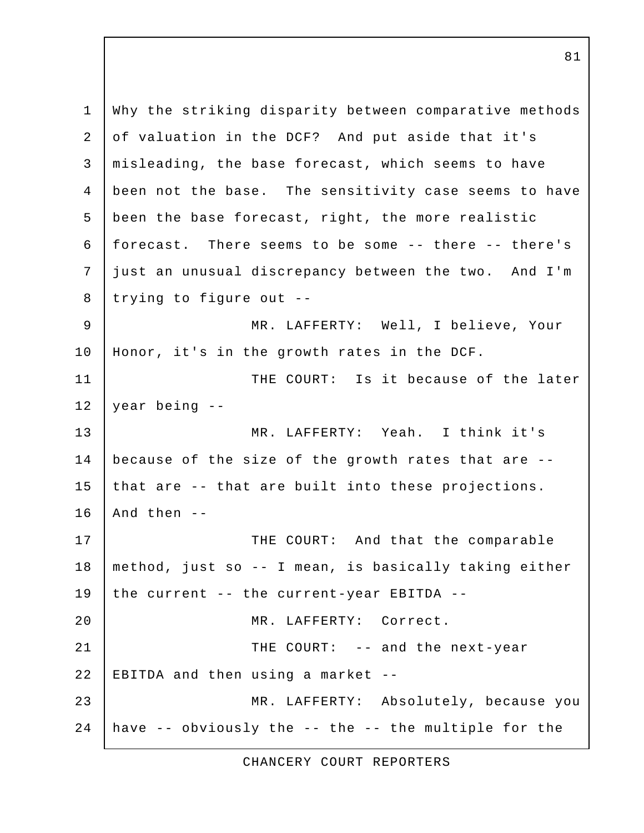1 Why the striking disparity between comparative methods 2 of valuation in the DCF? And put aside that it's 3 misleading, the base forecast, which seems to have 4 been not the base. The sensitivity case seems to have 5 been the base forecast, right, the more realistic 6 forecast. There seems to be some -- there -- there's 7 just an unusual discrepancy between the two. And I'm 8 | trying to figure out -- 9 MR. LAFFERTY: Well, I believe, Your 10 Honor, it's in the growth rates in the DCF. 11 | THE COURT: Is it because of the later  $12$  year being  $-$ 13 MR. LAFFERTY: Yeah. I think it's 14 because of the size of the growth rates that are -- 15 that are  $-$ - that are built into these projections.  $16$  | And then  $-$ 17 THE COURT: And that the comparable 18 method, just so -- I mean, is basically taking either 19 | the current -- the current-year EBITDA --20 MR. LAFFERTY: Correct. 21 THE COURT: -- and the next-year 22 EBITDA and then using a market  $-$ -23 MR. LAFFERTY: Absolutely, because you 24 | have  $-$  obviously the  $-$  the  $-$  the multiple for the

CHANCERY COURT REPORTERS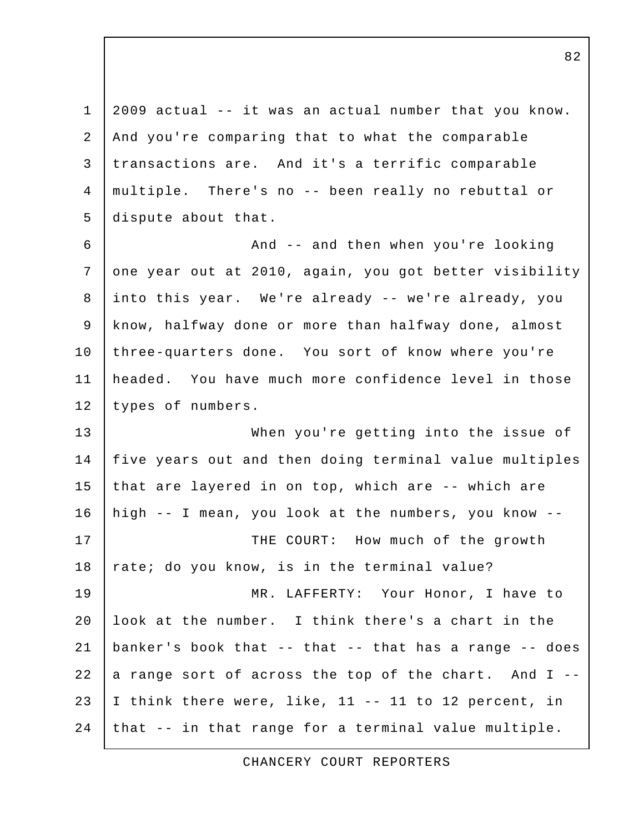1 2009 actual -- it was an actual number that you know. 2 And you're comparing that to what the comparable 3 transactions are. And it's a terrific comparable 4 multiple. There's no -- been really no rebuttal or 5 dispute about that. 6 | And -- and then when you're looking 7 one year out at 2010, again, you got better visibility 8 into this year. We're already -- we're already, you 9 know, halfway done or more than halfway done, almost 10 three-quarters done. You sort of know where you're 11 headed. You have much more confidence level in those 12 | types of numbers. 13 When you're getting into the issue of 14 | five years out and then doing terminal value multiples 15 that are layered in on top, which are -- which are 16 high -- I mean, you look at the numbers, you know -- 17 | THE COURT: How much of the growth 18  $\vert$  rate; do you know, is in the terminal value? 19 MR. LAFFERTY: Your Honor, I have to 20  $\vert$  look at the number. I think there's a chart in the 21 | banker's book that  $-$ - that  $-$ - that has a range  $-$ - does 22 a range sort of across the top of the chart. And  $I$  --23 I think there were, like, 11 -- 11 to 12 percent, in  $24$  that  $-$  in that range for a terminal value multiple.

CHANCERY COURT REPORTERS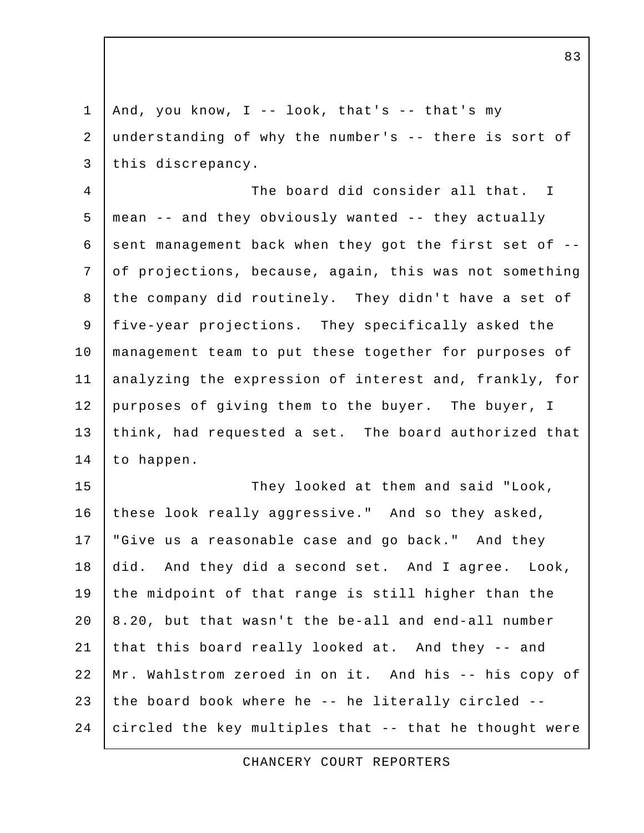1 | And, you know,  $I$  -- look, that's -- that's my 2 understanding of why the number's -- there is sort of 3 this discrepancy. 4 The board did consider all that. I 5 mean -- and they obviously wanted -- they actually 6 sent management back when they got the first set of  $-$ - 7 of projections, because, again, this was not something 8 the company did routinely. They didn't have a set of 9 five-year projections. They specifically asked the 10 management team to put these together for purposes of 11 analyzing the expression of interest and, frankly, for 12 purposes of giving them to the buyer. The buyer, I 13 think, had requested a set. The board authorized that 14 to happen. 15 They looked at them and said "Look, 16 these look really aggressive." And so they asked, 17 | "Give us a reasonable case and go back." And they 18 did. And they did a second set. And I agree. Look, 19 the midpoint of that range is still higher than the 20 8.20, but that wasn't the be-all and end-all number 21 that this board really looked at. And they -- and 22 Mr. Wahlstrom zeroed in on it. And his -- his copy of 23 the board book where he  $-$ - he literally circled  $-$ -24 circled the key multiples that -- that he thought were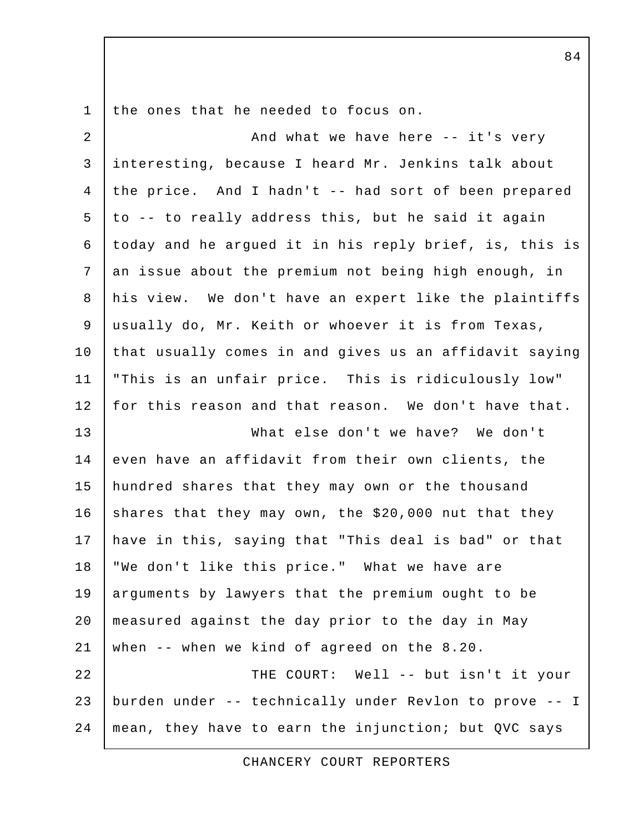1 the ones that he needed to focus on.

| $\overline{a}$ | And what we have here -- it's very                     |
|----------------|--------------------------------------------------------|
| $\mathsf{3}$   | interesting, because I heard Mr. Jenkins talk about    |
| $\overline{4}$ | the price. And I hadn't -- had sort of been prepared   |
| 5              | to -- to really address this, but he said it again     |
| 6              | today and he argued it in his reply brief, is, this is |
| 7              | an issue about the premium not being high enough, in   |
| 8              | his view. We don't have an expert like the plaintiffs  |
| 9              | usually do, Mr. Keith or whoever it is from Texas,     |
| 10             | that usually comes in and gives us an affidavit saying |
| 11             | "This is an unfair price. This is ridiculously low"    |
| 12             | for this reason and that reason. We don't have that.   |
| 13             | What else don't we have? We don't                      |
| 14             | even have an affidavit from their own clients, the     |
| 15             | hundred shares that they may own or the thousand       |
| 16             | shares that they may own, the \$20,000 nut that they   |
| 17             | have in this, saying that "This deal is bad" or that   |
| 18             | "We don't like this price." What we have are           |
| 19             | arguments by lawyers that the premium ought to be      |
| 20             | measured against the day prior to the day in May       |
| 21             | when -- when we kind of agreed on the 8.20.            |
| 22             | THE COURT: Well -- but isn't it your                   |
| 23             | burden under -- technically under Revlon to prove -- I |
| 24             | mean, they have to earn the injunction; but QVC says   |

CHANCERY COURT REPORTERS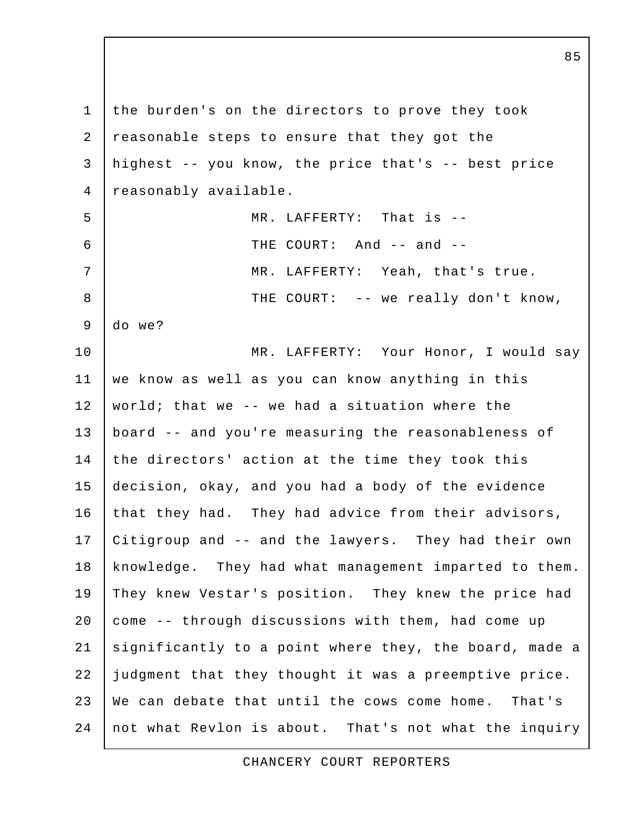1 the burden's on the directors to prove they took 2 reasonable steps to ensure that they got the 3 highest -- you know, the price that's -- best price 4 reasonably available. 5 MR. LAFFERTY: That is -- 6 | THE COURT: And -- and --7 | MR. LAFFERTY: Yeah, that's true. 8 THE COURT: -- we really don't know, 9 do we? 10 | MR. LAFFERTY: Your Honor, I would say 11 we know as well as you can know anything in this 12 world; that we -- we had a situation where the 13 board -- and you're measuring the reasonableness of 14 the directors' action at the time they took this 15 decision, okay, and you had a body of the evidence 16 that they had. They had advice from their advisors, 17 Citigroup and -- and the lawyers. They had their own 18 | knowledge. They had what management imparted to them. 19 They knew Vestar's position. They knew the price had 20 come -- through discussions with them, had come up 21 significantly to a point where they, the board, made a 22 judgment that they thought it was a preemptive price. 23 We can debate that until the cows come home. That's 24 not what Revlon is about. That's not what the inquiry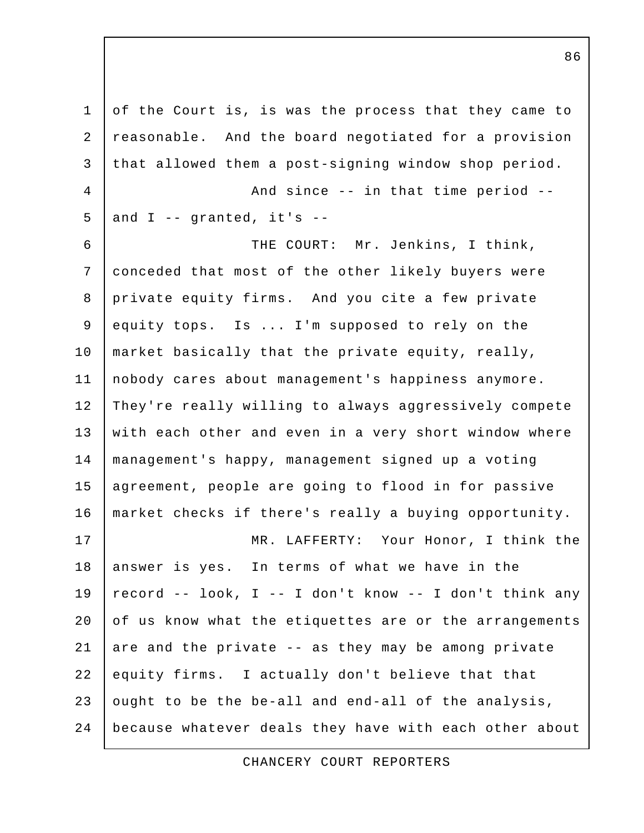1 of the Court is, is was the process that they came to 2 reasonable. And the board negotiated for a provision 3 that allowed them a post-signing window shop period. 4 And since -- in that time period -- $5$  and I -- granted, it's -- 6 THE COURT: Mr. Jenkins, I think, 7 conceded that most of the other likely buyers were 8 private equity firms. And you cite a few private 9 equity tops. Is ... I'm supposed to rely on the 10 market basically that the private equity, really, 11 nobody cares about management's happiness anymore. 12 They're really willing to always aggressively compete 13 with each other and even in a very short window where 14 management's happy, management signed up a voting 15 agreement, people are going to flood in for passive 16 market checks if there's really a buying opportunity. 17 | MR. LAFFERTY: Your Honor, I think the 18 answer is yes. In terms of what we have in the 19  $\vert$  record -- look, I -- I don't know -- I don't think any  $20$  of us know what the etiquettes are or the arrangements 21 are and the private  $-$  as they may be among private 22 equity firms. I actually don't believe that that 23 ought to be the be-all and end-all of the analysis, 24 because whatever deals they have with each other about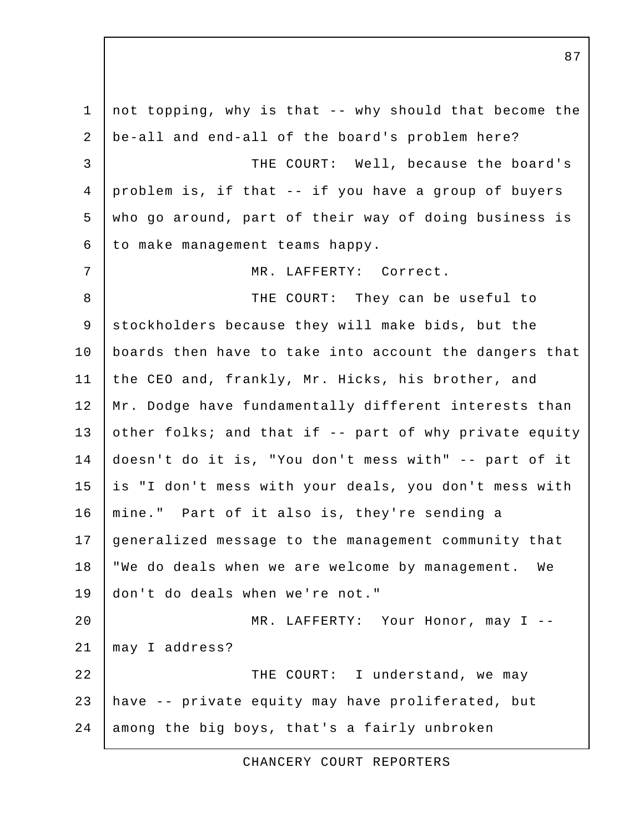1 not topping, why is that -- why should that become the 2 be-all and end-all of the board's problem here? 3 THE COURT: Well, because the board's 4 problem is, if that -- if you have a group of buyers 5 who go around, part of their way of doing business is 6 to make management teams happy. 7 | MR. LAFFERTY: Correct. 8 THE COURT: They can be useful to 9 stockholders because they will make bids, but the 10 boards then have to take into account the dangers that 11 the CEO and, frankly, Mr. Hicks, his brother, and 12 | Mr. Dodge have fundamentally different interests than 13 other folks; and that if  $-$  part of why private equity 14 doesn't do it is, "You don't mess with" -- part of it 15 is "I don't mess with your deals, you don't mess with 16 mine." Part of it also is, they're sending a 17 generalized message to the management community that 18 | "We do deals when we are welcome by management. We 19 don't do deals when we're not." 20 | MR. LAFFERTY: Your Honor, may I --21 may I address? 22 THE COURT: I understand, we may 23 have -- private equity may have proliferated, but 24 among the big boys, that's a fairly unbroken

CHANCERY COURT REPORTERS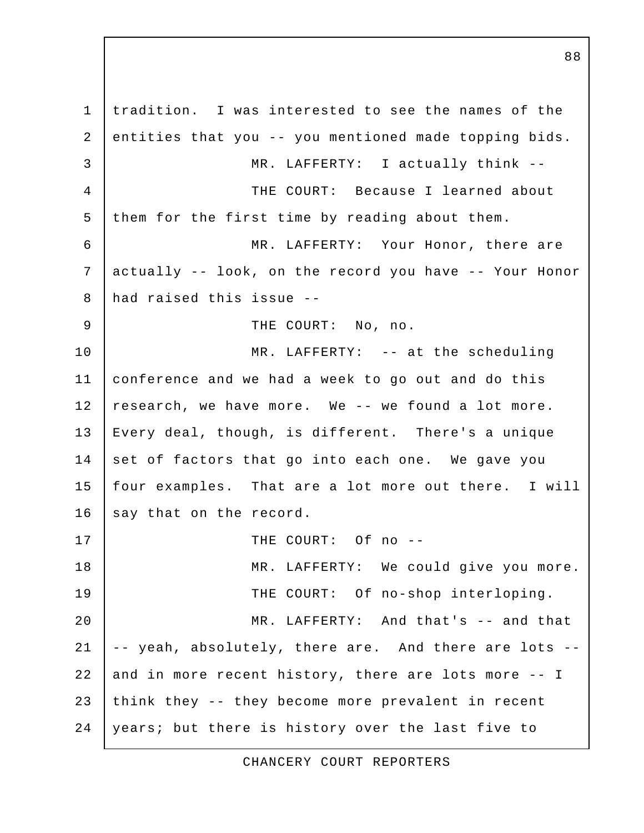1 tradition. I was interested to see the names of the 2 entities that you -- you mentioned made topping bids. 3 MR. LAFFERTY: I actually think -- 4 THE COURT: Because I learned about 5 them for the first time by reading about them. 6 MR. LAFFERTY: Your Honor, there are 7 actually -- look, on the record you have -- Your Honor 8 had raised this issue -- 9 | THE COURT: No, no. 10 | MR. LAFFERTY: -- at the scheduling 11 conference and we had a week to go out and do this 12 research, we have more. We -- we found a lot more. 13 Every deal, though, is different. There's a unique 14 set of factors that go into each one. We gave you 15 four examples. That are a lot more out there. I will 16 say that on the record. 17 I THE COURT: Of no --18 | MR. LAFFERTY: We could give you more. 19 THE COURT: Of no-shop interloping. 20 MR. LAFFERTY: And that's -- and that  $21$   $\vert$  -- yeah, absolutely, there are. And there are lots --22 and in more recent history, there are lots more -- I 23 think they -- they become more prevalent in recent 24 years; but there is history over the last five to

CHANCERY COURT REPORTERS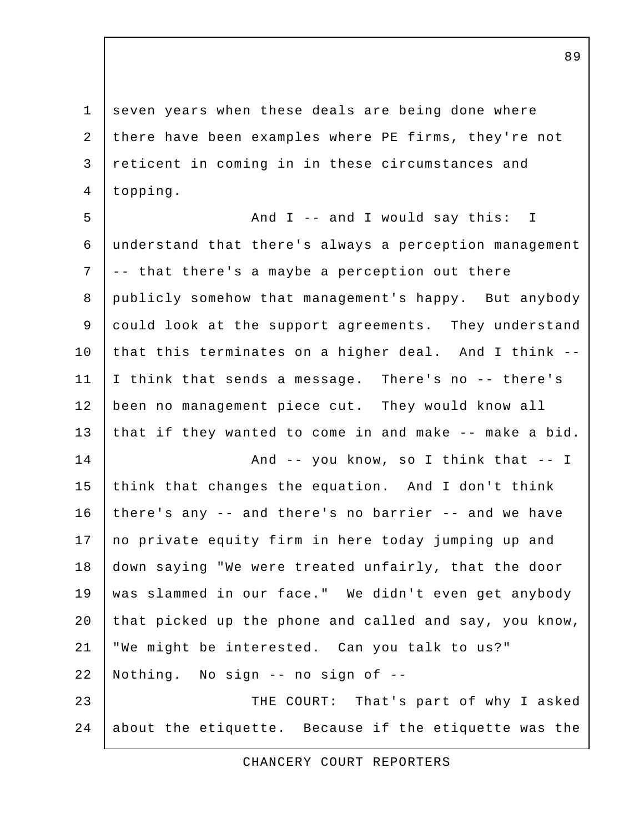1 seven years when these deals are being done where 2 there have been examples where PE firms, they're not 3 reticent in coming in in these circumstances and 4 topping.

5 And I -- and I would say this: I 6 understand that there's always a perception management 7 -- that there's a maybe a perception out there 8 publicly somehow that management's happy. But anybody 9 could look at the support agreements. They understand 10 that this terminates on a higher deal. And I think --11 I think that sends a message. There's no -- there's 12 been no management piece cut. They would know all 13 that if they wanted to come in and make -- make a bid. 14 | And -- you know, so I think that -- I 15 think that changes the equation. And I don't think 16 there's any -- and there's no barrier -- and we have 17 no private equity firm in here today jumping up and 18 down saying "We were treated unfairly, that the door 19 was slammed in our face." We didn't even get anybody 20 that picked up the phone and called and say, you know, 21 "We might be interested. Can you talk to us?" 22 Nothing. No sign -- no sign of -- 23 THE COURT: That's part of why I asked 24 about the etiquette. Because if the etiquette was the

CHANCERY COURT REPORTERS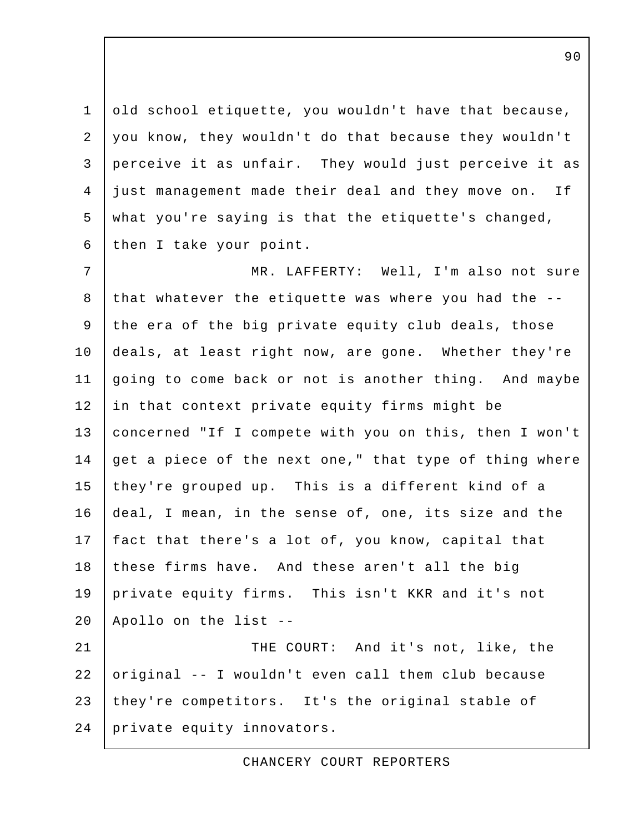1 old school etiquette, you wouldn't have that because, 2 you know, they wouldn't do that because they wouldn't 3 perceive it as unfair. They would just perceive it as 4 just management made their deal and they move on. If 5 what you're saying is that the etiquette's changed, 6 then I take your point.

7 | MR. LAFFERTY: Well, I'm also not sure 8 that whatever the etiquette was where you had the -- 9 the era of the big private equity club deals, those 10 deals, at least right now, are gone. Whether they're 11 going to come back or not is another thing. And maybe 12 in that context private equity firms might be 13 concerned "If I compete with you on this, then I won't 14 get a piece of the next one," that type of thing where 15 they're grouped up. This is a different kind of a 16 deal, I mean, in the sense of, one, its size and the 17 | fact that there's a lot of, you know, capital that 18 these firms have. And these aren't all the big 19 private equity firms. This isn't KKR and it's not 20 Apollo on the list -- 21 | THE COURT: And it's not, like, the 22 original -- I wouldn't even call them club because

23 they're competitors. It's the original stable of

24 private equity innovators.

CHANCERY COURT REPORTERS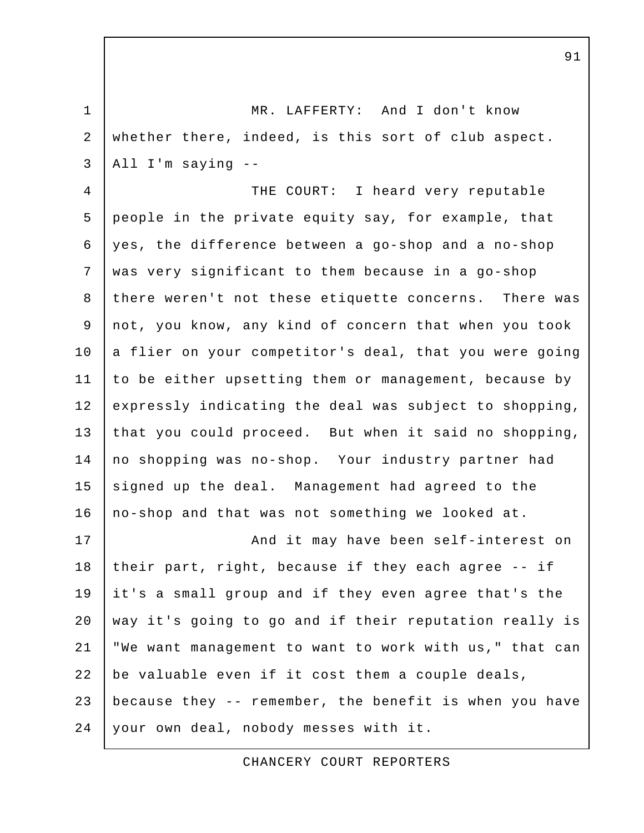1 MR. LAFFERTY: And I don't know 2 whether there, indeed, is this sort of club aspect.  $3$  | All I'm saying  $-$ 

4 THE COURT: I heard very reputable 5 people in the private equity say, for example, that 6 yes, the difference between a go-shop and a no-shop 7 was very significant to them because in a go-shop 8 there weren't not these etiquette concerns. There was 9 not, you know, any kind of concern that when you took 10 a flier on your competitor's deal, that you were going 11 to be either upsetting them or management, because by 12 expressly indicating the deal was subject to shopping, 13 that you could proceed. But when it said no shopping, 14 no shopping was no-shop. Your industry partner had 15 signed up the deal. Management had agreed to the 16 no-shop and that was not something we looked at.

17 | And it may have been self-interest on 18 their part, right, because if they each agree  $-$ - if 19 it's a small group and if they even agree that's the 20 | way it's going to go and if their reputation really is 21 "We want management to want to work with us," that can 22 be valuable even if it cost them a couple deals, 23 because they -- remember, the benefit is when you have 24 your own deal, nobody messes with it.

CHANCERY COURT REPORTERS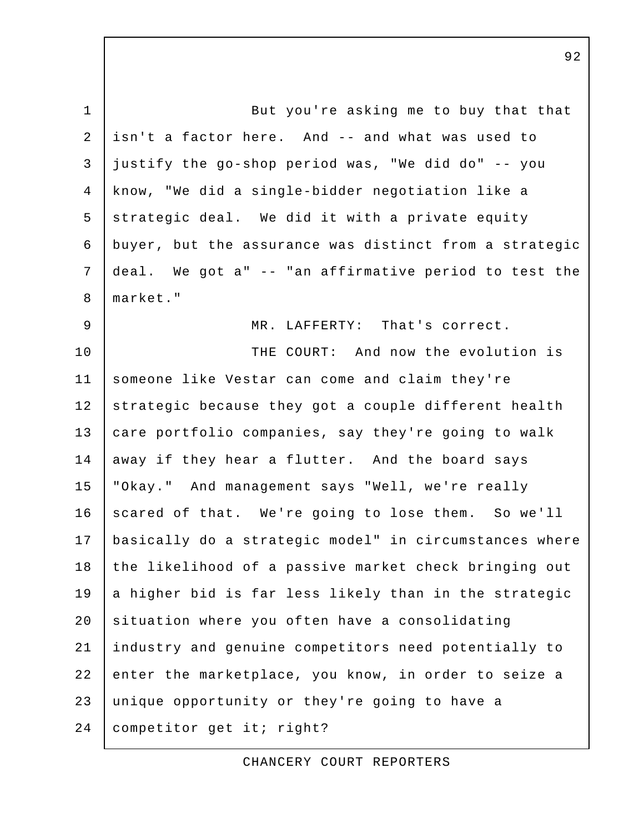1 But you're asking me to buy that that 2 isn't a factor here. And -- and what was used to  $3$  justify the go-shop period was, "We did do" -- you 4 know, "We did a single-bidder negotiation like a  $5$  strategic deal. We did it with a private equity 6 buyer, but the assurance was distinct from a strategic 7 deal. We got a" -- "an affirmative period to test the 8 market." 9 MR. LAFFERTY: That's correct. 10 THE COURT: And now the evolution is 11 someone like Vestar can come and claim they're 12 strategic because they got a couple different health 13 care portfolio companies, say they're going to walk 14 away if they hear a flutter. And the board says 15 "Okay." And management says "Well, we're really 16 scared of that. We're going to lose them. So we'll 17 basically do a strategic model" in circumstances where 18 the likelihood of a passive market check bringing out 19 a higher bid is far less likely than in the strategic 20 situation where you often have a consolidating 21 industry and genuine competitors need potentially to 22 enter the marketplace, you know, in order to seize a 23 unique opportunity or they're going to have a 24 | competitor get it; right?

CHANCERY COURT REPORTERS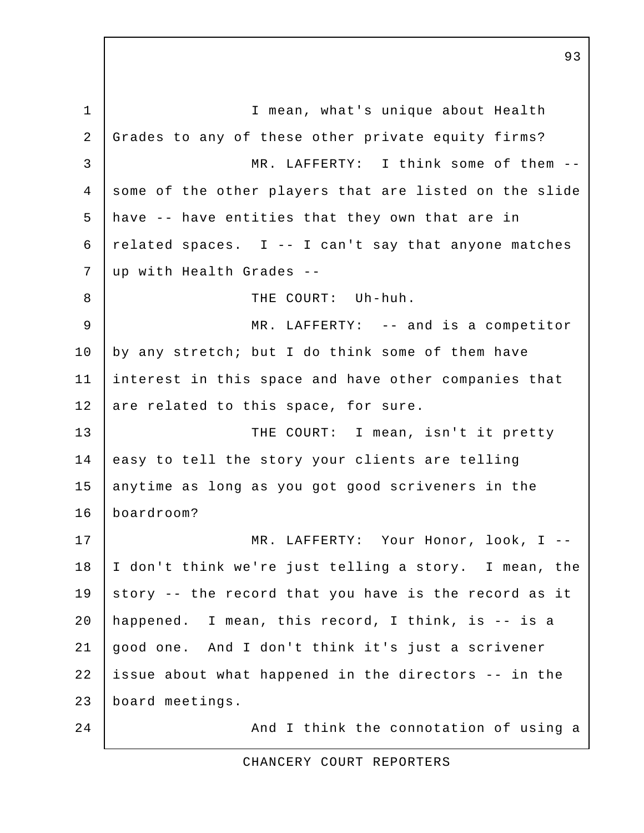1 | I mean, what's unique about Health 2 Grades to any of these other private equity firms? 3 MR. LAFFERTY: I think some of them -- 4 some of the other players that are listed on the slide 5 have -- have entities that they own that are in 6  $|$  related spaces. I -- I can't say that anyone matches 7 up with Health Grades -- 8 | THE COURT: Uh-huh. 9 MR. LAFFERTY: -- and is a competitor 10 by any stretch; but I do think some of them have 11 interest in this space and have other companies that 12 are related to this space, for sure. 13 THE COURT: I mean, isn't it pretty 14 easy to tell the story your clients are telling 15 anytime as long as you got good scriveners in the 16 boardroom? 17 | MR. LAFFERTY: Your Honor, look, I --18 I don't think we're just telling a story. I mean, the 19 story -- the record that you have is the record as it 20 happened. I mean, this record, I think, is -- is a 21 good one. And I don't think it's just a scrivener 22 issue about what happened in the directors -- in the 23 board meetings. 24 | And I think the connotation of using a

CHANCERY COURT REPORTERS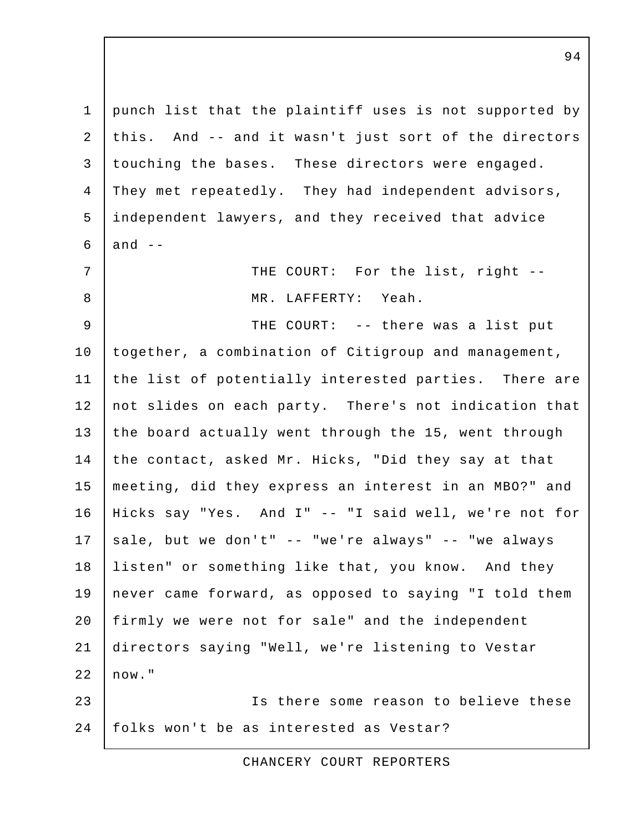1 punch list that the plaintiff uses is not supported by 2 this. And -- and it wasn't just sort of the directors 3 touching the bases. These directors were engaged. 4 They met repeatedly. They had independent advisors, 5 independent lawyers, and they received that advice  $6$  and  $-$ 7 | THE COURT: For the list, right -- 8 MR. LAFFERTY: Yeah. 9 THE COURT: -- there was a list put 10 together, a combination of Citigroup and management, 11 the list of potentially interested parties. There are 12 not slides on each party. There's not indication that 13 the board actually went through the 15, went through 14 the contact, asked Mr. Hicks, "Did they say at that 15 meeting, did they express an interest in an MBO?" and 16 Hicks say "Yes. And I" -- "I said well, we're not for 17 sale, but we don't" -- "we're always" -- "we always 18 listen" or something like that, you know. And they 19 never came forward, as opposed to saying "I told them 20 firmly we were not for sale" and the independent 21 directors saying "Well, we're listening to Vestar  $22 \mid now."$ 23 Is there some reason to believe these 24 | folks won't be as interested as Vestar?

CHANCERY COURT REPORTERS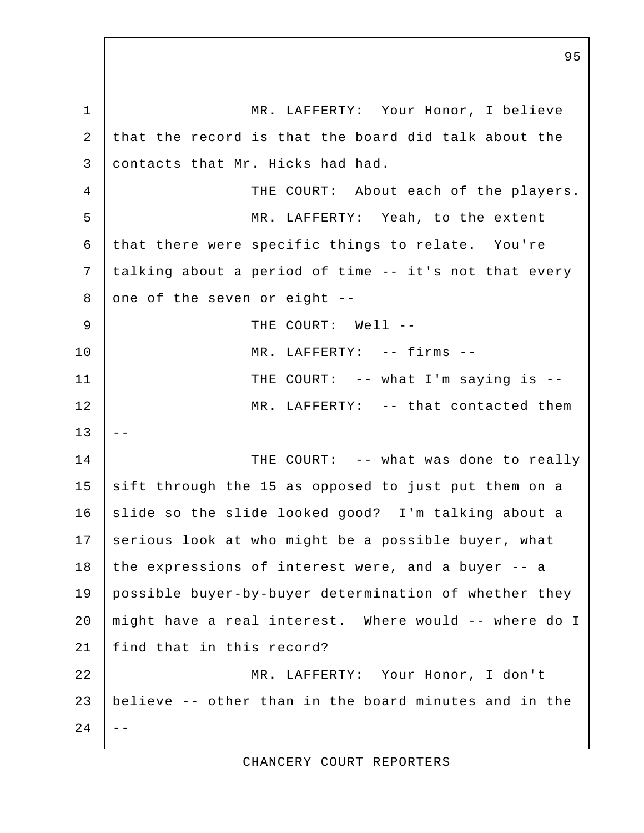1 | MR. LAFFERTY: Your Honor, I believe 2 that the record is that the board did talk about the 3 contacts that Mr. Hicks had had. 4 THE COURT: About each of the players. 5 MR. LAFFERTY: Yeah, to the extent 6 that there were specific things to relate. You're 7 talking about a period of time -- it's not that every 8 one of the seven or eight  $-$ 9 | THE COURT: Well --10 MR. LAFFERTY: -- firms -- 11 | THE COURT: -- what I'm saying is --12 MR. LAFFERTY: -- that contacted them  $13$ 14 THE COURT: -- what was done to really 15 sift through the 15 as opposed to just put them on a 16 slide so the slide looked good? I'm talking about a 17 serious look at who might be a possible buyer, what 18 the expressions of interest were, and a buyer -- a 19 possible buyer-by-buyer determination of whether they 20 might have a real interest. Where would -- where do I 21 find that in this record? 22 MR. LAFFERTY: Your Honor, I don't 23 believe -- other than in the board minutes and in the  $24$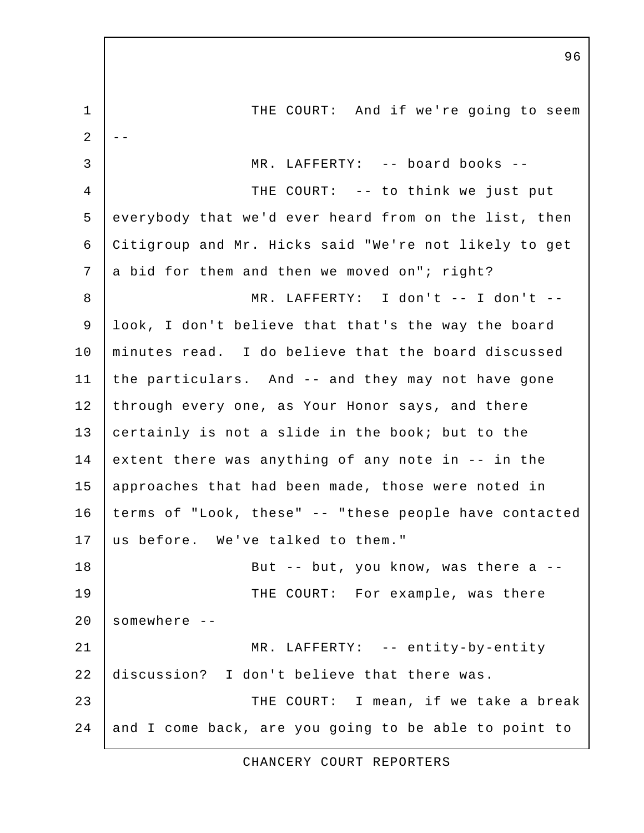1 THE COURT: And if we're going to seem  $\overline{2}$  3 MR. LAFFERTY: -- board books -- 4 THE COURT: -- to think we just put 5 everybody that we'd ever heard from on the list, then 6 Citigroup and Mr. Hicks said "We're not likely to get 7 a bid for them and then we moved on"; right? 8 MR. LAFFERTY: I don't -- I don't -- 9 look, I don't believe that that's the way the board 10 minutes read. I do believe that the board discussed 11 the particulars. And -- and they may not have gone 12 through every one, as Your Honor says, and there 13 certainly is not a slide in the book; but to the 14 extent there was anything of any note in  $-$  in the 15 approaches that had been made, those were noted in 16 terms of "Look, these" -- "these people have contacted 17 us before. We've talked to them." 18 | Rut -- but, you know, was there a --19 THE COURT: For example, was there  $20$  somewhere  $-$ 21 | MR. LAFFERTY: -- entity-by-entity 22 discussion? I don't believe that there was. 23 **THE COURT:** I mean, if we take a break 24 and I come back, are you going to be able to point to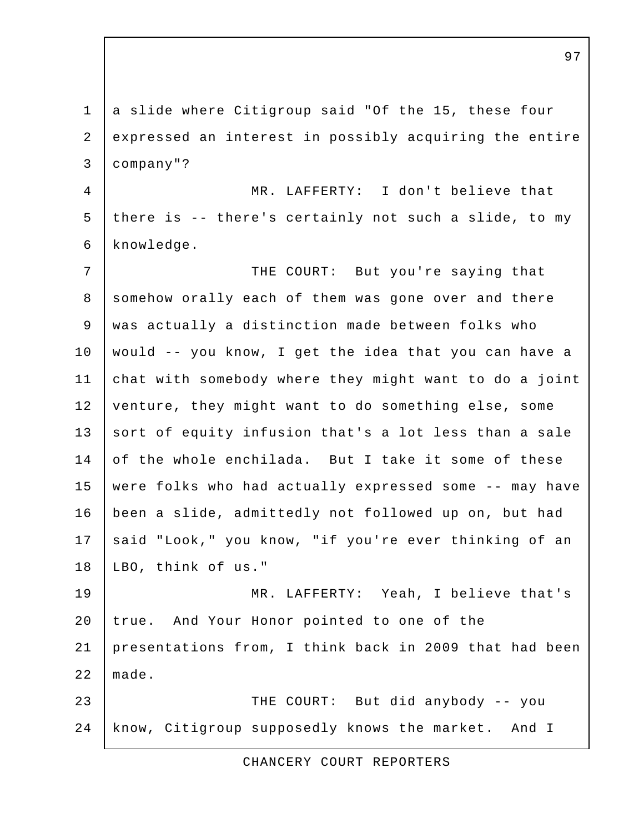1 a slide where Citigroup said "Of the 15, these four 2 expressed an interest in possibly acquiring the entire 3 company"? 4 MR. LAFFERTY: I don't believe that 5 there is -- there's certainly not such a slide, to my 6 knowledge. 7 | THE COURT: But you're saying that 8 somehow orally each of them was gone over and there 9 was actually a distinction made between folks who 10 would -- you know, I get the idea that you can have a 11 chat with somebody where they might want to do a joint 12 venture, they might want to do something else, some 13 sort of equity infusion that's a lot less than a sale 14 of the whole enchilada. But I take it some of these 15 were folks who had actually expressed some -- may have 16 been a slide, admittedly not followed up on, but had 17 said "Look," you know, "if you're ever thinking of an 18 LBO, think of us." 19 MR. LAFFERTY: Yeah, I believe that's 20 true. And Your Honor pointed to one of the 21 presentations from, I think back in 2009 that had been 22 made. 23 THE COURT: But did anybody -- you 24 | know, Citigroup supposedly knows the market. And I

CHANCERY COURT REPORTERS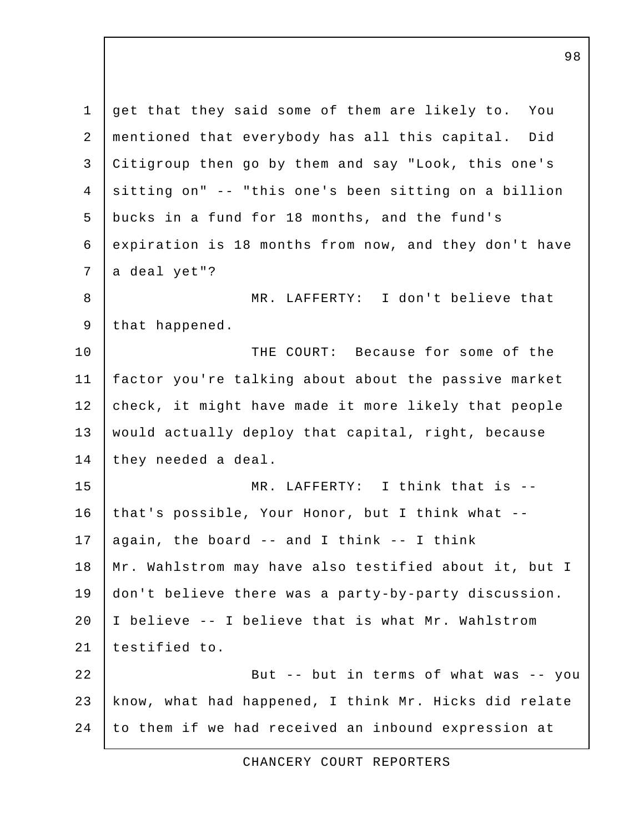1 get that they said some of them are likely to. You 2 mentioned that everybody has all this capital. Did 3 Citigroup then go by them and say "Look, this one's 4 sitting on" -- "this one's been sitting on a billion 5 bucks in a fund for 18 months, and the fund's 6 expiration is 18 months from now, and they don't have  $7$  a deal yet"? 8 | MR. LAFFERTY: I don't believe that 9 | that happened. 10 THE COURT: Because for some of the 11 factor you're talking about about the passive market 12 check, it might have made it more likely that people 13 | would actually deploy that capital, right, because 14 they needed a deal. 15 MR. LAFFERTY: I think that is -- 16 that's possible, Your Honor, but I think what -- 17 again, the board  $-$  and I think  $-$ - I think 18 | Mr. Wahlstrom may have also testified about it, but I 19 don't believe there was a party-by-party discussion. 20 I believe -- I believe that is what Mr. Wahlstrom 21 testified to. 22 | Sut -- but in terms of what was -- you 23 know, what had happened, I think Mr. Hicks did relate 24 to them if we had received an inbound expression at

CHANCERY COURT REPORTERS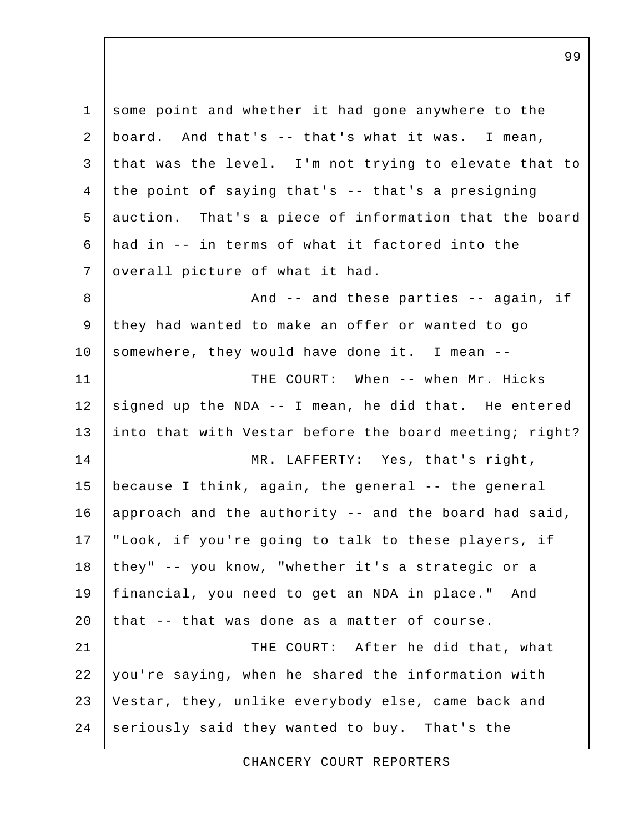1 some point and whether it had gone anywhere to the 2 board. And that's -- that's what it was. I mean, 3 that was the level. I'm not trying to elevate that to 4 the point of saying that's -- that's a presigning 5 auction. That's a piece of information that the board 6 had in -- in terms of what it factored into the 7 overall picture of what it had. 8 and -- and these parties -- again, if 9 they had wanted to make an offer or wanted to go 10 somewhere, they would have done it. I mean --11 | THE COURT: When -- when Mr. Hicks 12 signed up the NDA  $-$ - I mean, he did that. He entered 13 into that with Vestar before the board meeting; right? 14 MR. LAFFERTY: Yes, that's right, 15 because I think, again, the general -- the general 16 | approach and the authority  $-$  and the board had said, 17 "Look, if you're going to talk to these players, if 18 they" -- you know, "whether it's a strategic or a 19 financial, you need to get an NDA in place." And 20 that  $-$  that was done as a matter of course. 21 | THE COURT: After he did that, what 22 you're saying, when he shared the information with 23 Vestar, they, unlike everybody else, came back and 24 seriously said they wanted to buy. That's the

CHANCERY COURT REPORTERS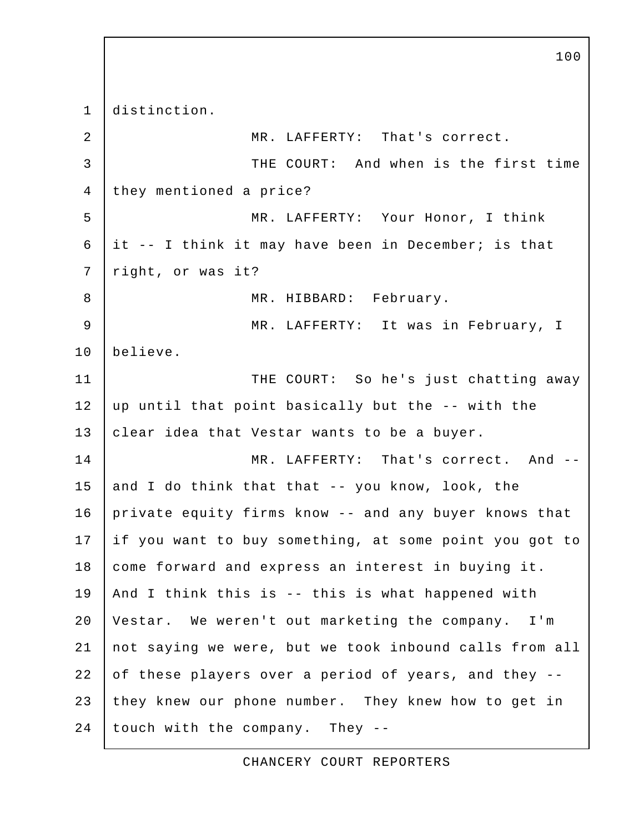1 distinction. 2 MR. LAFFERTY: That's correct. 3 THE COURT: And when is the first time 4 they mentioned a price? 5 MR. LAFFERTY: Your Honor, I think 6 it -- I think it may have been in December; is that 7 | right, or was it? 8 MR. HIBBARD: February. 9 MR. LAFFERTY: It was in February, I 10 believe. 11 | THE COURT: So he's just chatting away 12  $\mu$  up until that point basically but the  $-$ - with the 13 clear idea that Vestar wants to be a buyer. 14 MR. LAFFERTY: That's correct. And --15 and I do think that that  $-$ - you know, look, the 16 private equity firms know -- and any buyer knows that 17 | if you want to buy something, at some point you got to 18 come forward and express an interest in buying it. 19 And I think this is -- this is what happened with 20 Vestar. We weren't out marketing the company. I'm 21 not saying we were, but we took inbound calls from all 22 of these players over a period of years, and they --23 they knew our phone number. They knew how to get in  $24$  touch with the company. They --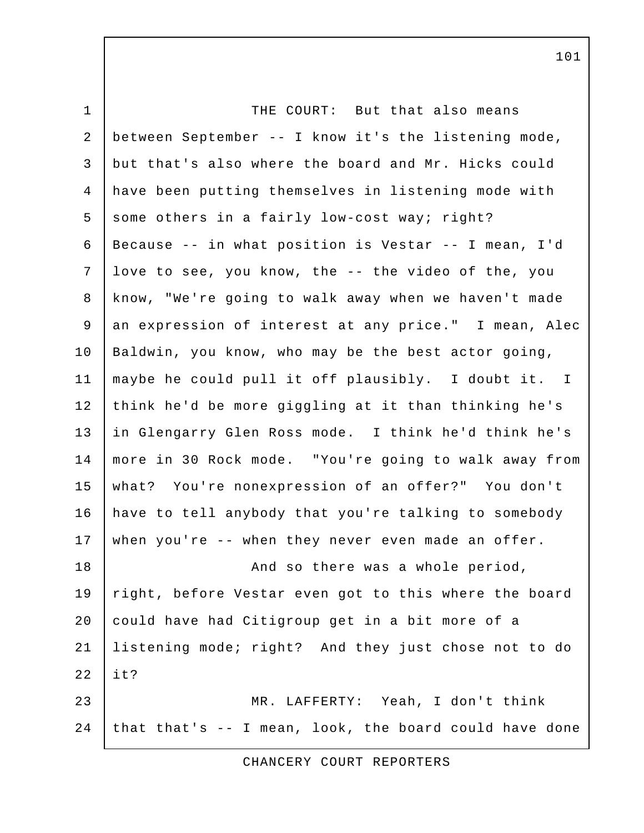1 THE COURT: But that also means 2 between September -- I know it's the listening mode, 3 but that's also where the board and Mr. Hicks could 4 have been putting themselves in listening mode with 5 some others in a fairly low-cost way; right? 6 Because -- in what position is Vestar -- I mean, I'd 7 love to see, you know, the -- the video of the, you 8 know, "We're going to walk away when we haven't made 9 an expression of interest at any price." I mean, Alec 10 | Baldwin, you know, who may be the best actor going, 11 maybe he could pull it off plausibly. I doubt it. I 12 think he'd be more giggling at it than thinking he's 13 in Glengarry Glen Ross mode. I think he'd think he's 14 more in 30 Rock mode. "You're going to walk away from 15 what? You're nonexpression of an offer?" You don't 16 have to tell anybody that you're talking to somebody 17 when you're -- when they never even made an offer. 18 | Construction and so there was a whole period, 19 right, before Vestar even got to this where the board 20 could have had Citigroup get in a bit more of a 21 listening mode; right? And they just chose not to do  $22$  | it? 23 MR. LAFFERTY: Yeah, I don't think 24 that that's  $-$  I mean, look, the board could have done

CHANCERY COURT REPORTERS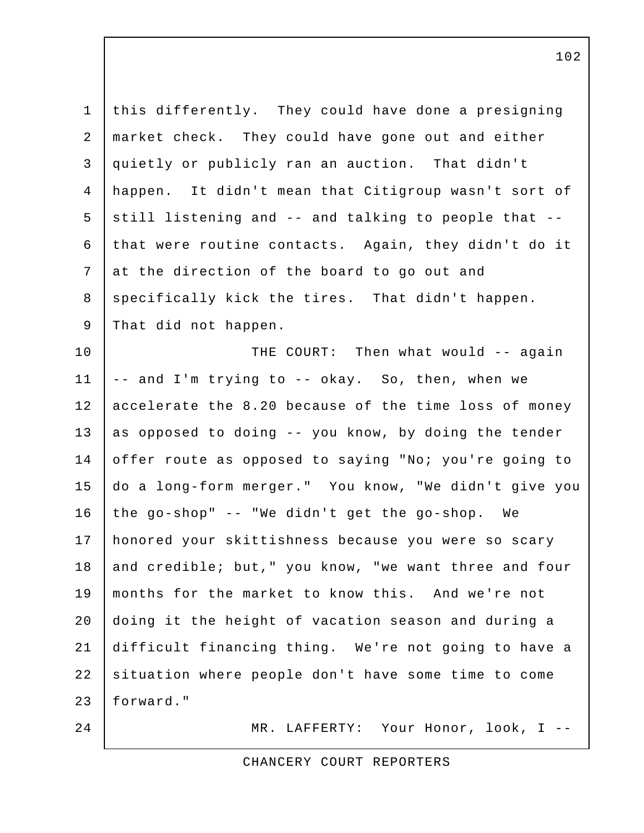| $\mathbf 1$ | this differently. They could have done a presigning   |
|-------------|-------------------------------------------------------|
| 2           | market check. They could have gone out and either     |
| 3           | quietly or publicly ran an auction. That didn't       |
| 4           | happen. It didn't mean that Citigroup wasn't sort of  |
| 5           | still listening and -- and talking to people that --  |
| 6           | that were routine contacts. Again, they didn't do it  |
| 7           | at the direction of the board to go out and           |
| 8           | specifically kick the tires. That didn't happen.      |
| 9           | That did not happen.                                  |
| 10          | THE COURT: Then what would -- again                   |
| 11          | -- and I'm trying to -- okay. So, then, when we       |
| 12          | accelerate the 8.20 because of the time loss of money |
| 13          | as opposed to doing -- you know, by doing the tender  |
| 14          | offer route as opposed to saying "No; you're going to |
| 15          | do a long-form merger." You know, "We didn't give you |
| 16          | the go-shop" -- "We didn't get the go-shop. We        |
| 17          | honored your skittishness because you were so scary   |
| $18\,$      | and credible; but," you know, "we want three and four |
| 19          | months for the market to know this. And we're not     |
| 20          | doing it the height of vacation season and during a   |
| 21          | difficult financing thing. We're not going to have a  |
| 22          | situation where people don't have some time to come   |
| 23          | forward."                                             |
| 24          | MR. LAFFERTY: Your Honor, look, I --                  |

CHANCERY COURT REPORTERS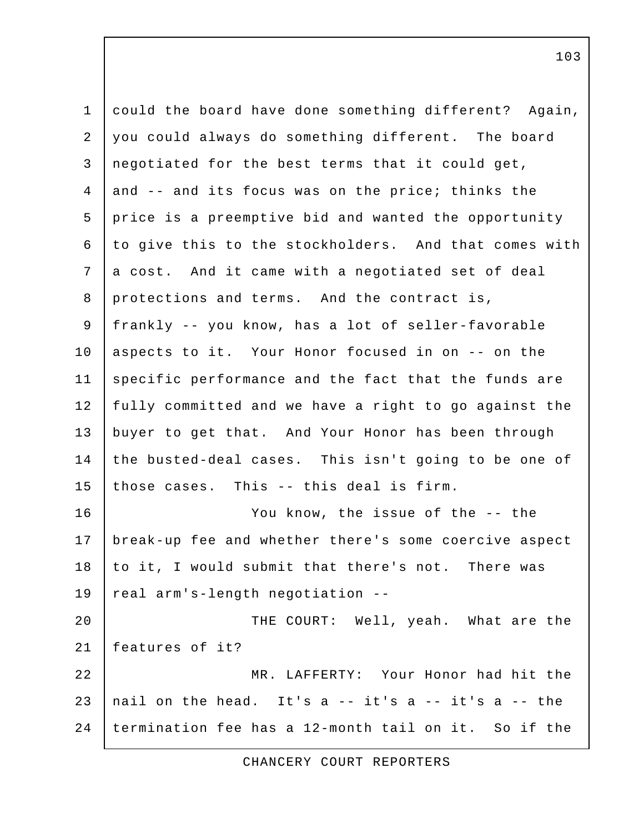1 could the board have done something different? Again, 2 you could always do something different. The board 3 negotiated for the best terms that it could get,  $4$  and  $-$  and its focus was on the price; thinks the 5 price is a preemptive bid and wanted the opportunity 6 to give this to the stockholders. And that comes with 7 a cost. And it came with a negotiated set of deal 8 protections and terms. And the contract is, 9 frankly -- you know, has a lot of seller-favorable 10 | aspects to it. Your Honor focused in on -- on the 11 specific performance and the fact that the funds are 12 fully committed and we have a right to go against the 13 buyer to get that. And Your Honor has been through 14 the busted-deal cases. This isn't going to be one of 15 those cases. This  $-$ - this deal is firm. 16 You know, the issue of the -- the 17 break-up fee and whether there's some coercive aspect 18 to it, I would submit that there's not. There was 19 real arm's-length negotiation -- 20 | THE COURT: Well, yeah. What are the 21 features of it? 22 MR. LAFFERTY: Your Honor had hit the 23 | nail on the head. It's a  $-$  it's a  $-$  it's a  $-$  the 24 termination fee has a 12-month tail on it. So if the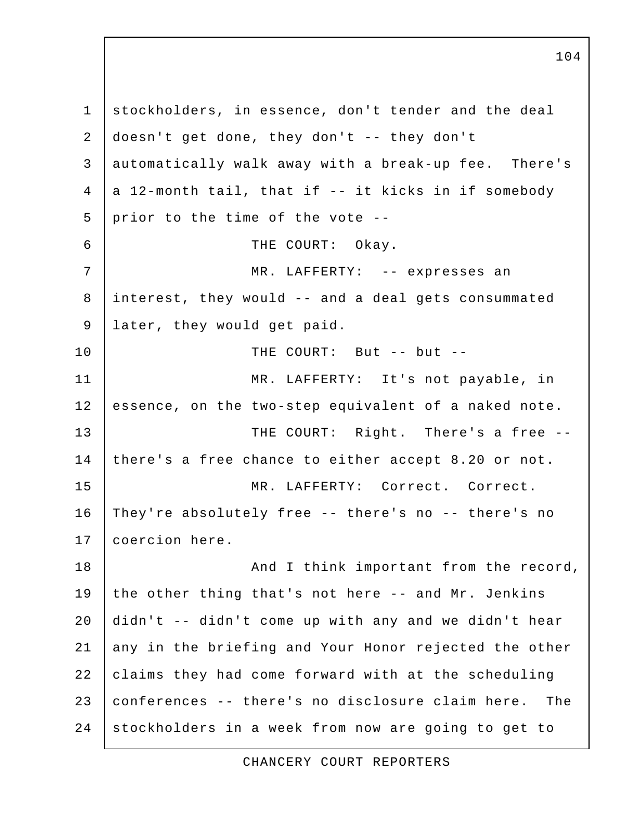1 stockholders, in essence, don't tender and the deal 2 doesn't get done, they don't -- they don't 3 automatically walk away with a break-up fee. There's  $4$  a 12-month tail, that if -- it kicks in if somebody  $5$  prior to the time of the vote  $-$ - 6 THE COURT: Okay. 7 | MR. LAFFERTY: -- expresses an 8 interest, they would -- and a deal gets consummated 9 later, they would get paid. 10 THE COURT: But -- but --11 MR. LAFFERTY: It's not payable, in 12 essence, on the two-step equivalent of a naked note. 13 THE COURT: Right. There's a free --14 there's a free chance to either accept 8.20 or not. 15 MR. LAFFERTY: Correct. Correct. 16 They're absolutely free -- there's no -- there's no 17 coercion here. 18 | Think important from the record, 19 the other thing that's not here -- and Mr. Jenkins 20 didn't -- didn't come up with any and we didn't hear 21 any in the briefing and Your Honor rejected the other 22 claims they had come forward with at the scheduling 23 conferences -- there's no disclosure claim here. The 24 stockholders in a week from now are going to get to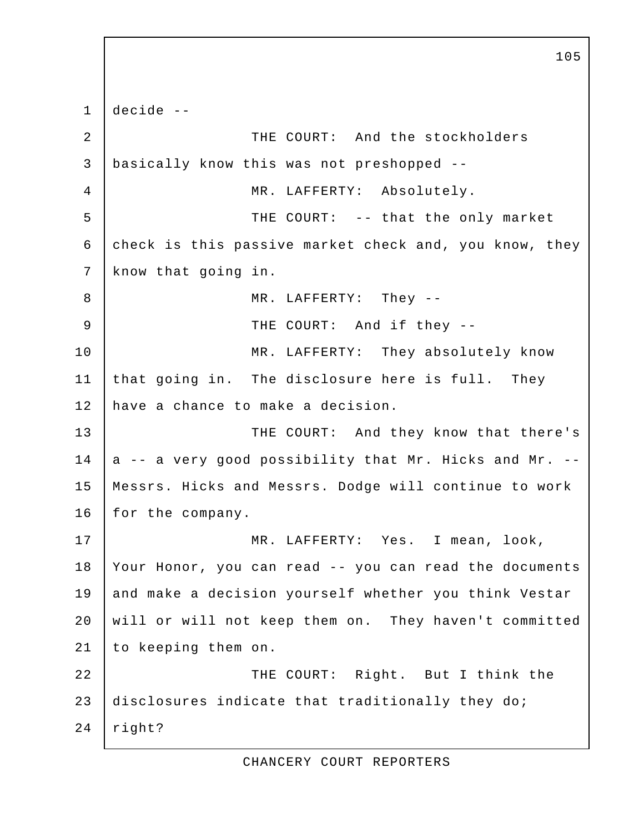1 decide -- 2 THE COURT: And the stockholders 3 basically know this was not preshopped -- 4 MR. LAFFERTY: Absolutely. 5 | THE COURT: -- that the only market 6 check is this passive market check and, you know, they 7 know that going in. 8 MR. LAFFERTY: They --9 THE COURT: And if they --10 | MR. LAFFERTY: They absolutely know 11 that going in. The disclosure here is full. They 12 have a chance to make a decision. 13 THE COURT: And they know that there's  $14$  a -- a very good possibility that Mr. Hicks and Mr. --15 Messrs. Hicks and Messrs. Dodge will continue to work 16 | for the company. 17 | MR. LAFFERTY: Yes. I mean, look, 18 Your Honor, you can read -- you can read the documents 19 and make a decision yourself whether you think Vestar 20 will or will not keep them on. They haven't committed 21 to keeping them on. 22 | THE COURT: Right. But I think the 23 disclosures indicate that traditionally they do; 24 right?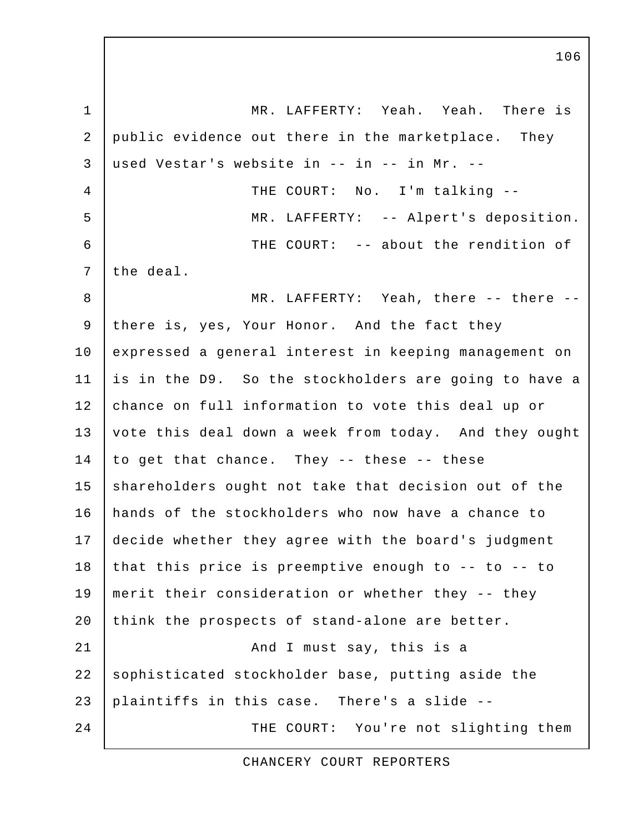1 MR. LAFFERTY: Yeah. Yeah. There is 2 public evidence out there in the marketplace. They  $3$  used Vestar's website in -- in -- in Mr. --4 | THE COURT: No. I'm talking -- 5 MR. LAFFERTY: -- Alpert's deposition. 6 THE COURT: -- about the rendition of 7 the deal. 8 MR. LAFFERTY: Yeah, there -- there -- 9 there is, yes, Your Honor. And the fact they 10 expressed a general interest in keeping management on 11 is in the D9. So the stockholders are going to have a 12 chance on full information to vote this deal up or 13 vote this deal down a week from today. And they ought 14 | to get that chance. They -- these -- these 15 shareholders ought not take that decision out of the 16 hands of the stockholders who now have a chance to 17 decide whether they agree with the board's judgment 18 that this price is preemptive enough to  $-$ - to  $-$ - to 19 merit their consideration or whether they -- they 20 think the prospects of stand-alone are better. 21 | And I must say, this is a 22 sophisticated stockholder base, putting aside the 23 plaintiffs in this case. There's a slide -- 24 THE COURT: You're not slighting them

CHANCERY COURT REPORTERS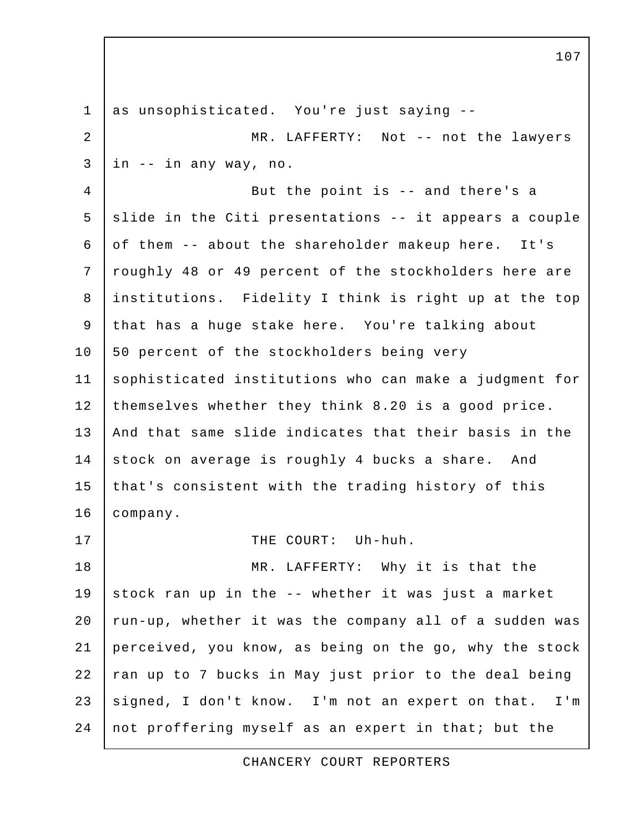1 as unsophisticated. You're just saying --2 | MR. LAFFERTY: Not -- not the lawyers  $3 \text{ in } --$  in any way, no. 4 But the point is -- and there's a  $5$  slide in the Citi presentations  $-$  it appears a couple 6 of them -- about the shareholder makeup here. It's 7 roughly 48 or 49 percent of the stockholders here are 8 institutions. Fidelity I think is right up at the top 9 that has a huge stake here. You're talking about 10 | 50 percent of the stockholders being very 11 sophisticated institutions who can make a judgment for 12 themselves whether they think 8.20 is a good price. 13 | And that same slide indicates that their basis in the 14 stock on average is roughly 4 bucks a share. And 15 that's consistent with the trading history of this 16 company. 17 | THE COURT: Uh-huh. 18 | MR. LAFFERTY: Why it is that the 19 stock ran up in the -- whether it was just a market  $20$  run-up, whether it was the company all of a sudden was 21 perceived, you know, as being on the go, why the stock 22 | ran up to 7 bucks in May just prior to the deal being 23 signed, I don't know. I'm not an expert on that. I'm 24 not proffering myself as an expert in that; but the

107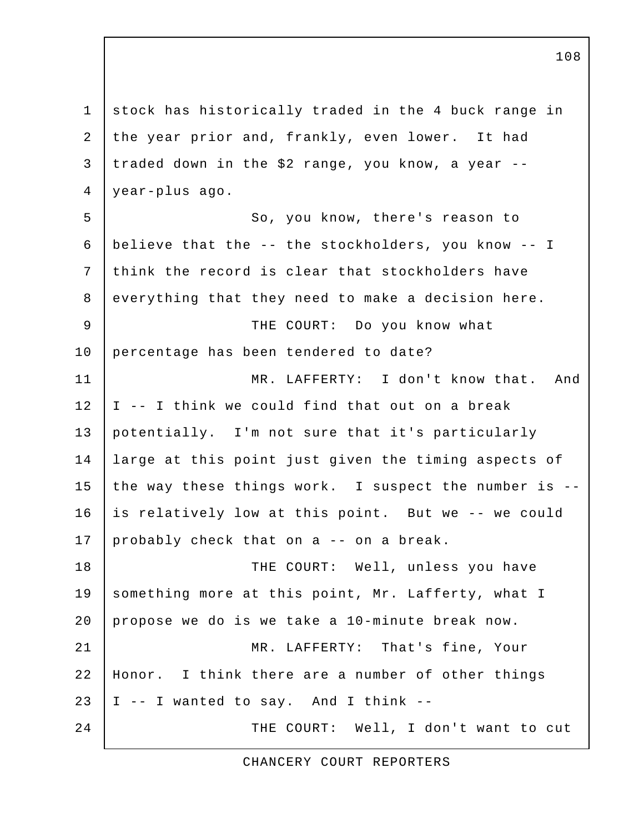1 stock has historically traded in the 4 buck range in 2 the year prior and, frankly, even lower. It had 3 traded down in the \$2 range, you know, a year -- 4 year-plus ago. 5 So, you know, there's reason to 6 believe that the -- the stockholders, you know -- I 7 think the record is clear that stockholders have 8 everything that they need to make a decision here. 9 THE COURT: Do you know what 10 percentage has been tendered to date? 11 MR. LAFFERTY: I don't know that. And  $12$  | I -- I think we could find that out on a break 13 potentially. I'm not sure that it's particularly 14 large at this point just given the timing aspects of 15 the way these things work. I suspect the number is  $-$ 16 is relatively low at this point. But we -- we could 17 probably check that on a -- on a break. 18 | THE COURT: Well, unless you have 19 something more at this point, Mr. Lafferty, what I 20 propose we do is we take a 10-minute break now. 21 | MR. LAFFERTY: That's fine, Your 22 Honor. I think there are a number of other things 23 | I  $-$  I wanted to say. And I think  $-$ 24 | THE COURT: Well, I don't want to cut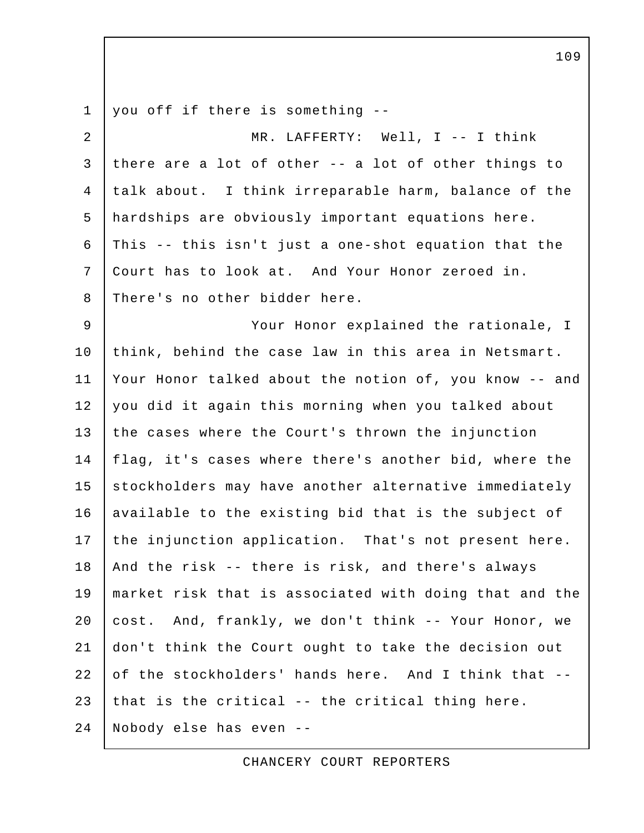1 you off if there is something --2 | MR. LAFFERTY: Well, I -- I think 3 there are a lot of other -- a lot of other things to 4 talk about. I think irreparable harm, balance of the 5 hardships are obviously important equations here.  $6$  This -- this isn't just a one-shot equation that the 7 Court has to look at. And Your Honor zeroed in. 8 There's no other bidder here. 9 Your Honor explained the rationale, I 10 think, behind the case law in this area in Netsmart. 11 Your Honor talked about the notion of, you know -- and 12 you did it again this morning when you talked about 13 the cases where the Court's thrown the injunction 14 | flag, it's cases where there's another bid, where the 15 stockholders may have another alternative immediately 16 available to the existing bid that is the subject of 17 the injunction application. That's not present here. 18 | And the risk -- there is risk, and there's always 19 market risk that is associated with doing that and the 20 cost. And, frankly, we don't think -- Your Honor, we 21 don't think the Court ought to take the decision out 22 of the stockholders' hands here. And I think that --23 that is the critical  $-$  the critical thing here. 24 Nobody else has even --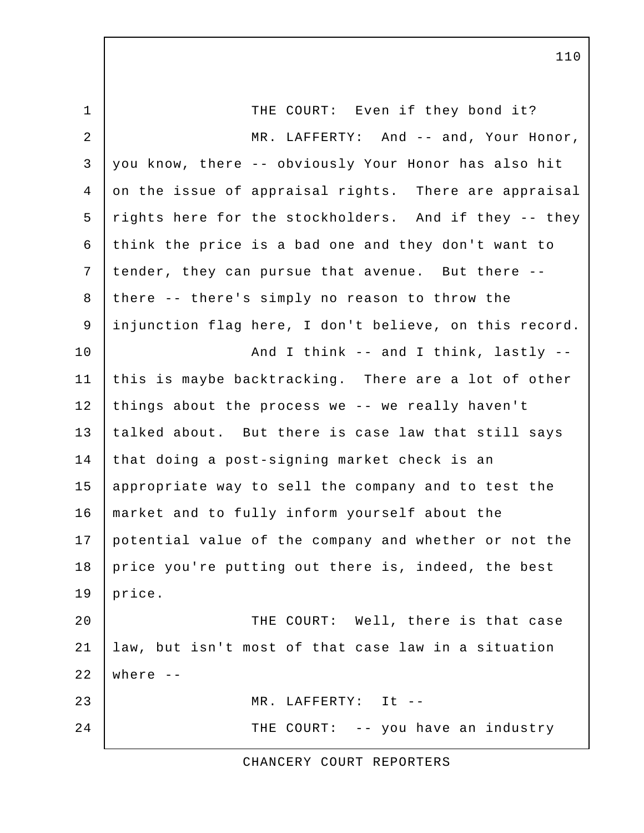1 THE COURT: Even if they bond it? 2 | MR. LAFFERTY: And -- and, Your Honor, 3 you know, there -- obviously Your Honor has also hit 4 on the issue of appraisal rights. There are appraisal 5 rights here for the stockholders. And if they -- they 6 think the price is a bad one and they don't want to 7 tender, they can pursue that avenue. But there -- 8 there -- there's simply no reason to throw the 9 injunction flag here, I don't believe, on this record. 10 | Rnd I think -- and I think, lastly --11 this is maybe backtracking. There are a lot of other  $12$  things about the process we -- we really haven't 13 talked about. But there is case law that still says 14 that doing a post-signing market check is an 15 appropriate way to sell the company and to test the 16 market and to fully inform yourself about the 17 potential value of the company and whether or not the 18 price you're putting out there is, indeed, the best 19 |  $price.$ 20 **THE COURT:** Well, there is that case 21 law, but isn't most of that case law in a situation  $22$  where  $-$ 23 MR. LAFFERTY: It -- 24 THE COURT: -- you have an industry

CHANCERY COURT REPORTERS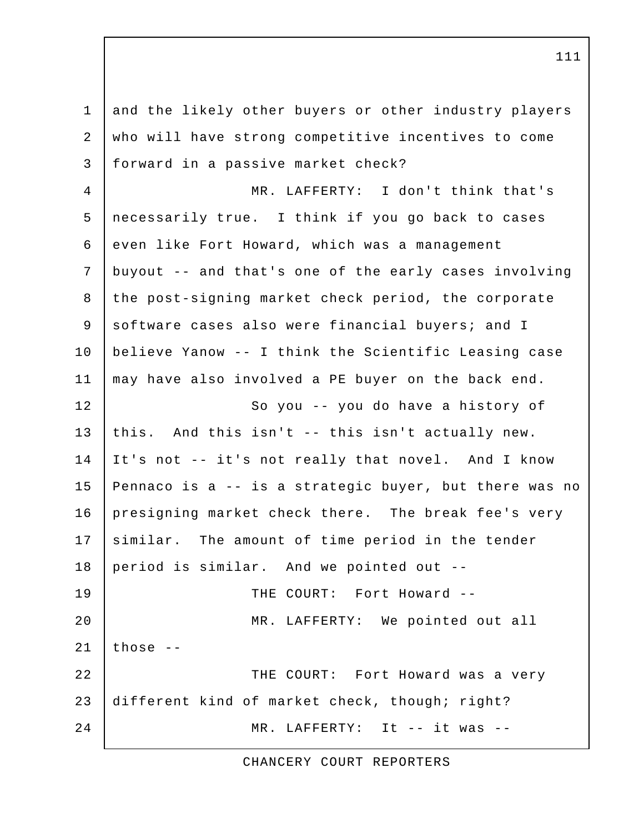1 and the likely other buyers or other industry players 2 who will have strong competitive incentives to come 3 forward in a passive market check? 4 MR. LAFFERTY: I don't think that's 5 necessarily true. I think if you go back to cases 6 even like Fort Howard, which was a management 7 buyout -- and that's one of the early cases involving 8 the post-signing market check period, the corporate 9 software cases also were financial buyers; and I 10 believe Yanow -- I think the Scientific Leasing case 11 may have also involved a PE buyer on the back end. 12 So you -- you do have a history of 13 this. And this isn't -- this isn't actually new. 14 It's not -- it's not really that novel. And I know 15 Pennaco is a -- is a strategic buyer, but there was no 16 presigning market check there. The break fee's very 17 similar. The amount of time period in the tender 18 period is similar. And we pointed out -- 19 THE COURT: Fort Howard -- 20 MR. LAFFERTY: We pointed out all 21 | those  $-$ 22 THE COURT: Fort Howard was a very 23 different kind of market check, though; right? 24 MR. LAFFERTY: It -- it was --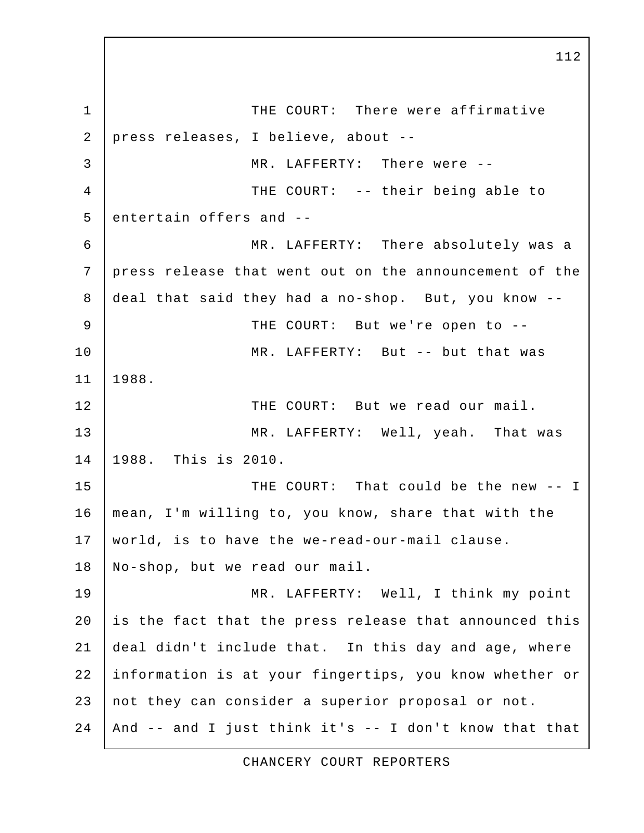1 THE COURT: There were affirmative 2 press releases, I believe, about -- 3 MR. LAFFERTY: There were -- 4 THE COURT: -- their being able to  $5$  entertain offers and  $-$  6 MR. LAFFERTY: There absolutely was a 7 press release that went out on the announcement of the 8 deal that said they had a no-shop. But, you know -- 9 THE COURT: But we're open to -- 10 MR. LAFFERTY: But -- but that was 11 1988. 12 | THE COURT: But we read our mail. 13 MR. LAFFERTY: Well, yeah. That was 14 1988. This is 2010. 15 THE COURT: That could be the new -- I 16 mean, I'm willing to, you know, share that with the 17 world, is to have the we-read-our-mail clause. 18 No-shop, but we read our mail. 19 MR. LAFFERTY: Well, I think my point  $20$  is the fact that the press release that announced this 21 deal didn't include that. In this day and age, where 22 information is at your fingertips, you know whether or 23 not they can consider a superior proposal or not. 24 | And  $--$  and I just think it's  $--$  I don't know that that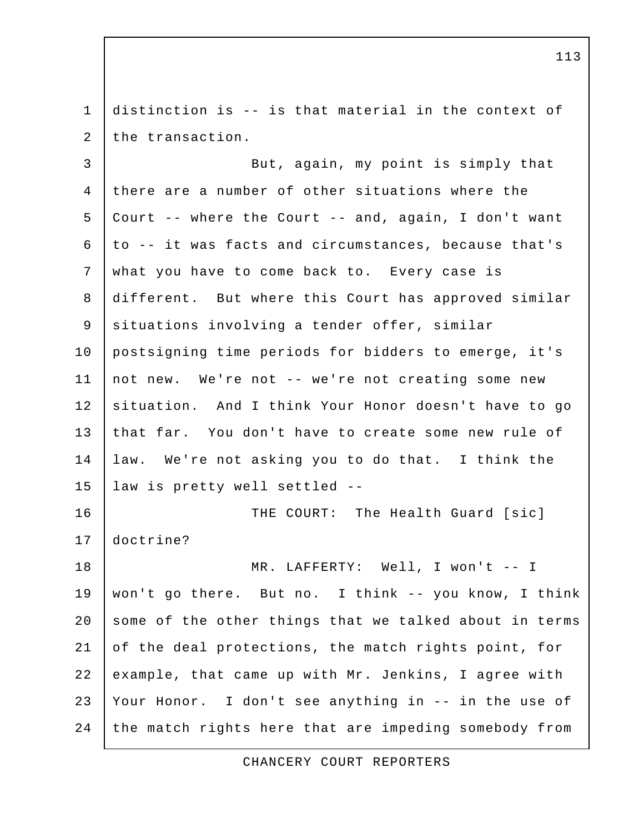1 distinction is -- is that material in the context of 2 the transaction.

3 But, again, my point is simply that 4 there are a number of other situations where the 5 Court -- where the Court -- and, again, I don't want 6 to -- it was facts and circumstances, because that's 7 what you have to come back to. Every case is 8 different. But where this Court has approved similar 9 | situations involving a tender offer, similar 10 postsigning time periods for bidders to emerge, it's 11 not new. We're not -- we're not creating some new 12 situation. And I think Your Honor doesn't have to go 13 that far. You don't have to create some new rule of 14 law. We're not asking you to do that. I think the 15 law is pretty well settled -- 16 | THE COURT: The Health Guard [sic] 17 doctrine? 18 | MR. LAFFERTY: Well, I won't -- I 19 won't go there. But no. I think -- you know, I think 20 some of the other things that we talked about in terms 21 of the deal protections, the match rights point, for 22 example, that came up with Mr. Jenkins, I agree with

23 Your Honor. I don't see anything in -- in the use of 24 the match rights here that are impeding somebody from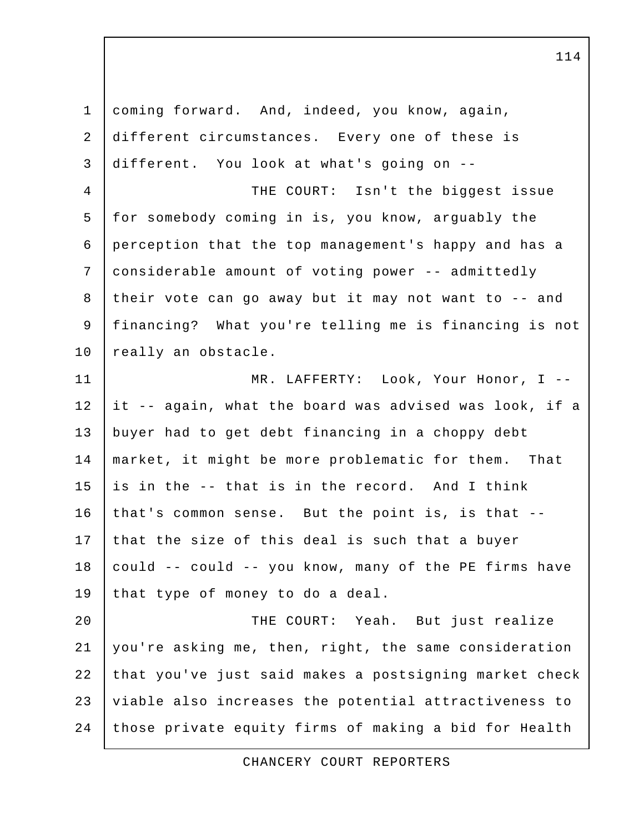| $\mathbf 1$ | coming forward. And, indeed, you know, again,          |
|-------------|--------------------------------------------------------|
| 2           | different circumstances. Every one of these is         |
| 3           | different. You look at what's going on --              |
| 4           | THE COURT: Isn't the biggest issue                     |
| 5           | for somebody coming in is, you know, arguably the      |
| 6           | perception that the top management's happy and has a   |
| 7           | considerable amount of voting power -- admittedly      |
| 8           | their vote can go away but it may not want to -- and   |
| $\mathsf 9$ | financing? What you're telling me is financing is not  |
| 10          | really an obstacle.                                    |
| 11          | MR. LAFFERTY: Look, Your Honor, I --                   |
| 12          | it -- again, what the board was advised was look, if a |
| 13          | buyer had to get debt financing in a choppy debt       |
| 14          | market, it might be more problematic for them. That    |
| 15          | is in the -- that is in the record. And I think        |
| 16          | that's common sense. But the point is, is that --      |
| 17          | that the size of this deal is such that a buyer        |
| 18          | could -- could -- you know, many of the PE firms have  |
| 19          | that type of money to do a deal.                       |
| 20          | THE COURT: Yeah. But just realize                      |
| 21          | you're asking me, then, right, the same consideration  |
| 22          | that you've just said makes a postsigning market check |
| 23          | viable also increases the potential attractiveness to  |
| 24          | those private equity firms of making a bid for Health  |

CHANCERY COURT REPORTERS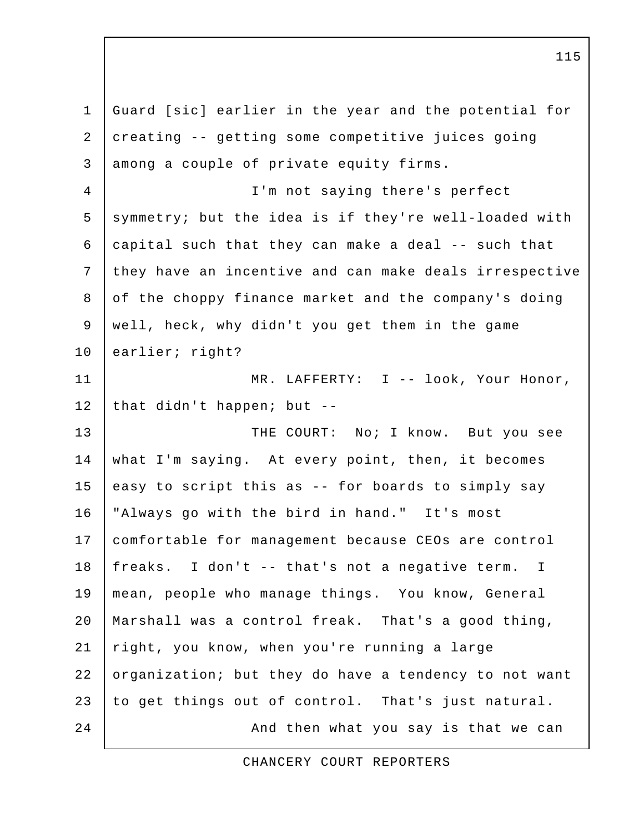1 Guard [sic] earlier in the year and the potential for 2 creating -- getting some competitive juices going 3 among a couple of private equity firms. 4 I'm not saying there's perfect 5 symmetry; but the idea is if they're well-loaded with 6  $\vert$  capital such that they can make a deal -- such that 7 they have an incentive and can make deals irrespective 8 of the choppy finance market and the company's doing 9 well, heck, why didn't you get them in the game 10 earlier; right? 11 | MR. LAFFERTY: I -- look, Your Honor, 12 | that didn't happen; but  $-$ 13 THE COURT: No; I know. But you see 14 what I'm saying. At every point, then, it becomes 15 easy to script this as  $-$  for boards to simply say 16 "Always go with the bird in hand." It's most 17 comfortable for management because CEOs are control 18 freaks. I don't -- that's not a negative term. I 19 mean, people who manage things. You know, General 20 Marshall was a control freak. That's a good thing, 21 right, you know, when you're running a large 22 organization; but they do have a tendency to not want 23 to get things out of control. That's just natural. 24 | Construction and then what you say is that we can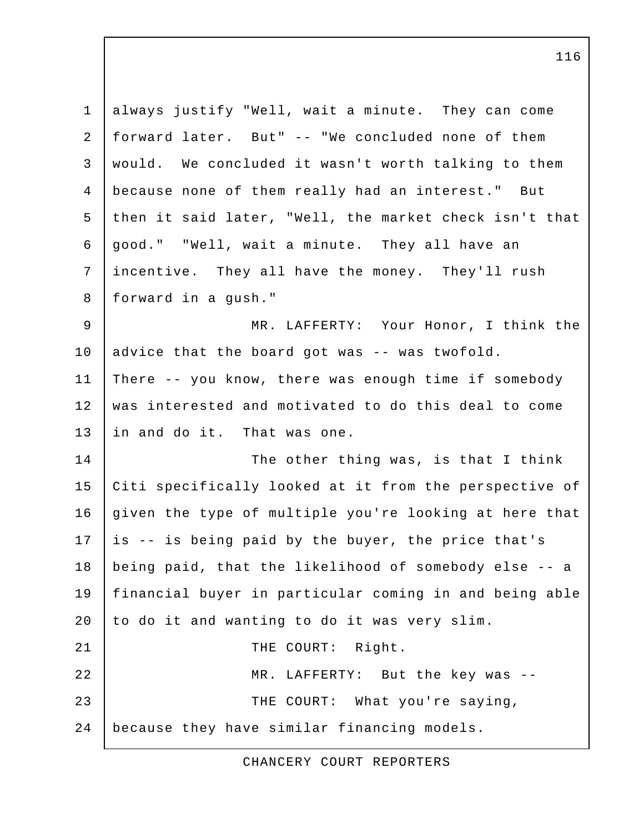| $\mathbf 1$    | always justify "Well, wait a minute. They can come     |
|----------------|--------------------------------------------------------|
| 2              | forward later. But" -- "We concluded none of them      |
| 3              | would. We concluded it wasn't worth talking to them    |
| $\overline{4}$ | because none of them really had an interest." But      |
| 5              | then it said later, "Well, the market check isn't that |
| 6              | good." "Well, wait a minute. They all have an          |
| 7              | incentive. They all have the money. They'll rush       |
| 8              | forward in a qush."                                    |
| 9              | MR. LAFFERTY: Your Honor, I think the                  |
| 10             | advice that the board got was -- was twofold.          |
| 11             | There -- you know, there was enough time if somebody   |
| 12             | was interested and motivated to do this deal to come   |
| 13             | in and do it. That was one.                            |
| 14             | The other thing was, is that I think                   |
| 15             | Citi specifically looked at it from the perspective of |
| 16             | given the type of multiple you're looking at here that |
| 17             | is -- is being paid by the buyer, the price that's     |
| 18             | being paid, that the likelihood of somebody else -- a  |
| 19             | financial buyer in particular coming in and being able |
| 20             | to do it and wanting to do it was very slim.           |
| 21             | THE COURT: Right.                                      |
| 22             | MR. LAFFERTY: But the key was --                       |
| 23             | THE COURT: What you're saying,                         |
| 24             | because they have similar financing models.            |

CHANCERY COURT REPORTERS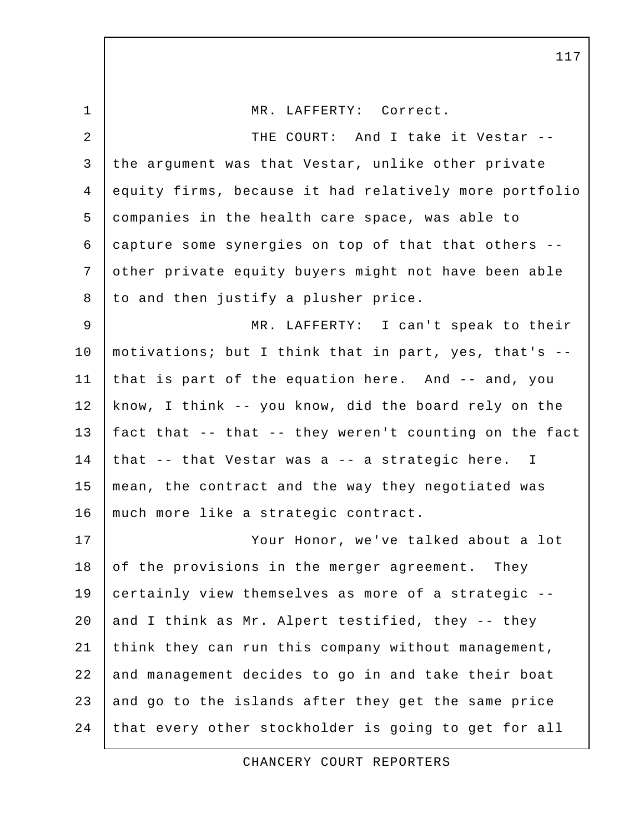1 | MR. LAFFERTY: Correct. 2 THE COURT: And I take it Vestar -- 3 the argument was that Vestar, unlike other private 4 equity firms, because it had relatively more portfolio 5 companies in the health care space, was able to 6 capture some synergies on top of that that others -- 7 other private equity buyers might not have been able 8 to and then justify a plusher price. 9 MR. LAFFERTY: I can't speak to their 10 motivations; but I think that in part, yes, that's -- 11 that is part of the equation here. And -- and, you 12 | know, I think -- you know, did the board rely on the 13 fact that -- that -- they weren't counting on the fact 14 that  $-$  that Vestar was a  $-$  a strategic here. I 15 mean, the contract and the way they negotiated was 16 | much more like a strategic contract. 17 Your Honor, we've talked about a lot 18 of the provisions in the merger agreement. They 19 certainly view themselves as more of a strategic -- 20 and I think as Mr. Alpert testified, they  $-$  they 21 think they can run this company without management, 22 and management decides to go in and take their boat  $23$  and go to the islands after they get the same price 24 that every other stockholder is going to get for all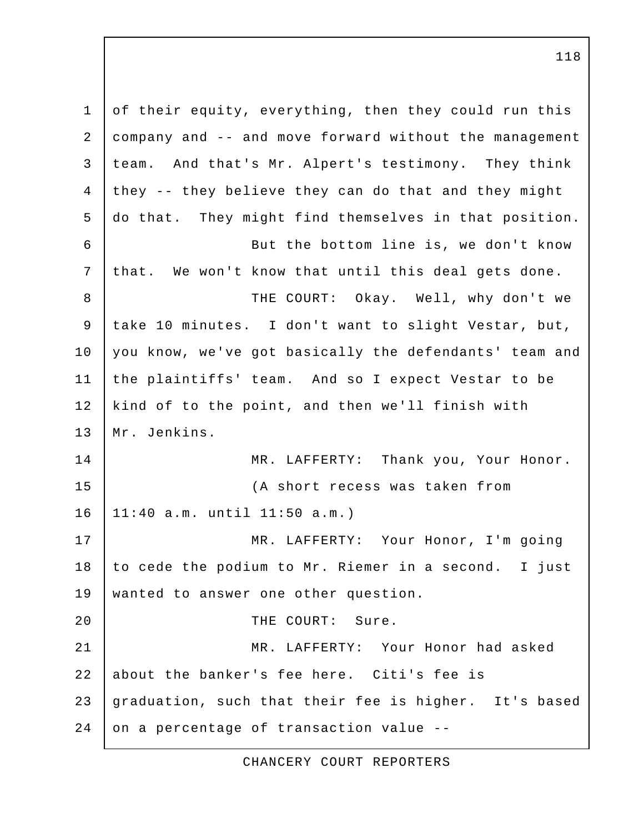1 of their equity, everything, then they could run this 2 company and -- and move forward without the management 3 team. And that's Mr. Alpert's testimony. They think  $4$  they -- they believe they can do that and they might 5 do that. They might find themselves in that position. 6 But the bottom line is, we don't know 7 | that. We won't know that until this deal gets done. 8 THE COURT: Okay. Well, why don't we 9 take 10 minutes. I don't want to slight Vestar, but, 10 you know, we've got basically the defendants' team and 11 the plaintiffs' team. And so I expect Vestar to be 12 kind of to the point, and then we'll finish with 13 Mr. Jenkins. 14 MR. LAFFERTY: Thank you, Your Honor. 15 (A short recess was taken from 16 11:40 a.m. until 11:50 a.m.) 17 MR. LAFFERTY: Your Honor, I'm going 18 to cede the podium to Mr. Riemer in a second. I just 19 wanted to answer one other question. 20 THE COURT: Sure. 21 MR. LAFFERTY: Your Honor had asked 22 about the banker's fee here. Citi's fee is 23 graduation, such that their fee is higher. It's based  $24$  on a percentage of transaction value --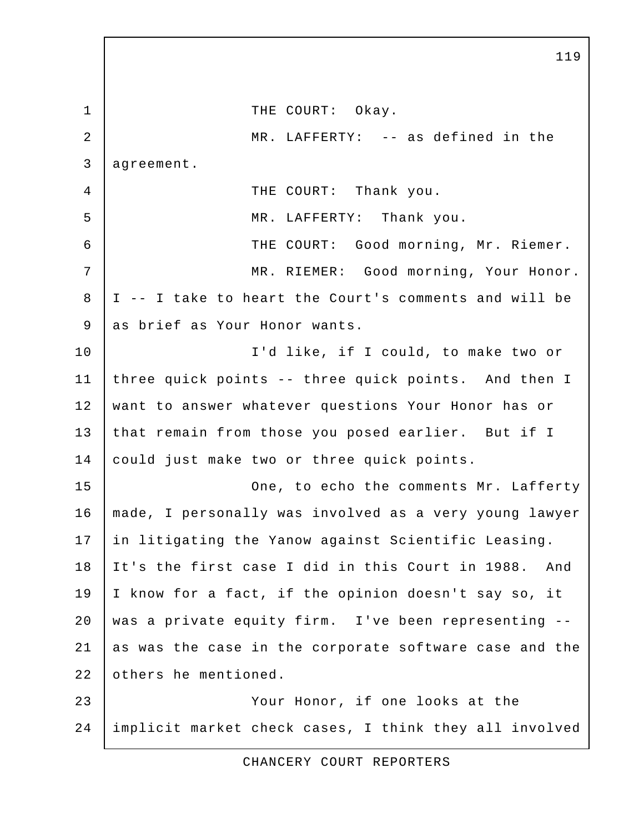1 | THE COURT: Okay. 2 MR. LAFFERTY: -- as defined in the 3 agreement. 4 THE COURT: Thank you. 5 | MR. LAFFERTY: Thank you. 6 THE COURT: Good morning, Mr. Riemer. 7 | MR. RIEMER: Good morning, Your Honor. 8 I -- I take to heart the Court's comments and will be 9 as brief as Your Honor wants. 10 I'd like, if I could, to make two or 11 three quick points -- three quick points. And then I 12 want to answer whatever questions Your Honor has or 13 that remain from those you posed earlier. But if I 14 could just make two or three quick points. 15 | Che, to echo the comments Mr. Lafferty 16 made, I personally was involved as a very young lawyer 17 in litigating the Yanow against Scientific Leasing. 18 It's the first case I did in this Court in 1988. And 19 I know for a fact, if the opinion doesn't say so, it 20 was a private equity firm. I've been representing -- 21 as was the case in the corporate software case and the 22 others he mentioned. 23 Your Honor, if one looks at the 24 implicit market check cases, I think they all involved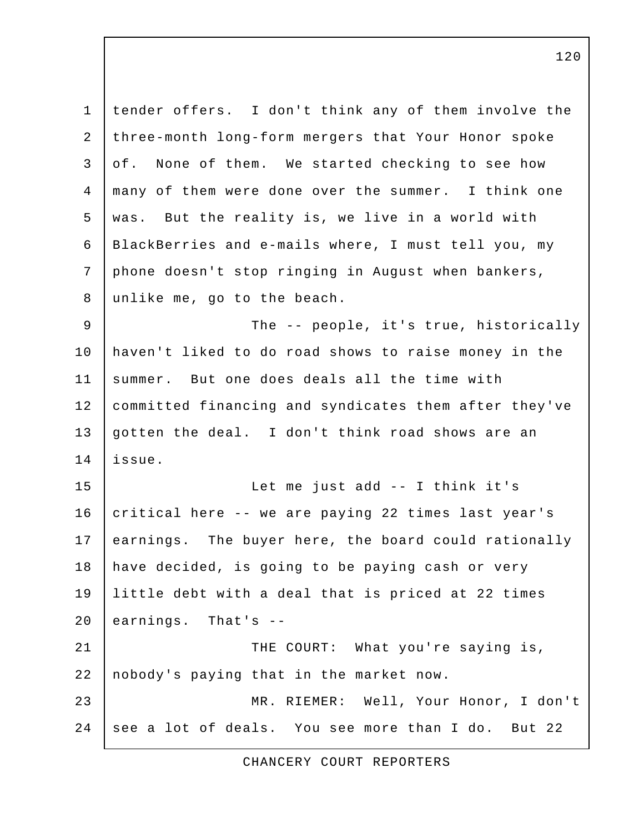| $\mathbf 1$    | tender offers. I don't think any of them involve the  |
|----------------|-------------------------------------------------------|
| $\overline{2}$ | three-month long-form mergers that Your Honor spoke   |
| 3              | None of them. We started checking to see how<br>of.   |
| 4              | many of them were done over the summer. I think one   |
| 5              | was. But the reality is, we live in a world with      |
| 6              | BlackBerries and e-mails where, I must tell you, my   |
| 7              | phone doesn't stop ringing in August when bankers,    |
| 8              | unlike me, go to the beach.                           |
| $\overline{9}$ | The -- people, it's true, historically                |
| 10             | haven't liked to do road shows to raise money in the  |
| 11             | summer. But one does deals all the time with          |
| 12             | committed financing and syndicates them after they've |
| 13             | gotten the deal. I don't think road shows are an      |
| 14             | issue.                                                |
| 15             | Let me just add -- I think it's                       |
| 16             | critical here -- we are paying 22 times last year's   |
| 17             | earnings. The buyer here, the board could rationally  |
| 18             | have decided, is going to be paying cash or very      |
| 19             | little debt with a deal that is priced at 22 times    |
| 20             | earnings. That's --                                   |
| 21             | THE COURT: What you're saying is,                     |
| 22             | nobody's paying that in the market now.               |
| 23             | MR. RIEMER: Well, Your Honor, I don't                 |
| 24             | see a lot of deals. You see more than I do. But 22    |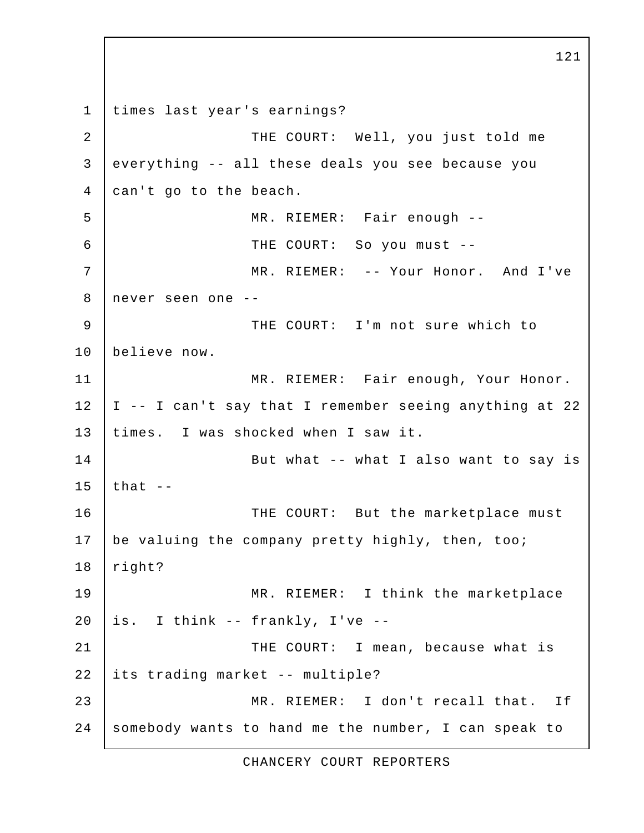1 times last year's earnings? 2 | THE COURT: Well, you just told me 3 everything -- all these deals you see because you 4 can't go to the beach. 5 MR. RIEMER: Fair enough -- 6 THE COURT: So you must -- 7 | MR. RIEMER: -- Your Honor. And I've 8 never seen one -- 9 THE COURT: I'm not sure which to 10 believe now. 11 | MR. RIEMER: Fair enough, Your Honor.  $12$  | I -- I can't say that I remember seeing anything at 22 13 times. I was shocked when I saw it. 14 | But what -- what I also want to say is 15 | that  $-$ 16 THE COURT: But the marketplace must 17 be valuing the company pretty highly, then, too; 18 right? 19 MR. RIEMER: I think the marketplace  $20$  is. I think -- frankly, I've --21 | THE COURT: I mean, because what is 22 its trading market -- multiple? 23 MR. RIEMER: I don't recall that. If 24 somebody wants to hand me the number, I can speak to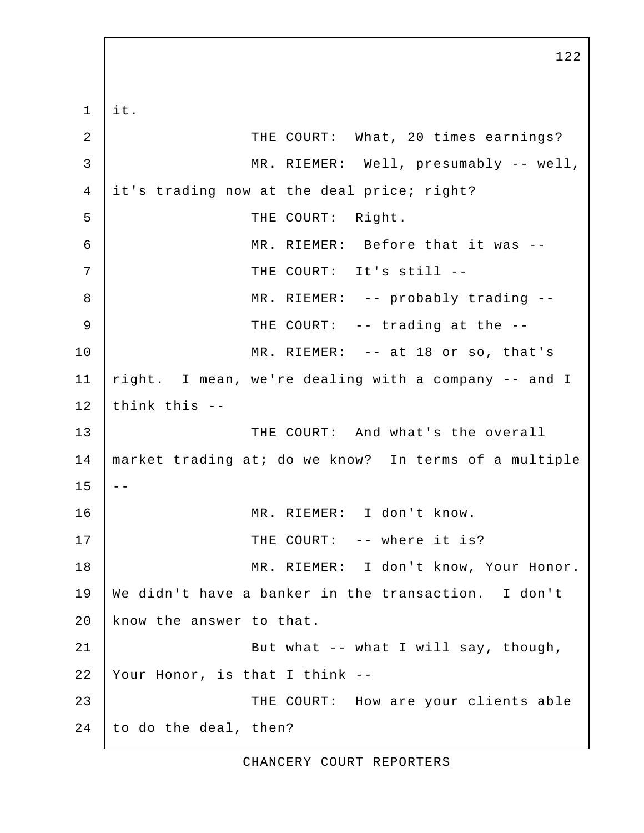$1$  it. 2 THE COURT: What, 20 times earnings? 3 MR. RIEMER: Well, presumably -- well, 4 it's trading now at the deal price; right? 5 | THE COURT: Right. 6 MR. RIEMER: Before that it was -- 7 | THE COURT: It's still -- 8 MR. RIEMER: -- probably trading -- 9 | THE COURT: -- trading at the --10 MR. RIEMER: -- at 18 or so, that's 11 right. I mean, we're dealing with a company -- and I  $12$  think this  $-$ 13 THE COURT: And what's the overall 14 market trading at; do we know? In terms of a multiple  $15$   $-$ 16 MR. RIEMER: I don't know. 17 THE COURT: -- where it is? 18 | MR. RIEMER: I don't know, Your Honor. 19 We didn't have a banker in the transaction. I don't 20 know the answer to that. 21 | But what -- what I will say, though, 22 Your Honor, is that I think -- 23 THE COURT: How are your clients able 24 to do the deal, then?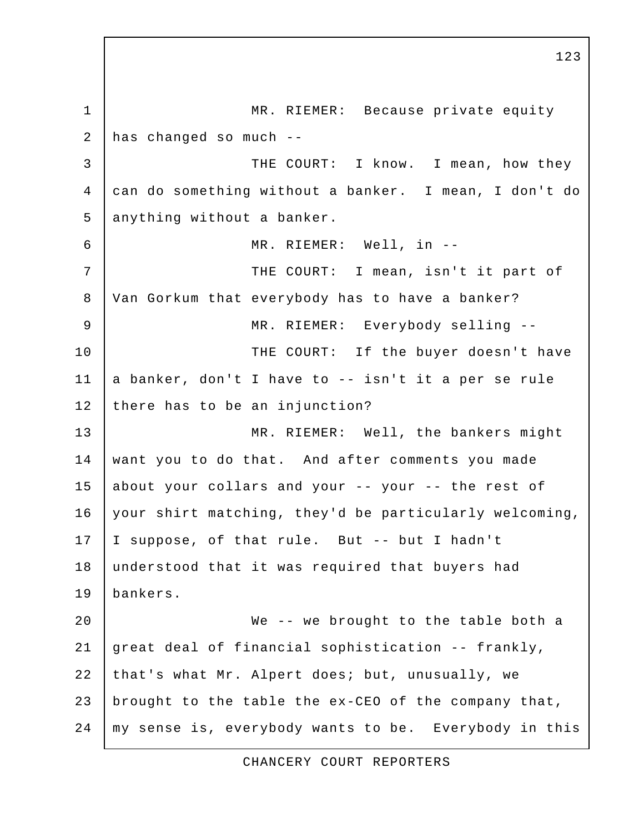1 MR. RIEMER: Because private equity 2 has changed so much -- 3 THE COURT: I know. I mean, how they 4 can do something without a banker. I mean, I don't do 5 anything without a banker. 6 MR. RIEMER: Well, in -- 7 | THE COURT: I mean, isn't it part of 8 Van Gorkum that everybody has to have a banker? 9 | MR. RIEMER: Everybody selling --10 | THE COURT: If the buyer doesn't have 11 a banker, don't I have to -- isn't it a per se rule 12 there has to be an injunction? 13 MR. RIEMER: Well, the bankers might 14 want you to do that. And after comments you made 15 about your collars and your -- your -- the rest of 16 your shirt matching, they'd be particularly welcoming, 17 I suppose, of that rule. But -- but I hadn't 18 understood that it was required that buyers had 19 bankers. 20 We -- we brought to the table both a 21 great deal of financial sophistication -- frankly, 22 that's what Mr. Alpert does; but, unusually, we 23 brought to the table the ex-CEO of the company that, 24 | my sense is, everybody wants to be. Everybody in this

123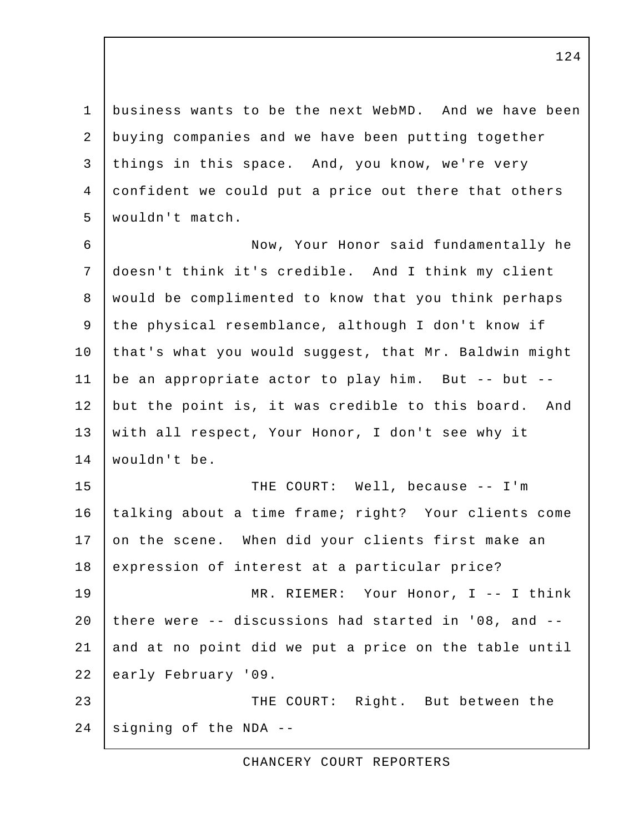1 business wants to be the next WebMD. And we have been 2 buying companies and we have been putting together 3 things in this space. And, you know, we're very 4 confident we could put a price out there that others 5 wouldn't match.

 6 Now, Your Honor said fundamentally he 7 doesn't think it's credible. And I think my client 8 would be complimented to know that you think perhaps 9 the physical resemblance, although I don't know if 10 that's what you would suggest, that Mr. Baldwin might 11 be an appropriate actor to play him. But -- but -- 12 but the point is, it was credible to this board. And 13 with all respect, Your Honor, I don't see why it 14 wouldn't be.

15 THE COURT: Well, because -- I'm 16 talking about a time frame; right? Your clients come 17 on the scene. When did your clients first make an 18 expression of interest at a particular price?

19 MR. RIEMER: Your Honor, I -- I think 20 there were -- discussions had started in '08, and -- 21 and at no point did we put a price on the table until 22 early February '09.

23 **THE COURT:** Right. But between the 24 signing of the NDA --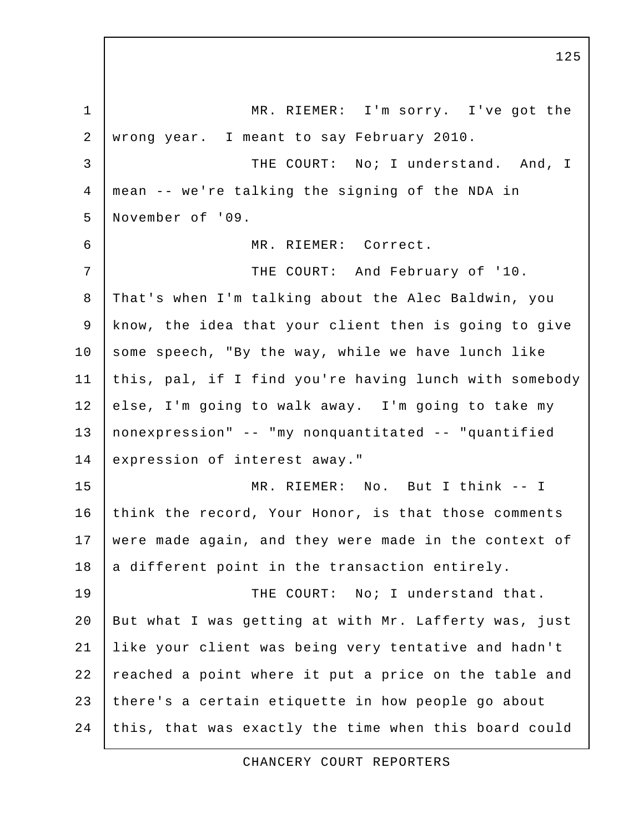1 MR. RIEMER: I'm sorry. I've got the 2 wrong year. I meant to say February 2010. 3 THE COURT: No; I understand. And, I 4 mean -- we're talking the signing of the NDA in 5 November of '09. 6 MR. RIEMER: Correct. 7 | THE COURT: And February of '10. 8 That's when I'm talking about the Alec Baldwin, you 9 know, the idea that your client then is going to give 10 some speech, "By the way, while we have lunch like 11 this, pal, if I find you're having lunch with somebody 12 else, I'm going to walk away. I'm going to take my 13 nonexpression" -- "my nonquantitated -- "quantified 14 expression of interest away." 15 MR. RIEMER: No. But I think -- I 16 think the record, Your Honor, is that those comments 17 were made again, and they were made in the context of  $18$  a different point in the transaction entirely. 19 | THE COURT: No; I understand that. 20 | But what I was getting at with Mr. Lafferty was, just 21 like your client was being very tentative and hadn't 22 reached a point where it put a price on the table and 23 there's a certain etiquette in how people go about 24 this, that was exactly the time when this board could

CHANCERY COURT REPORTERS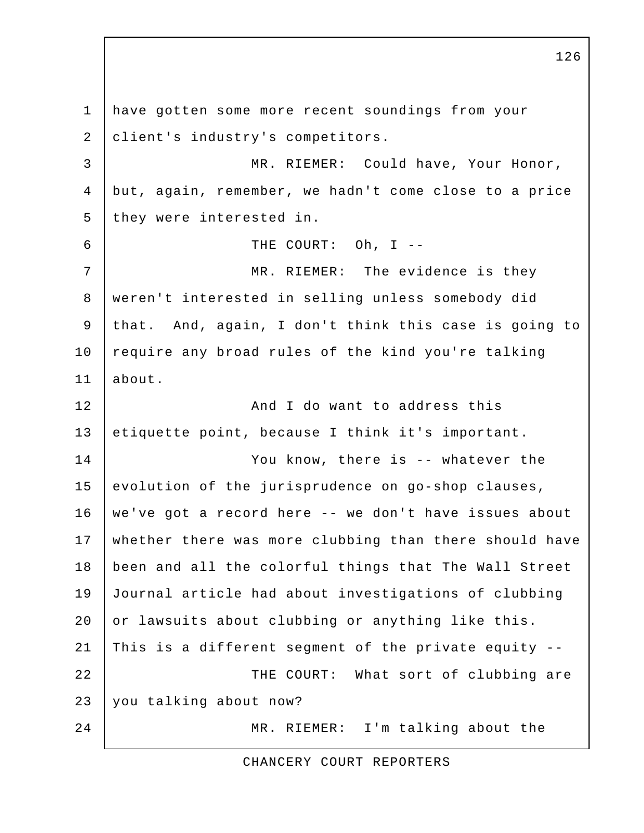1 have gotten some more recent soundings from your 2 client's industry's competitors. 3 MR. RIEMER: Could have, Your Honor, 4 but, again, remember, we hadn't come close to a price 5 they were interested in. 6 THE COURT: Oh, I -- 7 | MR. RIEMER: The evidence is they 8 weren't interested in selling unless somebody did 9 that. And, again, I don't think this case is going to 10 require any broad rules of the kind you're talking 11 about. 12 **And I do want to address this** 13 etiquette point, because I think it's important. 14 You know, there is -- whatever the 15 evolution of the jurisprudence on go-shop clauses, 16 we've got a record here -- we don't have issues about 17 whether there was more clubbing than there should have 18 been and all the colorful things that The Wall Street 19 Journal article had about investigations of clubbing 20 or lawsuits about clubbing or anything like this. 21 | This is a different segment of the private equity  $-$ 22 THE COURT: What sort of clubbing are 23 you talking about now? 24 MR. RIEMER: I'm talking about the

CHANCERY COURT REPORTERS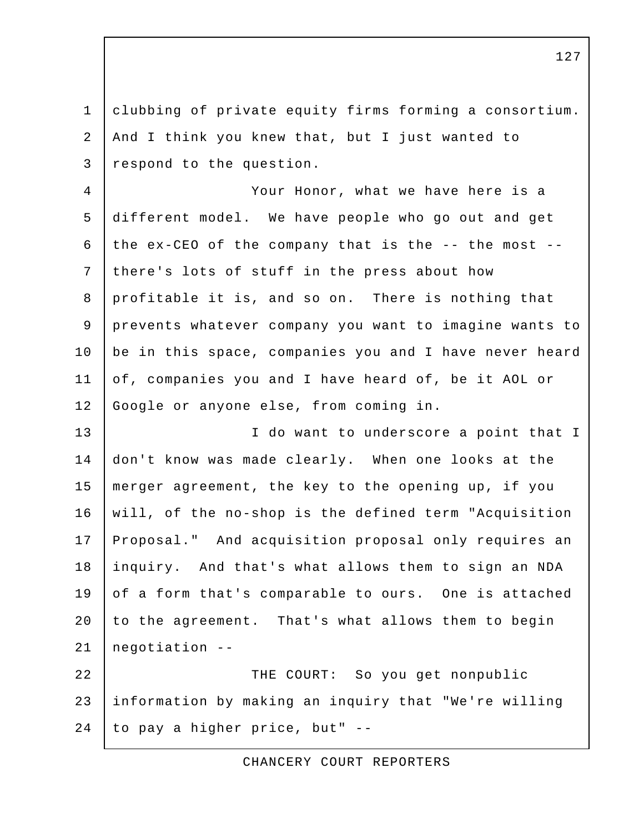1 clubbing of private equity firms forming a consortium. 2 And I think you knew that, but I just wanted to 3 respond to the question.

 4 Your Honor, what we have here is a 5 different model. We have people who go out and get 6 | the ex-CEO of the company that is the  $--$  the most  $--$  7 there's lots of stuff in the press about how 8 profitable it is, and so on. There is nothing that 9 prevents whatever company you want to imagine wants to 10 | be in this space, companies you and I have never heard 11 of, companies you and I have heard of, be it AOL or 12 Google or anyone else, from coming in.

13 | I do want to underscore a point that I 14 don't know was made clearly. When one looks at the 15 merger agreement, the key to the opening up, if you 16 will, of the no-shop is the defined term "Acquisition 17 Proposal." And acquisition proposal only requires an 18 inquiry. And that's what allows them to sign an NDA 19 of a form that's comparable to ours. One is attached 20 to the agreement. That's what allows them to begin 21 negotiation --

22 THE COURT: So you get nonpublic 23 information by making an inquiry that "We're willing  $24$  to pay a higher price, but" --

CHANCERY COURT REPORTERS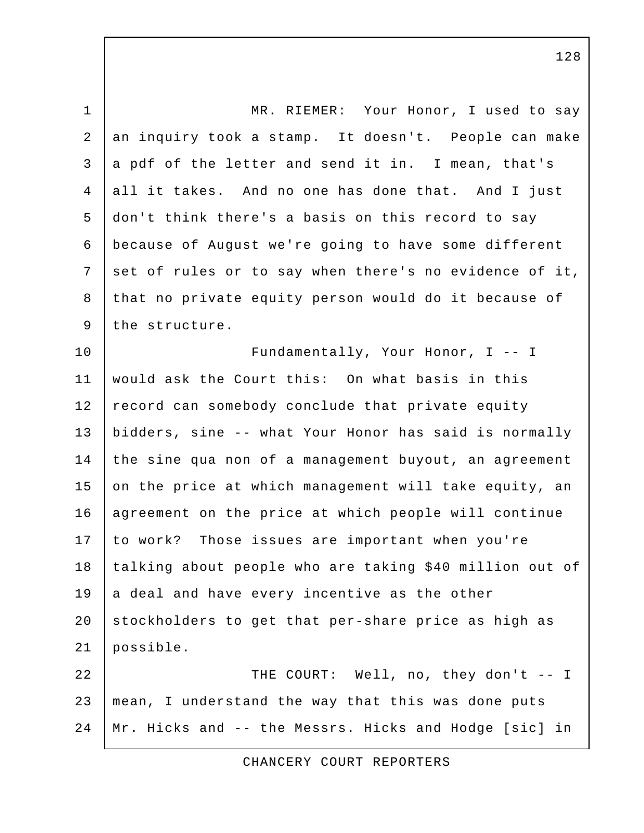1 | MR. RIEMER: Your Honor, I used to say 2 an inquiry took a stamp. It doesn't. People can make 3 a pdf of the letter and send it in. I mean, that's 4 all it takes. And no one has done that. And I just 5 don't think there's a basis on this record to say 6 because of August we're going to have some different 7 set of rules or to say when there's no evidence of it, 8 that no private equity person would do it because of 9 the structure. 10 | Fundamentally, Your Honor, I -- I 11 would ask the Court this: On what basis in this 12 record can somebody conclude that private equity 13 bidders, sine -- what Your Honor has said is normally 14 the sine qua non of a management buyout, an agreement 15 on the price at which management will take equity, an 16 agreement on the price at which people will continue 17 to work? Those issues are important when you're 18 | talking about people who are taking \$40 million out of  $19$  a deal and have every incentive as the other 20 stockholders to get that per-share price as high as 21 possible. 22 | THE COURT: Well, no, they don't -- I 23 mean, I understand the way that this was done puts 24 Mr. Hicks and -- the Messrs. Hicks and Hodge [sic] in

CHANCERY COURT REPORTERS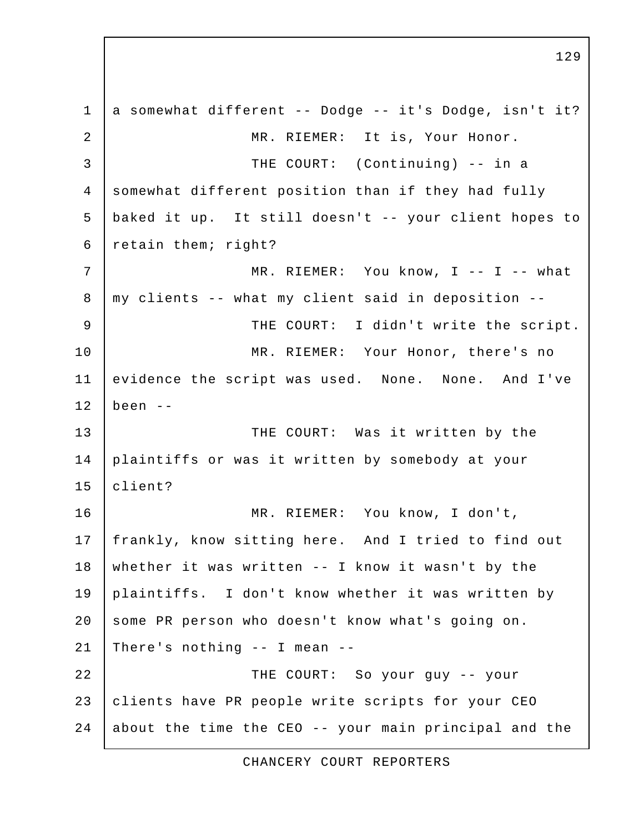1 a somewhat different -- Dodge -- it's Dodge, isn't it? 2 | MR. RIEMER: It is, Your Honor. 3 THE COURT: (Continuing) -- in a 4 somewhat different position than if they had fully 5 baked it up. It still doesn't -- your client hopes to 6 retain them; right? 7 | MR. RIEMER: You know, I -- I -- what 8 my clients -- what my client said in deposition -- 9 | THE COURT: I didn't write the script. 10 | MR. RIEMER: Your Honor, there's no 11 evidence the script was used. None. None. And I've  $12$  been  $-$ 13 THE COURT: Was it written by the 14 plaintiffs or was it written by somebody at your 15 client? 16 MR. RIEMER: You know, I don't, 17 frankly, know sitting here. And I tried to find out 18 whether it was written -- I know it wasn't by the 19 plaintiffs. I don't know whether it was written by 20 some PR person who doesn't know what's going on. 21 There's nothing -- I mean -- 22 THE COURT: So your guy -- your 23 clients have PR people write scripts for your CEO 24 about the time the CEO  $-$ - your main principal and the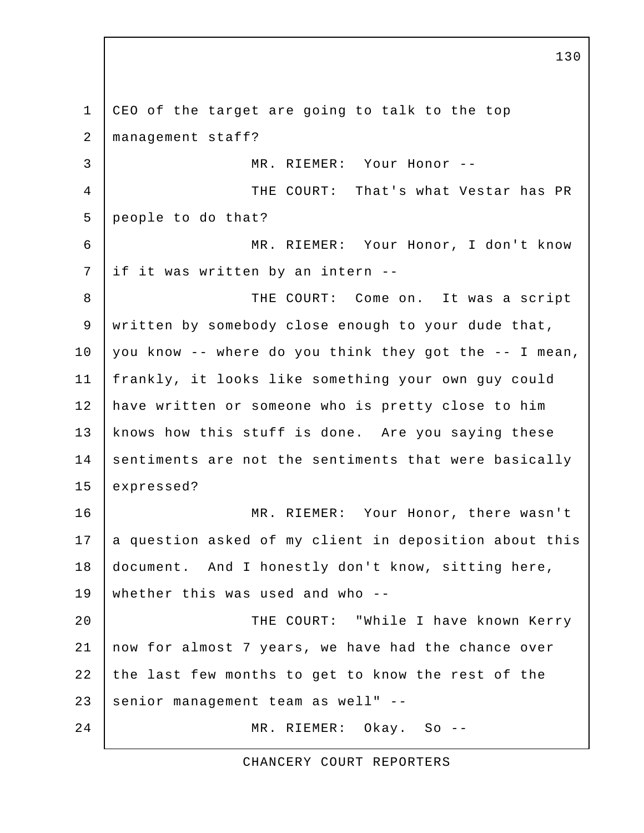1 CEO of the target are going to talk to the top 2 management staff? 3 MR. RIEMER: Your Honor -- 4 | THE COURT: That's what Vestar has PR 5 people to do that? 6 MR. RIEMER: Your Honor, I don't know 7 | if it was written by an intern -- 8 THE COURT: Come on. It was a script 9 written by somebody close enough to your dude that,  $10$  you know -- where do you think they got the -- I mean, 11 frankly, it looks like something your own guy could 12 have written or someone who is pretty close to him 13 | knows how this stuff is done. Are you saying these 14 sentiments are not the sentiments that were basically 15 expressed? 16 MR. RIEMER: Your Honor, there wasn't  $17$  a question asked of my client in deposition about this 18 document. And I honestly don't know, sitting here, 19 whether this was used and who -- 20 | THE COURT: "While I have known Kerry 21 now for almost 7 years, we have had the chance over 22 the last few months to get to know the rest of the 23 senior management team as well" --24 MR. RIEMER: Okay. So --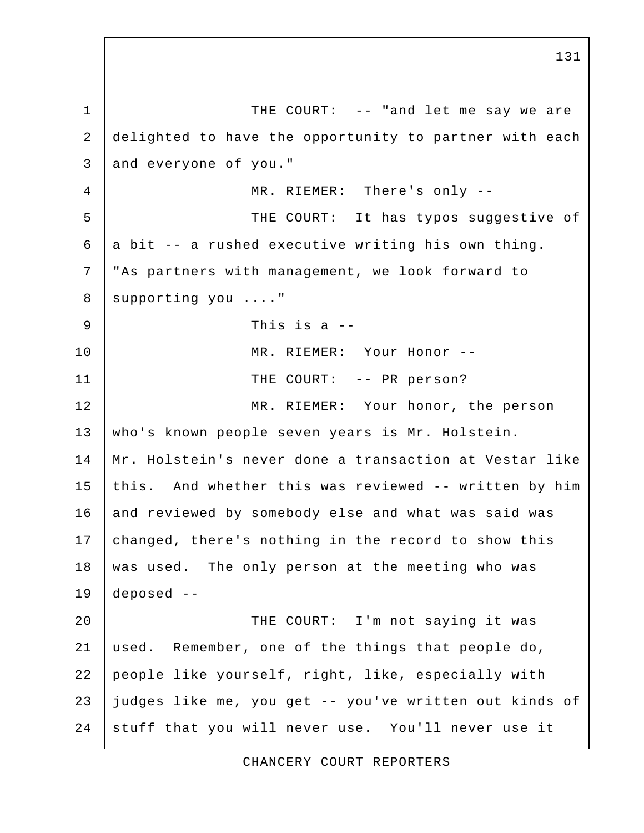1 THE COURT: -- "and let me say we are 2 delighted to have the opportunity to partner with each 3 and everyone of you." 4 | MR. RIEMER: There's only --5 THE COURT: It has typos suggestive of  $6$  a bit  $-$  a rushed executive writing his own thing. 7 "As partners with management, we look forward to 8 | supporting you ...."  $9$  | This is a --10 MR. RIEMER: Your Honor -- 11 | THE COURT: -- PR person? 12 MR. RIEMER: Your honor, the person 13 who's known people seven years is Mr. Holstein. 14 Mr. Holstein's never done a transaction at Vestar like 15 this. And whether this was reviewed -- written by him 16 and reviewed by somebody else and what was said was 17 changed, there's nothing in the record to show this 18 | was used. The only person at the meeting who was 19 deposed -- 20 | THE COURT: I'm not saying it was 21 used. Remember, one of the things that people do, 22 people like yourself, right, like, especially with 23 judges like me, you get -- you've written out kinds of 24 stuff that you will never use. You'll never use it

131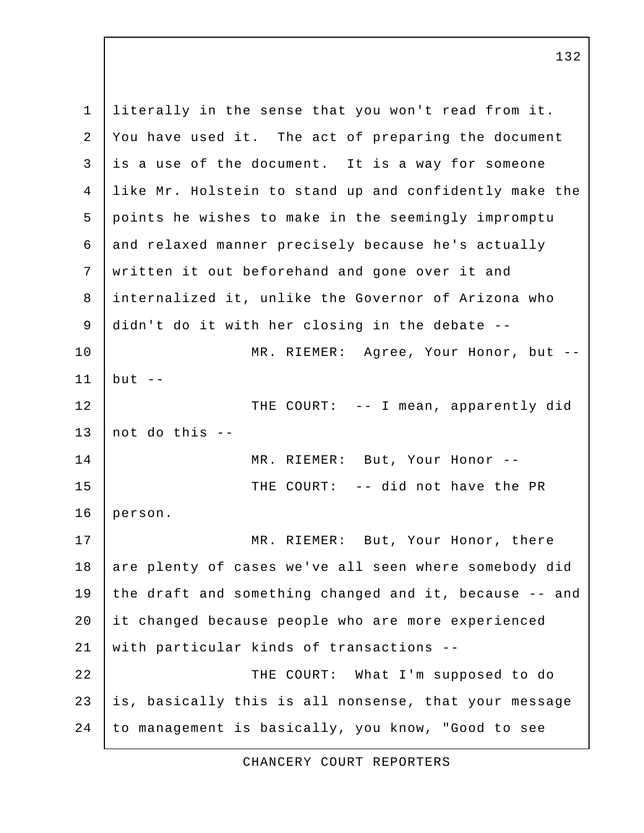1 literally in the sense that you won't read from it. 2 You have used it. The act of preparing the document  $3$  is a use of the document. It is a way for someone 4 like Mr. Holstein to stand up and confidently make the 5 points he wishes to make in the seemingly impromptu 6 and relaxed manner precisely because he's actually 7 written it out beforehand and gone over it and 8 internalized it, unlike the Governor of Arizona who 9 didn't do it with her closing in the debate -- 10 | MR. RIEMER: Agree, Your Honor, but -- $11$  but  $-$ 12 THE COURT: -- I mean, apparently did 13  $|$  not do this  $-$ 14 MR. RIEMER: But, Your Honor -- 15 THE COURT: -- did not have the PR 16 person. 17 MR. RIEMER: But, Your Honor, there 18 are plenty of cases we've all seen where somebody did 19 the draft and something changed and it, because -- and 20 it changed because people who are more experienced 21 with particular kinds of transactions --22 THE COURT: What I'm supposed to do 23 is, basically this is all nonsense, that your message 24 to management is basically, you know, "Good to see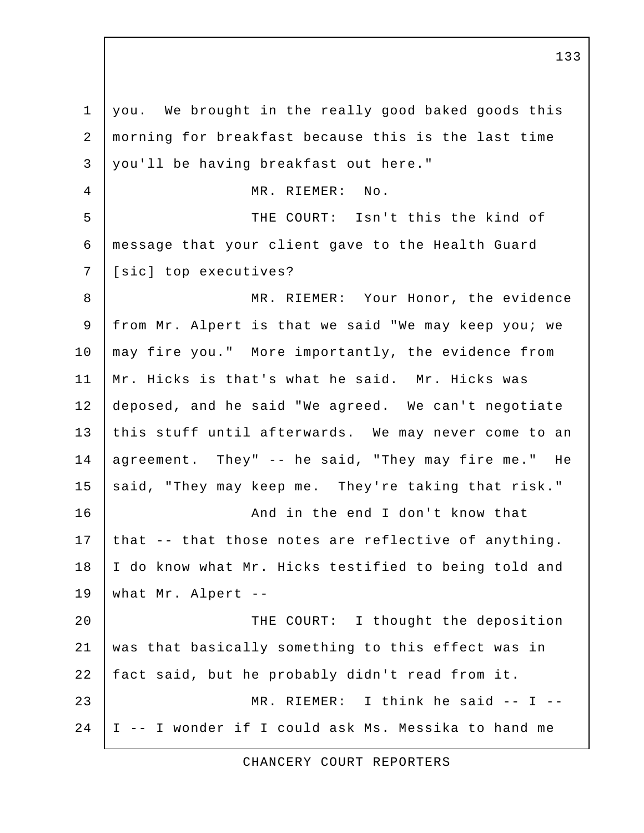1 you. We brought in the really good baked goods this 2 morning for breakfast because this is the last time 3 you'll be having breakfast out here." 4 MR. RIEMER: No. 5 THE COURT: Isn't this the kind of 6 message that your client gave to the Health Guard 7 [sic] top executives? 8 MR. RIEMER: Your Honor, the evidence 9 from Mr. Alpert is that we said "We may keep you; we 10 | may fire you." More importantly, the evidence from 11 | Mr. Hicks is that's what he said. Mr. Hicks was 12 deposed, and he said "We agreed. We can't negotiate 13 this stuff until afterwards. We may never come to an 14 agreement. They" -- he said, "They may fire me." He 15 said, "They may keep me. They're taking that risk." 16 | Chang and in the end I don't know that 17 that  $-$  that those notes are reflective of anything. 18 | I do know what Mr. Hicks testified to being told and 19 what Mr. Alpert -- 20 | THE COURT: I thought the deposition 21 was that basically something to this effect was in 22 fact said, but he probably didn't read from it. 23 | MR. RIEMER: I think he said -- I --24 I -- I wonder if I could ask Ms. Messika to hand me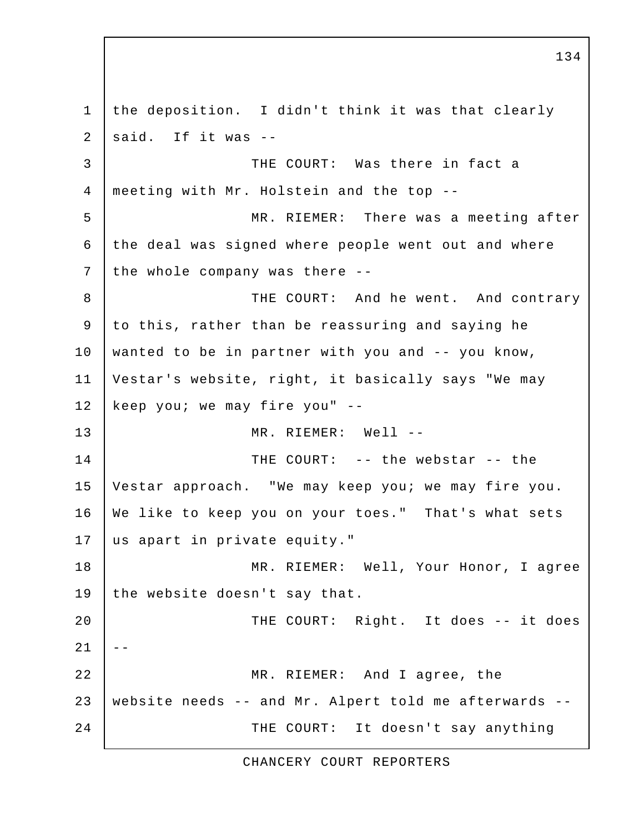1 the deposition. I didn't think it was that clearly  $2$  said. If it was  $-$  3 THE COURT: Was there in fact a 4 meeting with Mr. Holstein and the top -- 5 MR. RIEMER: There was a meeting after 6 the deal was signed where people went out and where 7 the whole company was there --8 | THE COURT: And he went. And contrary 9 to this, rather than be reassuring and saying he 10 wanted to be in partner with you and -- you know, 11 Vestar's website, right, it basically says "We may 12 | keep you; we may fire you" --13 MR. RIEMER: Well -- 14 THE COURT: -- the webstar -- the 15 Vestar approach. "We may keep you; we may fire you. 16 We like to keep you on your toes." That's what sets 17 us apart in private equity." 18 | MR. RIEMER: Well, Your Honor, I agree 19 the website doesn't say that. 20 THE COURT: Right. It does -- it does  $21$   $-$ 22 MR. RIEMER: And I agree, the 23 website needs -- and Mr. Alpert told me afterwards -- 24 THE COURT: It doesn't say anything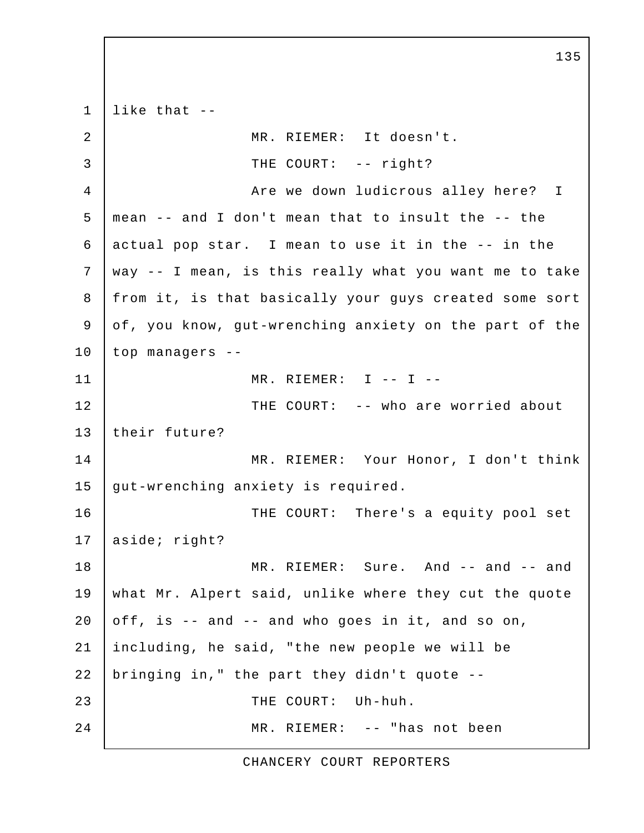$1$  like that  $-$  2 MR. RIEMER: It doesn't. 3 | THE COURT: -- right? 4 | Are we down ludicrous alley here? I 5 mean -- and I don't mean that to insult the -- the 6 actual pop star. I mean to use it in the -- in the 7 way -- I mean, is this really what you want me to take 8 from it, is that basically your guys created some sort 9 of, you know, gut-wrenching anxiety on the part of the 10 top managers -- 11 MR. RIEMER: I -- I -- 12 THE COURT: -- who are worried about 13 their future? 14 MR. RIEMER: Your Honor, I don't think 15 gut-wrenching anxiety is required. 16 | THE COURT: There's a equity pool set 17 | aside; right? 18 MR. RIEMER: Sure. And -- and -- and 19 what Mr. Alpert said, unlike where they cut the quote 20 off, is  $-$  and  $-$  and who goes in it, and so on, 21 including, he said, "the new people we will be 22 bringing in," the part they didn't quote -- 23 | THE COURT: Uh-huh. 24 MR. RIEMER: -- "has not been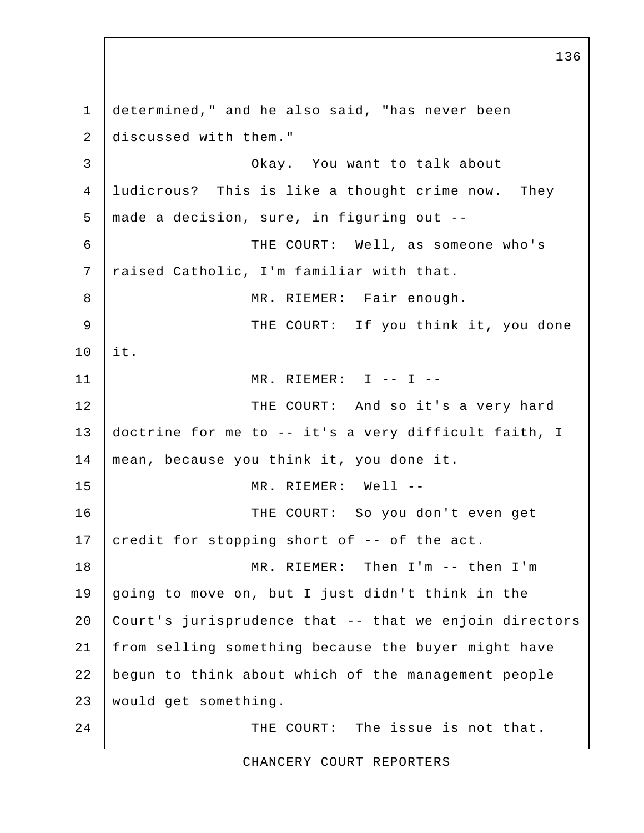1 determined," and he also said, "has never been 2 discussed with them." 3 Okay. You want to talk about 4 ludicrous? This is like a thought crime now. They 5 made a decision, sure, in figuring out -- 6 THE COURT: Well, as someone who's 7 | raised Catholic, I'm familiar with that. 8 | MR. RIEMER: Fair enough. 9 THE COURT: If you think it, you done 10 it. 11 MR. RIEMER: I -- I -- 12 THE COURT: And so it's a very hard 13 doctrine for me to -- it's a very difficult faith, I 14 mean, because you think it, you done it. 15 MR. RIEMER: Well -- 16 THE COURT: So you don't even get 17 credit for stopping short of  $-$ - of the act. 18 MR. RIEMER: Then I'm -- then I'm 19 going to move on, but I just didn't think in the 20 Court's jurisprudence that -- that we enjoin directors 21 from selling something because the buyer might have 22 begun to think about which of the management people 23 would get something. 24 THE COURT: The issue is not that.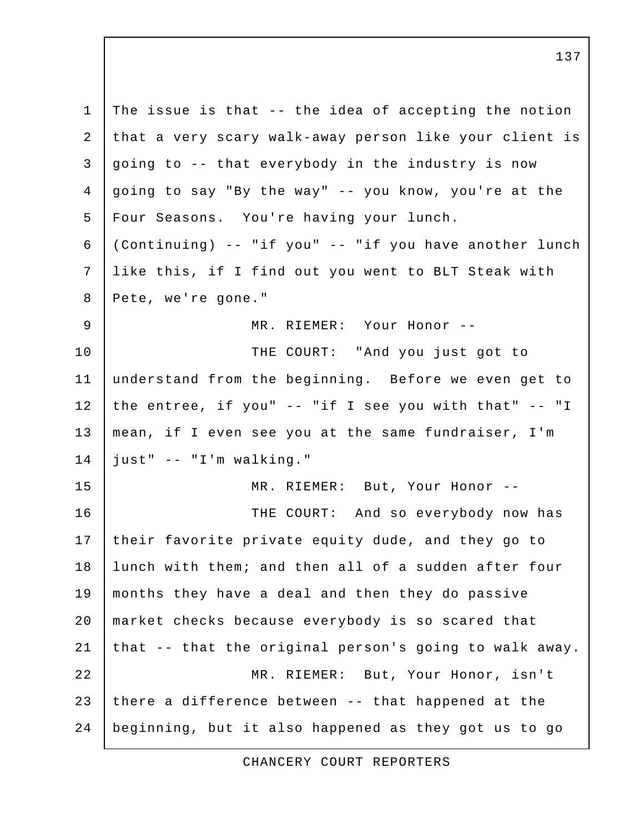1 The issue is that  $-$ - the idea of accepting the notion 2 that a very scary walk-away person like your client is 3 going to -- that everybody in the industry is now 4 going to say "By the way" -- you know, you're at the 5 Four Seasons. You're having your lunch. 6 (Continuing) -- "if you" -- "if you have another lunch 7 like this, if I find out you went to BLT Steak with 8 Pete, we're gone." 9 MR. RIEMER: Your Honor -- 10 | THE COURT: "And you just got to 11 understand from the beginning. Before we even get to 12 the entree, if you"  $--$  "if I see you with that"  $--$  "I 13 mean, if I even see you at the same fundraiser, I'm 14 just" -- "I'm walking." 15 MR. RIEMER: But, Your Honor -- 16 THE COURT: And so everybody now has 17 their favorite private equity dude, and they go to 18 | lunch with them; and then all of a sudden after four 19 months they have a deal and then they do passive 20 market checks because everybody is so scared that 21 that  $-$ - that the original person's going to walk away. 22 MR. RIEMER: But, Your Honor, isn't 23 there a difference between  $-$ - that happened at the 24 beginning, but it also happened as they got us to go

CHANCERY COURT REPORTERS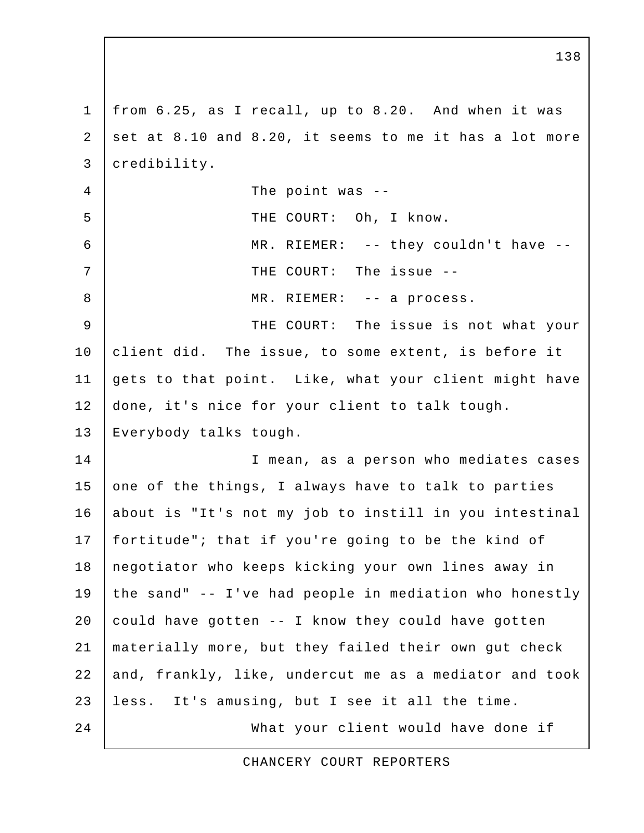1 from 6.25, as I recall, up to 8.20. And when it was 2 set at 8.10 and 8.20, it seems to me it has a lot more 3 credibility. 4 The point was --5 | THE COURT: Oh, I know. 6 MR. RIEMER: -- they couldn't have -- 7 THE COURT: The issue -- 8 | MR. RIEMER: -- a process. 9 THE COURT: The issue is not what your 10 client did. The issue, to some extent, is before it 11 gets to that point. Like, what your client might have 12 done, it's nice for your client to talk tough. 13 Everybody talks tough. 14 I mean, as a person who mediates cases 15 one of the things, I always have to talk to parties 16 about is "It's not my job to instill in you intestinal 17 fortitude"; that if you're going to be the kind of 18 negotiator who keeps kicking your own lines away in 19 the sand" -- I've had people in mediation who honestly 20 could have gotten  $--$  I know they could have gotten 21 materially more, but they failed their own gut check 22 and, frankly, like, undercut me as a mediator and took 23 less. It's amusing, but I see it all the time. 24 What your client would have done if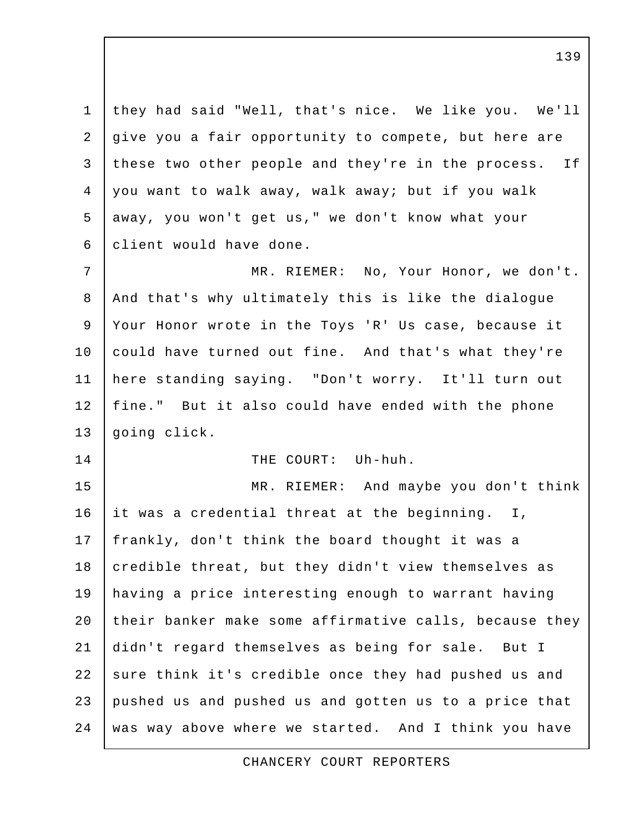1 they had said "Well, that's nice. We like you. We'll 2 give you a fair opportunity to compete, but here are 3 these two other people and they're in the process. If 4 you want to walk away, walk away; but if you walk 5 away, you won't get us," we don't know what your 6 client would have done. 7 MR. RIEMER: No, Your Honor, we don't. 8 | And that's why ultimately this is like the dialogue 9 Your Honor wrote in the Toys 'R' Us case, because it 10 could have turned out fine. And that's what they're 11 here standing saying. "Don't worry. It'll turn out 12 fine." But it also could have ended with the phone 13 going click. 14 | THE COURT: Uh-huh. 15 | MR. RIEMER: And maybe you don't think 16 it was a credential threat at the beginning. I, 17 | frankly, don't think the board thought it was a 18 credible threat, but they didn't view themselves as 19 having a price interesting enough to warrant having 20 their banker make some affirmative calls, because they 21 didn't regard themselves as being for sale. But I 22 sure think it's credible once they had pushed us and 23 pushed us and pushed us and gotten us to a price that 24 | was way above where we started. And I think you have

CHANCERY COURT REPORTERS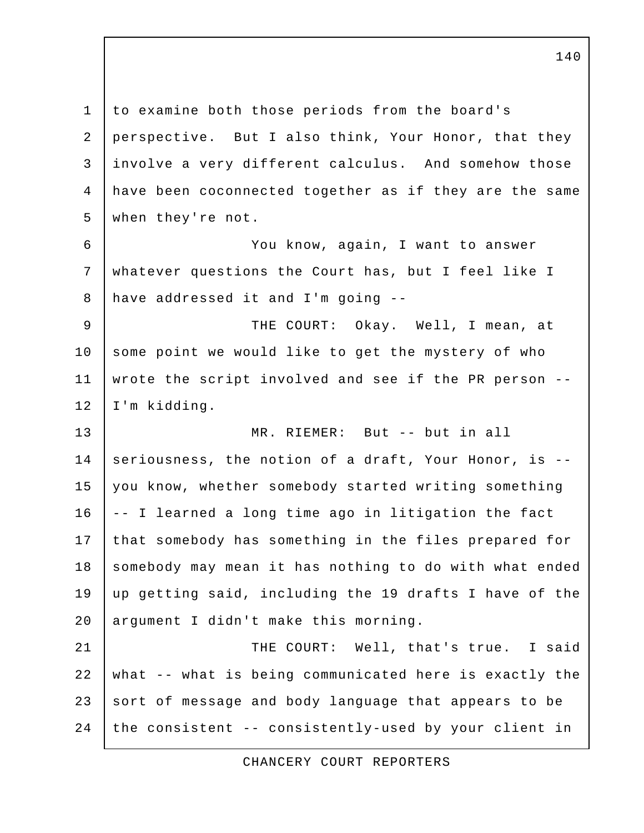1 to examine both those periods from the board's 2 perspective. But I also think, Your Honor, that they 3 involve a very different calculus. And somehow those 4 have been coconnected together as if they are the same 5 when they're not. 6 You know, again, I want to answer 7 whatever questions the Court has, but I feel like I 8 have addressed it and I'm going -- 9 THE COURT: Okay. Well, I mean, at 10 some point we would like to get the mystery of who 11 wrote the script involved and see if the PR person -- 12 I'm kidding. 13 MR. RIEMER: But -- but in all 14 seriousness, the notion of a draft, Your Honor, is -- 15 you know, whether somebody started writing something 16 | -- I learned a long time ago in litigation the fact 17 that somebody has something in the files prepared for 18 | somebody may mean it has nothing to do with what ended 19 up getting said, including the 19 drafts I have of the 20 argument I didn't make this morning. 21 | THE COURT: Well, that's true. I said 22 what -- what is being communicated here is exactly the 23 sort of message and body language that appears to be 24 the consistent -- consistently-used by your client in

CHANCERY COURT REPORTERS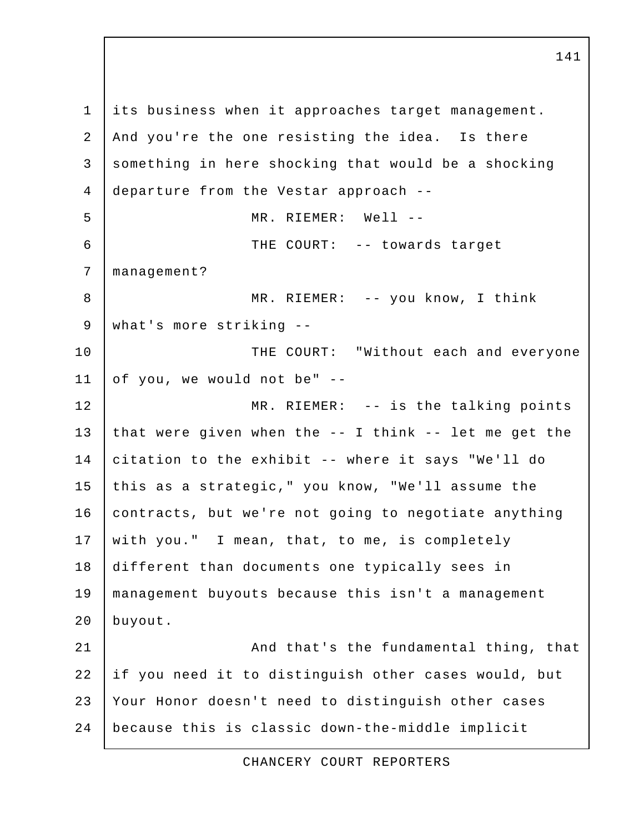1 its business when it approaches target management. 2 And you're the one resisting the idea. Is there 3 something in here shocking that would be a shocking 4 departure from the Vestar approach -- 5 MR. RIEMER: Well -- 6 THE COURT: -- towards target 7 management? 8 | MR. RIEMER: -- you know, I think 9 what's more striking -- 10 | THE COURT: "Without each and everyone 11 of you, we would not be"  $-$ 12 MR. RIEMER: -- is the talking points 13 that were given when the  $--$  I think  $--$  let me get the 14 citation to the exhibit -- where it says "We'll do 15 this as a strategic," you know, "We'll assume the 16 contracts, but we're not going to negotiate anything 17 with you." I mean, that, to me, is completely 18 different than documents one typically sees in 19 management buyouts because this isn't a management 20 buyout. 21 | And that's the fundamental thing, that 22 if you need it to distinguish other cases would, but 23 Your Honor doesn't need to distinguish other cases 24 because this is classic down-the-middle implicit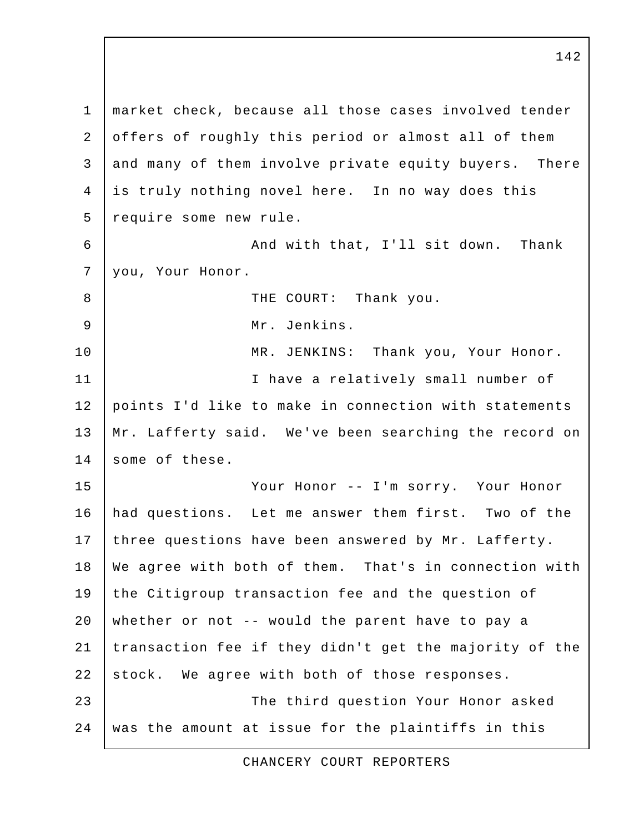1 market check, because all those cases involved tender 2 offers of roughly this period or almost all of them 3 and many of them involve private equity buyers. There 4 is truly nothing novel here. In no way does this 5 require some new rule. 6 And with that, I'll sit down. Thank 7 you, Your Honor. 8 | THE COURT: Thank you. 9 Mr. Jenkins. 10 | MR. JENKINS: Thank you, Your Honor. 11 I have a relatively small number of 12 points I'd like to make in connection with statements 13 Mr. Lafferty said. We've been searching the record on 14 some of these. 15 Your Honor -- I'm sorry. Your Honor 16 had questions. Let me answer them first. Two of the 17 three questions have been answered by Mr. Lafferty. 18 We agree with both of them. That's in connection with 19 the Citigroup transaction fee and the question of 20 whether or not -- would the parent have to pay a 21 | transaction fee if they didn't get the majority of the 22 stock. We agree with both of those responses. 23 The third question Your Honor asked 24 | was the amount at issue for the plaintiffs in this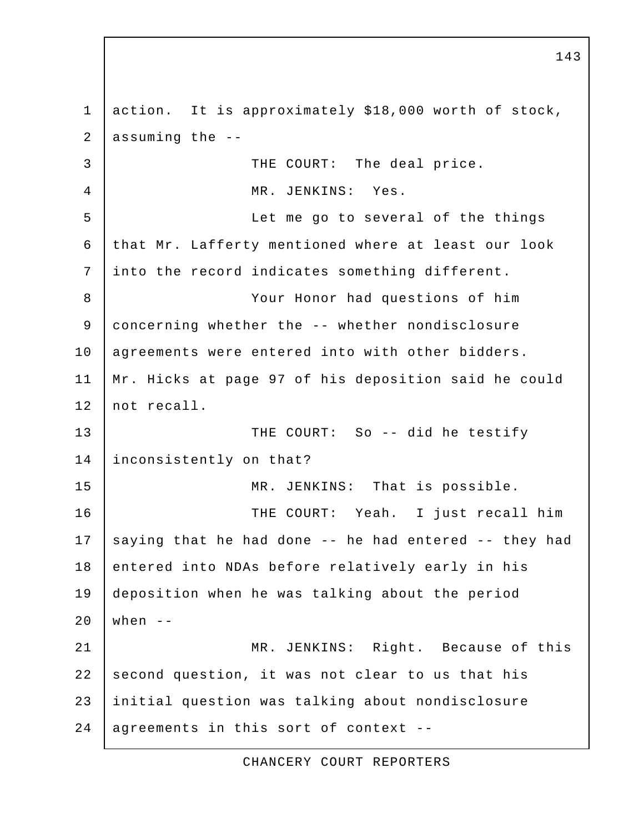1 action. It is approximately \$18,000 worth of stock, 2 | assuming the  $-$ -3 THE COURT: The deal price. 4 MR. JENKINS: Yes. 5 Let me go to several of the things 6 that Mr. Lafferty mentioned where at least our look 7 into the record indicates something different. 8 Your Honor had questions of him 9 concerning whether the -- whether nondisclosure 10 | agreements were entered into with other bidders. 11 Mr. Hicks at page 97 of his deposition said he could 12 not recall. 13 THE COURT: So -- did he testify 14 inconsistently on that? 15 | MR. JENKINS: That is possible. 16 | THE COURT: Yeah. I just recall him 17 saying that he had done  $-$  he had entered  $-$  they had 18 entered into NDAs before relatively early in his 19 deposition when he was talking about the period 20 | when  $-$ 21 | MR. JENKINS: Right. Because of this  $22$  second question, it was not clear to us that his 23 initial question was talking about nondisclosure  $24$  agreements in this sort of context --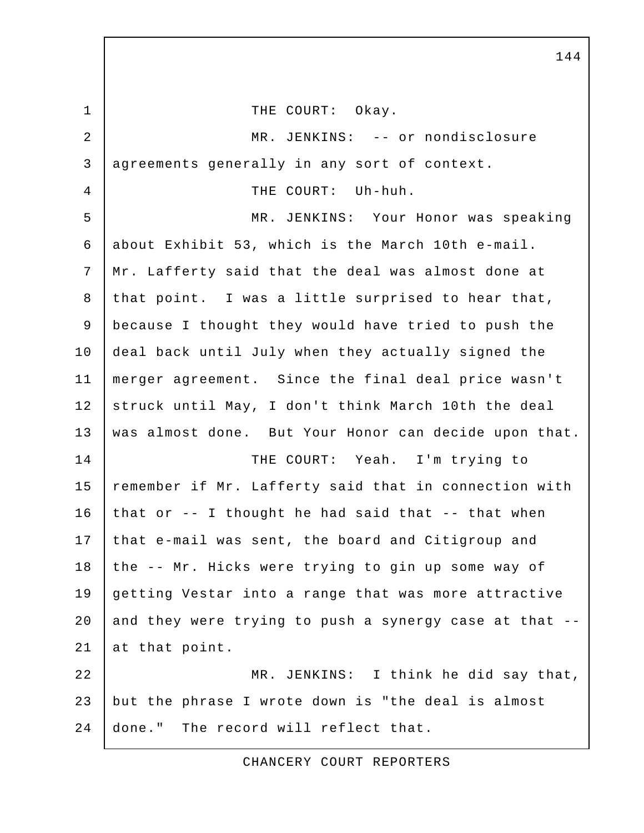1 | THE COURT: Okay. 2 MR. JENKINS: -- or nondisclosure 3 agreements generally in any sort of context. 4 THE COURT: Uh-huh. 5 MR. JENKINS: Your Honor was speaking 6 about Exhibit 53, which is the March 10th e-mail. 7 Mr. Lafferty said that the deal was almost done at 8 | that point. I was a little surprised to hear that, 9 because I thought they would have tried to push the 10 deal back until July when they actually signed the 11 merger agreement. Since the final deal price wasn't 12 struck until May, I don't think March 10th the deal 13 | was almost done. But Your Honor can decide upon that. 14 THE COURT: Yeah. I'm trying to 15 remember if Mr. Lafferty said that in connection with 16 that or  $-$ - I thought he had said that  $-$ - that when 17 that e-mail was sent, the board and Citigroup and 18 the -- Mr. Hicks were trying to gin up some way of 19 getting Vestar into a range that was more attractive 20 and they were trying to push a synergy case at that  $-$ -21 at that point. 22 MR. JENKINS: I think he did say that, 23 but the phrase I wrote down is "the deal is almost 24 done." The record will reflect that.

CHANCERY COURT REPORTERS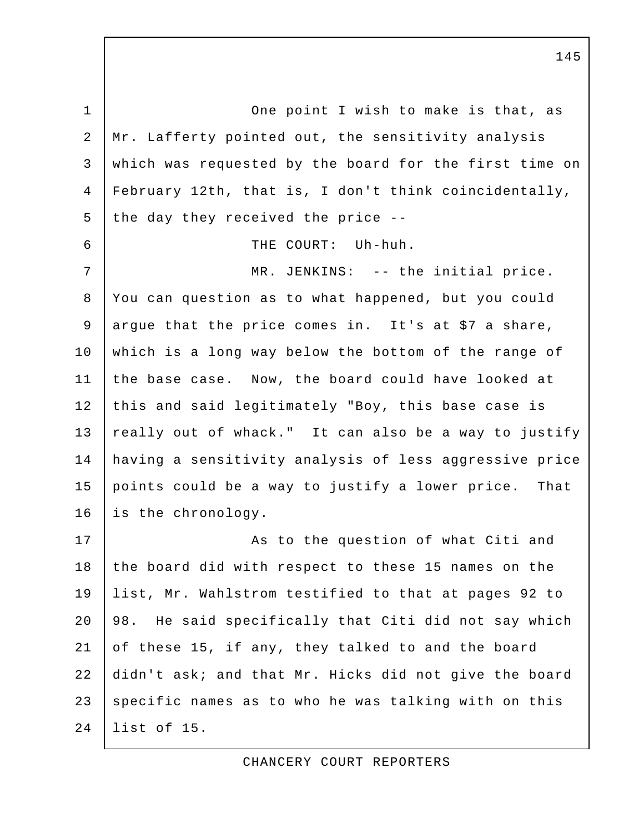1 One point I wish to make is that, as 2 Mr. Lafferty pointed out, the sensitivity analysis 3 which was requested by the board for the first time on 4 February 12th, that is, I don't think coincidentally, 5 the day they received the price  $-$ - 6 THE COURT: Uh-huh. 7 | MR. JENKINS: -- the initial price. 8 You can question as to what happened, but you could 9 argue that the price comes in. It's at \$7 a share, 10 which is a long way below the bottom of the range of 11 the base case. Now, the board could have looked at 12 this and said legitimately "Boy, this base case is 13 really out of whack." It can also be a way to justify 14 having a sensitivity analysis of less aggressive price 15 points could be a way to justify a lower price. That 16 is the chronology. 17 | Ris to the question of what Citi and 18 the board did with respect to these 15 names on the 19 list, Mr. Wahlstrom testified to that at pages 92 to 20 98. He said specifically that Citi did not say which 21 of these 15, if any, they talked to and the board 22 didn't ask; and that Mr. Hicks did not give the board 23 specific names as to who he was talking with on this 24 list of 15.

CHANCERY COURT REPORTERS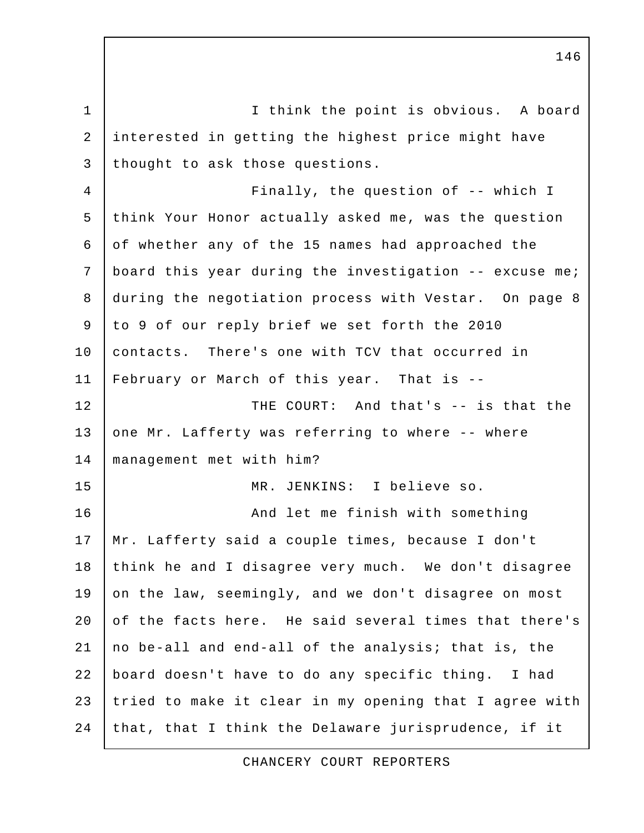1 I think the point is obvious. A board 2 interested in getting the highest price might have 3 thought to ask those questions. 4 Finally, the question of -- which I 5 think Your Honor actually asked me, was the question 6 of whether any of the 15 names had approached the 7 | board this year during the investigation -- excuse me; 8 during the negotiation process with Vestar. On page 8 9 to 9 of our reply brief we set forth the 2010 10 contacts. There's one with TCV that occurred in 11 February or March of this year. That is -- 12 THE COURT: And that's -- is that the 13 one Mr. Lafferty was referring to where -- where 14 management met with him? 15 MR. JENKINS: I believe so. 16 And let me finish with something 17 | Mr. Lafferty said a couple times, because I don't 18 think he and I disagree very much. We don't disagree 19 on the law, seemingly, and we don't disagree on most 20 of the facts here. He said several times that there's 21 no be-all and end-all of the analysis; that is, the 22 board doesn't have to do any specific thing. I had 23 tried to make it clear in my opening that I agree with 24 that, that I think the Delaware jurisprudence, if it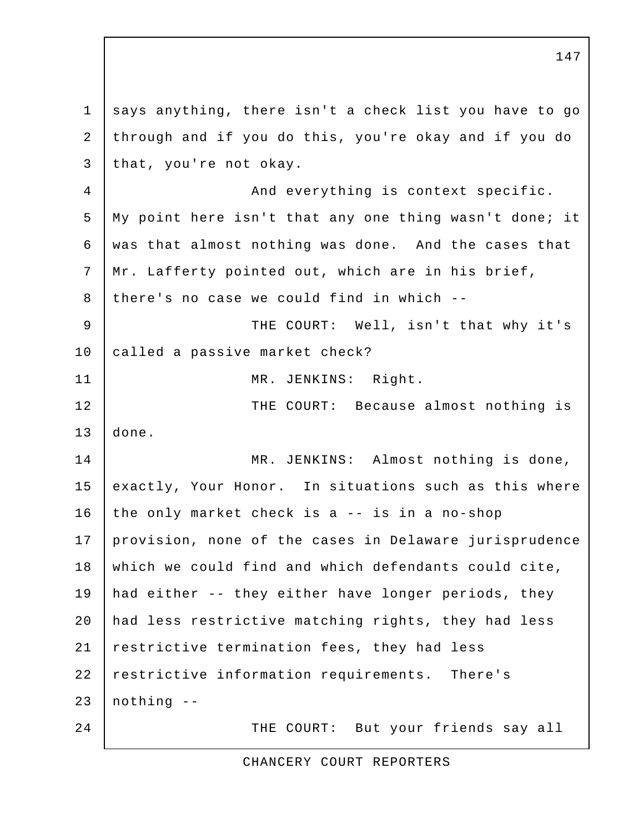1 says anything, there isn't a check list you have to go 2 through and if you do this, you're okay and if you do 3 that, you're not okay. 4 | And everything is context specific. 5 My point here isn't that any one thing wasn't done; it 6 was that almost nothing was done. And the cases that 7 Mr. Lafferty pointed out, which are in his brief, 8 there's no case we could find in which --9 | THE COURT: Well, isn't that why it's 10 called a passive market check? 11 MR. JENKINS: Right. 12 | THE COURT: Because almost nothing is 13 done. 14 MR. JENKINS: Almost nothing is done, 15 exactly, Your Honor. In situations such as this where 16 the only market check is a -- is in a no-shop 17 provision, none of the cases in Delaware jurisprudence 18 which we could find and which defendants could cite, 19 had either -- they either have longer periods, they 20 had less restrictive matching rights, they had less 21 restrictive termination fees, they had less 22 restrictive information requirements. There's  $23$  nothing  $-$ 24 THE COURT: But your friends say all

CHANCERY COURT REPORTERS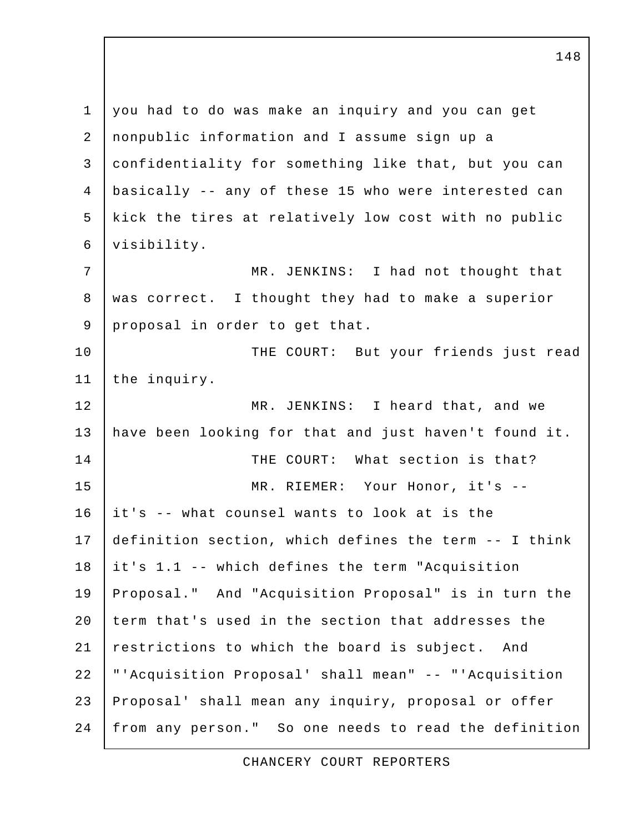1 you had to do was make an inquiry and you can get 2 nonpublic information and I assume sign up a 3 confidentiality for something like that, but you can 4 basically -- any of these 15 who were interested can 5 kick the tires at relatively low cost with no public 6 visibility. 7 | MR. JENKINS: I had not thought that 8 was correct. I thought they had to make a superior 9 proposal in order to get that. 10 | THE COURT: But your friends just read 11 | the inquiry. 12 MR. JENKINS: I heard that, and we 13 have been looking for that and just haven't found it. 14 | THE COURT: What section is that? 15 MR. RIEMER: Your Honor, it's -- 16 it's -- what counsel wants to look at is the 17 definition section, which defines the term -- I think 18 it's 1.1 -- which defines the term "Acquisition 19 Proposal." And "Acquisition Proposal" is in turn the 20 term that's used in the section that addresses the 21 restrictions to which the board is subject. And 22 "'Acquisition Proposal' shall mean" -- "'Acquisition 23 Proposal' shall mean any inquiry, proposal or offer 24 from any person." So one needs to read the definition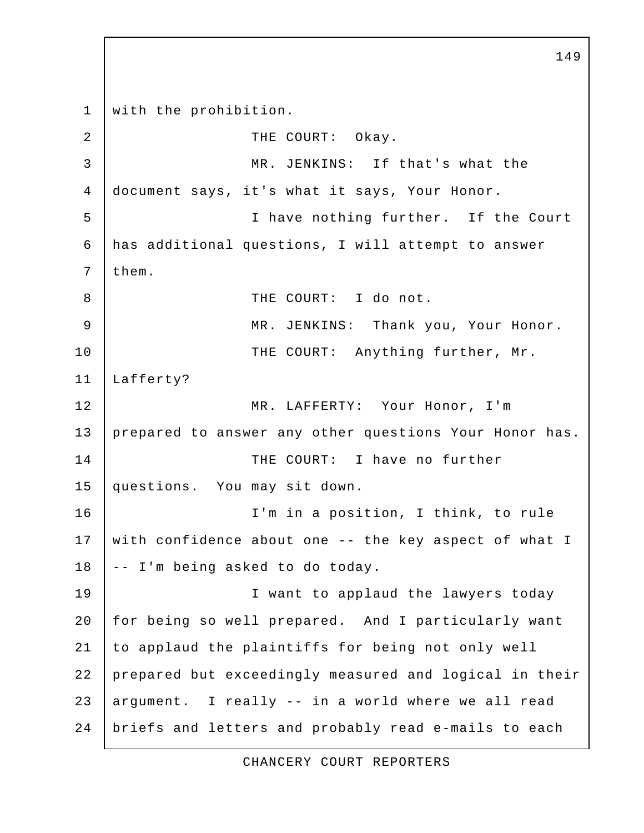1 with the prohibition. 2 COURT: Okay. 3 MR. JENKINS: If that's what the 4 document says, it's what it says, Your Honor. 5 I have nothing further. If the Court 6 has additional questions, I will attempt to answer  $7$  them. 8 | THE COURT: I do not. 9 MR. JENKINS: Thank you, Your Honor. 10 | THE COURT: Anything further, Mr. 11 Lafferty? 12 MR. LAFFERTY: Your Honor, I'm 13 prepared to answer any other questions Your Honor has. 14 THE COURT: I have no further 15 questions. You may sit down. 16 I'm in a position, I think, to rule 17 with confidence about one -- the key aspect of what I 18 | -- I'm being asked to do today. 19 | Consument To applaud the lawyers today 20 | for being so well prepared. And I particularly want 21 to applaud the plaintiffs for being not only well 22 prepared but exceedingly measured and logical in their 23 argument. I really -- in a world where we all read 24 briefs and letters and probably read e-mails to each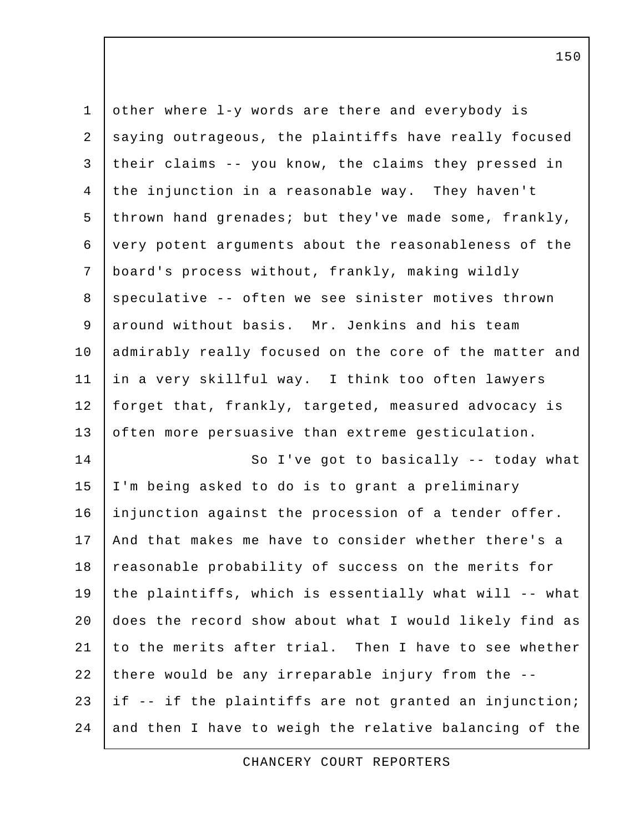| $1\,$          | other where 1-y words are there and everybody is       |
|----------------|--------------------------------------------------------|
| $\mathbf{2}$   | saying outrageous, the plaintiffs have really focused  |
| 3              | their claims -- you know, the claims they pressed in   |
| $\overline{4}$ | the injunction in a reasonable way. They haven't       |
| 5              | thrown hand grenades; but they've made some, frankly,  |
| 6              | very potent arguments about the reasonableness of the  |
| 7              | board's process without, frankly, making wildly        |
| $\,8\,$        | speculative -- often we see sinister motives thrown    |
| 9              | around without basis. Mr. Jenkins and his team         |
| 10             | admirably really focused on the core of the matter and |
| 11             | in a very skillful way. I think too often lawyers      |
| 12             | forget that, frankly, targeted, measured advocacy is   |
| 13             | often more persuasive than extreme gesticulation.      |
| 14             | So I've got to basically -- today what                 |
| 15             | I'm being asked to do is to grant a preliminary        |
| 16             | injunction against the procession of a tender offer.   |
| 17             | And that makes me have to consider whether there's a   |
| 18             | reasonable probability of success on the merits for    |
| 19             | the plaintiffs, which is essentially what will -- what |
| 20             | does the record show about what I would likely find as |
| 21             | to the merits after trial. Then I have to see whether  |
| 22             | there would be any irreparable injury from the --      |
| 23             | if -- if the plaintiffs are not granted an injunction; |
| 24             | and then I have to weigh the relative balancing of the |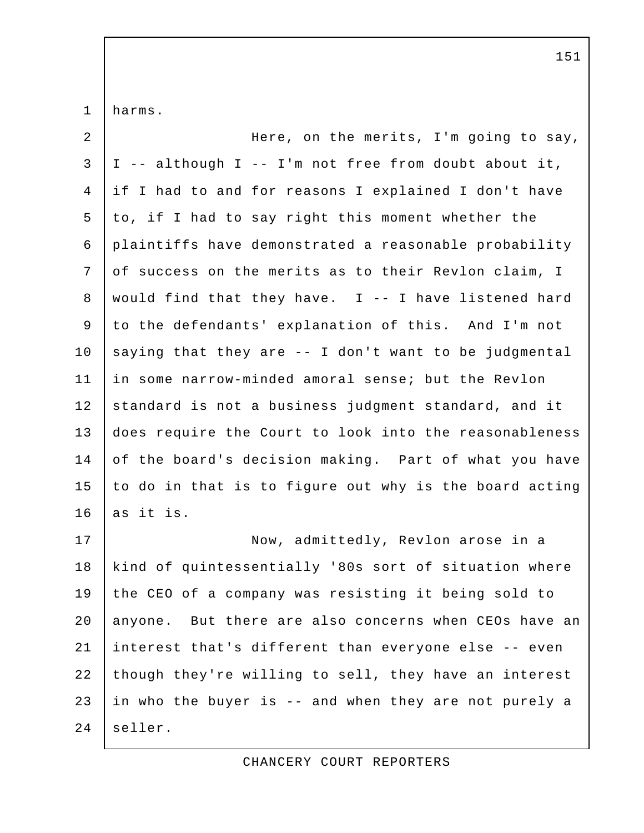1 harms.

| $\overline{a}$ | Here, on the merits, I'm going to say,                 |
|----------------|--------------------------------------------------------|
| $\mathsf{3}$   | I -- although I -- I'm not free from doubt about it,   |
| 4              | if I had to and for reasons I explained I don't have   |
| 5              | to, if I had to say right this moment whether the      |
| 6              | plaintiffs have demonstrated a reasonable probability  |
| 7              | of success on the merits as to their Revlon claim, I   |
| 8              | would find that they have. I -- I have listened hard   |
| 9              | to the defendants' explanation of this. And I'm not    |
| 10             | saying that they are -- I don't want to be judgmental  |
| 11             | in some narrow-minded amoral sense; but the Revlon     |
| 12             | standard is not a business judgment standard, and it   |
| 13             | does require the Court to look into the reasonableness |
| 14             | of the board's decision making. Part of what you have  |
| 15             | to do in that is to figure out why is the board acting |
| 16             | as it is.                                              |
| 17             | Now, admittedly, Revlon arose in a                     |
| 18             | kind of quintessentially '80s sort of situation where  |
| 19             | the CEO of a company was resisting it being sold to    |
| 20             | anyone. But there are also concerns when CEOs have an  |
| 21             | interest that's different than everyone else -- even   |
| 22             | though they're willing to sell, they have an interest  |
| 23             | in who the buyer is -- and when they are not purely a  |
| 24             | seller.                                                |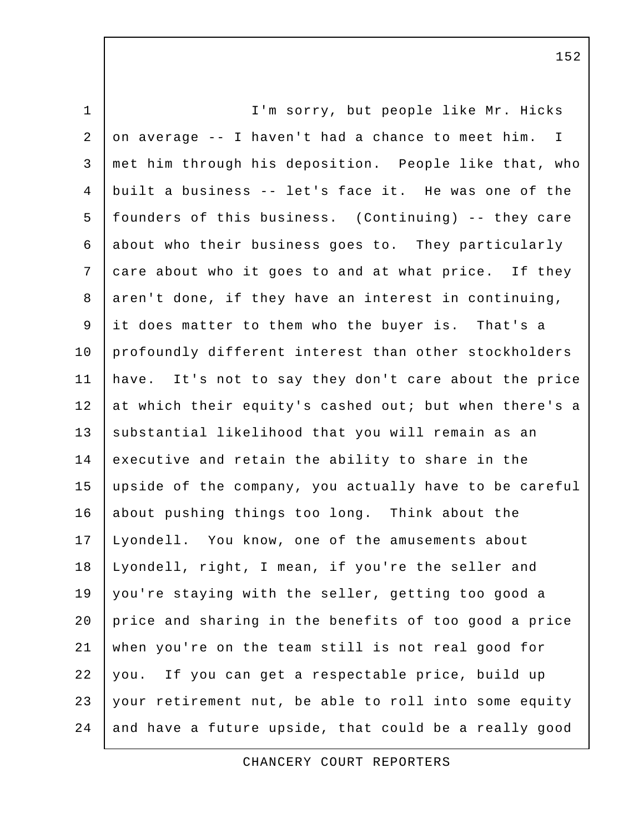1 | T'm sorry, but people like Mr. Hicks 2 on average -- I haven't had a chance to meet him. I 3 met him through his deposition. People like that, who 4 built a business -- let's face it. He was one of the 5 founders of this business. (Continuing) -- they care 6 about who their business goes to. They particularly 7 care about who it goes to and at what price. If they 8 aren't done, if they have an interest in continuing, 9 it does matter to them who the buyer is. That's a 10 profoundly different interest than other stockholders 11 have. It's not to say they don't care about the price 12 at which their equity's cashed out; but when there's a 13 | substantial likelihood that you will remain as an 14 executive and retain the ability to share in the 15 upside of the company, you actually have to be careful 16 about pushing things too long. Think about the 17 Lyondell. You know, one of the amusements about 18 Lyondell, right, I mean, if you're the seller and 19 you're staying with the seller, getting too good a 20 price and sharing in the benefits of too good a price 21 when you're on the team still is not real good for 22 you. If you can get a respectable price, build up 23 your retirement nut, be able to roll into some equity  $24$  and have a future upside, that could be a really good

CHANCERY COURT REPORTERS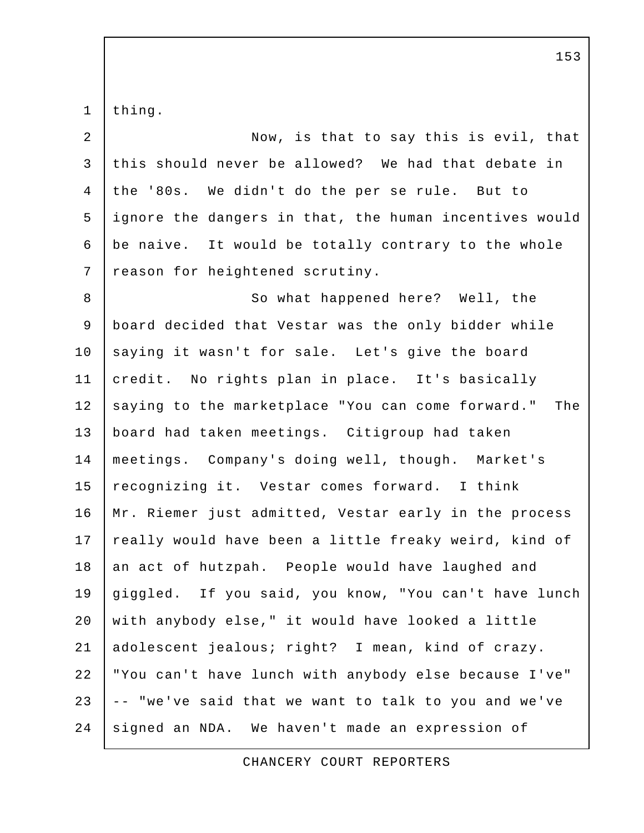1 thing.

| $\overline{a}$ | Now, is that to say this is evil, that                   |
|----------------|----------------------------------------------------------|
| $\mathfrak{Z}$ | this should never be allowed? We had that debate in      |
| $\overline{4}$ | the '80s. We didn't do the per se rule. But to           |
| 5              | ignore the dangers in that, the human incentives would   |
| 6              | be naive. It would be totally contrary to the whole      |
| 7              | reason for heightened scrutiny.                          |
| 8              | So what happened here? Well, the                         |
| 9              | board decided that Vestar was the only bidder while      |
| 10             | saying it wasn't for sale. Let's give the board          |
| 11             | credit. No rights plan in place. It's basically          |
| 12             | saying to the marketplace "You can come forward."<br>The |
| 13             | board had taken meetings. Citigroup had taken            |
| 14             | meetings. Company's doing well, though. Market's         |
| 15             | recognizing it. Vestar comes forward. I think            |
| 16             | Mr. Riemer just admitted, Vestar early in the process    |
| 17             | really would have been a little freaky weird, kind of    |
| 18             | an act of hutzpah. People would have laughed and         |
| 19             | giggled. If you said, you know, "You can't have lunch    |
| 20             | with anybody else," it would have looked a little        |
| 21             | adolescent jealous; right? I mean, kind of crazy.        |
| 22             | "You can't have lunch with anybody else because I've"    |
| 23             | -- "we've said that we want to talk to you and we've     |
| 24             | signed an NDA. We haven't made an expression of          |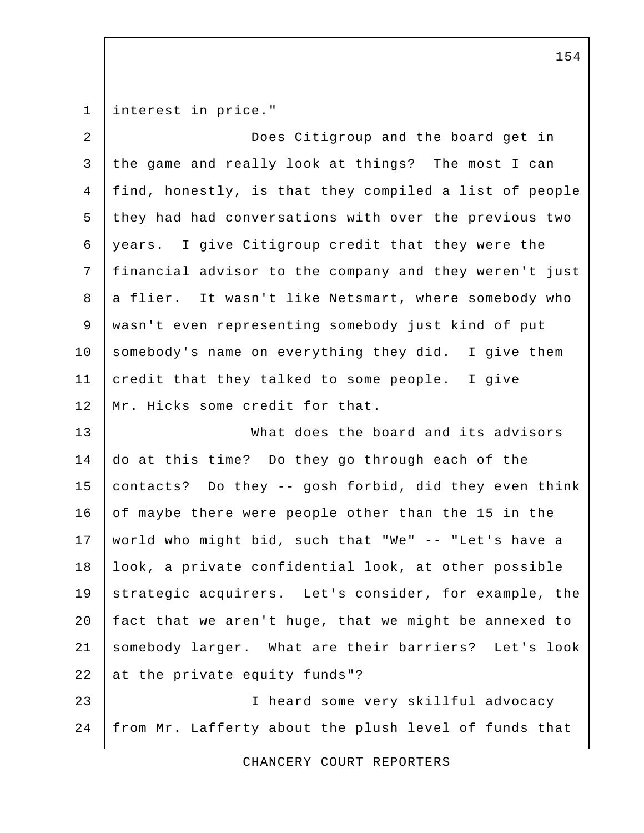1 interest in price."

 2 Does Citigroup and the board get in 3 the game and really look at things? The most I can 4 find, honestly, is that they compiled a list of people 5 they had had conversations with over the previous two 6 years. I give Citigroup credit that they were the 7 financial advisor to the company and they weren't just 8 a flier. It wasn't like Netsmart, where somebody who 9 wasn't even representing somebody just kind of put 10 somebody's name on everything they did. I give them 11 credit that they talked to some people. I give 12 | Mr. Hicks some credit for that. 13 What does the board and its advisors

14 do at this time? Do they go through each of the 15 contacts? Do they -- gosh forbid, did they even think 16 of maybe there were people other than the 15 in the 17 world who might bid, such that "We" -- "Let's have a 18 | look, a private confidential look, at other possible 19 strategic acquirers. Let's consider, for example, the 20 | fact that we aren't huge, that we might be annexed to 21 somebody larger. What are their barriers? Let's look 22 at the private equity funds"?

23 I heard some very skillful advocacy 24 from Mr. Lafferty about the plush level of funds that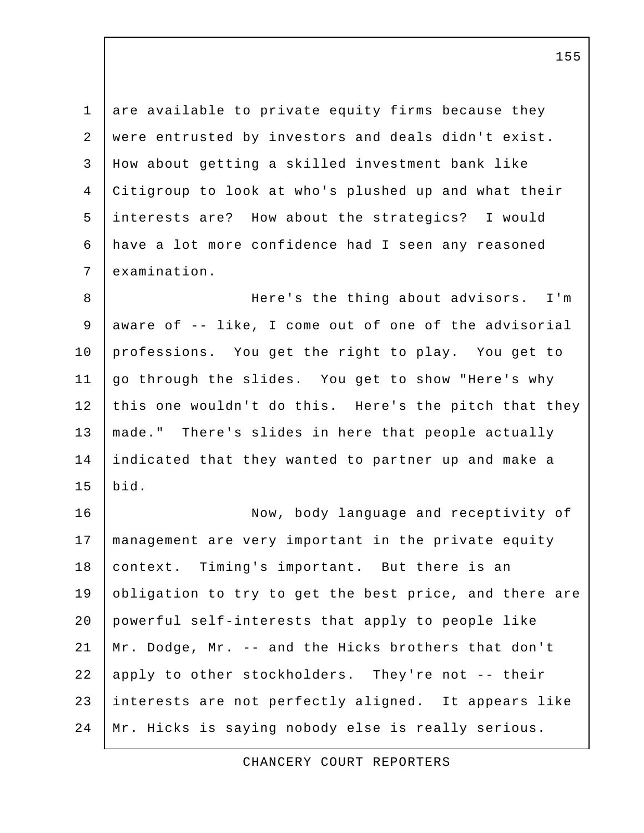1 are available to private equity firms because they 2 were entrusted by investors and deals didn't exist. 3 How about getting a skilled investment bank like 4 Citigroup to look at who's plushed up and what their 5 interests are? How about the strategics? I would 6 have a lot more confidence had I seen any reasoned 7 examination.

 8 Here's the thing about advisors. I'm 9 aware of -- like, I come out of one of the advisorial 10 professions. You get the right to play. You get to 11 go through the slides. You get to show "Here's why 12 this one wouldn't do this. Here's the pitch that they 13 | made." There's slides in here that people actually 14 indicated that they wanted to partner up and make a 15 bid.

16 | Now, body language and receptivity of 17 management are very important in the private equity 18 | context. Timing's important. But there is an 19 obligation to try to get the best price, and there are 20 powerful self-interests that apply to people like 21 Mr. Dodge, Mr. -- and the Hicks brothers that don't 22 apply to other stockholders. They're not -- their 23 interests are not perfectly aligned. It appears like 24 Mr. Hicks is saying nobody else is really serious.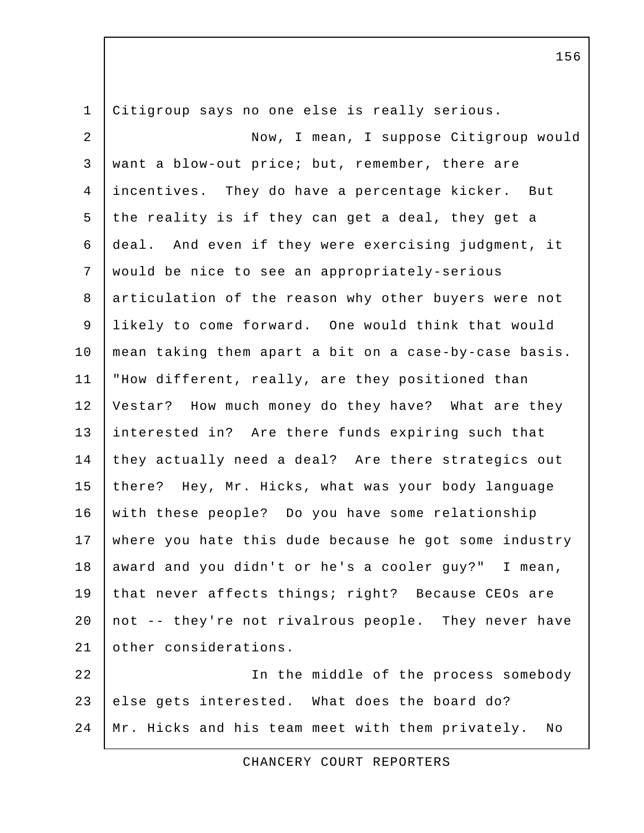1 Citigroup says no one else is really serious. 2 Now, I mean, I suppose Citigroup would 3 want a blow-out price; but, remember, there are 4 incentives. They do have a percentage kicker. But 5 the reality is if they can get a deal, they get a 6 deal. And even if they were exercising judgment, it 7 would be nice to see an appropriately-serious 8 articulation of the reason why other buyers were not 9 likely to come forward. One would think that would 10 mean taking them apart a bit on a case-by-case basis. 11 "How different, really, are they positioned than 12 Vestar? How much money do they have? What are they 13 interested in? Are there funds expiring such that 14 they actually need a deal? Are there strategics out 15 there? Hey, Mr. Hicks, what was your body language 16 with these people? Do you have some relationship 17 where you hate this dude because he got some industry 18 award and you didn't or he's a cooler guy?" I mean, 19 that never affects things; right? Because CEOs are 20 | not -- they're not rivalrous people. They never have 21 other considerations. 22 In the middle of the process somebody 23 else gets interested. What does the board do?

24 Mr. Hicks and his team meet with them privately. No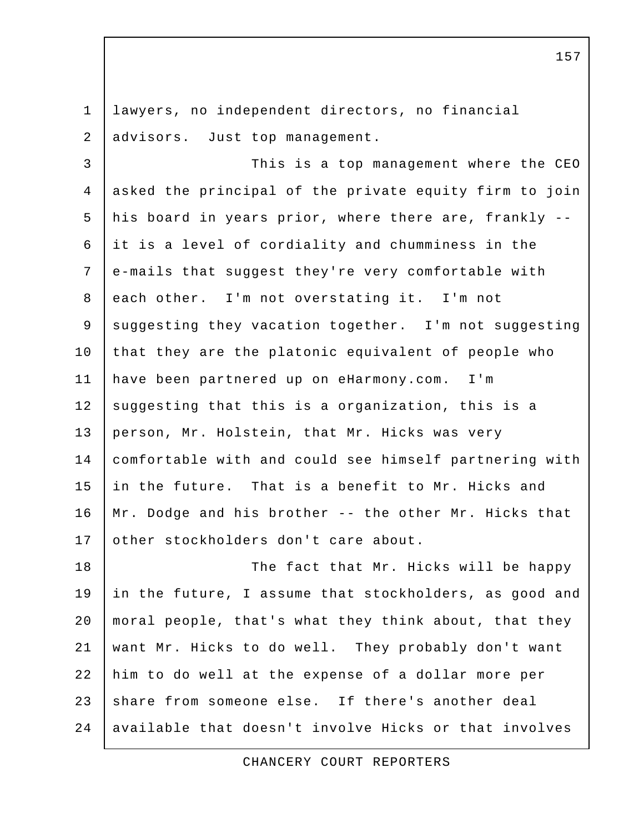1 lawyers, no independent directors, no financial 2 advisors. Just top management. 3 This is a top management where the CEO 4 asked the principal of the private equity firm to join 5 his board in years prior, where there are, frankly -- 6 it is a level of cordiality and chumminess in the 7 e-mails that suggest they're very comfortable with 8 each other. I'm not overstating it. I'm not 9 | suggesting they vacation together. I'm not suggesting 10 that they are the platonic equivalent of people who 11 have been partnered up on eHarmony.com. I'm 12 suggesting that this is a organization, this is a 13 person, Mr. Holstein, that Mr. Hicks was very 14 comfortable with and could see himself partnering with 15 in the future. That is a benefit to Mr. Hicks and 16 Mr. Dodge and his brother -- the other Mr. Hicks that 17 other stockholders don't care about. 18 The fact that Mr. Hicks will be happy 19 in the future, I assume that stockholders, as good and 20 moral people, that's what they think about, that they 21 want Mr. Hicks to do well. They probably don't want 22 him to do well at the expense of a dollar more per 23 share from someone else. If there's another deal

24 available that doesn't involve Hicks or that involves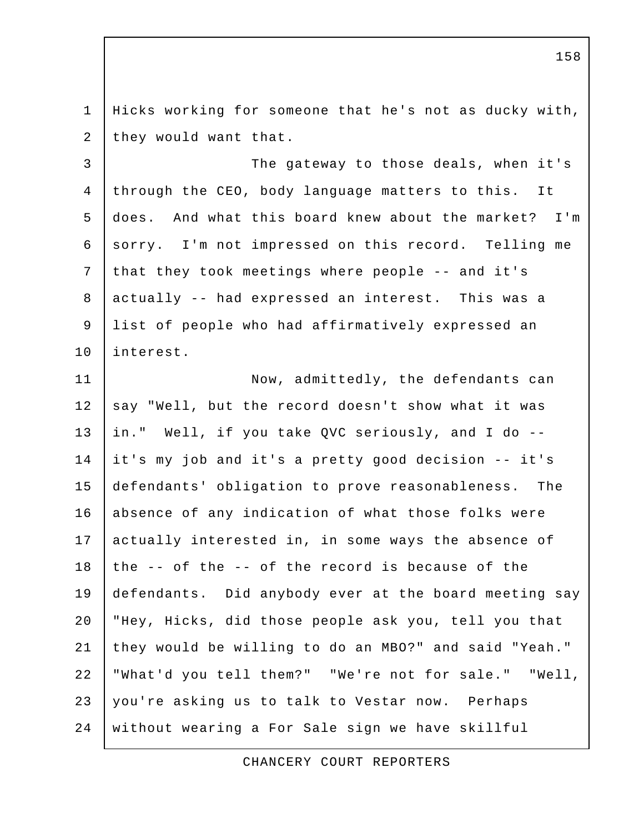1 Hicks working for someone that he's not as ducky with, 2 they would want that.

3 | The gateway to those deals, when it's 4 through the CEO, body language matters to this. It 5 does. And what this board knew about the market? I'm 6 sorry. I'm not impressed on this record. Telling me 7 that they took meetings where people -- and it's 8 actually -- had expressed an interest. This was a 9 list of people who had affirmatively expressed an 10 interest.

11 Now, admittedly, the defendants can 12 say "Well, but the record doesn't show what it was 13 in." Well, if you take QVC seriously, and I do -- 14 it's my job and it's a pretty good decision -- it's 15 defendants' obligation to prove reasonableness. The 16 absence of any indication of what those folks were 17 actually interested in, in some ways the absence of 18 the  $-$ - of the  $-$ - of the record is because of the 19 defendants. Did anybody ever at the board meeting say 20 "Hey, Hicks, did those people ask you, tell you that 21 they would be willing to do an MBO?" and said "Yeah." 22 "What'd you tell them?" "We're not for sale." "Well, 23 you're asking us to talk to Vestar now. Perhaps 24 without wearing a For Sale sign we have skillful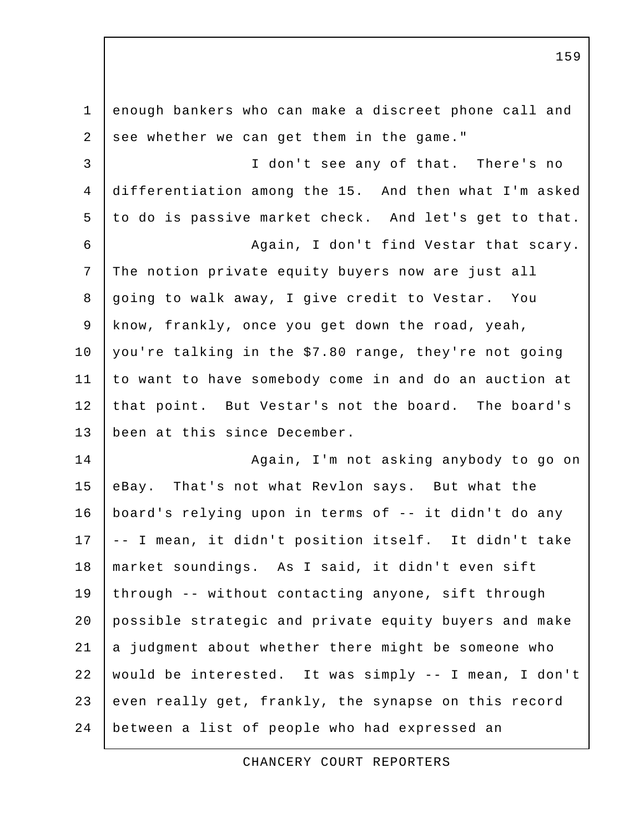1 enough bankers who can make a discreet phone call and 2 see whether we can get them in the game." 3 I don't see any of that. There's no 4 differentiation among the 15. And then what I'm asked 5 to do is passive market check. And let's get to that. 6 | Kagain, I don't find Vestar that scary. 7 The notion private equity buyers now are just all 8 going to walk away, I give credit to Vestar. You 9 know, frankly, once you get down the road, yeah, 10 you're talking in the \$7.80 range, they're not going 11 to want to have somebody come in and do an auction at 12 that point. But Vestar's not the board. The board's 13 | been at this since December. 14 | Again, I'm not asking anybody to go on 15 eBay. That's not what Revlon says. But what the 16 board's relying upon in terms of -- it didn't do any 17 | -- I mean, it didn't position itself. It didn't take 18 market soundings. As I said, it didn't even sift 19 through -- without contacting anyone, sift through 20 possible strategic and private equity buyers and make  $21$  a judgment about whether there might be someone who 22 would be interested. It was simply -- I mean, I don't 23 even really get, frankly, the synapse on this record 24 between a list of people who had expressed an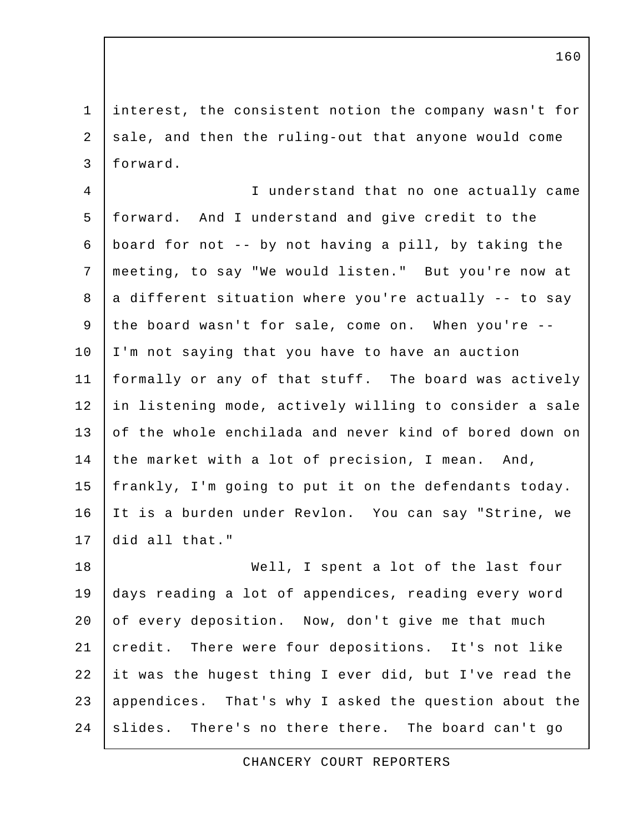1 interest, the consistent notion the company wasn't for 2 sale, and then the ruling-out that anyone would come 3 forward.

 4 I understand that no one actually came 5 forward. And I understand and give credit to the 6 | board for not  $-$ - by not having a pill, by taking the 7 meeting, to say "We would listen." But you're now at  $8$  a different situation where you're actually  $-$  to say 9 the board wasn't for sale, come on. When you're -- 10 I'm not saying that you have to have an auction 11 formally or any of that stuff. The board was actively 12 in listening mode, actively willing to consider a sale 13 of the whole enchilada and never kind of bored down on 14 the market with a lot of precision, I mean. And, 15 frankly, I'm going to put it on the defendants today. 16 It is a burden under Revlon. You can say "Strine, we 17 did all that."

18 Well, I spent a lot of the last four 19 days reading a lot of appendices, reading every word 20 of every deposition. Now, don't give me that much 21 credit. There were four depositions. It's not like 22 it was the hugest thing I ever did, but I've read the 23 | appendices. That's why I asked the question about the 24 slides. There's no there there. The board can't go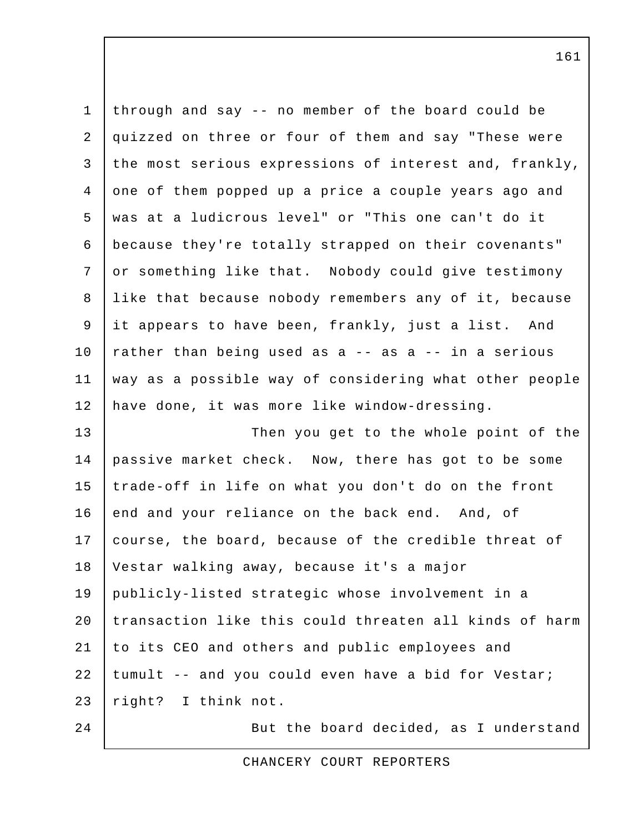| $\mathbf 1$    | through and say -- no member of the board could be     |
|----------------|--------------------------------------------------------|
| 2              | quizzed on three or four of them and say "These were   |
| $\mathfrak{Z}$ | the most serious expressions of interest and, frankly, |
| $\overline{4}$ | one of them popped up a price a couple years ago and   |
| 5              | was at a ludicrous level" or "This one can't do it     |
| 6              | because they're totally strapped on their covenants"   |
| 7              | or something like that. Nobody could give testimony    |
| 8              | like that because nobody remembers any of it, because  |
| 9              | it appears to have been, frankly, just a list. And     |
| 10             | rather than being used as a -- as a -- in a serious    |
| 11             | way as a possible way of considering what other people |
| 12             | have done, it was more like window-dressing.           |
| 13             | Then you get to the whole point of the                 |
| 14             | passive market check. Now, there has got to be some    |
| 15             | trade-off in life on what you don't do on the front    |
| 16             | end and your reliance on the back end. And, of         |
| 17             | course, the board, because of the credible threat of   |
| 18             | Vestar walking away, because it's a major              |
| 19             | publicly-listed strategic whose involvement in a       |
| 20             | transaction like this could threaten all kinds of harm |
| 21             | to its CEO and others and public employees and         |
| 22             | tumult -- and you could even have a bid for Vestar;    |
| 23             | right? I think not.                                    |
| 24             | But the board decided, as I understand                 |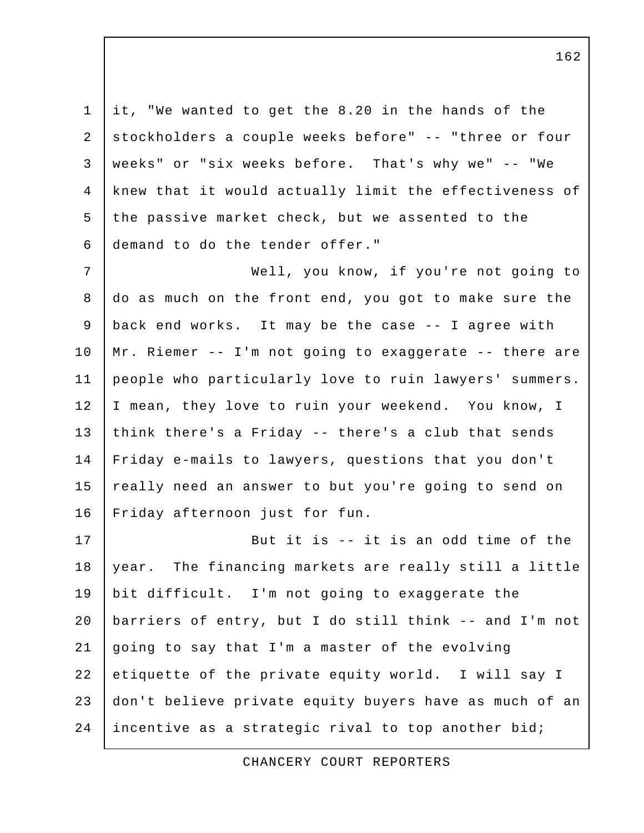1 it, "We wanted to get the 8.20 in the hands of the 2 stockholders a couple weeks before" -- "three or four 3 weeks" or "six weeks before. That's why we" -- "We 4 knew that it would actually limit the effectiveness of 5 the passive market check, but we assented to the 6 demand to do the tender offer."

 7 Well, you know, if you're not going to 8 do as much on the front end, you got to make sure the 9 back end works. It may be the case -- I agree with 10 Mr. Riemer -- I'm not going to exaggerate -- there are 11 people who particularly love to ruin lawyers' summers. 12 | I mean, they love to ruin your weekend. You know, I 13 think there's a Friday -- there's a club that sends 14 Friday e-mails to lawyers, questions that you don't 15 really need an answer to but you're going to send on 16 Friday afternoon just for fun.

17 | But it is -- it is an odd time of the 18 year. The financing markets are really still a little 19 bit difficult. I'm not going to exaggerate the 20 barriers of entry, but I do still think -- and I'm not 21 going to say that I'm a master of the evolving 22 etiquette of the private equity world. I will say I 23 don't believe private equity buyers have as much of an 24 incentive as a strategic rival to top another bid;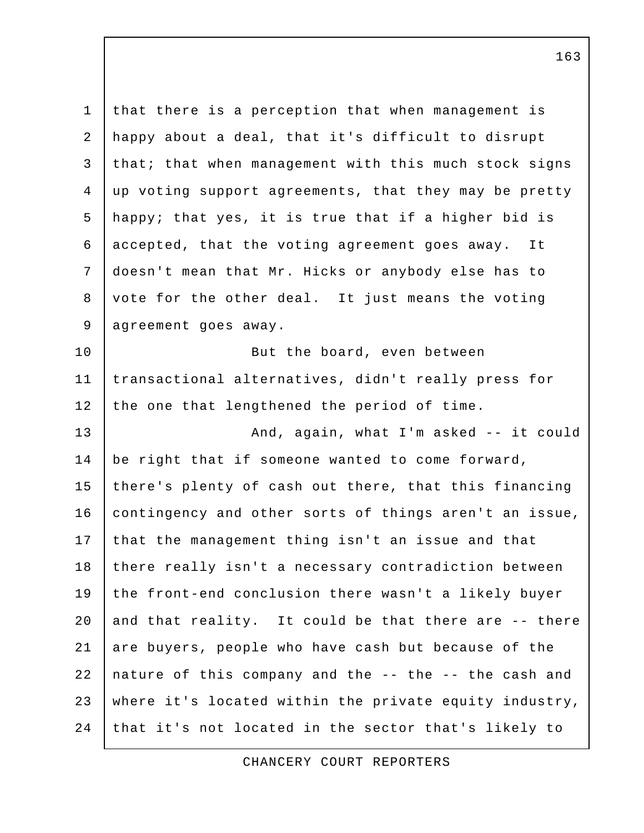1 that there is a perception that when management is 2 happy about a deal, that it's difficult to disrupt 3 that; that when management with this much stock signs 4 up voting support agreements, that they may be pretty 5 happy; that yes, it is true that if a higher bid is 6 accepted, that the voting agreement goes away. It 7 doesn't mean that Mr. Hicks or anybody else has to 8 vote for the other deal. It just means the voting 9 | agreement goes away. 10 But the board, even between 11 transactional alternatives, didn't really press for 12 the one that lengthened the period of time. 13 | And, again, what I'm asked -- it could 14 | be right that if someone wanted to come forward, 15 there's plenty of cash out there, that this financing 16 contingency and other sorts of things aren't an issue, 17 that the management thing isn't an issue and that 18 there really isn't a necessary contradiction between 19 the front-end conclusion there wasn't a likely buyer 20  $|$  and that reality. It could be that there are  $-$  there 21 are buyers, people who have cash but because of the 22 nature of this company and the -- the -- the cash and 23 where it's located within the private equity industry, 24 that it's not located in the sector that's likely to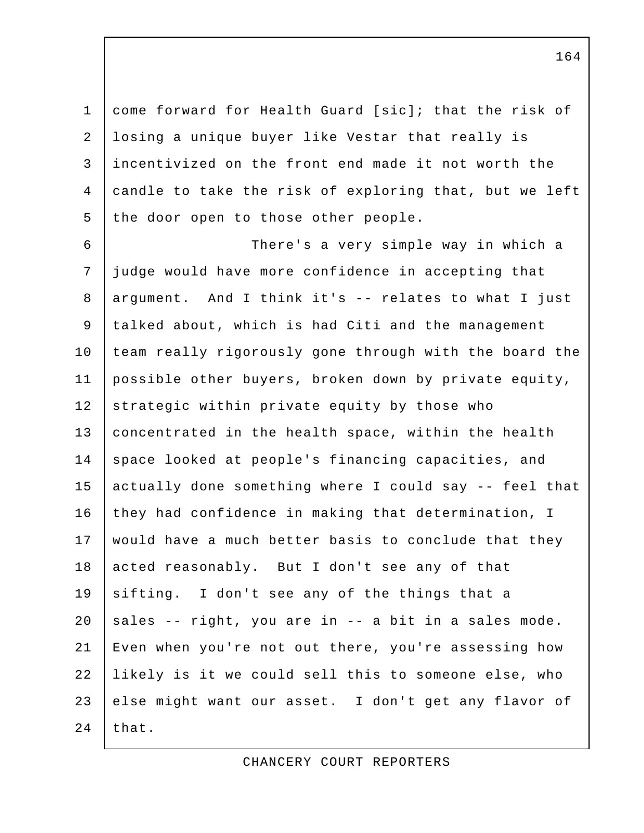1 come forward for Health Guard [sic]; that the risk of 2 losing a unique buyer like Vestar that really is 3 incentivized on the front end made it not worth the 4 candle to take the risk of exploring that, but we left 5 the door open to those other people.

 6 There's a very simple way in which a 7 judge would have more confidence in accepting that 8 argument. And I think it's -- relates to what I just 9 talked about, which is had Citi and the management 10 team really rigorously gone through with the board the 11 possible other buyers, broken down by private equity, 12 strategic within private equity by those who 13 | concentrated in the health space, within the health 14 space looked at people's financing capacities, and 15 actually done something where I could say -- feel that 16 they had confidence in making that determination, I 17 would have a much better basis to conclude that they 18 acted reasonably. But I don't see any of that 19 sifting. I don't see any of the things that a 20  $|$  sales -- right, you are in -- a bit in a sales mode. 21 Even when you're not out there, you're assessing how 22 likely is it we could sell this to someone else, who 23 else might want our asset. I don't get any flavor of 24  $that.$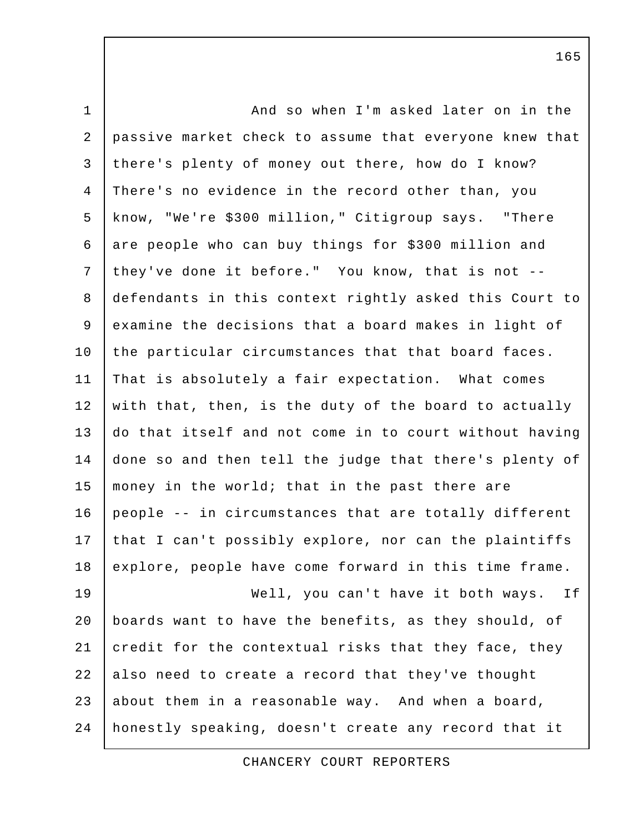| $\mathbf 1$    | And so when I'm asked later on in the                  |
|----------------|--------------------------------------------------------|
| $\overline{a}$ | passive market check to assume that everyone knew that |
| 3              | there's plenty of money out there, how do I know?      |
| $\overline{4}$ | There's no evidence in the record other than, you      |
| 5              | know, "We're \$300 million," Citigroup says. "There    |
| 6              | are people who can buy things for \$300 million and    |
| 7              | they've done it before." You know, that is not --      |
| 8              | defendants in this context rightly asked this Court to |
| 9              | examine the decisions that a board makes in light of   |
| 10             | the particular circumstances that that board faces.    |
| 11             | That is absolutely a fair expectation. What comes      |
| 12             | with that, then, is the duty of the board to actually  |
| 13             | do that itself and not come in to court without having |
| 14             | done so and then tell the judge that there's plenty of |
| 15             | money in the world; that in the past there are         |
| 16             | people -- in circumstances that are totally different  |
| 17             | that I can't possibly explore, nor can the plaintiffs  |
| 18             | explore, people have come forward in this time frame.  |
| 19             | Well, you can't have it both ways.<br>If               |
| 20             | boards want to have the benefits, as they should, of   |
| 21             | credit for the contextual risks that they face, they   |
| 22             | also need to create a record that they've thought      |
| 23             | about them in a reasonable way. And when a board,      |
| 24             | honestly speaking, doesn't create any record that it   |

CHANCERY COURT REPORTERS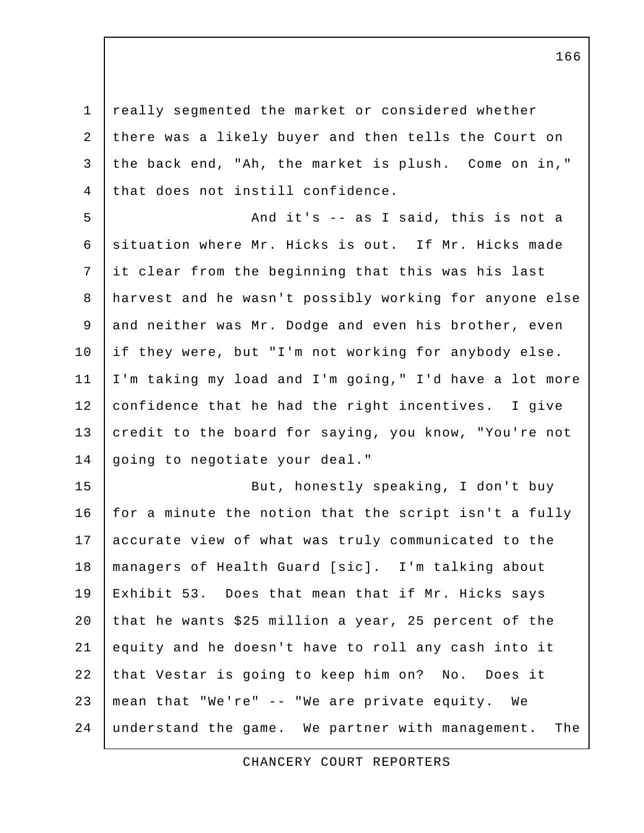1 really segmented the market or considered whether 2 there was a likely buyer and then tells the Court on 3 the back end, "Ah, the market is plush. Come on in," 4 that does not instill confidence.

5 | And it's -- as I said, this is not a 6 | situation where Mr. Hicks is out. If Mr. Hicks made 7 it clear from the beginning that this was his last 8 harvest and he wasn't possibly working for anyone else 9 and neither was Mr. Dodge and even his brother, even 10 if they were, but "I'm not working for anybody else. 11 I'm taking my load and I'm going," I'd have a lot more 12 confidence that he had the right incentives. I give 13 credit to the board for saying, you know, "You're not 14 going to negotiate your deal."

15 | But, honestly speaking, I don't buy 16 for a minute the notion that the script isn't a fully 17 accurate view of what was truly communicated to the 18 managers of Health Guard [sic]. I'm talking about 19 Exhibit 53. Does that mean that if Mr. Hicks says 20 that he wants \$25 million a year, 25 percent of the 21 equity and he doesn't have to roll any cash into it 22 that Vestar is going to keep him on? No. Does it 23 mean that "We're" -- "We are private equity. We 24 understand the game. We partner with management. The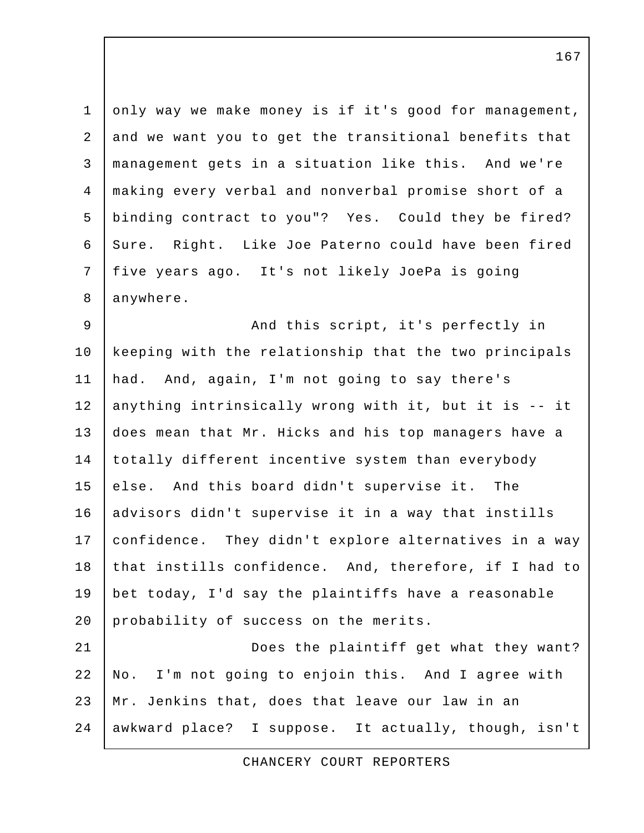1 only way we make money is if it's good for management, 2 and we want you to get the transitional benefits that 3 management gets in a situation like this. And we're 4 making every verbal and nonverbal promise short of a 5 binding contract to you"? Yes. Could they be fired? 6 Sure. Right. Like Joe Paterno could have been fired 7 five years ago. It's not likely JoePa is going 8 anywhere.

9 | And this script, it's perfectly in 10 keeping with the relationship that the two principals 11 had. And, again, I'm not going to say there's 12 anything intrinsically wrong with it, but it is -- it 13 does mean that Mr. Hicks and his top managers have a 14 totally different incentive system than everybody 15 else. And this board didn't supervise it. The 16 advisors didn't supervise it in a way that instills 17 confidence. They didn't explore alternatives in a way 18 that instills confidence. And, therefore, if I had to 19 bet today, I'd say the plaintiffs have a reasonable 20 probability of success on the merits. 21 Does the plaintiff get what they want?

22 No. I'm not going to enjoin this. And I agree with 23 Mr. Jenkins that, does that leave our law in an 24 awkward place? I suppose. It actually, though, isn't

CHANCERY COURT REPORTERS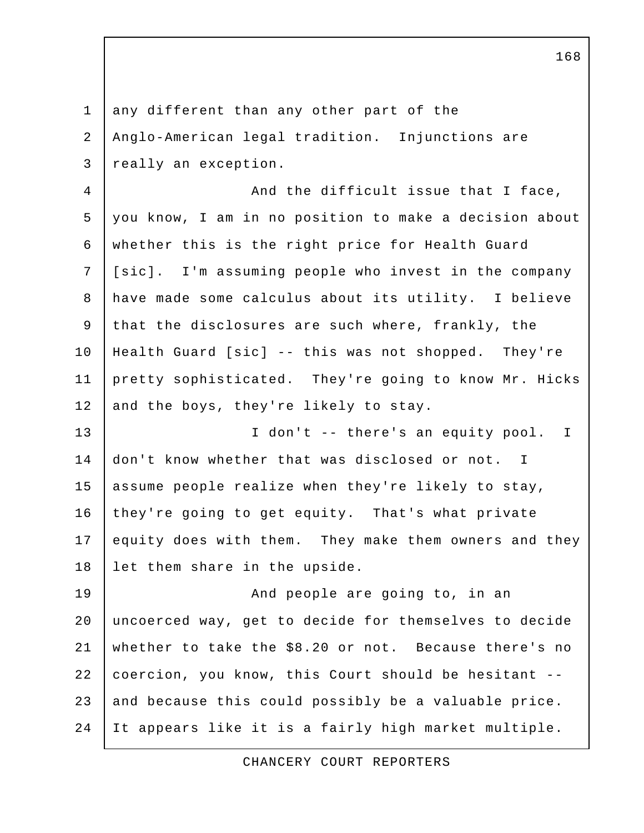1 | any different than any other part of the 2 Anglo-American legal tradition. Injunctions are 3 really an exception. 4 | And the difficult issue that I face, 5 you know, I am in no position to make a decision about 6 whether this is the right price for Health Guard 7 | [sic]. I'm assuming people who invest in the company 8 have made some calculus about its utility. I believe 9 that the disclosures are such where, frankly, the 10 Health Guard [sic] -- this was not shopped. They're 11 pretty sophisticated. They're going to know Mr. Hicks 12 and the boys, they're likely to stay. 13 I don't -- there's an equity pool. I 14 don't know whether that was disclosed or not. I 15 assume people realize when they're likely to stay, 16 they're going to get equity. That's what private 17 equity does with them. They make them owners and they 18 let them share in the upside. 19 | **And people are going to, in an** 20 uncoerced way, get to decide for themselves to decide 21 whether to take the \$8.20 or not. Because there's no 22 coercion, you know, this Court should be hesitant -- 23 and because this could possibly be a valuable price. 24 It appears like it is a fairly high market multiple.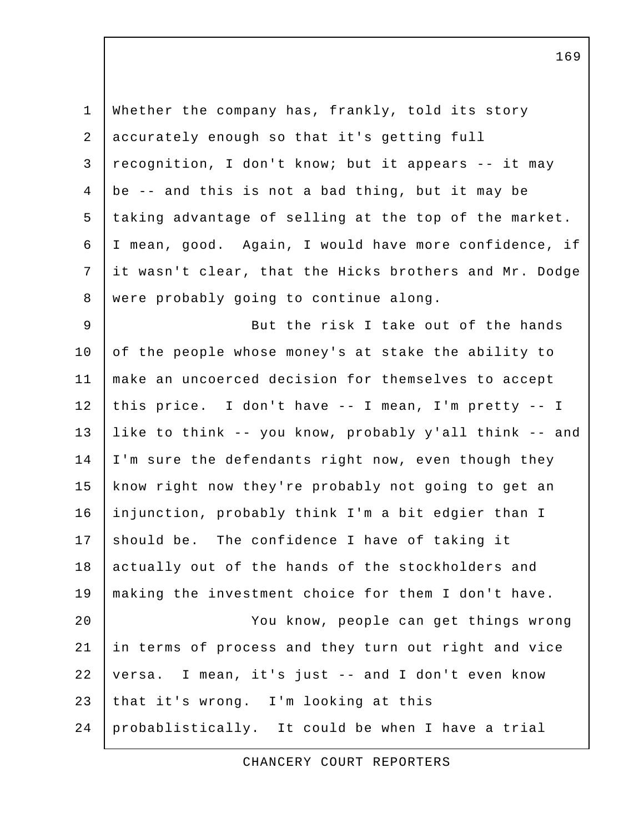1 Whether the company has, frankly, told its story 2 accurately enough so that it's getting full 3 recognition, I don't know; but it appears -- it may 4  $\vert$  be -- and this is not a bad thing, but it may be 5 taking advantage of selling at the top of the market. 6 I mean, good. Again, I would have more confidence, if 7 it wasn't clear, that the Hicks brothers and Mr. Dodge 8 were probably going to continue along. 9 But the risk I take out of the hands 10 of the people whose money's at stake the ability to 11 make an uncoerced decision for themselves to accept 12 this price. I don't have -- I mean, I'm pretty -- I 13 like to think -- you know, probably y'all think -- and 14 | I'm sure the defendants right now, even though they 15 | know right now they're probably not going to get an 16 injunction, probably think I'm a bit edgier than I 17 should be. The confidence I have of taking it 18 actually out of the hands of the stockholders and 19 making the investment choice for them I don't have. 20 You know, people can get things wrong 21 in terms of process and they turn out right and vice 22 versa. I mean, it's just -- and I don't even know 23 that it's wrong. I'm looking at this 24 probablistically. It could be when I have a trial

CHANCERY COURT REPORTERS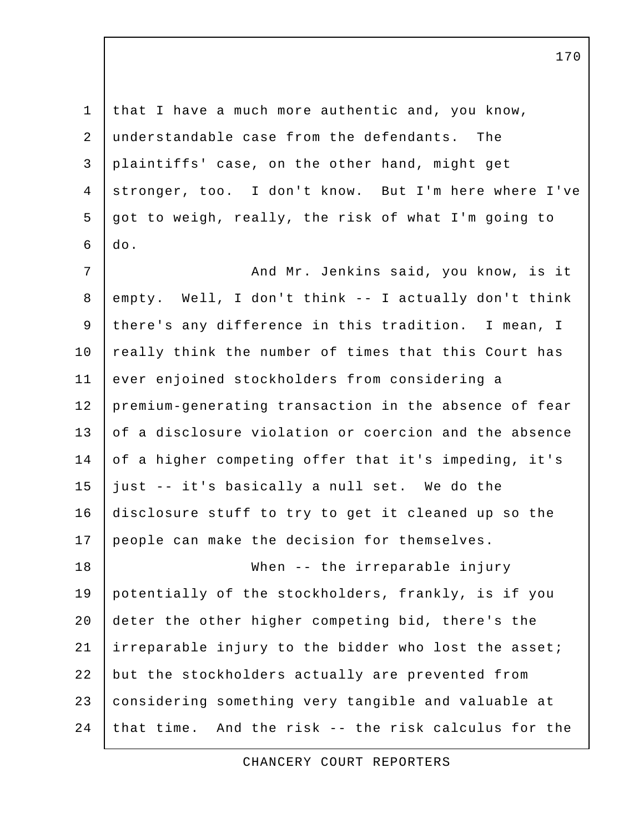1 that I have a much more authentic and, you know, 2 understandable case from the defendants. The 3 plaintiffs' case, on the other hand, might get 4 stronger, too. I don't know. But I'm here where I've 5 got to weigh, really, the risk of what I'm going to  $6$   $\vert$   $\mathrm{do}$ .

7 | And Mr. Jenkins said, you know, is it 8 empty. Well, I don't think -- I actually don't think 9 there's any difference in this tradition. I mean, I 10 really think the number of times that this Court has 11 ever enjoined stockholders from considering a 12 premium-generating transaction in the absence of fear 13 of a disclosure violation or coercion and the absence 14 of a higher competing offer that it's impeding, it's 15 just -- it's basically a null set. We do the 16 disclosure stuff to try to get it cleaned up so the 17 people can make the decision for themselves. 18 When -- the irreparable injury 19 potentially of the stockholders, frankly, is if you

20 deter the other higher competing bid, there's the 21 irreparable injury to the bidder who lost the asset; 22 but the stockholders actually are prevented from 23 considering something very tangible and valuable at 24 that time. And the risk  $-$ - the risk calculus for the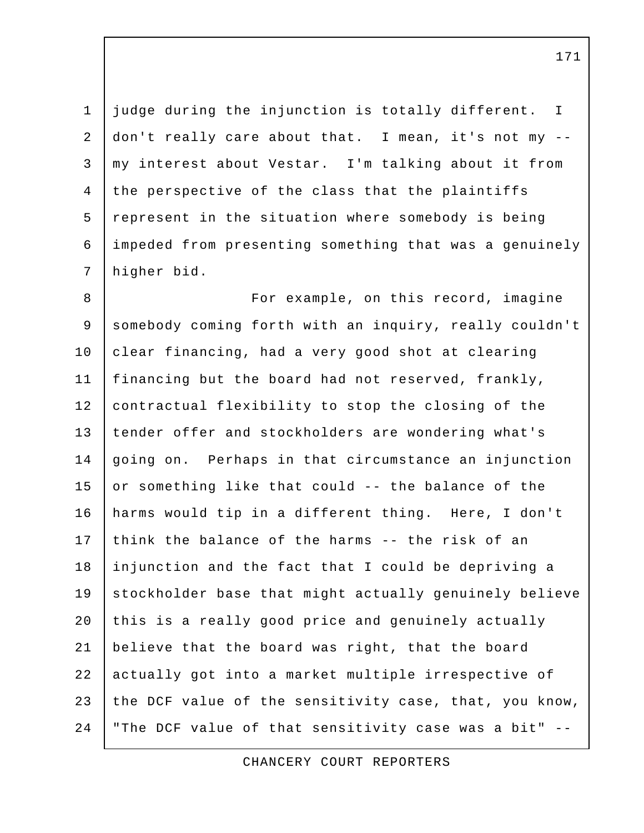1 judge during the injunction is totally different. I 2 don't really care about that. I mean, it's not my -- 3 my interest about Vestar. I'm talking about it from 4 the perspective of the class that the plaintiffs 5 represent in the situation where somebody is being 6 impeded from presenting something that was a genuinely 7 higher bid.

8 | For example, on this record, imagine 9 somebody coming forth with an inquiry, really couldn't 10 clear financing, had a very good shot at clearing 11 financing but the board had not reserved, frankly, 12 | contractual flexibility to stop the closing of the 13 tender offer and stockholders are wondering what's 14 going on. Perhaps in that circumstance an injunction 15 or something like that could  $-$  the balance of the 16 harms would tip in a different thing. Here, I don't 17 think the balance of the harms -- the risk of an 18 injunction and the fact that I could be depriving a 19 stockholder base that might actually genuinely believe 20 this is a really good price and genuinely actually 21 believe that the board was right, that the board 22 actually got into a market multiple irrespective of 23 the DCF value of the sensitivity case, that, you know, 24 "The DCF value of that sensitivity case was a bit" --

CHANCERY COURT REPORTERS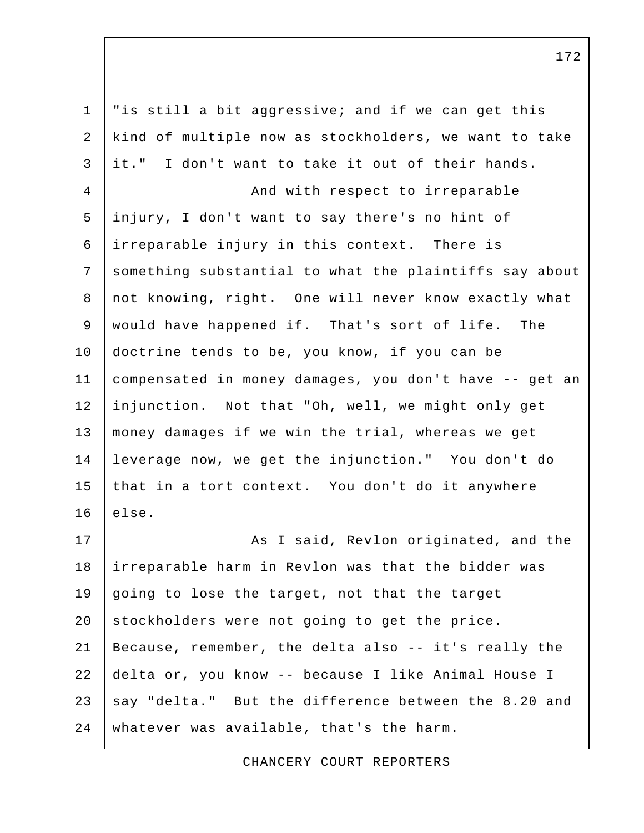1 "is still a bit aggressive; and if we can get this 2 kind of multiple now as stockholders, we want to take 3 it." I don't want to take it out of their hands. 4 | And with respect to irreparable 5 injury, I don't want to say there's no hint of 6 irreparable injury in this context. There is 7 something substantial to what the plaintiffs say about 8 not knowing, right. One will never know exactly what 9 | would have happened if. That's sort of life. The 10 doctrine tends to be, you know, if you can be 11 compensated in money damages, you don't have -- get an 12 injunction. Not that "Oh, well, we might only get 13 money damages if we win the trial, whereas we get 14 leverage now, we get the injunction." You don't do 15 that in a tort context. You don't do it anywhere  $16$  else. 17 | Rexlon originated, and the 18 irreparable harm in Revlon was that the bidder was 19 going to lose the target, not that the target 20 stockholders were not going to get the price. 21 Because, remember, the delta also -- it's really the 22 delta or, you know -- because I like Animal House I 23 say "delta." But the difference between the 8.20 and 24 whatever was available, that's the harm.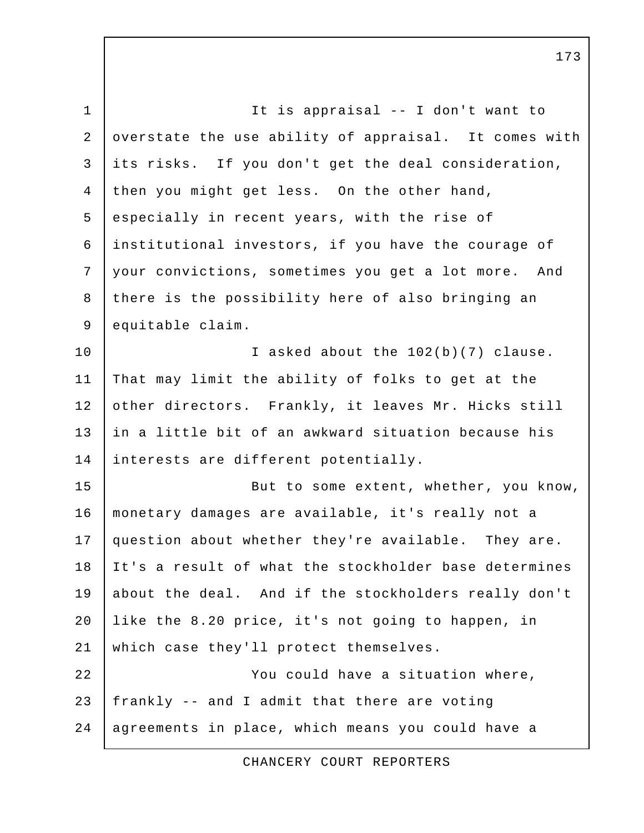1 | It is appraisal -- I don't want to 2 overstate the use ability of appraisal. It comes with 3 its risks. If you don't get the deal consideration, 4 then you might get less. On the other hand, 5 especially in recent years, with the rise of 6 institutional investors, if you have the courage of 7 your convictions, sometimes you get a lot more. And 8 there is the possibility here of also bringing an 9 equitable claim. 10 I asked about the 102(b)(7) clause. 11 That may limit the ability of folks to get at the 12 other directors. Frankly, it leaves Mr. Hicks still 13 in a little bit of an awkward situation because his 14 interests are different potentially. 15 | But to some extent, whether, you know, 16 monetary damages are available, it's really not a 17 question about whether they're available. They are. 18 It's a result of what the stockholder base determines 19 about the deal. And if the stockholders really don't 20 like the 8.20 price, it's not going to happen, in 21 which case they'll protect themselves. 22 You could have a situation where, 23 frankly -- and I admit that there are voting 24 | agreements in place, which means you could have a

CHANCERY COURT REPORTERS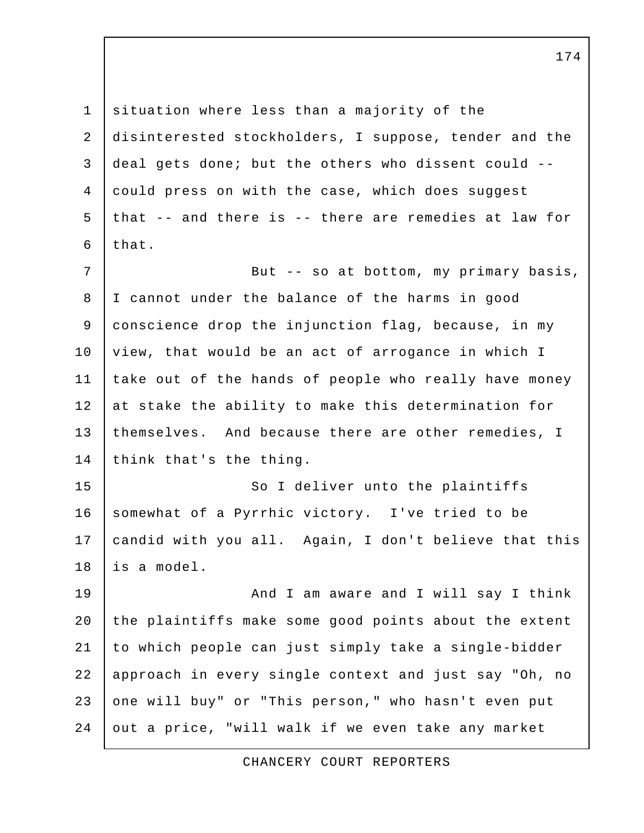1 situation where less than a majority of the 2 disinterested stockholders, I suppose, tender and the 3 deal gets done; but the others who dissent could -- 4 could press on with the case, which does suggest 5 that -- and there is -- there are remedies at law for  $6$  that. 7 | But -- so at bottom, my primary basis, 8 I cannot under the balance of the harms in good 9 conscience drop the injunction flag, because, in my 10 | view, that would be an act of arrogance in which I 11 take out of the hands of people who really have money 12 at stake the ability to make this determination for 13 | themselves. And because there are other remedies, I 14 think that's the thing. 15 So I deliver unto the plaintiffs 16 somewhat of a Pyrrhic victory. I've tried to be 17 candid with you all. Again, I don't believe that this 18 is a model. 19 | And I am aware and I will say I think 20 the plaintiffs make some good points about the extent 21 to which people can just simply take a single-bidder 22 approach in every single context and just say "Oh, no 23 one will buy" or "This person," who hasn't even put 24 out a price, "will walk if we even take any market

CHANCERY COURT REPORTERS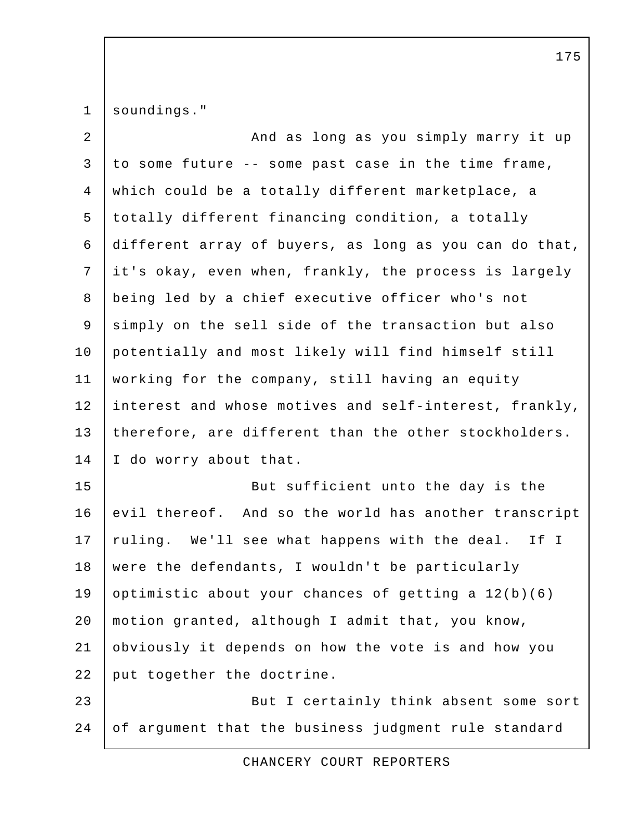1 soundings."

2 | Cass And as long as you simply marry it up 3 to some future -- some past case in the time frame, 4 which could be a totally different marketplace, a 5 totally different financing condition, a totally 6 different array of buyers, as long as you can do that, 7 it's okay, even when, frankly, the process is largely 8 being led by a chief executive officer who's not 9 simply on the sell side of the transaction but also 10 potentially and most likely will find himself still 11 working for the company, still having an equity 12 interest and whose motives and self-interest, frankly, 13 therefore, are different than the other stockholders. 14 I do worry about that. 15 But sufficient unto the day is the 16 evil thereof. And so the world has another transcript 17 ruling. We'll see what happens with the deal. If I 18 were the defendants, I wouldn't be particularly 19 optimistic about your chances of getting a  $12(b)(6)$ 20 motion granted, although I admit that, you know, 21 obviously it depends on how the vote is and how you 22 put together the doctrine. 23 But I certainly think absent some sort 24 of argument that the business judgment rule standard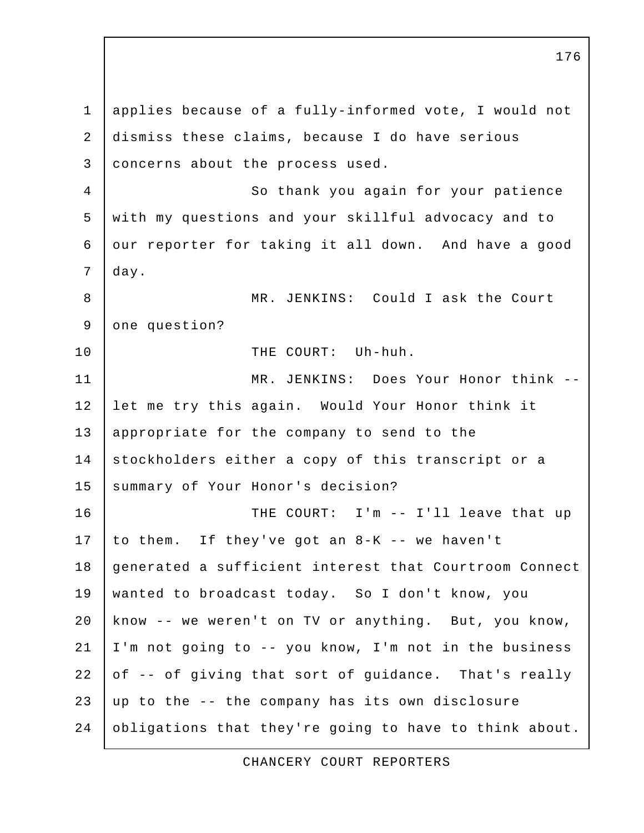1 applies because of a fully-informed vote, I would not 2 dismiss these claims, because I do have serious 3 concerns about the process used. 4 So thank you again for your patience 5 with my questions and your skillful advocacy and to 6 our reporter for taking it all down. And have a good 7 day. 8 | MR. JENKINS: Could I ask the Court 9 one question? 10 THE COURT: Uh-huh. 11 MR. JENKINS: Does Your Honor think -- 12 let me try this again. Would Your Honor think it 13 appropriate for the company to send to the 14 stockholders either a copy of this transcript or a 15 | summary of Your Honor's decision? 16 | THE COURT: I'm -- I'll leave that up 17 to them. If they've got an  $8-K$  -- we haven't 18 generated a sufficient interest that Courtroom Connect 19 wanted to broadcast today. So I don't know, you 20 know -- we weren't on TV or anything. But, you know, 21 I'm not going to -- you know, I'm not in the business 22 of -- of giving that sort of guidance. That's really  $23$  up to the  $-$  the company has its own disclosure 24 obligations that they're going to have to think about.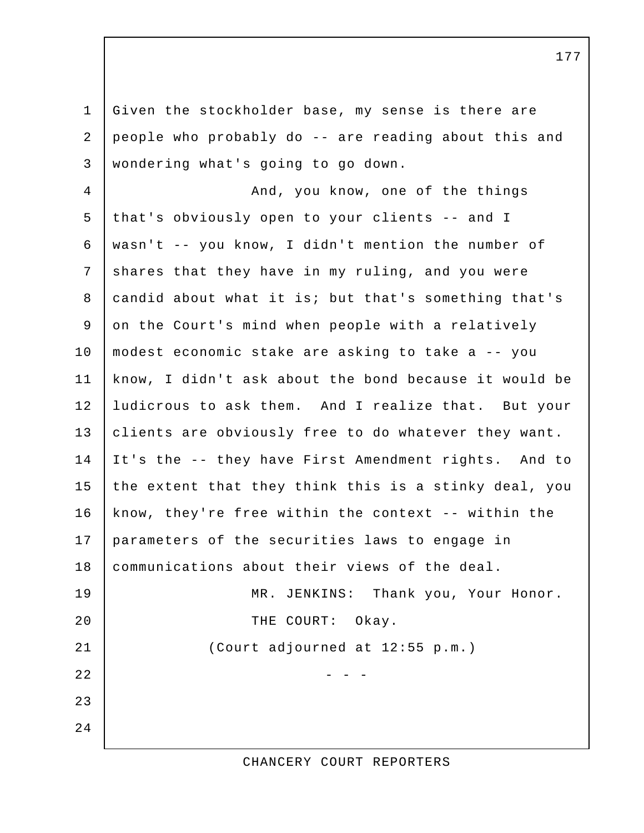1 Given the stockholder base, my sense is there are 2 people who probably do -- are reading about this and 3 wondering what's going to go down.

4 | And, you know, one of the things 5 that's obviously open to your clients -- and I 6 wasn't -- you know, I didn't mention the number of 7 shares that they have in my ruling, and you were 8 candid about what it is; but that's something that's 9 on the Court's mind when people with a relatively 10 modest economic stake are asking to take a -- you 11 know, I didn't ask about the bond because it would be 12 ludicrous to ask them. And I realize that. But your 13 clients are obviously free to do whatever they want. 14 It's the -- they have First Amendment rights. And to 15 the extent that they think this is a stinky deal, you 16 know, they're free within the context -- within the 17 parameters of the securities laws to engage in 18 | communications about their views of the deal. 19 MR. JENKINS: Thank you, Your Honor. 20 THE COURT: Okay. 21 (Court adjourned at 12:55 p.m.)  $22$   $-$  - -23 24